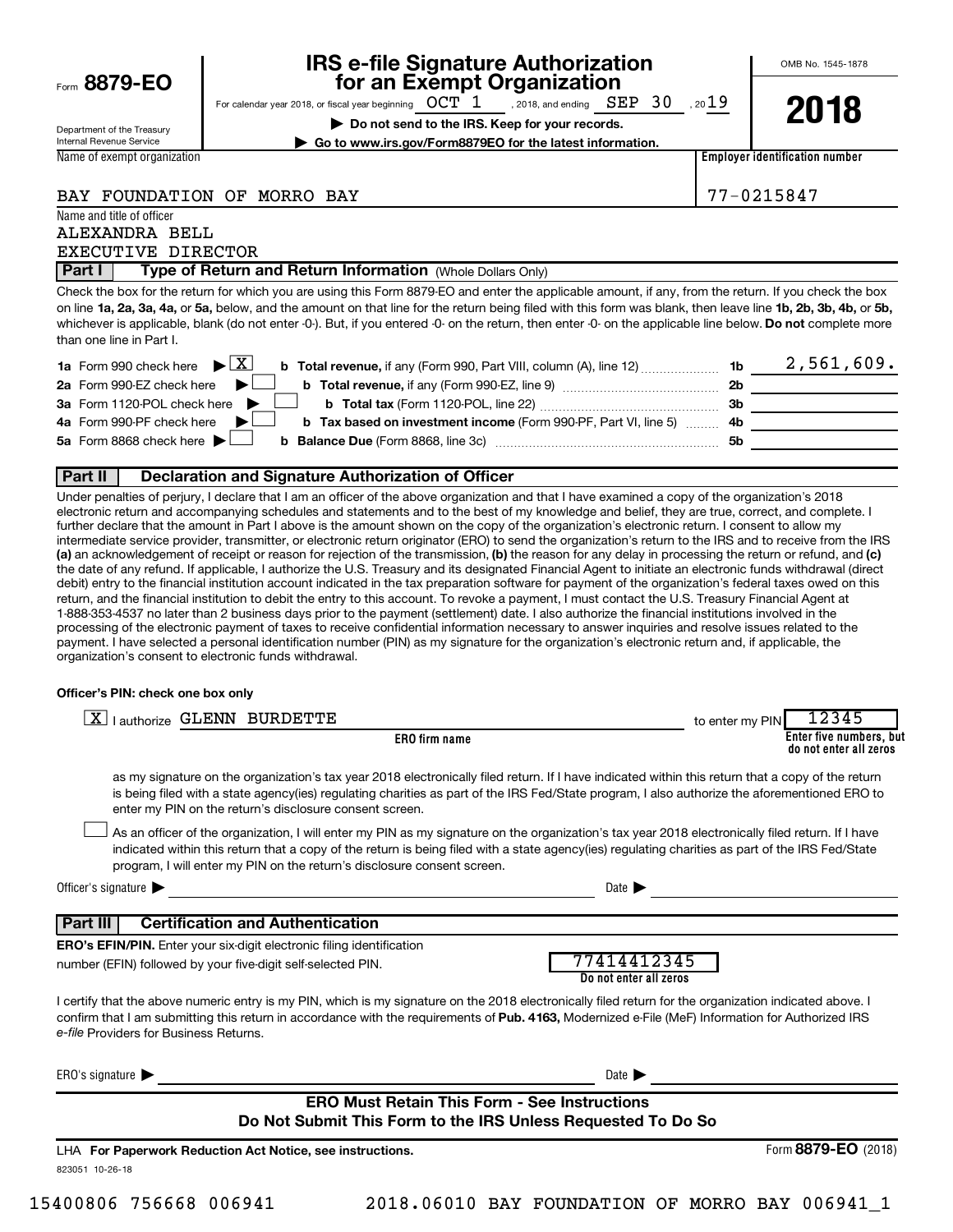Form  $8879 - E<sub>0</sub>$ 

## **IRS e-file Signature Authorization**<br>**687 for an Exempt Organization**

For calendar year 2018, or fiscal year beginning  $\it{OCT~1}$  , 2018, and ending  $\it{SEP~30}$  , 20 $19$ , 2018, and ending  $\,$   $\rm{SEP}$   $\,$   $\,30$ 

**| Do not send to the IRS. Keep for your records.**

OMB No. 1545-1878

**| Go to www.irs.gov/Form8879EO for the latest information.**

**2018**

Department of the Treasury Internal Revenue Service Name of exempt organization

Name and title of officer

**Employer identification number**

BAY FOUNDATION OF MORRO BAY 77-0215847

ALEXANDRA BELL EXECUTIVE DIRECTOR

**Part I** | Type of Return and Return Information (Whole Dollars Only)

on line 1a, 2a, 3a, 4a, or 5a, below, and the amount on that line for the return being filed with this form was blank, then leave line 1b, 2b, 3b, 4b, or 5b, whichever is applicable, blank (do not enter -0-). But, if you entered -0- on the return, then enter -0- on the applicable line below. **Do not** complete more Check the box for the return for which you are using this Form 8879-EO and enter the applicable amount, if any, from the return. If you check the box than one line in Part I.

| <b>1a</b> Form 990 check here $\triangleright \boxed{X}$<br><b>b</b> Total revenue, if any (Form 990, Part VIII, column (A), line 12) $\ldots$ 1b |     | 2,561,609. |
|---------------------------------------------------------------------------------------------------------------------------------------------------|-----|------------|
| 2a Form 990-EZ check here $\blacktriangleright$<br><b>b</b> Total revenue, if any (Form 990-EZ, line 9) <i></i>                                   | 2b  |            |
| 3a Form 1120-POL check here $\blacktriangleright$ $\Box$<br><b>b</b> Total tax (Form 1120-POL, line 22)                                           | 3b  |            |
| 4a Form 990-PF check here $\blacktriangleright$<br><b>b</b> Tax based on investment income (Form 990-PF, Part VI, line 5) 4b                      |     |            |
| 5a Form 8868 check here $\blacktriangleright$                                                                                                     | .5b |            |
|                                                                                                                                                   |     |            |

## **Part II Declaration and Signature Authorization of Officer**

(a) an acknowledgement of receipt or reason for rejection of the transmission, (b) the reason for any delay in processing the return or refund, and (c) Under penalties of perjury, I declare that I am an officer of the above organization and that I have examined a copy of the organization's 2018 electronic return and accompanying schedules and statements and to the best of my knowledge and belief, they are true, correct, and complete. I further declare that the amount in Part I above is the amount shown on the copy of the organization's electronic return. I consent to allow my intermediate service provider, transmitter, or electronic return originator (ERO) to send the organization's return to the IRS and to receive from the IRS the date of any refund. If applicable, I authorize the U.S. Treasury and its designated Financial Agent to initiate an electronic funds withdrawal (direct debit) entry to the financial institution account indicated in the tax preparation software for payment of the organization's federal taxes owed on this return, and the financial institution to debit the entry to this account. To revoke a payment, I must contact the U.S. Treasury Financial Agent at 1-888-353-4537 no later than 2 business days prior to the payment (settlement) date. I also authorize the financial institutions involved in the processing of the electronic payment of taxes to receive confidential information necessary to answer inquiries and resolve issues related to the payment. I have selected a personal identification number (PIN) as my signature for the organization's electronic return and, if applicable, the organization's consent to electronic funds withdrawal.

## **Officer's PIN: check one box only**

| <b>Lauthorize GLENN BURDETTE</b><br>ΧI                                                                                                                                                                                                                                                                                                                                           | 12345<br>to enter my PIN                          |
|----------------------------------------------------------------------------------------------------------------------------------------------------------------------------------------------------------------------------------------------------------------------------------------------------------------------------------------------------------------------------------|---------------------------------------------------|
| <b>ERO</b> firm name                                                                                                                                                                                                                                                                                                                                                             | Enter five numbers, but<br>do not enter all zeros |
| as my signature on the organization's tax year 2018 electronically filed return. If I have indicated within this return that a copy of the return<br>is being filed with a state agency(ies) regulating charities as part of the IRS Fed/State program, I also authorize the aforementioned ERO to<br>enter my PIN on the return's disclosure consent screen.                    |                                                   |
| As an officer of the organization, I will enter my PIN as my signature on the organization's tax year 2018 electronically filed return. If I have<br>indicated within this return that a copy of the return is being filed with a state agency(ies) regulating charities as part of the IRS Fed/State<br>program, I will enter my PIN on the return's disclosure consent screen. |                                                   |
| Officer's signature                                                                                                                                                                                                                                                                                                                                                              | Date $\blacksquare$                               |
| <b>Certification and Authentication</b><br>  Part III                                                                                                                                                                                                                                                                                                                            |                                                   |
| <b>ERO's EFIN/PIN.</b> Enter your six-digit electronic filing identification                                                                                                                                                                                                                                                                                                     |                                                   |
| number (EFIN) followed by your five-digit self-selected PIN.                                                                                                                                                                                                                                                                                                                     | 77414412345<br>Do not enter all zeros             |
| I certify that the above numeric entry is my PIN, which is my signature on the 2018 electronically filed return for the organization indicated above. I<br>confirm that I am submitting this return in accordance with the requirements of Pub. 4163, Modernized e-File (MeF) Information for Authorized IRS<br>e-file Providers for Business Returns.                           |                                                   |
| ERO's signature $\blacktriangleright$                                                                                                                                                                                                                                                                                                                                            | Date $\blacktriangleright$                        |
| <b>ERO Must Retain This Form - See Instructions</b><br>Do Not Submit This Form to the IRS Unless Requested To Do So                                                                                                                                                                                                                                                              |                                                   |
| LHA For Paperwork Reduction Act Notice, see instructions.<br>823051 10-26-18                                                                                                                                                                                                                                                                                                     | Form 8879-EO (2018)                               |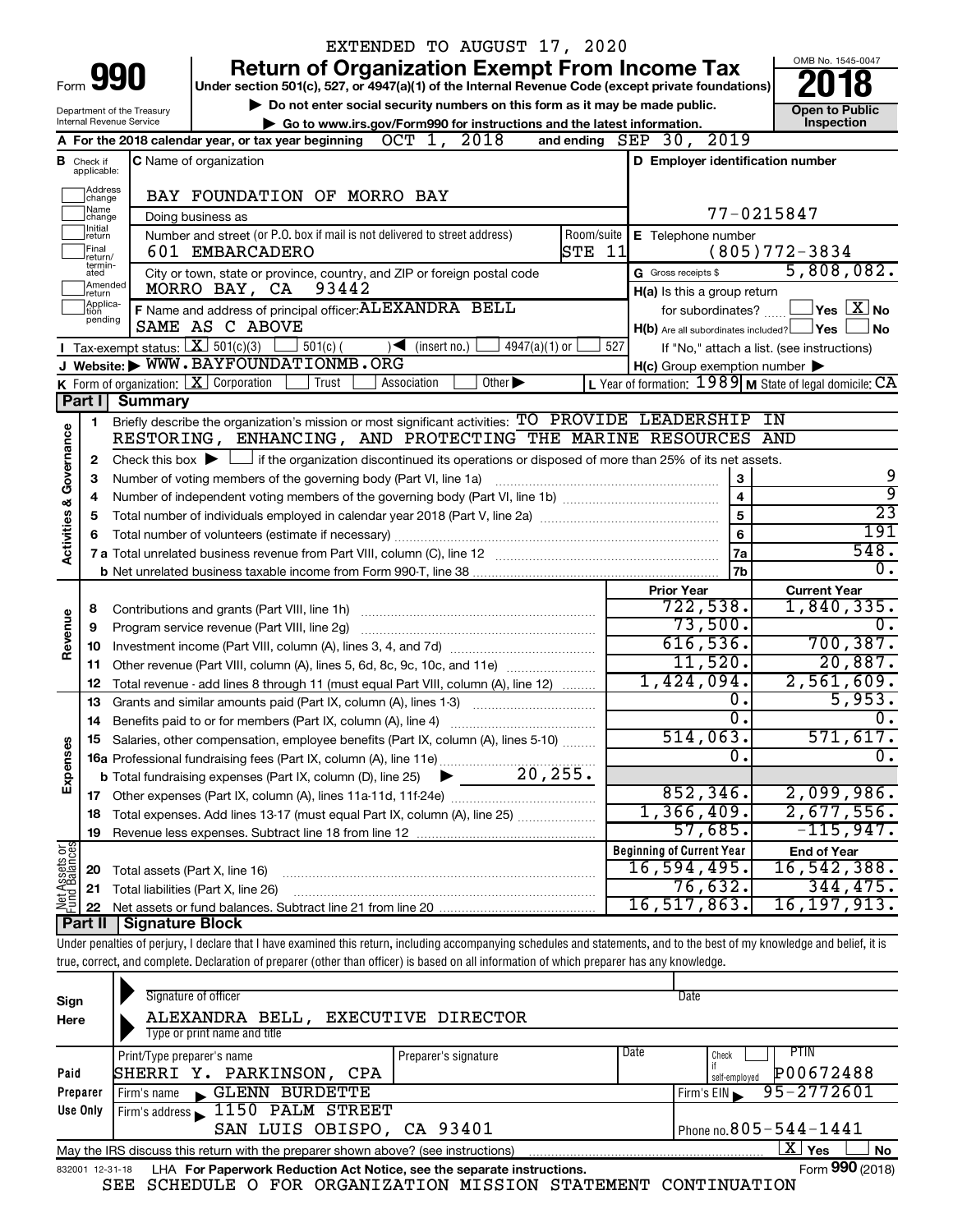|                                    |                                                                                                |                                             | EXTENDED TO AUGUST 17, 2020                                                                                                                                                |                                                                        |                                            |  |
|------------------------------------|------------------------------------------------------------------------------------------------|---------------------------------------------|----------------------------------------------------------------------------------------------------------------------------------------------------------------------------|------------------------------------------------------------------------|--------------------------------------------|--|
|                                    |                                                                                                |                                             | <b>Return of Organization Exempt From Income Tax</b>                                                                                                                       |                                                                        | OMB No. 1545-0047                          |  |
| Form                               |                                                                                                | 990                                         | Under section 501(c), 527, or 4947(a)(1) of the Internal Revenue Code (except private foundations)                                                                         |                                                                        |                                            |  |
|                                    |                                                                                                | Department of the Treasury                  | Do not enter social security numbers on this form as it may be made public.                                                                                                |                                                                        | <b>Open to Public</b>                      |  |
|                                    |                                                                                                | Internal Revenue Service                    | Go to www.irs.gov/Form990 for instructions and the latest information.                                                                                                     |                                                                        | Inspection                                 |  |
|                                    |                                                                                                |                                             | A For the 2018 calendar year, or tax year beginning $OCT$ 1, 2018                                                                                                          | and ending $SEP$ 30, $2019$                                            |                                            |  |
|                                    | C Name of organization<br>D Employer identification number<br><b>B</b> Check if<br>applicable: |                                             |                                                                                                                                                                            |                                                                        |                                            |  |
|                                    | Address<br>change                                                                              |                                             | BAY FOUNDATION OF MORRO BAY                                                                                                                                                |                                                                        |                                            |  |
|                                    | Name<br>change                                                                                 |                                             | Doing business as                                                                                                                                                          | 77-0215847                                                             |                                            |  |
|                                    | Initial<br>return                                                                              |                                             | Number and street (or P.O. box if mail is not delivered to street address)                                                                                                 | Room/suite   E Telephone number                                        |                                            |  |
|                                    | Final<br>return/                                                                               |                                             | STE 11<br>601 EMBARCADERO                                                                                                                                                  |                                                                        | $(805)772 - 3834$                          |  |
|                                    | termin-<br>ated                                                                                |                                             | City or town, state or province, country, and ZIP or foreign postal code                                                                                                   | G Gross receipts \$                                                    | 5,808,082.                                 |  |
|                                    | Amended<br>return                                                                              |                                             | MORRO BAY, CA<br>93442                                                                                                                                                     | H(a) Is this a group return                                            |                                            |  |
|                                    | Applica-<br>tion<br>pending                                                                    |                                             | F Name and address of principal officer: ALEXANDRA BELL                                                                                                                    | for subordinates?                                                      | $\Box$ Yes $[\overline{\mathrm{X}}]$ No    |  |
|                                    |                                                                                                |                                             | SAME AS C ABOVE                                                                                                                                                            | $H(b)$ Are all subordinates included? $\Box$ Yes                       | No                                         |  |
|                                    |                                                                                                | <b>I</b> Tax-exempt status: $X \ 501(c)(3)$ | $\frac{1}{2}$ 501(c) (<br>$\sqrt{\frac{1}{1}}$ (insert no.)<br>$4947(a)(1)$ or                                                                                             | 527                                                                    | If "No," attach a list. (see instructions) |  |
|                                    |                                                                                                |                                             | J Website: WWW.BAYFOUNDATIONMB.ORG                                                                                                                                         | $H(c)$ Group exemption number $\blacktriangleright$                    |                                            |  |
|                                    |                                                                                                |                                             | K Form of organization: $X$ Corporation<br>Other $\blacktriangleright$<br>Trust<br>Association                                                                             | L Year of formation: $1989$ M State of legal domicile: $\overline{CA}$ |                                            |  |
|                                    | Part I                                                                                         | Summary                                     |                                                                                                                                                                            |                                                                        |                                            |  |
|                                    | 1                                                                                              |                                             | Briefly describe the organization's mission or most significant activities: TO PROVIDE LEADERSHIP IN<br>RESTORING, ENHANCING, AND PROTECTING THE MARINE RESOURCES AND      |                                                                        |                                            |  |
|                                    |                                                                                                |                                             | Check this box $\blacktriangleright$ $\Box$ if the organization discontinued its operations or disposed of more than 25% of its net assets.                                |                                                                        |                                            |  |
|                                    | $\mathbf{2}$<br>з                                                                              |                                             | Number of voting members of the governing body (Part VI, line 1a)                                                                                                          | 3                                                                      | 9                                          |  |
|                                    | 4                                                                                              |                                             |                                                                                                                                                                            | $\overline{4}$                                                         | $\overline{9}$                             |  |
|                                    | 5                                                                                              |                                             |                                                                                                                                                                            | 5                                                                      | $\overline{23}$                            |  |
|                                    | 6                                                                                              |                                             |                                                                                                                                                                            | 6                                                                      | 191                                        |  |
| <b>Activities &amp; Governance</b> |                                                                                                |                                             |                                                                                                                                                                            | 7a                                                                     | 548.                                       |  |
|                                    |                                                                                                |                                             |                                                                                                                                                                            | 7b                                                                     | $\overline{0}$ .                           |  |
|                                    |                                                                                                |                                             |                                                                                                                                                                            | <b>Prior Year</b>                                                      | <b>Current Year</b>                        |  |
|                                    | 8                                                                                              |                                             | Contributions and grants (Part VIII, line 1h)                                                                                                                              | 722,538.                                                               | 1,840,335.                                 |  |
| Revenue                            | 9                                                                                              |                                             | Program service revenue (Part VIII, line 2g)                                                                                                                               | 73,500.                                                                | 0.                                         |  |
|                                    | 10                                                                                             |                                             |                                                                                                                                                                            | 616,536.                                                               | 700, 387.                                  |  |
|                                    | 11                                                                                             |                                             | Other revenue (Part VIII, column (A), lines 5, 6d, 8c, 9c, 10c, and 11e)                                                                                                   | 11,520.                                                                | 20,887.                                    |  |
|                                    | 12                                                                                             |                                             | Total revenue - add lines 8 through 11 (must equal Part VIII, column (A), line 12)                                                                                         | 1,424,094.                                                             | 2,561,609.                                 |  |
|                                    | 13                                                                                             |                                             | Grants and similar amounts paid (Part IX, column (A), lines 1-3)                                                                                                           | 0.                                                                     | 5,953.                                     |  |
|                                    | 14                                                                                             |                                             | Benefits paid to or for members (Part IX, column (A), line 4)                                                                                                              | $\overline{0}$ .                                                       | $\overline{0}$ .                           |  |
|                                    | 15                                                                                             |                                             | Salaries, other compensation, employee benefits (Part IX, column (A), lines 5-10)                                                                                          | 514,063.                                                               | 571,617.                                   |  |
|                                    |                                                                                                |                                             |                                                                                                                                                                            | 0.                                                                     | $\overline{0}$ .                           |  |
| Expenses                           |                                                                                                |                                             |                                                                                                                                                                            | 852, 346.                                                              | 2,099,986.                                 |  |
|                                    |                                                                                                |                                             |                                                                                                                                                                            | 1,366,409.                                                             | 2,677,556.                                 |  |
|                                    | 18                                                                                             |                                             | Total expenses. Add lines 13-17 (must equal Part IX, column (A), line 25)                                                                                                  | 57,685.                                                                | $-115,947$ .                               |  |
|                                    | 19                                                                                             |                                             |                                                                                                                                                                            | <b>Beginning of Current Year</b>                                       |                                            |  |
| Net Assets or                      | 20                                                                                             | Total assets (Part X, line 16)              |                                                                                                                                                                            | 16,594,495.                                                            | <b>End of Year</b><br>16, 542, 388.        |  |
|                                    | 21                                                                                             |                                             | Total liabilities (Part X, line 26)                                                                                                                                        | 76,632.                                                                | 344, 475.                                  |  |
|                                    | 22                                                                                             |                                             | Net assets or fund balances. Subtract line 21 from line 20                                                                                                                 | 16,517,863.                                                            | 16, 197, 913.                              |  |
|                                    | Part II                                                                                        | Signature Block                             |                                                                                                                                                                            |                                                                        |                                            |  |
|                                    |                                                                                                |                                             | Under penalties of perjury, I declare that I have examined this return, including accompanying schedules and statements, and to the best of my knowledge and belief, it is |                                                                        |                                            |  |
|                                    |                                                                                                |                                             | true, correct, and complete. Declaration of preparer (other than officer) is based on all information of which preparer has any knowledge.                                 |                                                                        |                                            |  |
|                                    |                                                                                                |                                             |                                                                                                                                                                            |                                                                        |                                            |  |
| Sign                               |                                                                                                |                                             | Signature of officer                                                                                                                                                       | Date                                                                   |                                            |  |
| Here                               |                                                                                                |                                             | ALEXANDRA BELL, EXECUTIVE DIRECTOR                                                                                                                                         |                                                                        |                                            |  |

| Here     | ADEAANDRA BEDD, EAECUIIVE DIRECTOR                                                                                |                      |      |                                         |  |  |  |  |
|----------|-------------------------------------------------------------------------------------------------------------------|----------------------|------|-----------------------------------------|--|--|--|--|
|          | Type or print name and title                                                                                      |                      |      |                                         |  |  |  |  |
|          | Print/Type preparer's name                                                                                        | Preparer's signature | Date | PTIN<br>Check                           |  |  |  |  |
| Paid     | SHERRI Y. PARKINSON, CPA                                                                                          |                      |      | P00672488<br>self-employed              |  |  |  |  |
| Preparer | GLENN BURDETTE<br>Firm's name                                                                                     |                      |      | $1$ Firm's EIN $\frac{95-2772601}{ }$   |  |  |  |  |
| Use Only | Firm's address 1150 PALM STREET                                                                                   |                      |      |                                         |  |  |  |  |
|          | SAN LUIS OBISPO, CA 93401                                                                                         |                      |      | $\sqrt{P}$ Phone no. $805 - 544 - 1441$ |  |  |  |  |
|          | $X \mid$<br><b>No</b><br>Yes<br>May the IRS discuss this return with the preparer shown above? (see instructions) |                      |      |                                         |  |  |  |  |
|          | Form 990 (2018)<br>LHA For Paperwork Reduction Act Notice, see the separate instructions.<br>832001 12-31-18      |                      |      |                                         |  |  |  |  |

|  |  | יין וב-1810 – די הייטור מטכן איטו <i>ה</i> ווכעשטעון אטג ויטגוטכ, אכם גווכ אכטמומנכ ווואנו עטגוטווא. |  |  |
|--|--|------------------------------------------------------------------------------------------------------|--|--|
|  |  | SEE SCHEDULE O FOR ORGANIZATION MISSION STATEMENT CONTINUATION                                       |  |  |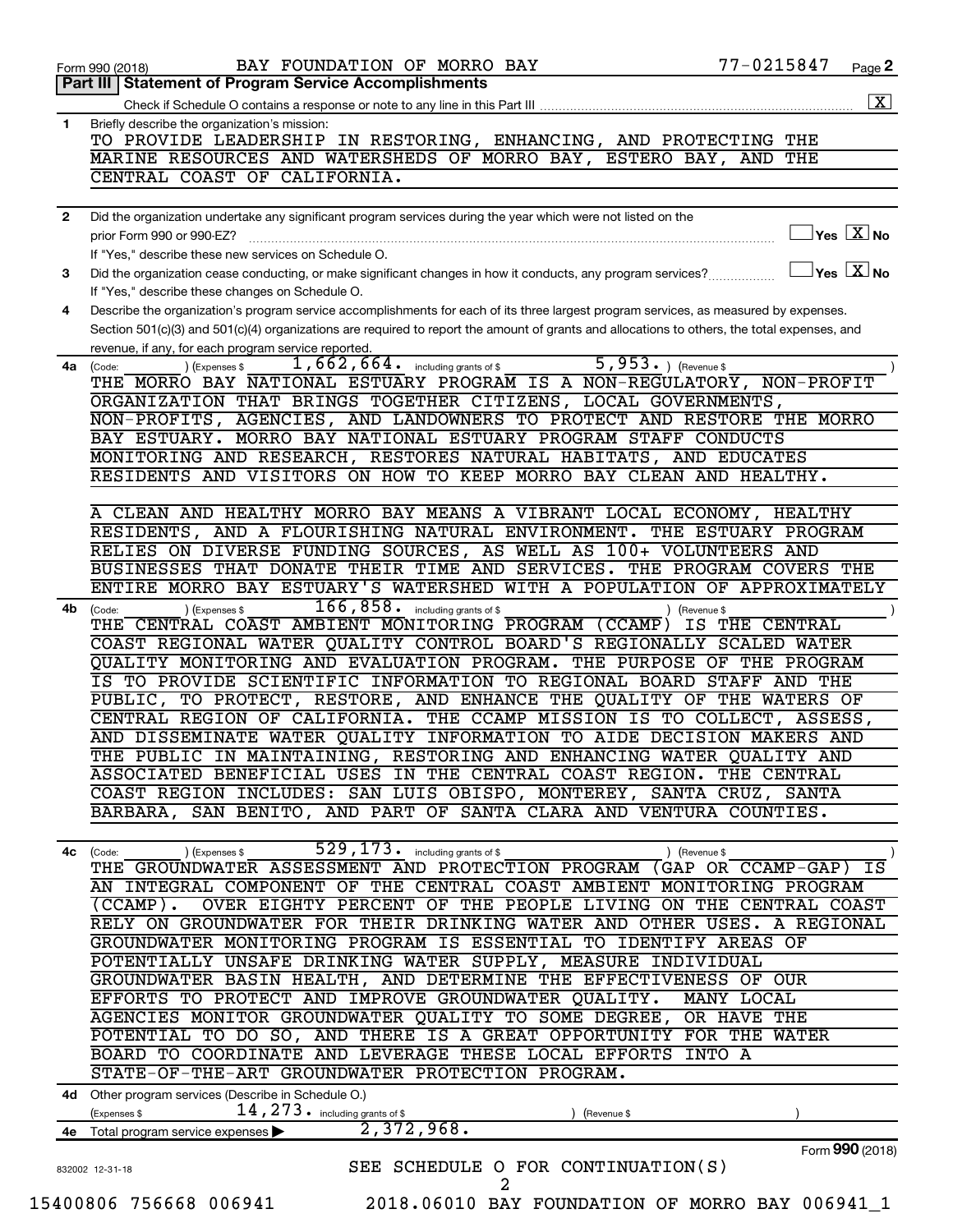| <b>Statement of Program Service Accomplishments</b><br>Part III<br>Check if Schedule O contains a response or note to any line in this Part III<br>Briefly describe the organization's mission:<br>1<br>TO PROVIDE LEADERSHIP IN RESTORING, ENHANCING, AND PROTECTING THE<br>MARINE RESOURCES AND WATERSHEDS OF MORRO BAY, ESTERO BAY, AND THE<br>CENTRAL COAST OF CALIFORNIA.<br>Did the organization undertake any significant program services during the year which were not listed on the<br>2<br>prior Form 990 or 990-EZ?<br>If "Yes," describe these new services on Schedule O.<br>Did the organization cease conducting, or make significant changes in how it conducts, any program services?<br>3<br>If "Yes," describe these changes on Schedule O.<br>Describe the organization's program service accomplishments for each of its three largest program services, as measured by expenses.<br>4<br>Section 501(c)(3) and 501(c)(4) organizations are required to report the amount of grants and allocations to others, the total expenses, and<br>revenue, if any, for each program service reported.<br>$\overline{5, 953 \cdot)}$ (Revenue \$<br>$1,662,664$ $\cdot$ including grants of \$<br>) (Expenses \$<br>4a<br>(Code:<br>THE MORRO BAY NATIONAL ESTUARY PROGRAM IS A NON-REGULATORY, NON-PROFIT<br>ORGANIZATION THAT BRINGS TOGETHER CITIZENS, LOCAL GOVERNMENTS,<br>NON-PROFITS, AGENCIES, AND LANDOWNERS TO PROTECT AND RESTORE THE MORRO<br>BAY ESTUARY. MORRO BAY NATIONAL ESTUARY PROGRAM STAFF CONDUCTS<br>MONITORING AND RESEARCH, RESTORES NATURAL HABITATS, AND EDUCATES<br>RESIDENTS AND VISITORS ON HOW TO KEEP MORRO BAY CLEAN AND HEALTHY.<br>A CLEAN AND HEALTHY MORRO BAY MEANS A VIBRANT LOCAL ECONOMY, HEALTHY<br>RESIDENTS, AND A FLOURISHING NATURAL ENVIRONMENT. THE ESTUARY PROGRAM<br>RELIES ON DIVERSE FUNDING SOURCES, AS WELL AS 100+ VOLUNTEERS AND<br>BUSINESSES THAT DONATE THEIR TIME AND SERVICES. THE PROGRAM COVERS THE<br>ENTIRE MORRO BAY ESTUARY'S WATERSHED WITH A POPULATION OF APPROXIMATELY<br>166,858.<br>including grants of \$<br>) (Expenses \$<br>4b<br>) (Revenue \$<br>(Code: |                                                    |
|------------------------------------------------------------------------------------------------------------------------------------------------------------------------------------------------------------------------------------------------------------------------------------------------------------------------------------------------------------------------------------------------------------------------------------------------------------------------------------------------------------------------------------------------------------------------------------------------------------------------------------------------------------------------------------------------------------------------------------------------------------------------------------------------------------------------------------------------------------------------------------------------------------------------------------------------------------------------------------------------------------------------------------------------------------------------------------------------------------------------------------------------------------------------------------------------------------------------------------------------------------------------------------------------------------------------------------------------------------------------------------------------------------------------------------------------------------------------------------------------------------------------------------------------------------------------------------------------------------------------------------------------------------------------------------------------------------------------------------------------------------------------------------------------------------------------------------------------------------------------------------------------------------------------------------------------------------------------------------------------------------------------------------------------------------------------------------------------------------------------------------------------------|----------------------------------------------------|
|                                                                                                                                                                                                                                                                                                                                                                                                                                                                                                                                                                                                                                                                                                                                                                                                                                                                                                                                                                                                                                                                                                                                                                                                                                                                                                                                                                                                                                                                                                                                                                                                                                                                                                                                                                                                                                                                                                                                                                                                                                                                                                                                                      |                                                    |
|                                                                                                                                                                                                                                                                                                                                                                                                                                                                                                                                                                                                                                                                                                                                                                                                                                                                                                                                                                                                                                                                                                                                                                                                                                                                                                                                                                                                                                                                                                                                                                                                                                                                                                                                                                                                                                                                                                                                                                                                                                                                                                                                                      |                                                    |
|                                                                                                                                                                                                                                                                                                                                                                                                                                                                                                                                                                                                                                                                                                                                                                                                                                                                                                                                                                                                                                                                                                                                                                                                                                                                                                                                                                                                                                                                                                                                                                                                                                                                                                                                                                                                                                                                                                                                                                                                                                                                                                                                                      |                                                    |
|                                                                                                                                                                                                                                                                                                                                                                                                                                                                                                                                                                                                                                                                                                                                                                                                                                                                                                                                                                                                                                                                                                                                                                                                                                                                                                                                                                                                                                                                                                                                                                                                                                                                                                                                                                                                                                                                                                                                                                                                                                                                                                                                                      |                                                    |
|                                                                                                                                                                                                                                                                                                                                                                                                                                                                                                                                                                                                                                                                                                                                                                                                                                                                                                                                                                                                                                                                                                                                                                                                                                                                                                                                                                                                                                                                                                                                                                                                                                                                                                                                                                                                                                                                                                                                                                                                                                                                                                                                                      |                                                    |
|                                                                                                                                                                                                                                                                                                                                                                                                                                                                                                                                                                                                                                                                                                                                                                                                                                                                                                                                                                                                                                                                                                                                                                                                                                                                                                                                                                                                                                                                                                                                                                                                                                                                                                                                                                                                                                                                                                                                                                                                                                                                                                                                                      |                                                    |
|                                                                                                                                                                                                                                                                                                                                                                                                                                                                                                                                                                                                                                                                                                                                                                                                                                                                                                                                                                                                                                                                                                                                                                                                                                                                                                                                                                                                                                                                                                                                                                                                                                                                                                                                                                                                                                                                                                                                                                                                                                                                                                                                                      |                                                    |
|                                                                                                                                                                                                                                                                                                                                                                                                                                                                                                                                                                                                                                                                                                                                                                                                                                                                                                                                                                                                                                                                                                                                                                                                                                                                                                                                                                                                                                                                                                                                                                                                                                                                                                                                                                                                                                                                                                                                                                                                                                                                                                                                                      | $\mathsf{Yes} \;$ $\overline{\mathbf{X}}$ No       |
|                                                                                                                                                                                                                                                                                                                                                                                                                                                                                                                                                                                                                                                                                                                                                                                                                                                                                                                                                                                                                                                                                                                                                                                                                                                                                                                                                                                                                                                                                                                                                                                                                                                                                                                                                                                                                                                                                                                                                                                                                                                                                                                                                      |                                                    |
|                                                                                                                                                                                                                                                                                                                                                                                                                                                                                                                                                                                                                                                                                                                                                                                                                                                                                                                                                                                                                                                                                                                                                                                                                                                                                                                                                                                                                                                                                                                                                                                                                                                                                                                                                                                                                                                                                                                                                                                                                                                                                                                                                      | $\sqrt{}$ Yes $\sqrt{ \ \overline{\mathrm{X}}}$ No |
|                                                                                                                                                                                                                                                                                                                                                                                                                                                                                                                                                                                                                                                                                                                                                                                                                                                                                                                                                                                                                                                                                                                                                                                                                                                                                                                                                                                                                                                                                                                                                                                                                                                                                                                                                                                                                                                                                                                                                                                                                                                                                                                                                      |                                                    |
|                                                                                                                                                                                                                                                                                                                                                                                                                                                                                                                                                                                                                                                                                                                                                                                                                                                                                                                                                                                                                                                                                                                                                                                                                                                                                                                                                                                                                                                                                                                                                                                                                                                                                                                                                                                                                                                                                                                                                                                                                                                                                                                                                      |                                                    |
|                                                                                                                                                                                                                                                                                                                                                                                                                                                                                                                                                                                                                                                                                                                                                                                                                                                                                                                                                                                                                                                                                                                                                                                                                                                                                                                                                                                                                                                                                                                                                                                                                                                                                                                                                                                                                                                                                                                                                                                                                                                                                                                                                      |                                                    |
|                                                                                                                                                                                                                                                                                                                                                                                                                                                                                                                                                                                                                                                                                                                                                                                                                                                                                                                                                                                                                                                                                                                                                                                                                                                                                                                                                                                                                                                                                                                                                                                                                                                                                                                                                                                                                                                                                                                                                                                                                                                                                                                                                      |                                                    |
|                                                                                                                                                                                                                                                                                                                                                                                                                                                                                                                                                                                                                                                                                                                                                                                                                                                                                                                                                                                                                                                                                                                                                                                                                                                                                                                                                                                                                                                                                                                                                                                                                                                                                                                                                                                                                                                                                                                                                                                                                                                                                                                                                      |                                                    |
|                                                                                                                                                                                                                                                                                                                                                                                                                                                                                                                                                                                                                                                                                                                                                                                                                                                                                                                                                                                                                                                                                                                                                                                                                                                                                                                                                                                                                                                                                                                                                                                                                                                                                                                                                                                                                                                                                                                                                                                                                                                                                                                                                      |                                                    |
|                                                                                                                                                                                                                                                                                                                                                                                                                                                                                                                                                                                                                                                                                                                                                                                                                                                                                                                                                                                                                                                                                                                                                                                                                                                                                                                                                                                                                                                                                                                                                                                                                                                                                                                                                                                                                                                                                                                                                                                                                                                                                                                                                      |                                                    |
|                                                                                                                                                                                                                                                                                                                                                                                                                                                                                                                                                                                                                                                                                                                                                                                                                                                                                                                                                                                                                                                                                                                                                                                                                                                                                                                                                                                                                                                                                                                                                                                                                                                                                                                                                                                                                                                                                                                                                                                                                                                                                                                                                      |                                                    |
|                                                                                                                                                                                                                                                                                                                                                                                                                                                                                                                                                                                                                                                                                                                                                                                                                                                                                                                                                                                                                                                                                                                                                                                                                                                                                                                                                                                                                                                                                                                                                                                                                                                                                                                                                                                                                                                                                                                                                                                                                                                                                                                                                      |                                                    |
|                                                                                                                                                                                                                                                                                                                                                                                                                                                                                                                                                                                                                                                                                                                                                                                                                                                                                                                                                                                                                                                                                                                                                                                                                                                                                                                                                                                                                                                                                                                                                                                                                                                                                                                                                                                                                                                                                                                                                                                                                                                                                                                                                      |                                                    |
|                                                                                                                                                                                                                                                                                                                                                                                                                                                                                                                                                                                                                                                                                                                                                                                                                                                                                                                                                                                                                                                                                                                                                                                                                                                                                                                                                                                                                                                                                                                                                                                                                                                                                                                                                                                                                                                                                                                                                                                                                                                                                                                                                      |                                                    |
|                                                                                                                                                                                                                                                                                                                                                                                                                                                                                                                                                                                                                                                                                                                                                                                                                                                                                                                                                                                                                                                                                                                                                                                                                                                                                                                                                                                                                                                                                                                                                                                                                                                                                                                                                                                                                                                                                                                                                                                                                                                                                                                                                      |                                                    |
|                                                                                                                                                                                                                                                                                                                                                                                                                                                                                                                                                                                                                                                                                                                                                                                                                                                                                                                                                                                                                                                                                                                                                                                                                                                                                                                                                                                                                                                                                                                                                                                                                                                                                                                                                                                                                                                                                                                                                                                                                                                                                                                                                      |                                                    |
|                                                                                                                                                                                                                                                                                                                                                                                                                                                                                                                                                                                                                                                                                                                                                                                                                                                                                                                                                                                                                                                                                                                                                                                                                                                                                                                                                                                                                                                                                                                                                                                                                                                                                                                                                                                                                                                                                                                                                                                                                                                                                                                                                      |                                                    |
|                                                                                                                                                                                                                                                                                                                                                                                                                                                                                                                                                                                                                                                                                                                                                                                                                                                                                                                                                                                                                                                                                                                                                                                                                                                                                                                                                                                                                                                                                                                                                                                                                                                                                                                                                                                                                                                                                                                                                                                                                                                                                                                                                      |                                                    |
|                                                                                                                                                                                                                                                                                                                                                                                                                                                                                                                                                                                                                                                                                                                                                                                                                                                                                                                                                                                                                                                                                                                                                                                                                                                                                                                                                                                                                                                                                                                                                                                                                                                                                                                                                                                                                                                                                                                                                                                                                                                                                                                                                      |                                                    |
|                                                                                                                                                                                                                                                                                                                                                                                                                                                                                                                                                                                                                                                                                                                                                                                                                                                                                                                                                                                                                                                                                                                                                                                                                                                                                                                                                                                                                                                                                                                                                                                                                                                                                                                                                                                                                                                                                                                                                                                                                                                                                                                                                      |                                                    |
|                                                                                                                                                                                                                                                                                                                                                                                                                                                                                                                                                                                                                                                                                                                                                                                                                                                                                                                                                                                                                                                                                                                                                                                                                                                                                                                                                                                                                                                                                                                                                                                                                                                                                                                                                                                                                                                                                                                                                                                                                                                                                                                                                      |                                                    |
| THE CENTRAL COAST AMBIENT MONITORING PROGRAM (CCAMP)                                                                                                                                                                                                                                                                                                                                                                                                                                                                                                                                                                                                                                                                                                                                                                                                                                                                                                                                                                                                                                                                                                                                                                                                                                                                                                                                                                                                                                                                                                                                                                                                                                                                                                                                                                                                                                                                                                                                                                                                                                                                                                 | IS THE CENTRAL                                     |
| COAST REGIONAL WATER QUALITY CONTROL BOARD'S REGIONALLY SCALED WATER                                                                                                                                                                                                                                                                                                                                                                                                                                                                                                                                                                                                                                                                                                                                                                                                                                                                                                                                                                                                                                                                                                                                                                                                                                                                                                                                                                                                                                                                                                                                                                                                                                                                                                                                                                                                                                                                                                                                                                                                                                                                                 |                                                    |
| QUALITY MONITORING AND EVALUATION PROGRAM.<br>THE PURPOSE OF THE                                                                                                                                                                                                                                                                                                                                                                                                                                                                                                                                                                                                                                                                                                                                                                                                                                                                                                                                                                                                                                                                                                                                                                                                                                                                                                                                                                                                                                                                                                                                                                                                                                                                                                                                                                                                                                                                                                                                                                                                                                                                                     | PROGRAM                                            |
| IS TO PROVIDE SCIENTIFIC INFORMATION TO REGIONAL BOARD STAFF AND                                                                                                                                                                                                                                                                                                                                                                                                                                                                                                                                                                                                                                                                                                                                                                                                                                                                                                                                                                                                                                                                                                                                                                                                                                                                                                                                                                                                                                                                                                                                                                                                                                                                                                                                                                                                                                                                                                                                                                                                                                                                                     | THE                                                |
| TO PROTECT, RESTORE, AND ENHANCE THE QUALITY OF THE WATERS OF<br>PUBLIC,                                                                                                                                                                                                                                                                                                                                                                                                                                                                                                                                                                                                                                                                                                                                                                                                                                                                                                                                                                                                                                                                                                                                                                                                                                                                                                                                                                                                                                                                                                                                                                                                                                                                                                                                                                                                                                                                                                                                                                                                                                                                             |                                                    |
| CENTRAL REGION OF CALIFORNIA. THE CCAMP MISSION IS TO COLLECT,                                                                                                                                                                                                                                                                                                                                                                                                                                                                                                                                                                                                                                                                                                                                                                                                                                                                                                                                                                                                                                                                                                                                                                                                                                                                                                                                                                                                                                                                                                                                                                                                                                                                                                                                                                                                                                                                                                                                                                                                                                                                                       | ASSESS,                                            |
| AND DISSEMINATE WATER QUALITY INFORMATION TO AIDE DECISION MAKERS AND                                                                                                                                                                                                                                                                                                                                                                                                                                                                                                                                                                                                                                                                                                                                                                                                                                                                                                                                                                                                                                                                                                                                                                                                                                                                                                                                                                                                                                                                                                                                                                                                                                                                                                                                                                                                                                                                                                                                                                                                                                                                                |                                                    |
| THE PUBLIC IN MAINTAINING, RESTORING AND ENHANCING WATER QUALITY AND                                                                                                                                                                                                                                                                                                                                                                                                                                                                                                                                                                                                                                                                                                                                                                                                                                                                                                                                                                                                                                                                                                                                                                                                                                                                                                                                                                                                                                                                                                                                                                                                                                                                                                                                                                                                                                                                                                                                                                                                                                                                                 |                                                    |
| ASSOCIATED BENEFICIAL USES IN THE CENTRAL COAST REGION. THE CENTRAL                                                                                                                                                                                                                                                                                                                                                                                                                                                                                                                                                                                                                                                                                                                                                                                                                                                                                                                                                                                                                                                                                                                                                                                                                                                                                                                                                                                                                                                                                                                                                                                                                                                                                                                                                                                                                                                                                                                                                                                                                                                                                  |                                                    |
| COAST REGION INCLUDES: SAN LUIS OBISPO, MONTEREY, SANTA CRUZ, SANTA                                                                                                                                                                                                                                                                                                                                                                                                                                                                                                                                                                                                                                                                                                                                                                                                                                                                                                                                                                                                                                                                                                                                                                                                                                                                                                                                                                                                                                                                                                                                                                                                                                                                                                                                                                                                                                                                                                                                                                                                                                                                                  |                                                    |
| BARBARA, SAN BENITO, AND PART OF SANTA CLARA AND VENTURA COUNTIES.                                                                                                                                                                                                                                                                                                                                                                                                                                                                                                                                                                                                                                                                                                                                                                                                                                                                                                                                                                                                                                                                                                                                                                                                                                                                                                                                                                                                                                                                                                                                                                                                                                                                                                                                                                                                                                                                                                                                                                                                                                                                                   |                                                    |
| $529, 173$ $\cdot$ including grants of \$                                                                                                                                                                                                                                                                                                                                                                                                                                                                                                                                                                                                                                                                                                                                                                                                                                                                                                                                                                                                                                                                                                                                                                                                                                                                                                                                                                                                                                                                                                                                                                                                                                                                                                                                                                                                                                                                                                                                                                                                                                                                                                            |                                                    |
| 4с<br>(Code:<br>(Expenses \$<br>) (Revenue \$<br>THE GROUNDWATER ASSESSMENT AND PROTECTION PROGRAM<br>(GAP OR CCAMP-GAP)                                                                                                                                                                                                                                                                                                                                                                                                                                                                                                                                                                                                                                                                                                                                                                                                                                                                                                                                                                                                                                                                                                                                                                                                                                                                                                                                                                                                                                                                                                                                                                                                                                                                                                                                                                                                                                                                                                                                                                                                                             | ΙS                                                 |
| AN INTEGRAL COMPONENT OF THE CENTRAL COAST AMBIENT MONITORING PROGRAM                                                                                                                                                                                                                                                                                                                                                                                                                                                                                                                                                                                                                                                                                                                                                                                                                                                                                                                                                                                                                                                                                                                                                                                                                                                                                                                                                                                                                                                                                                                                                                                                                                                                                                                                                                                                                                                                                                                                                                                                                                                                                |                                                    |
| OVER EIGHTY PERCENT OF THE PEOPLE LIVING ON THE CENTRAL COAST<br>(CCAMP ) <b>.</b>                                                                                                                                                                                                                                                                                                                                                                                                                                                                                                                                                                                                                                                                                                                                                                                                                                                                                                                                                                                                                                                                                                                                                                                                                                                                                                                                                                                                                                                                                                                                                                                                                                                                                                                                                                                                                                                                                                                                                                                                                                                                   |                                                    |
| RELY ON GROUNDWATER FOR THEIR DRINKING WATER AND OTHER USES. A REGIONAL                                                                                                                                                                                                                                                                                                                                                                                                                                                                                                                                                                                                                                                                                                                                                                                                                                                                                                                                                                                                                                                                                                                                                                                                                                                                                                                                                                                                                                                                                                                                                                                                                                                                                                                                                                                                                                                                                                                                                                                                                                                                              |                                                    |
| GROUNDWATER MONITORING PROGRAM IS ESSENTIAL TO IDENTIFY AREAS OF                                                                                                                                                                                                                                                                                                                                                                                                                                                                                                                                                                                                                                                                                                                                                                                                                                                                                                                                                                                                                                                                                                                                                                                                                                                                                                                                                                                                                                                                                                                                                                                                                                                                                                                                                                                                                                                                                                                                                                                                                                                                                     |                                                    |
| POTENTIALLY UNSAFE DRINKING WATER SUPPLY, MEASURE INDIVIDUAL                                                                                                                                                                                                                                                                                                                                                                                                                                                                                                                                                                                                                                                                                                                                                                                                                                                                                                                                                                                                                                                                                                                                                                                                                                                                                                                                                                                                                                                                                                                                                                                                                                                                                                                                                                                                                                                                                                                                                                                                                                                                                         |                                                    |
| GROUNDWATER BASIN HEALTH, AND DETERMINE THE EFFECTIVENESS OF OUR                                                                                                                                                                                                                                                                                                                                                                                                                                                                                                                                                                                                                                                                                                                                                                                                                                                                                                                                                                                                                                                                                                                                                                                                                                                                                                                                                                                                                                                                                                                                                                                                                                                                                                                                                                                                                                                                                                                                                                                                                                                                                     |                                                    |
| EFFORTS TO PROTECT AND IMPROVE GROUNDWATER QUALITY.<br>MANY LOCAL                                                                                                                                                                                                                                                                                                                                                                                                                                                                                                                                                                                                                                                                                                                                                                                                                                                                                                                                                                                                                                                                                                                                                                                                                                                                                                                                                                                                                                                                                                                                                                                                                                                                                                                                                                                                                                                                                                                                                                                                                                                                                    |                                                    |
| AGENCIES MONITOR GROUNDWATER QUALITY TO SOME DEGREE, OR HAVE THE                                                                                                                                                                                                                                                                                                                                                                                                                                                                                                                                                                                                                                                                                                                                                                                                                                                                                                                                                                                                                                                                                                                                                                                                                                                                                                                                                                                                                                                                                                                                                                                                                                                                                                                                                                                                                                                                                                                                                                                                                                                                                     |                                                    |
| POTENTIAL TO DO SO, AND THERE IS A GREAT OPPORTUNITY FOR THE WATER                                                                                                                                                                                                                                                                                                                                                                                                                                                                                                                                                                                                                                                                                                                                                                                                                                                                                                                                                                                                                                                                                                                                                                                                                                                                                                                                                                                                                                                                                                                                                                                                                                                                                                                                                                                                                                                                                                                                                                                                                                                                                   |                                                    |
| BOARD TO COORDINATE AND LEVERAGE THESE LOCAL EFFORTS INTO A                                                                                                                                                                                                                                                                                                                                                                                                                                                                                                                                                                                                                                                                                                                                                                                                                                                                                                                                                                                                                                                                                                                                                                                                                                                                                                                                                                                                                                                                                                                                                                                                                                                                                                                                                                                                                                                                                                                                                                                                                                                                                          |                                                    |
| STATE-OF-THE-ART GROUNDWATER PROTECTION PROGRAM.                                                                                                                                                                                                                                                                                                                                                                                                                                                                                                                                                                                                                                                                                                                                                                                                                                                                                                                                                                                                                                                                                                                                                                                                                                                                                                                                                                                                                                                                                                                                                                                                                                                                                                                                                                                                                                                                                                                                                                                                                                                                                                     |                                                    |
| 4d Other program services (Describe in Schedule O.)                                                                                                                                                                                                                                                                                                                                                                                                                                                                                                                                                                                                                                                                                                                                                                                                                                                                                                                                                                                                                                                                                                                                                                                                                                                                                                                                                                                                                                                                                                                                                                                                                                                                                                                                                                                                                                                                                                                                                                                                                                                                                                  |                                                    |
| $14,273$ $\cdot$ including grants of \$<br>(Expenses \$                                                                                                                                                                                                                                                                                                                                                                                                                                                                                                                                                                                                                                                                                                                                                                                                                                                                                                                                                                                                                                                                                                                                                                                                                                                                                                                                                                                                                                                                                                                                                                                                                                                                                                                                                                                                                                                                                                                                                                                                                                                                                              |                                                    |
| (Revenue \$<br>2,372,968.<br>4e Total program service expenses >                                                                                                                                                                                                                                                                                                                                                                                                                                                                                                                                                                                                                                                                                                                                                                                                                                                                                                                                                                                                                                                                                                                                                                                                                                                                                                                                                                                                                                                                                                                                                                                                                                                                                                                                                                                                                                                                                                                                                                                                                                                                                     |                                                    |
|                                                                                                                                                                                                                                                                                                                                                                                                                                                                                                                                                                                                                                                                                                                                                                                                                                                                                                                                                                                                                                                                                                                                                                                                                                                                                                                                                                                                                                                                                                                                                                                                                                                                                                                                                                                                                                                                                                                                                                                                                                                                                                                                                      |                                                    |
| SEE SCHEDULE O FOR CONTINUATION(S)<br>832002 12-31-18                                                                                                                                                                                                                                                                                                                                                                                                                                                                                                                                                                                                                                                                                                                                                                                                                                                                                                                                                                                                                                                                                                                                                                                                                                                                                                                                                                                                                                                                                                                                                                                                                                                                                                                                                                                                                                                                                                                                                                                                                                                                                                |                                                    |
| 2                                                                                                                                                                                                                                                                                                                                                                                                                                                                                                                                                                                                                                                                                                                                                                                                                                                                                                                                                                                                                                                                                                                                                                                                                                                                                                                                                                                                                                                                                                                                                                                                                                                                                                                                                                                                                                                                                                                                                                                                                                                                                                                                                    | Form 990 (2018)                                    |
| 15400806 756668 006941<br>2018.06010 BAY FOUNDATION OF MORRO BAY 006941 1                                                                                                                                                                                                                                                                                                                                                                                                                                                                                                                                                                                                                                                                                                                                                                                                                                                                                                                                                                                                                                                                                                                                                                                                                                                                                                                                                                                                                                                                                                                                                                                                                                                                                                                                                                                                                                                                                                                                                                                                                                                                            |                                                    |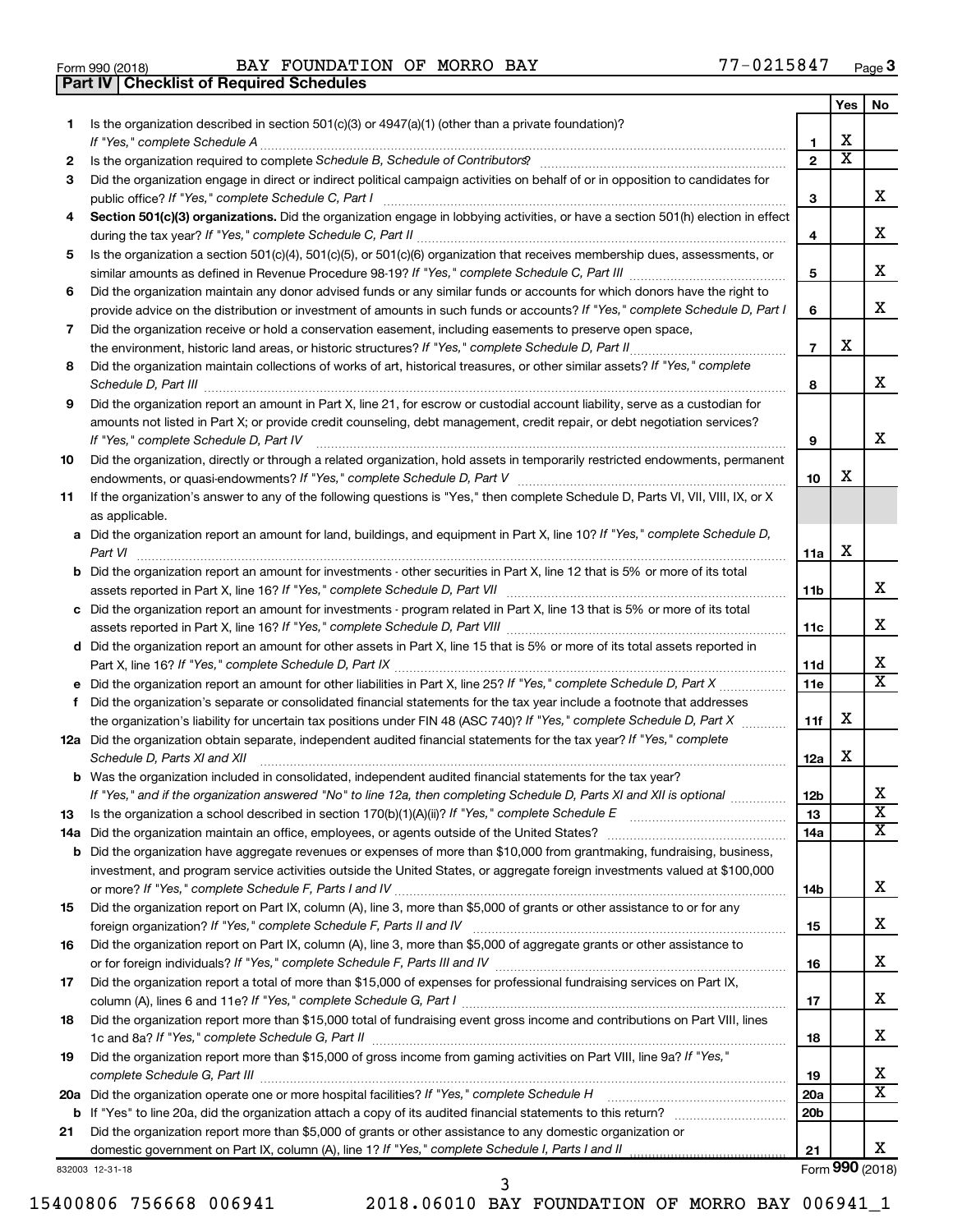| Form 990 (2018) |  |  |
|-----------------|--|--|

Form 990 (2018) Page BAY FOUNDATION OF MORRO BAY 77-0215847 **Part IV Checklist of Required Schedules**

|    |                                                                                                                                                                                         |                 | Yes                     | No                      |
|----|-----------------------------------------------------------------------------------------------------------------------------------------------------------------------------------------|-----------------|-------------------------|-------------------------|
| 1. | Is the organization described in section $501(c)(3)$ or $4947(a)(1)$ (other than a private foundation)?<br>If "Yes," complete Schedule A                                                | 1               | х                       |                         |
| 2  |                                                                                                                                                                                         | $\overline{2}$  | $\overline{\textbf{x}}$ |                         |
| 3  | Did the organization engage in direct or indirect political campaign activities on behalf of or in opposition to candidates for<br>public office? If "Yes," complete Schedule C, Part I | 3               |                         | x                       |
| 4  | Section 501(c)(3) organizations. Did the organization engage in lobbying activities, or have a section 501(h) election in effect                                                        |                 |                         |                         |
|    |                                                                                                                                                                                         | 4               |                         | х                       |
| 5  | Is the organization a section 501(c)(4), 501(c)(5), or 501(c)(6) organization that receives membership dues, assessments, or                                                            |                 |                         |                         |
|    |                                                                                                                                                                                         | 5               |                         | х                       |
| 6  | Did the organization maintain any donor advised funds or any similar funds or accounts for which donors have the right to                                                               |                 |                         |                         |
|    | provide advice on the distribution or investment of amounts in such funds or accounts? If "Yes," complete Schedule D, Part I                                                            | 6               |                         | x                       |
| 7  | Did the organization receive or hold a conservation easement, including easements to preserve open space,                                                                               | $\overline{7}$  | X                       |                         |
| 8  | Did the organization maintain collections of works of art, historical treasures, or other similar assets? If "Yes," complete                                                            |                 |                         |                         |
|    | Schedule D, Part III <b>Election Communication</b> Contract and Technical Communication Contract and Technical Communication                                                            | 8               |                         | x                       |
| 9  | Did the organization report an amount in Part X, line 21, for escrow or custodial account liability, serve as a custodian for                                                           |                 |                         |                         |
|    | amounts not listed in Part X; or provide credit counseling, debt management, credit repair, or debt negotiation services?<br>If "Yes," complete Schedule D, Part IV                     | 9               |                         | x                       |
| 10 | Did the organization, directly or through a related organization, hold assets in temporarily restricted endowments, permanent                                                           |                 |                         |                         |
|    |                                                                                                                                                                                         | 10              | х                       |                         |
| 11 | If the organization's answer to any of the following questions is "Yes," then complete Schedule D, Parts VI, VII, VIII, IX, or X<br>as applicable.                                      |                 |                         |                         |
|    | a Did the organization report an amount for land, buildings, and equipment in Part X, line 10? If "Yes," complete Schedule D,<br>Part VI                                                |                 | X                       |                         |
|    | <b>b</b> Did the organization report an amount for investments - other securities in Part X, line 12 that is 5% or more of its total                                                    | 11a             |                         |                         |
|    |                                                                                                                                                                                         | 11 <sub>b</sub> |                         | x                       |
|    | c Did the organization report an amount for investments - program related in Part X, line 13 that is 5% or more of its total                                                            | 11c             |                         | x                       |
|    | d Did the organization report an amount for other assets in Part X, line 15 that is 5% or more of its total assets reported in                                                          |                 |                         |                         |
|    |                                                                                                                                                                                         | 11d             |                         | х                       |
|    |                                                                                                                                                                                         | 11e             |                         | $\overline{\mathtt{x}}$ |
| f  | Did the organization's separate or consolidated financial statements for the tax year include a footnote that addresses                                                                 |                 |                         |                         |
|    | the organization's liability for uncertain tax positions under FIN 48 (ASC 740)? If "Yes," complete Schedule D, Part X                                                                  | 11f             | X                       |                         |
|    | 12a Did the organization obtain separate, independent audited financial statements for the tax year? If "Yes," complete<br>Schedule D, Parts XI and XII                                 | 12a             | X                       |                         |
|    | b Was the organization included in consolidated, independent audited financial statements for the tax year?                                                                             |                 |                         |                         |
|    | If "Yes." and if the organization answered "No" to line 12a. then completing Schedule D. Parts XI and XII is optional                                                                   | 12 <sub>b</sub> |                         | х                       |
| 13 |                                                                                                                                                                                         | 13              |                         | $\overline{\textbf{X}}$ |
|    |                                                                                                                                                                                         | 14a             |                         | $\overline{\mathbf{X}}$ |
|    | <b>b</b> Did the organization have aggregate revenues or expenses of more than \$10,000 from grantmaking, fundraising, business,                                                        |                 |                         |                         |
|    | investment, and program service activities outside the United States, or aggregate foreign investments valued at \$100,000                                                              |                 |                         |                         |
|    |                                                                                                                                                                                         | 14b             |                         | x                       |
| 15 | Did the organization report on Part IX, column (A), line 3, more than \$5,000 of grants or other assistance to or for any                                                               |                 |                         |                         |
|    |                                                                                                                                                                                         | 15              |                         | x                       |
| 16 | Did the organization report on Part IX, column (A), line 3, more than \$5,000 of aggregate grants or other assistance to                                                                | 16              |                         | x                       |
| 17 | Did the organization report a total of more than \$15,000 of expenses for professional fundraising services on Part IX,                                                                 |                 |                         |                         |
|    |                                                                                                                                                                                         | 17              |                         | x                       |
| 18 | Did the organization report more than \$15,000 total of fundraising event gross income and contributions on Part VIII, lines                                                            | 18              |                         | х                       |
| 19 | Did the organization report more than \$15,000 of gross income from gaming activities on Part VIII, line 9a? If "Yes,"                                                                  |                 |                         | х                       |
|    |                                                                                                                                                                                         | 19              |                         | $\overline{\mathbf{X}}$ |
|    |                                                                                                                                                                                         | 20a             |                         |                         |
| 21 | Did the organization report more than \$5,000 of grants or other assistance to any domestic organization or                                                                             | 20 <sub>b</sub> |                         |                         |
|    |                                                                                                                                                                                         | 21              |                         | x                       |
|    | 332003 12-31-18                                                                                                                                                                         |                 |                         | Form 990 (2018)         |

832003 12-31-18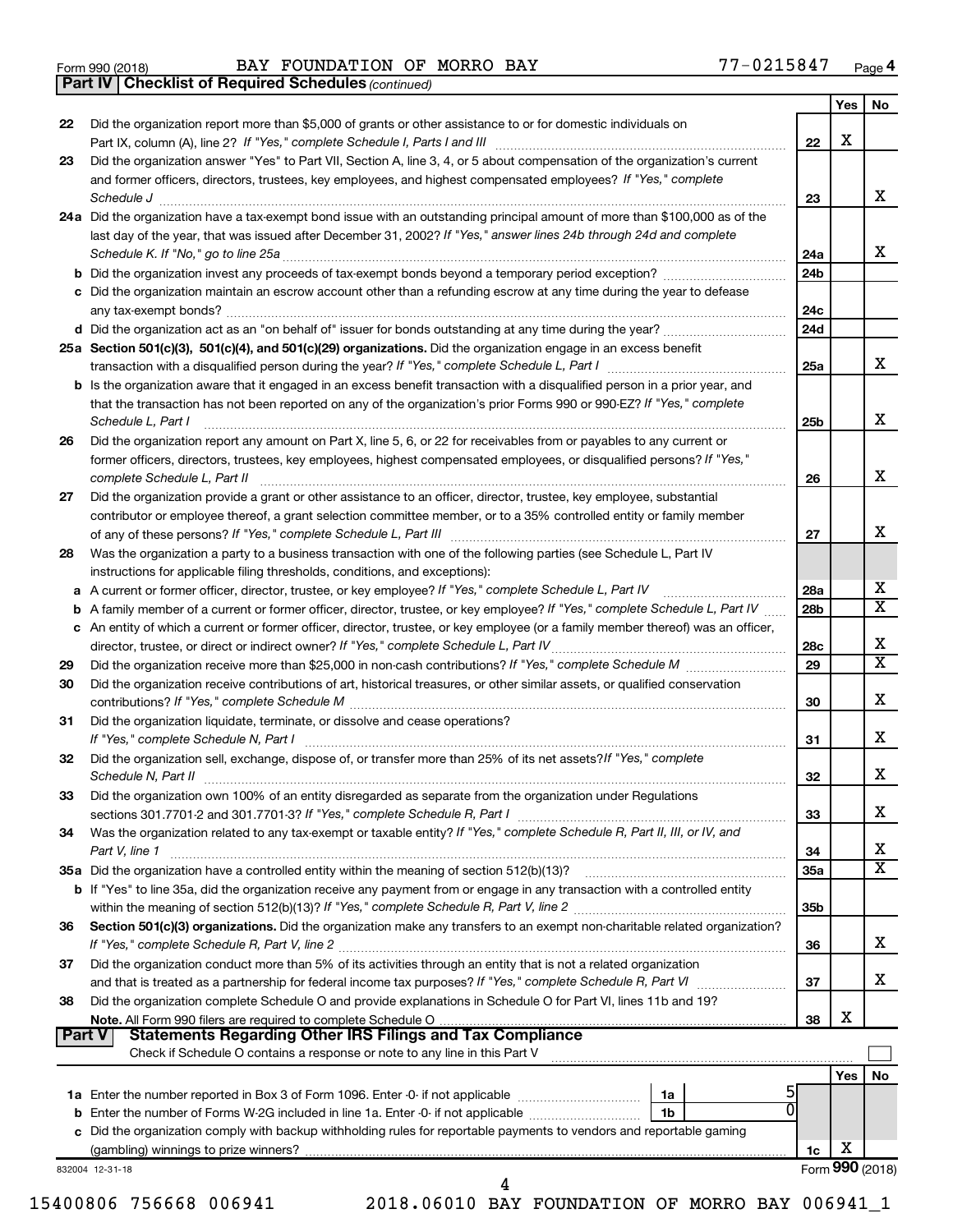|  | Form 990 (2018) |
|--|-----------------|
|  |                 |

Form 990 (2018) Page BAY FOUNDATION OF MORRO BAY 77-0215847

*(continued)* **Part IV Checklist of Required Schedules**

|        |                                                                                                                                                                                                      |                 | Yes | No                      |
|--------|------------------------------------------------------------------------------------------------------------------------------------------------------------------------------------------------------|-----------------|-----|-------------------------|
| 22     | Did the organization report more than \$5,000 of grants or other assistance to or for domestic individuals on                                                                                        |                 |     |                         |
|        |                                                                                                                                                                                                      | 22              | x   |                         |
| 23     | Did the organization answer "Yes" to Part VII, Section A, line 3, 4, or 5 about compensation of the organization's current                                                                           |                 |     |                         |
|        | and former officers, directors, trustees, key employees, and highest compensated employees? If "Yes," complete                                                                                       |                 |     |                         |
|        | Schedule J <b>Example 2 Contract 2 Contract 2 Contract 2 Contract 2 Contract 2 Contract 2 Contract 2 Contract 2 Contract 2 Contract 2 Contract 2 Contract 2 Contract 2 Contract 2 Contract 2 Con</b> | 23              |     | X.                      |
|        | 24a Did the organization have a tax-exempt bond issue with an outstanding principal amount of more than \$100,000 as of the                                                                          |                 |     |                         |
|        | last day of the year, that was issued after December 31, 2002? If "Yes," answer lines 24b through 24d and complete                                                                                   |                 |     |                         |
|        |                                                                                                                                                                                                      | 24a             |     | X.                      |
|        |                                                                                                                                                                                                      | 24 <sub>b</sub> |     |                         |
|        | c Did the organization maintain an escrow account other than a refunding escrow at any time during the year to defease                                                                               |                 |     |                         |
|        |                                                                                                                                                                                                      | 24c             |     |                         |
|        |                                                                                                                                                                                                      | 24d             |     |                         |
|        |                                                                                                                                                                                                      |                 |     |                         |
|        | 25a Section 501(c)(3), 501(c)(4), and 501(c)(29) organizations. Did the organization engage in an excess benefit                                                                                     | 25a             |     | X.                      |
|        |                                                                                                                                                                                                      |                 |     |                         |
|        | b Is the organization aware that it engaged in an excess benefit transaction with a disqualified person in a prior year, and                                                                         |                 |     |                         |
|        | that the transaction has not been reported on any of the organization's prior Forms 990 or 990-EZ? If "Yes," complete                                                                                |                 |     |                         |
|        | Schedule L, Part I                                                                                                                                                                                   | 25b             |     | x                       |
| 26     | Did the organization report any amount on Part X, line 5, 6, or 22 for receivables from or payables to any current or                                                                                |                 |     |                         |
|        | former officers, directors, trustees, key employees, highest compensated employees, or disqualified persons? If "Yes,"                                                                               |                 |     |                         |
|        | complete Schedule L, Part II                                                                                                                                                                         | 26              |     | X.                      |
| 27     | Did the organization provide a grant or other assistance to an officer, director, trustee, key employee, substantial                                                                                 |                 |     |                         |
|        | contributor or employee thereof, a grant selection committee member, or to a 35% controlled entity or family member                                                                                  |                 |     |                         |
|        |                                                                                                                                                                                                      | 27              |     | x                       |
| 28     | Was the organization a party to a business transaction with one of the following parties (see Schedule L, Part IV                                                                                    |                 |     |                         |
|        | instructions for applicable filing thresholds, conditions, and exceptions):                                                                                                                          |                 |     |                         |
| а      | A current or former officer, director, trustee, or key employee? If "Yes," complete Schedule L, Part IV                                                                                              | 28a             |     | х                       |
| b      | A family member of a current or former officer, director, trustee, or key employee? If "Yes," complete Schedule L, Part IV                                                                           | 28 <sub>b</sub> |     | $\overline{\text{X}}$   |
|        | c An entity of which a current or former officer, director, trustee, or key employee (or a family member thereof) was an officer,                                                                    |                 |     |                         |
|        |                                                                                                                                                                                                      | 28c             |     | х                       |
| 29     |                                                                                                                                                                                                      | 29              |     | $\overline{\text{x}}$   |
| 30     | Did the organization receive contributions of art, historical treasures, or other similar assets, or qualified conservation                                                                          |                 |     |                         |
|        |                                                                                                                                                                                                      | 30              |     | x                       |
| 31     | Did the organization liquidate, terminate, or dissolve and cease operations?                                                                                                                         |                 |     |                         |
|        | If "Yes," complete Schedule N, Part I                                                                                                                                                                | 31              |     | x                       |
| 32     | Did the organization sell, exchange, dispose of, or transfer more than 25% of its net assets? If "Yes," complete                                                                                     |                 |     |                         |
|        | Schedule N, Part II                                                                                                                                                                                  | 32              |     | x                       |
| 33     | Did the organization own 100% of an entity disregarded as separate from the organization under Regulations                                                                                           |                 |     |                         |
|        |                                                                                                                                                                                                      | 33              |     | х                       |
| 34     | Was the organization related to any tax-exempt or taxable entity? If "Yes," complete Schedule R, Part II, III, or IV, and                                                                            |                 |     |                         |
|        | Part V, line 1                                                                                                                                                                                       | 34              |     | х                       |
|        | 35a Did the organization have a controlled entity within the meaning of section 512(b)(13)?                                                                                                          | 35a             |     | $\overline{\texttt{x}}$ |
|        | <b>b</b> If "Yes" to line 35a, did the organization receive any payment from or engage in any transaction with a controlled entity                                                                   |                 |     |                         |
|        |                                                                                                                                                                                                      | 35b             |     |                         |
| 36     | Section 501(c)(3) organizations. Did the organization make any transfers to an exempt non-charitable related organization?                                                                           |                 |     |                         |
|        |                                                                                                                                                                                                      | 36              |     | х                       |
|        |                                                                                                                                                                                                      |                 |     |                         |
| 37     | Did the organization conduct more than 5% of its activities through an entity that is not a related organization                                                                                     |                 |     | x.                      |
|        |                                                                                                                                                                                                      | 37              |     |                         |
| 38     | Did the organization complete Schedule O and provide explanations in Schedule O for Part VI, lines 11b and 19?                                                                                       |                 |     |                         |
|        | Note. All Form 990 filers are required to complete Schedule O                                                                                                                                        | 38              | х   |                         |
| Part V | <b>Statements Regarding Other IRS Filings and Tax Compliance</b><br>Check if Schedule O contains a response or note to any line in this Part V                                                       |                 |     |                         |
|        |                                                                                                                                                                                                      |                 |     |                         |
|        |                                                                                                                                                                                                      |                 | Yes | No                      |
|        | ל<br>1a                                                                                                                                                                                              |                 |     |                         |
|        | b Enter the number of Forms W-2G included in line 1a. Enter -0- if not applicable<br>1b                                                                                                              |                 |     |                         |
|        | c Did the organization comply with backup withholding rules for reportable payments to vendors and reportable gaming                                                                                 |                 |     |                         |
|        |                                                                                                                                                                                                      | 1c              | x   |                         |
|        | 832004 12-31-18                                                                                                                                                                                      |                 |     | Form 990 (2018)         |
|        | 4                                                                                                                                                                                                    |                 |     |                         |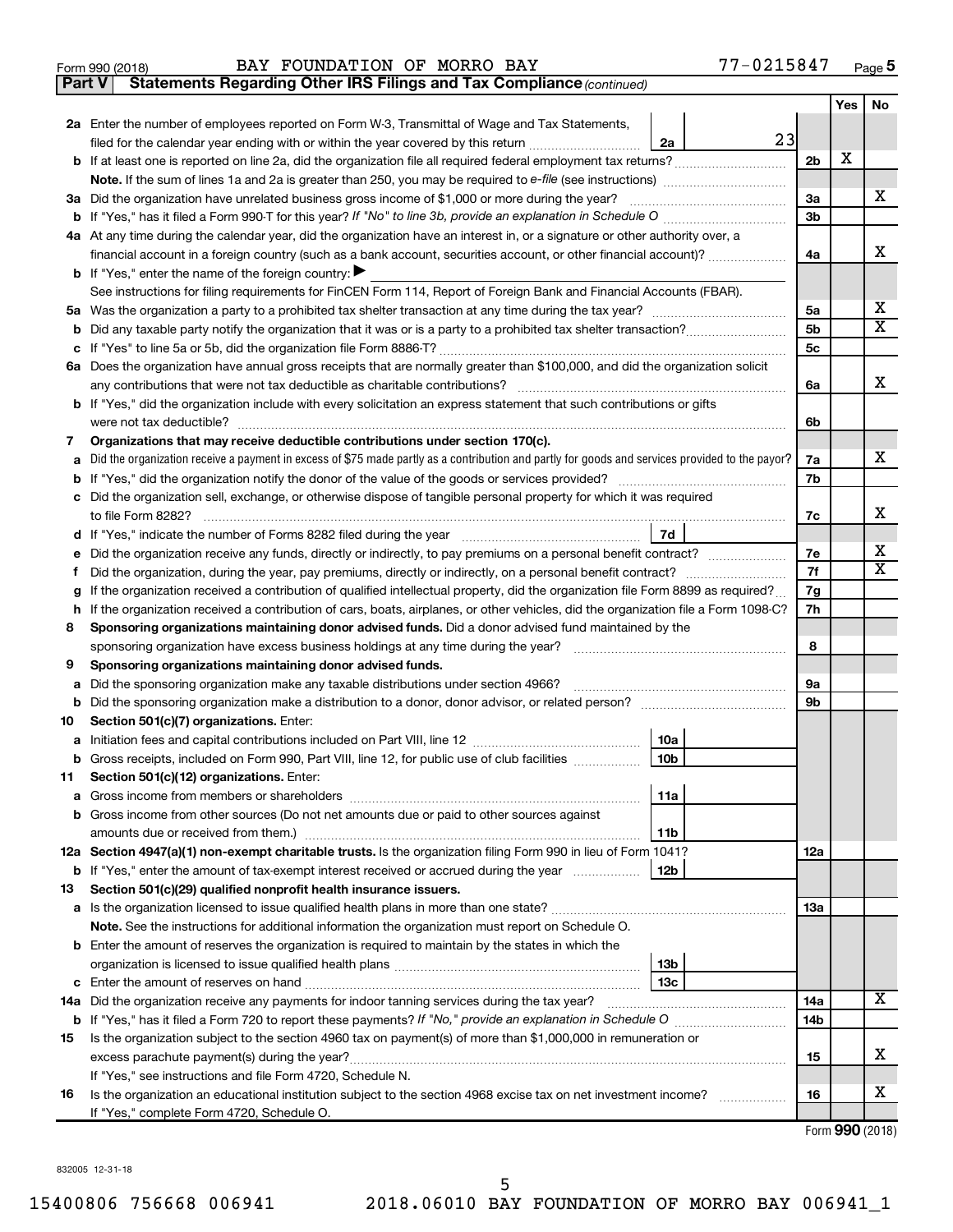|  | Form 990 (2018) |
|--|-----------------|
|  |                 |

**Part V** Statements Regarding Other IRS Filings and Tax Compliance (continued)

|    |                                                                                                                                                 |                 |                 | Yes | No                      |
|----|-------------------------------------------------------------------------------------------------------------------------------------------------|-----------------|-----------------|-----|-------------------------|
|    | <b>2a</b> Enter the number of employees reported on Form W-3, Transmittal of Wage and Tax Statements,                                           |                 |                 |     |                         |
|    | filed for the calendar year ending with or within the year covered by this return <i>[[[[[[[[[[[[[]]]</i> ]]                                    | 23<br>2a        |                 |     |                         |
|    | b If at least one is reported on line 2a, did the organization file all required federal employment tax returns?                                |                 | 2 <sub>b</sub>  | X   |                         |
|    | Note. If the sum of lines 1a and 2a is greater than 250, you may be required to e-file (see instructions) <i>marroummann</i>                    |                 |                 |     |                         |
| За | Did the organization have unrelated business gross income of \$1,000 or more during the year?                                                   |                 | За              |     | x                       |
| b  |                                                                                                                                                 |                 | 3b              |     |                         |
|    | 4a At any time during the calendar year, did the organization have an interest in, or a signature or other authority over, a                    |                 |                 |     |                         |
|    | financial account in a foreign country (such as a bank account, securities account, or other financial account)?                                |                 | 4a              |     | х                       |
|    | <b>b</b> If "Yes," enter the name of the foreign country: $\blacktriangleright$                                                                 |                 |                 |     |                         |
|    | See instructions for filing requirements for FinCEN Form 114, Report of Foreign Bank and Financial Accounts (FBAR).                             |                 |                 |     |                         |
| 5a |                                                                                                                                                 |                 | 5a              |     | х                       |
| b  |                                                                                                                                                 |                 | 5b              |     | х                       |
| с  |                                                                                                                                                 |                 | 5с              |     |                         |
|    | 6a Does the organization have annual gross receipts that are normally greater than \$100,000, and did the organization solicit                  |                 |                 |     |                         |
|    |                                                                                                                                                 |                 | 6a              |     | х                       |
|    | <b>b</b> If "Yes," did the organization include with every solicitation an express statement that such contributions or gifts                   |                 |                 |     |                         |
|    |                                                                                                                                                 |                 | 6b              |     |                         |
| 7  | Organizations that may receive deductible contributions under section 170(c).                                                                   |                 |                 |     | х                       |
| а  | Did the organization receive a payment in excess of \$75 made partly as a contribution and partly for goods and services provided to the payor? |                 | 7a<br>7b        |     |                         |
| b  | c Did the organization sell, exchange, or otherwise dispose of tangible personal property for which it was required                             |                 |                 |     |                         |
|    |                                                                                                                                                 |                 | 7c              |     | х                       |
|    |                                                                                                                                                 | 7d              |                 |     |                         |
| е  | Did the organization receive any funds, directly or indirectly, to pay premiums on a personal benefit contract?                                 |                 | 7е              |     | х                       |
| f. |                                                                                                                                                 |                 | 7f              |     | $\overline{\mathbf{X}}$ |
| g  | If the organization received a contribution of qualified intellectual property, did the organization file Form 8899 as required?                |                 | 7g              |     |                         |
| h  | If the organization received a contribution of cars, boats, airplanes, or other vehicles, did the organization file a Form 1098-C?              |                 | 7h              |     |                         |
| 8  | Sponsoring organizations maintaining donor advised funds. Did a donor advised fund maintained by the                                            |                 |                 |     |                         |
|    |                                                                                                                                                 |                 | 8               |     |                         |
| 9  | Sponsoring organizations maintaining donor advised funds.                                                                                       |                 |                 |     |                         |
| а  | Did the sponsoring organization make any taxable distributions under section 4966?                                                              |                 | 9а              |     |                         |
| b  |                                                                                                                                                 |                 | 9b              |     |                         |
| 10 | Section 501(c)(7) organizations. Enter:                                                                                                         |                 |                 |     |                         |
| а  |                                                                                                                                                 | 10a             |                 |     |                         |
| b  | Gross receipts, included on Form 990, Part VIII, line 12, for public use of club facilities                                                     | 10 <sub>b</sub> |                 |     |                         |
| 11 | Section 501(c)(12) organizations. Enter:                                                                                                        |                 |                 |     |                         |
|    |                                                                                                                                                 | 11a             |                 |     |                         |
|    | <b>b</b> Gross income from other sources (Do not net amounts due or paid to other sources against                                               |                 |                 |     |                         |
|    |                                                                                                                                                 | 11b             |                 |     |                         |
|    | 12a Section 4947(a)(1) non-exempt charitable trusts. Is the organization filing Form 990 in lieu of Form 1041?                                  |                 | 12a             |     |                         |
|    | b If "Yes," enter the amount of tax-exempt interest received or accrued during the year                                                         | 12 <sub>b</sub> |                 |     |                         |
| 13 | Section 501(c)(29) qualified nonprofit health insurance issuers.                                                                                |                 |                 |     |                         |
|    | a Is the organization licensed to issue qualified health plans in more than one state?                                                          |                 | 13a             |     |                         |
|    | Note. See the instructions for additional information the organization must report on Schedule O.                                               |                 |                 |     |                         |
|    | <b>b</b> Enter the amount of reserves the organization is required to maintain by the states in which the                                       |                 |                 |     |                         |
|    |                                                                                                                                                 | 13 <sub>b</sub> |                 |     |                         |
| с  |                                                                                                                                                 | 13с             |                 |     | x                       |
|    | 14a Did the organization receive any payments for indoor tanning services during the tax year?                                                  |                 | 14a             |     |                         |
| b  |                                                                                                                                                 |                 | 14 <sub>b</sub> |     |                         |
| 15 | Is the organization subject to the section 4960 tax on payment(s) of more than \$1,000,000 in remuneration or                                   |                 |                 |     | х                       |
|    |                                                                                                                                                 |                 | 15              |     |                         |
|    | If "Yes," see instructions and file Form 4720, Schedule N.                                                                                      |                 |                 |     | x                       |
| 16 | Is the organization an educational institution subject to the section 4968 excise tax on net investment income?                                 |                 | 16              |     |                         |
|    | If "Yes," complete Form 4720, Schedule O.                                                                                                       |                 |                 |     |                         |

Form (2018) **990**

832005 12-31-18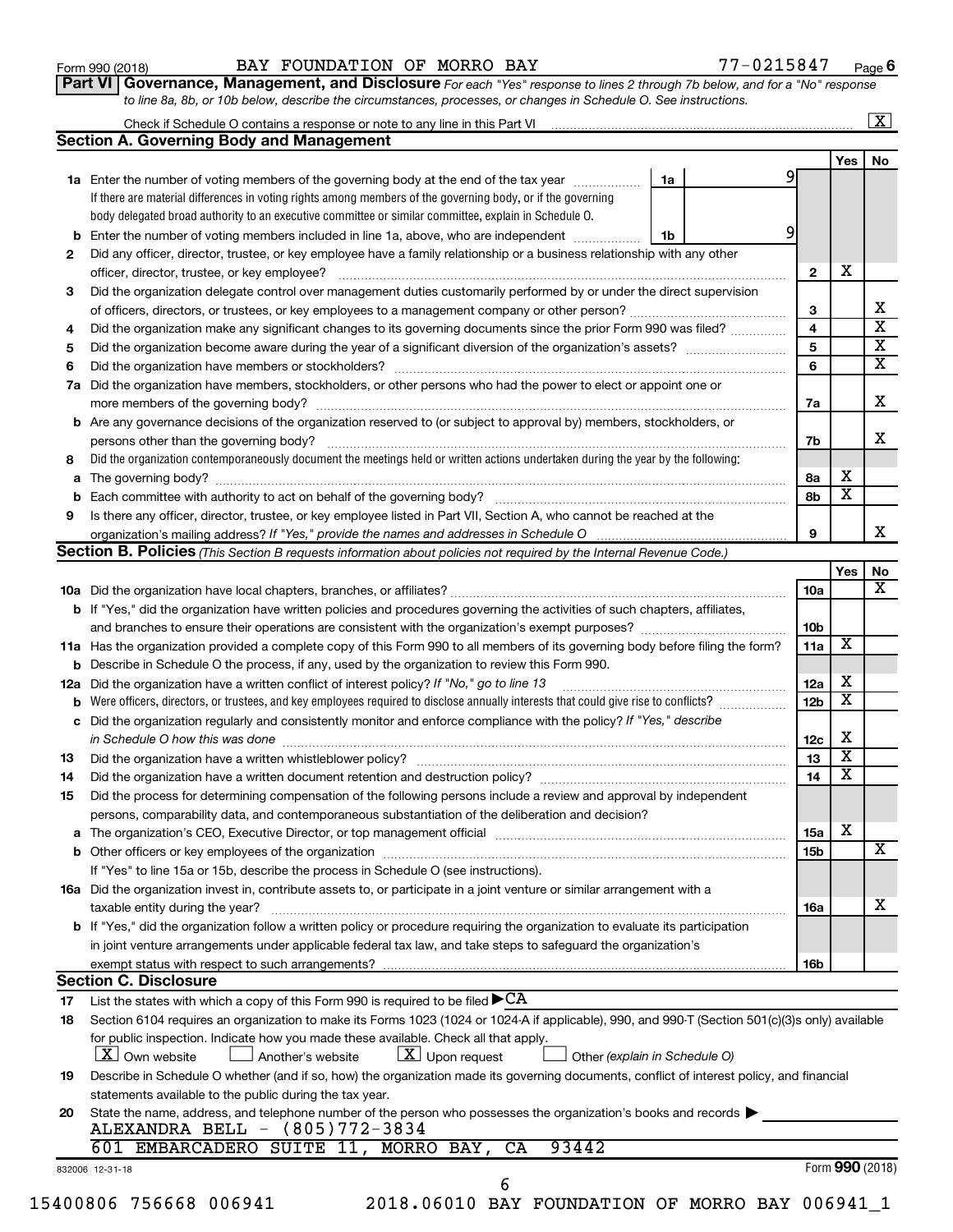| Form 990 (2018) |  |  |  |
|-----------------|--|--|--|
|-----------------|--|--|--|

## Form 990 (2018) Page BAY FOUNDATION OF MORRO BAY 77-0215847

**6**

| Part VI   Governance, Management, and Disclosure For each "Yes" response to lines 2 through 7b below, and for a "No" response |
|-------------------------------------------------------------------------------------------------------------------------------|
| to line 8a, 8b, or 10b below, describe the circumstances, processes, or changes in Schedule O. See instructions.              |

|     |                                                                                                                                                                                                                                |    |  |                 |                         | $\mathbf{X}$                                       |  |  |  |  |  |
|-----|--------------------------------------------------------------------------------------------------------------------------------------------------------------------------------------------------------------------------------|----|--|-----------------|-------------------------|----------------------------------------------------|--|--|--|--|--|
|     | <b>Section A. Governing Body and Management</b>                                                                                                                                                                                |    |  |                 |                         |                                                    |  |  |  |  |  |
|     |                                                                                                                                                                                                                                |    |  |                 | Yes                     | No                                                 |  |  |  |  |  |
|     | <b>1a</b> Enter the number of voting members of the governing body at the end of the tax year                                                                                                                                  | 1a |  | 9               |                         |                                                    |  |  |  |  |  |
|     | If there are material differences in voting rights among members of the governing body, or if the governing                                                                                                                    |    |  |                 |                         |                                                    |  |  |  |  |  |
|     | body delegated broad authority to an executive committee or similar committee, explain in Schedule O.                                                                                                                          |    |  |                 |                         |                                                    |  |  |  |  |  |
| b   | Enter the number of voting members included in line 1a, above, who are independent                                                                                                                                             | 1b |  |                 |                         |                                                    |  |  |  |  |  |
| 2   | Did any officer, director, trustee, or key employee have a family relationship or a business relationship with any other                                                                                                       |    |  |                 |                         |                                                    |  |  |  |  |  |
|     | officer, director, trustee, or key employee?                                                                                                                                                                                   |    |  | $\mathbf{2}$    | x                       |                                                    |  |  |  |  |  |
| 3   | Did the organization delegate control over management duties customarily performed by or under the direct supervision                                                                                                          |    |  |                 |                         |                                                    |  |  |  |  |  |
|     |                                                                                                                                                                                                                                |    |  | 3               |                         | x                                                  |  |  |  |  |  |
| 4   | Did the organization make any significant changes to its governing documents since the prior Form 990 was filed?                                                                                                               |    |  | 4               |                         | $\overline{\mathtt{x}}$<br>$\overline{\mathbf{X}}$ |  |  |  |  |  |
| 5   |                                                                                                                                                                                                                                |    |  |                 |                         |                                                    |  |  |  |  |  |
| 6   | Did the organization have members or stockholders?                                                                                                                                                                             |    |  | 6               |                         | $\overline{\mathbf{x}}$                            |  |  |  |  |  |
| 7a  | Did the organization have members, stockholders, or other persons who had the power to elect or appoint one or                                                                                                                 |    |  |                 |                         |                                                    |  |  |  |  |  |
|     |                                                                                                                                                                                                                                |    |  | 7a              |                         | X                                                  |  |  |  |  |  |
|     | <b>b</b> Are any governance decisions of the organization reserved to (or subject to approval by) members, stockholders, or                                                                                                    |    |  |                 |                         |                                                    |  |  |  |  |  |
|     | persons other than the governing body?                                                                                                                                                                                         |    |  | 7b              |                         | x                                                  |  |  |  |  |  |
| 8   | Did the organization contemporaneously document the meetings held or written actions undertaken during the year by the following:                                                                                              |    |  |                 |                         |                                                    |  |  |  |  |  |
| a   |                                                                                                                                                                                                                                |    |  | 8а              | x                       |                                                    |  |  |  |  |  |
| b   |                                                                                                                                                                                                                                |    |  | 8b              | $\overline{\textbf{x}}$ |                                                    |  |  |  |  |  |
| 9   | Is there any officer, director, trustee, or key employee listed in Part VII, Section A, who cannot be reached at the                                                                                                           |    |  |                 |                         |                                                    |  |  |  |  |  |
|     |                                                                                                                                                                                                                                |    |  | 9               |                         | x                                                  |  |  |  |  |  |
|     | <b>Section B. Policies</b> (This Section B requests information about policies not required by the Internal Revenue Code.)                                                                                                     |    |  |                 |                         |                                                    |  |  |  |  |  |
|     |                                                                                                                                                                                                                                |    |  |                 | Yes                     | No                                                 |  |  |  |  |  |
|     |                                                                                                                                                                                                                                |    |  | 10a             |                         | $\overline{\mathbf{x}}$                            |  |  |  |  |  |
|     | <b>b</b> If "Yes," did the organization have written policies and procedures governing the activities of such chapters, affiliates,                                                                                            |    |  |                 |                         |                                                    |  |  |  |  |  |
|     |                                                                                                                                                                                                                                |    |  | 10 <sub>b</sub> |                         |                                                    |  |  |  |  |  |
|     | 11a Has the organization provided a complete copy of this Form 990 to all members of its governing body before filing the form?                                                                                                |    |  | 11a             | $\overline{\mathbf{X}}$ |                                                    |  |  |  |  |  |
| b   | Describe in Schedule O the process, if any, used by the organization to review this Form 990.                                                                                                                                  |    |  |                 |                         |                                                    |  |  |  |  |  |
| 12a | Did the organization have a written conflict of interest policy? If "No," go to line 13                                                                                                                                        |    |  |                 |                         |                                                    |  |  |  |  |  |
| b   | Were officers, directors, or trustees, and key employees required to disclose annually interests that could give rise to conflicts?                                                                                            |    |  |                 |                         |                                                    |  |  |  |  |  |
| с   | Did the organization regularly and consistently monitor and enforce compliance with the policy? If "Yes," describe                                                                                                             |    |  |                 |                         |                                                    |  |  |  |  |  |
|     | in Schedule O how this was done manufactured and a state of the state of the state of the state of the state o                                                                                                                 |    |  | 12c             | X                       |                                                    |  |  |  |  |  |
| 13  | Did the organization have a written whistleblower policy?                                                                                                                                                                      |    |  | 13              | $\overline{\mathbf{X}}$ |                                                    |  |  |  |  |  |
| 14  |                                                                                                                                                                                                                                |    |  | 14              | $\overline{\mathbf{X}}$ |                                                    |  |  |  |  |  |
| 15  | Did the process for determining compensation of the following persons include a review and approval by independent                                                                                                             |    |  |                 |                         |                                                    |  |  |  |  |  |
|     | persons, comparability data, and contemporaneous substantiation of the deliberation and decision?                                                                                                                              |    |  |                 |                         |                                                    |  |  |  |  |  |
| а   | The organization's CEO, Executive Director, or top management official manufactured content of the organization's CEO, Executive Director, or top management official manufactured content of the state of the state of the st |    |  | <b>15a</b>      | х                       |                                                    |  |  |  |  |  |
| b   | Other officers or key employees of the organization                                                                                                                                                                            |    |  | 15b             |                         | X                                                  |  |  |  |  |  |
|     | If "Yes" to line 15a or 15b, describe the process in Schedule O (see instructions).                                                                                                                                            |    |  |                 |                         |                                                    |  |  |  |  |  |
|     | 16a Did the organization invest in, contribute assets to, or participate in a joint venture or similar arrangement with a                                                                                                      |    |  |                 |                         |                                                    |  |  |  |  |  |
|     | taxable entity during the year?                                                                                                                                                                                                |    |  | 16a             |                         | х                                                  |  |  |  |  |  |
|     | <b>b</b> If "Yes," did the organization follow a written policy or procedure requiring the organization to evaluate its participation                                                                                          |    |  |                 |                         |                                                    |  |  |  |  |  |
|     | in joint venture arrangements under applicable federal tax law, and take steps to safeguard the organization's                                                                                                                 |    |  |                 |                         |                                                    |  |  |  |  |  |
|     | exempt status with respect to such arrangements?                                                                                                                                                                               |    |  | 16b             |                         |                                                    |  |  |  |  |  |
|     | <b>Section C. Disclosure</b>                                                                                                                                                                                                   |    |  |                 |                         |                                                    |  |  |  |  |  |
| 17  | List the states with which a copy of this Form 990 is required to be filed $\blacktriangleright$ CA                                                                                                                            |    |  |                 |                         |                                                    |  |  |  |  |  |
| 18  | Section 6104 requires an organization to make its Forms 1023 (1024 or 1024 A if applicable), 990, and 990-T (Section 501(c)(3)s only) available                                                                                |    |  |                 |                         |                                                    |  |  |  |  |  |
|     | for public inspection. Indicate how you made these available. Check all that apply.                                                                                                                                            |    |  |                 |                         |                                                    |  |  |  |  |  |
|     | X   Own website<br>$\lfloor \underline{X} \rfloor$ Upon request<br>Another's website<br>Other (explain in Schedule O)                                                                                                          |    |  |                 |                         |                                                    |  |  |  |  |  |
| 19  | Describe in Schedule O whether (and if so, how) the organization made its governing documents, conflict of interest policy, and financial                                                                                      |    |  |                 |                         |                                                    |  |  |  |  |  |
|     | statements available to the public during the tax year.                                                                                                                                                                        |    |  |                 |                         |                                                    |  |  |  |  |  |
| 20  | State the name, address, and telephone number of the person who possesses the organization's books and records                                                                                                                 |    |  |                 |                         |                                                    |  |  |  |  |  |
|     | ALEXANDRA BELL - (805)772-3834                                                                                                                                                                                                 |    |  |                 |                         |                                                    |  |  |  |  |  |
|     | 601 EMBARCADERO SUITE 11,<br>93442<br>MORRO BAY,<br>CA                                                                                                                                                                         |    |  |                 |                         |                                                    |  |  |  |  |  |
|     | 832006 12-31-18                                                                                                                                                                                                                |    |  |                 |                         | Form 990 (2018)                                    |  |  |  |  |  |
|     | 6                                                                                                                                                                                                                              |    |  |                 |                         |                                                    |  |  |  |  |  |

<sup>15400806 756668 006941 2018.06010</sup> BAY FOUNDATION OF MORRO BAY 006941\_1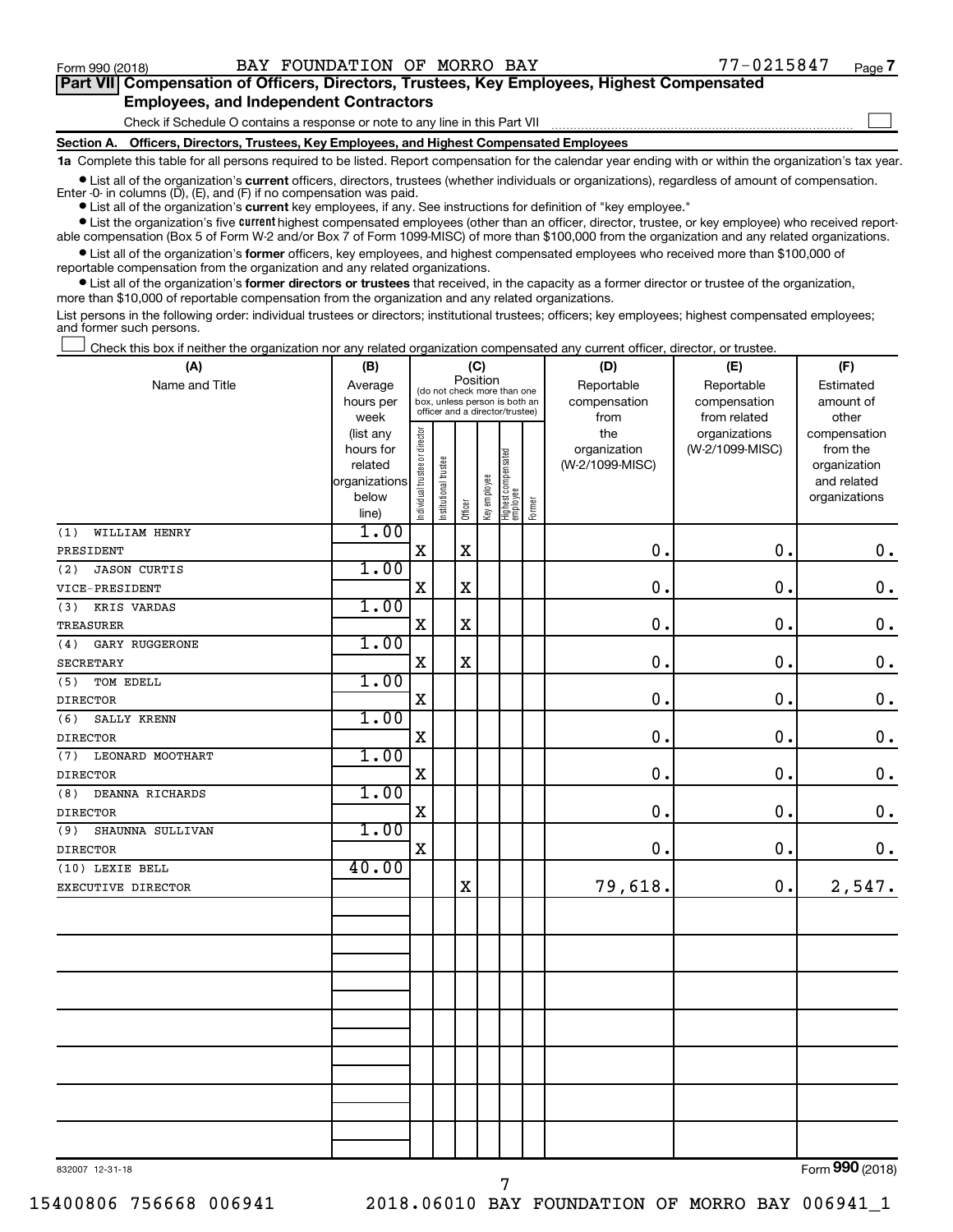$\Box$ 

| Part VII Compensation of Officers, Directors, Trustees, Key Employees, Highest Compensated |  |  |  |  |
|--------------------------------------------------------------------------------------------|--|--|--|--|
| <b>Employees, and Independent Contractors</b>                                              |  |  |  |  |

Check if Schedule O contains a response or note to any line in this Part VII

**Section A. Officers, Directors, Trustees, Key Employees, and Highest Compensated Employees**

**1a**  Complete this table for all persons required to be listed. Report compensation for the calendar year ending with or within the organization's tax year.

**•** List all of the organization's current officers, directors, trustees (whether individuals or organizations), regardless of amount of compensation. Enter -0- in columns  $(D)$ ,  $(E)$ , and  $(F)$  if no compensation was paid.

**•** List all of the organization's **current** key employees, if any. See instructions for definition of "key employee."

**•** List the organization's five current highest compensated employees (other than an officer, director, trustee, or key employee) who received reportable compensation (Box 5 of Form W-2 and/or Box 7 of Form 1099-MISC) of more than \$100,000 from the organization and any related organizations.

**•** List all of the organization's former officers, key employees, and highest compensated employees who received more than \$100,000 of reportable compensation from the organization and any related organizations.

**•** List all of the organization's former directors or trustees that received, in the capacity as a former director or trustee of the organization, more than \$10,000 of reportable compensation from the organization and any related organizations.

List persons in the following order: individual trustees or directors; institutional trustees; officers; key employees; highest compensated employees; and former such persons.

Check this box if neither the organization nor any related organization compensated any current officer, director, or trustee.  $\Box$ 

| (A)                        | (B)<br>(C)             |                                |                                                                  |             |              |                                   |        | (D)             | (F)                              |                          |  |
|----------------------------|------------------------|--------------------------------|------------------------------------------------------------------|-------------|--------------|-----------------------------------|--------|-----------------|----------------------------------|--------------------------|--|
| Name and Title             | Average                |                                | (do not check more than one                                      | Position    |              |                                   |        | Reportable      | Reportable                       | Estimated                |  |
|                            | hours per              |                                | box, unless person is both an<br>officer and a director/trustee) |             |              |                                   |        | compensation    | compensation                     | amount of                |  |
|                            | week                   |                                |                                                                  |             |              |                                   |        | from<br>the     | from related                     | other                    |  |
|                            | (list any<br>hours for |                                |                                                                  |             |              |                                   |        | organization    | organizations<br>(W-2/1099-MISC) | compensation<br>from the |  |
|                            | related                |                                |                                                                  |             |              |                                   |        | (W-2/1099-MISC) |                                  | organization             |  |
|                            | organizations          |                                |                                                                  |             |              |                                   |        |                 |                                  | and related              |  |
|                            | below                  | Individual trustee or director | Institutional trustee                                            |             | Key employee |                                   |        |                 |                                  | organizations            |  |
|                            | line)                  |                                |                                                                  | Officer     |              | Highest compensated<br>  employee | Former |                 |                                  |                          |  |
| WILLIAM HENRY<br>(1)       | 1.00                   |                                |                                                                  |             |              |                                   |        |                 |                                  |                          |  |
| PRESIDENT                  |                        | $\mathbf X$                    |                                                                  | $\mathbf X$ |              |                                   |        | $\mathbf 0$ .   | 0.                               | $\mathbf 0$ .            |  |
| (2)<br><b>JASON CURTIS</b> | 1.00                   |                                |                                                                  |             |              |                                   |        |                 |                                  |                          |  |
| VICE-PRESIDENT             |                        | X                              |                                                                  | X           |              |                                   |        | $\mathbf 0$ .   | $\mathbf 0$ .                    | $\mathbf 0$ .            |  |
| KRIS VARDAS<br>(3)         | 1.00                   |                                |                                                                  |             |              |                                   |        |                 |                                  |                          |  |
| TREASURER                  |                        | $\mathbf X$                    |                                                                  | $\mathbf X$ |              |                                   |        | $\mathbf 0$ .   | 0.                               | $\mathbf 0$ .            |  |
| (4)<br>GARY RUGGERONE      | 1.00                   |                                |                                                                  |             |              |                                   |        |                 |                                  |                          |  |
| SECRETARY                  |                        | X                              |                                                                  | $\mathbf X$ |              |                                   |        | $\mathbf 0$ .   | 0.                               | $\mathbf 0$ .            |  |
| TOM EDELL<br>(5)           | 1.00                   |                                |                                                                  |             |              |                                   |        |                 |                                  |                          |  |
| <b>DIRECTOR</b>            |                        | $\mathbf X$                    |                                                                  |             |              |                                   |        | $\mathbf 0$ .   | $\mathbf 0$ .                    | $\mathbf 0$ .            |  |
| (6)<br>SALLY KRENN         | 1.00                   |                                |                                                                  |             |              |                                   |        |                 |                                  |                          |  |
| <b>DIRECTOR</b>            |                        | $\mathbf X$                    |                                                                  |             |              |                                   |        | $\mathbf 0$ .   | 0.                               | $\mathbf 0$ .            |  |
| (7)<br>LEONARD MOOTHART    | 1.00                   |                                |                                                                  |             |              |                                   |        |                 |                                  |                          |  |
| <b>DIRECTOR</b>            |                        | $\mathbf X$                    |                                                                  |             |              |                                   |        | $\mathbf 0$ .   | 0.                               | $\mathbf 0$ .            |  |
| (8)<br>DEANNA RICHARDS     | 1.00                   |                                |                                                                  |             |              |                                   |        |                 |                                  |                          |  |
| <b>DIRECTOR</b>            |                        | $\mathbf X$                    |                                                                  |             |              |                                   |        | $\mathbf 0$ .   | 0.                               | $\mathbf 0$ .            |  |
| SHAUNNA SULLIVAN<br>(9)    | 1.00                   |                                |                                                                  |             |              |                                   |        |                 |                                  |                          |  |
| <b>DIRECTOR</b>            |                        | $\mathbf X$                    |                                                                  |             |              |                                   |        | $\mathbf 0$ .   | 0.                               | $0$ .                    |  |
| (10) LEXIE BELL            | 40.00                  |                                |                                                                  |             |              |                                   |        |                 |                                  |                          |  |
| EXECUTIVE DIRECTOR         |                        |                                |                                                                  | $\rm X$     |              |                                   |        | 79,618.         | 0.                               | 2,547.                   |  |
|                            |                        |                                |                                                                  |             |              |                                   |        |                 |                                  |                          |  |
|                            |                        |                                |                                                                  |             |              |                                   |        |                 |                                  |                          |  |
|                            |                        |                                |                                                                  |             |              |                                   |        |                 |                                  |                          |  |
|                            |                        |                                |                                                                  |             |              |                                   |        |                 |                                  |                          |  |
|                            |                        |                                |                                                                  |             |              |                                   |        |                 |                                  |                          |  |
|                            |                        |                                |                                                                  |             |              |                                   |        |                 |                                  |                          |  |
|                            |                        |                                |                                                                  |             |              |                                   |        |                 |                                  |                          |  |
|                            |                        |                                |                                                                  |             |              |                                   |        |                 |                                  |                          |  |
|                            |                        |                                |                                                                  |             |              |                                   |        |                 |                                  |                          |  |
|                            |                        |                                |                                                                  |             |              |                                   |        |                 |                                  |                          |  |
|                            |                        |                                |                                                                  |             |              |                                   |        |                 |                                  |                          |  |
|                            |                        |                                |                                                                  |             |              |                                   |        |                 |                                  |                          |  |
|                            |                        |                                |                                                                  |             |              |                                   |        |                 |                                  |                          |  |
|                            |                        |                                |                                                                  |             |              |                                   |        |                 |                                  |                          |  |

7

832007 12-31-18

Form (2018) **990**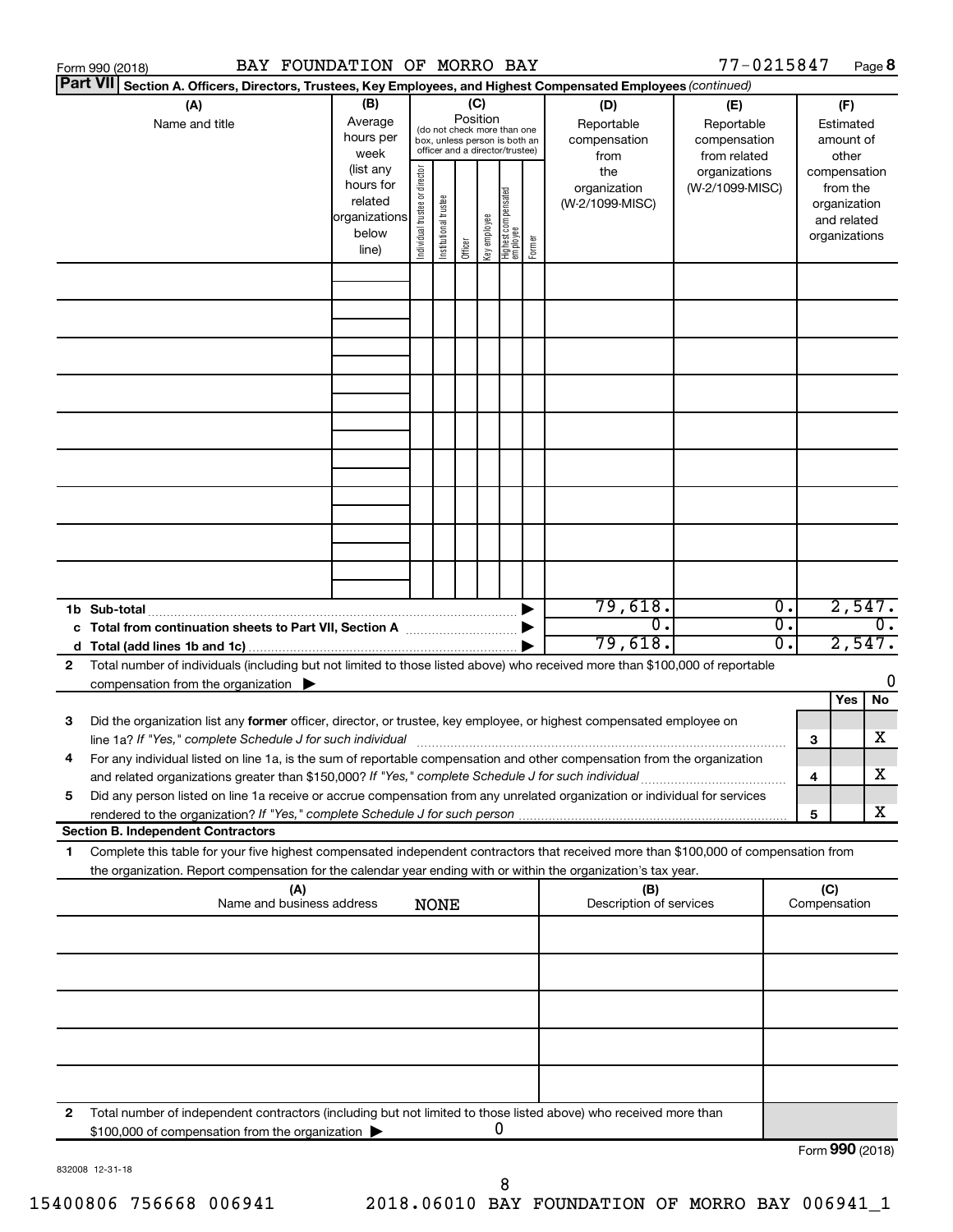|                 | BAY FOUNDATION OF MORRO BAY<br>Form 990 (2018)                                                                                                                                    |                        |                                |                       |         |              |                                                                  |        |                         | 77-0215847                   |                  |                 |                              | Page 8           |
|-----------------|-----------------------------------------------------------------------------------------------------------------------------------------------------------------------------------|------------------------|--------------------------------|-----------------------|---------|--------------|------------------------------------------------------------------|--------|-------------------------|------------------------------|------------------|-----------------|------------------------------|------------------|
| <b>Part VII</b> | Section A. Officers, Directors, Trustees, Key Employees, and Highest Compensated Employees (continued)                                                                            |                        |                                |                       |         |              |                                                                  |        |                         |                              |                  |                 |                              |                  |
|                 | (A)                                                                                                                                                                               | (B)                    | (C)<br>Position                |                       |         |              |                                                                  |        | (D)                     | (E)                          |                  |                 | (F)                          |                  |
|                 | Name and title                                                                                                                                                                    | Average<br>hours per   |                                |                       |         |              | (do not check more than one                                      |        | Reportable              | Reportable                   |                  |                 | Estimated                    |                  |
|                 |                                                                                                                                                                                   | week                   |                                |                       |         |              | box, unless person is both an<br>officer and a director/trustee) |        | compensation<br>from    | compensation<br>from related |                  |                 | amount of<br>other           |                  |
|                 |                                                                                                                                                                                   | (list any              |                                |                       |         |              |                                                                  |        | the                     | organizations                |                  | compensation    |                              |                  |
|                 |                                                                                                                                                                                   | hours for              |                                |                       |         |              |                                                                  |        | organization            | (W-2/1099-MISC)              |                  |                 | from the                     |                  |
|                 |                                                                                                                                                                                   | related                |                                |                       |         |              |                                                                  |        | (W-2/1099-MISC)         |                              |                  |                 | organization                 |                  |
|                 |                                                                                                                                                                                   | organizations<br>below |                                |                       |         |              |                                                                  |        |                         |                              |                  |                 | and related<br>organizations |                  |
|                 |                                                                                                                                                                                   | line)                  | Individual trustee or director | Institutional trustee | Officer | Key employee | Highest compensated<br>  employee                                | Former |                         |                              |                  |                 |                              |                  |
|                 |                                                                                                                                                                                   |                        |                                |                       |         |              |                                                                  |        |                         |                              |                  |                 |                              |                  |
|                 |                                                                                                                                                                                   |                        |                                |                       |         |              |                                                                  |        |                         |                              |                  |                 |                              |                  |
|                 |                                                                                                                                                                                   |                        |                                |                       |         |              |                                                                  |        |                         |                              |                  |                 |                              |                  |
|                 |                                                                                                                                                                                   |                        |                                |                       |         |              |                                                                  |        |                         |                              |                  |                 |                              |                  |
|                 |                                                                                                                                                                                   |                        |                                |                       |         |              |                                                                  |        |                         |                              |                  |                 |                              |                  |
|                 |                                                                                                                                                                                   |                        |                                |                       |         |              |                                                                  |        |                         |                              |                  |                 |                              |                  |
|                 |                                                                                                                                                                                   |                        |                                |                       |         |              |                                                                  |        |                         |                              |                  |                 |                              |                  |
|                 |                                                                                                                                                                                   |                        |                                |                       |         |              |                                                                  |        |                         |                              |                  |                 |                              |                  |
|                 |                                                                                                                                                                                   |                        |                                |                       |         |              |                                                                  |        |                         |                              |                  |                 |                              |                  |
|                 |                                                                                                                                                                                   |                        |                                |                       |         |              |                                                                  |        |                         |                              |                  |                 |                              |                  |
|                 |                                                                                                                                                                                   |                        |                                |                       |         |              |                                                                  |        |                         |                              |                  |                 |                              |                  |
|                 |                                                                                                                                                                                   |                        |                                |                       |         |              |                                                                  |        |                         |                              |                  |                 |                              |                  |
|                 |                                                                                                                                                                                   |                        |                                |                       |         |              |                                                                  |        |                         |                              |                  |                 |                              |                  |
|                 |                                                                                                                                                                                   |                        |                                |                       |         |              |                                                                  |        |                         |                              |                  |                 |                              |                  |
|                 |                                                                                                                                                                                   |                        |                                |                       |         |              |                                                                  |        |                         |                              |                  |                 |                              |                  |
|                 |                                                                                                                                                                                   |                        |                                |                       |         |              |                                                                  |        | 79,618.                 |                              | $\overline{0}$ . |                 | 2,547.                       |                  |
|                 | c Total from continuation sheets to Part VII, Section A manufactured by                                                                                                           |                        |                                |                       |         |              |                                                                  |        | σ.                      |                              | σ.               |                 |                              | $\overline{0}$ . |
|                 |                                                                                                                                                                                   |                        |                                |                       |         |              |                                                                  |        | 79,618.                 |                              | 0.               |                 | 2,547.                       |                  |
| 2               | Total number of individuals (including but not limited to those listed above) who received more than \$100,000 of reportable                                                      |                        |                                |                       |         |              |                                                                  |        |                         |                              |                  |                 |                              | 0                |
|                 | compensation from the organization $\blacktriangleright$                                                                                                                          |                        |                                |                       |         |              |                                                                  |        |                         |                              |                  |                 | Yes                          | No               |
| 3               | Did the organization list any former officer, director, or trustee, key employee, or highest compensated employee on                                                              |                        |                                |                       |         |              |                                                                  |        |                         |                              |                  |                 |                              |                  |
|                 | line 1a? If "Yes," complete Schedule J for such individual manufactured content to the set of the set of the s                                                                    |                        |                                |                       |         |              |                                                                  |        |                         |                              |                  | 3               |                              | х                |
|                 | For any individual listed on line 1a, is the sum of reportable compensation and other compensation from the organization                                                          |                        |                                |                       |         |              |                                                                  |        |                         |                              |                  |                 |                              |                  |
|                 | and related organizations greater than \$150,000? If "Yes," complete Schedule J for such individual                                                                               |                        |                                |                       |         |              |                                                                  |        |                         |                              |                  | 4               |                              | х                |
| 5               | Did any person listed on line 1a receive or accrue compensation from any unrelated organization or individual for services                                                        |                        |                                |                       |         |              |                                                                  |        |                         |                              |                  |                 |                              |                  |
|                 |                                                                                                                                                                                   |                        |                                |                       |         |              |                                                                  |        |                         |                              |                  | 5               |                              | X                |
| 1.              | <b>Section B. Independent Contractors</b><br>Complete this table for your five highest compensated independent contractors that received more than \$100,000 of compensation from |                        |                                |                       |         |              |                                                                  |        |                         |                              |                  |                 |                              |                  |
|                 | the organization. Report compensation for the calendar year ending with or within the organization's tax year.                                                                    |                        |                                |                       |         |              |                                                                  |        |                         |                              |                  |                 |                              |                  |
|                 | (A)                                                                                                                                                                               |                        |                                |                       |         |              |                                                                  |        | (B)                     |                              |                  | (C)             |                              |                  |
|                 | Name and business address                                                                                                                                                         |                        |                                | <b>NONE</b>           |         |              |                                                                  |        | Description of services |                              |                  | Compensation    |                              |                  |
|                 |                                                                                                                                                                                   |                        |                                |                       |         |              |                                                                  |        |                         |                              |                  |                 |                              |                  |
|                 |                                                                                                                                                                                   |                        |                                |                       |         |              |                                                                  |        |                         |                              |                  |                 |                              |                  |
|                 |                                                                                                                                                                                   |                        |                                |                       |         |              |                                                                  |        |                         |                              |                  |                 |                              |                  |
|                 |                                                                                                                                                                                   |                        |                                |                       |         |              |                                                                  |        |                         |                              |                  |                 |                              |                  |
|                 |                                                                                                                                                                                   |                        |                                |                       |         |              |                                                                  |        |                         |                              |                  |                 |                              |                  |
|                 |                                                                                                                                                                                   |                        |                                |                       |         |              |                                                                  |        |                         |                              |                  |                 |                              |                  |
|                 |                                                                                                                                                                                   |                        |                                |                       |         |              |                                                                  |        |                         |                              |                  |                 |                              |                  |
|                 |                                                                                                                                                                                   |                        |                                |                       |         |              |                                                                  |        |                         |                              |                  |                 |                              |                  |
| 2               | Total number of independent contractors (including but not limited to those listed above) who received more than                                                                  |                        |                                |                       |         |              |                                                                  |        |                         |                              |                  |                 |                              |                  |
|                 | \$100,000 of compensation from the organization                                                                                                                                   |                        |                                |                       |         |              | 0                                                                |        |                         |                              |                  |                 |                              |                  |
|                 |                                                                                                                                                                                   |                        |                                |                       |         |              |                                                                  |        |                         |                              |                  | Form 990 (2018) |                              |                  |

832008 12-31-18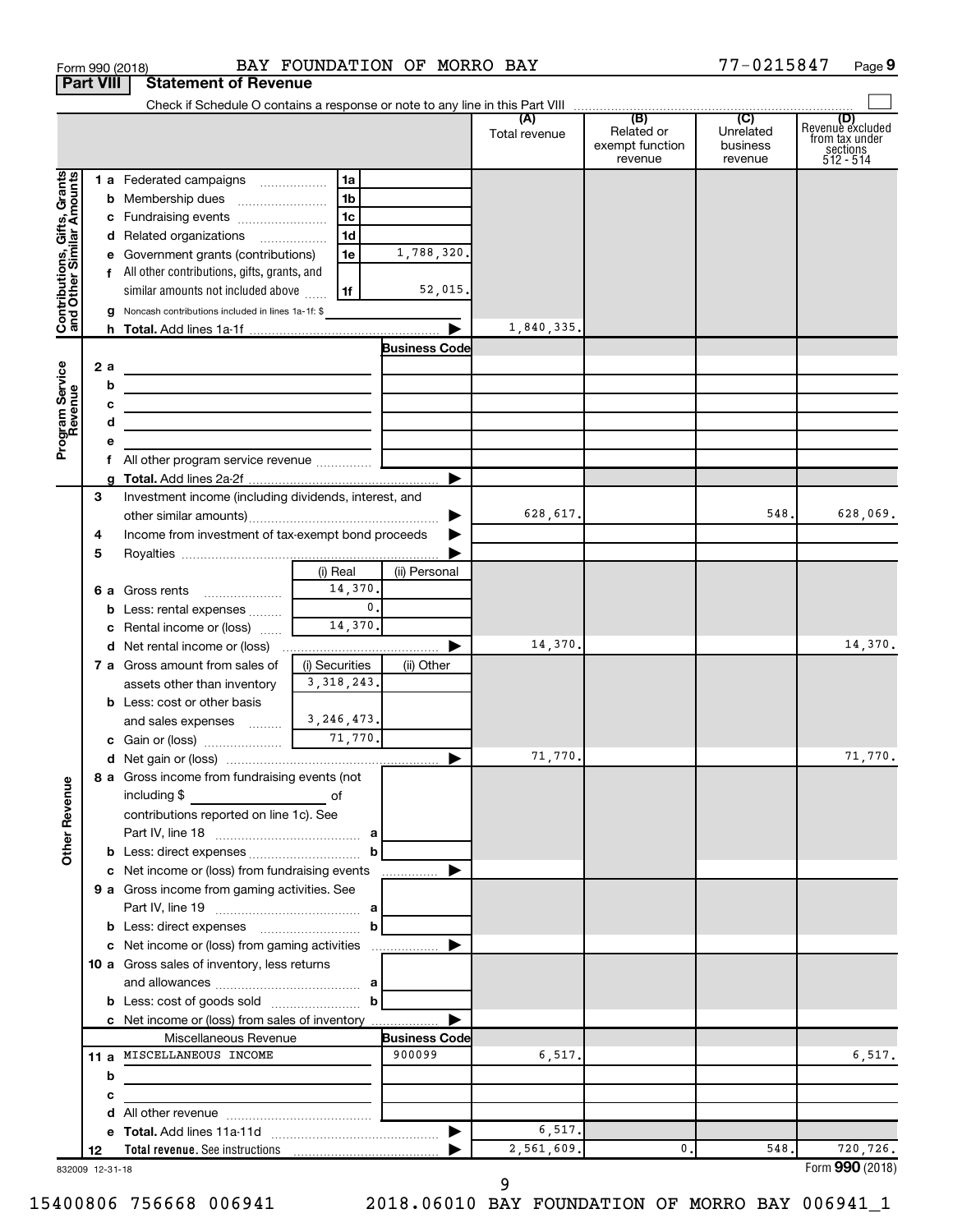|                                                           | <b>Part VIII</b> | <b>Statement of Revenue</b>                                                                             |                |                                |               |                                          |                                  |                                                                    |
|-----------------------------------------------------------|------------------|---------------------------------------------------------------------------------------------------------|----------------|--------------------------------|---------------|------------------------------------------|----------------------------------|--------------------------------------------------------------------|
|                                                           |                  |                                                                                                         |                |                                |               |                                          |                                  |                                                                    |
|                                                           |                  |                                                                                                         |                |                                | Total revenue | Related or<br>exempt function<br>revenue | Unrelated<br>business<br>revenue | (D)<br>Revenue excluded<br>from tax under<br>sections<br>512 - 514 |
|                                                           |                  | 1 a Federated campaigns                                                                                 | 1a             |                                |               |                                          |                                  |                                                                    |
| Contributions, Gifts, Grants<br>and Other Similar Amounts |                  | <b>b</b> Membership dues                                                                                | 1b             |                                |               |                                          |                                  |                                                                    |
|                                                           |                  | c Fundraising events                                                                                    | 1c             |                                |               |                                          |                                  |                                                                    |
|                                                           |                  | d Related organizations                                                                                 | 1 <sub>d</sub> |                                |               |                                          |                                  |                                                                    |
|                                                           |                  | e Government grants (contributions)                                                                     | 1e             | 1,788,320.                     |               |                                          |                                  |                                                                    |
|                                                           |                  | f All other contributions, gifts, grants, and                                                           |                |                                |               |                                          |                                  |                                                                    |
|                                                           |                  | similar amounts not included above                                                                      | 1f             | 52,015.                        |               |                                          |                                  |                                                                    |
|                                                           |                  | Noncash contributions included in lines 1a-1f: \$                                                       |                |                                |               |                                          |                                  |                                                                    |
|                                                           |                  |                                                                                                         |                |                                | 1,840,335.    |                                          |                                  |                                                                    |
|                                                           |                  |                                                                                                         |                | <b>Business Code</b>           |               |                                          |                                  |                                                                    |
|                                                           | 2 a              | the control of the control of the control of the control of the control of                              |                |                                |               |                                          |                                  |                                                                    |
|                                                           | b                | the control of the control of the control of the control of the control of                              |                |                                |               |                                          |                                  |                                                                    |
|                                                           | с                | <u> 1989 - Johann Barbara, martxa alemaniar arg</u>                                                     |                |                                |               |                                          |                                  |                                                                    |
|                                                           | d                | the control of the control of the control of the control of the control of                              |                |                                |               |                                          |                                  |                                                                    |
| Program Service<br>Revenue                                | е                |                                                                                                         |                |                                |               |                                          |                                  |                                                                    |
|                                                           |                  |                                                                                                         |                |                                |               |                                          |                                  |                                                                    |
|                                                           | 3                | Investment income (including dividends, interest, and                                                   |                |                                |               |                                          |                                  |                                                                    |
|                                                           |                  |                                                                                                         |                |                                | 628,617.      |                                          | 548.                             | 628,069.                                                           |
|                                                           | 4                | Income from investment of tax-exempt bond proceeds                                                      |                |                                |               |                                          |                                  |                                                                    |
|                                                           | 5                |                                                                                                         |                |                                |               |                                          |                                  |                                                                    |
|                                                           |                  |                                                                                                         | (i) Real       | (ii) Personal                  |               |                                          |                                  |                                                                    |
|                                                           |                  | <b>6 a</b> Gross rents                                                                                  | 14,370.        |                                |               |                                          |                                  |                                                                    |
|                                                           | b                | Less: rental expenses                                                                                   | $\mathbf{0}$ . |                                |               |                                          |                                  |                                                                    |
|                                                           | c                | Rental income or (loss)                                                                                 | 14,370.        |                                |               |                                          |                                  |                                                                    |
|                                                           |                  |                                                                                                         |                |                                | 14,370.       |                                          |                                  | 14,370.                                                            |
|                                                           |                  | <b>7 a</b> Gross amount from sales of                                                                   | (i) Securities | (ii) Other                     |               |                                          |                                  |                                                                    |
|                                                           |                  | assets other than inventory                                                                             | 3, 318, 243.   |                                |               |                                          |                                  |                                                                    |
|                                                           |                  | <b>b</b> Less: cost or other basis                                                                      |                |                                |               |                                          |                                  |                                                                    |
|                                                           |                  | and sales expenses $\frac{3}{2}$ , 246, 473.                                                            |                |                                |               |                                          |                                  |                                                                    |
|                                                           |                  |                                                                                                         |                |                                |               |                                          |                                  |                                                                    |
|                                                           |                  |                                                                                                         |                |                                | 71,770.       |                                          |                                  | 71,770.                                                            |
| <b>Other Revenue</b>                                      |                  | 8 a Gross income from fundraising events (not  <br>including \$<br><u> 1990 - Johann Barbara, martx</u> | of             |                                |               |                                          |                                  |                                                                    |
|                                                           |                  | contributions reported on line 1c). See                                                                 |                |                                |               |                                          |                                  |                                                                    |
|                                                           |                  |                                                                                                         |                |                                |               |                                          |                                  |                                                                    |
|                                                           |                  |                                                                                                         |                |                                |               |                                          |                                  |                                                                    |
|                                                           |                  | <b>c</b> Net income or (loss) from fundraising events                                                   |                |                                |               |                                          |                                  |                                                                    |
|                                                           |                  | 9 a Gross income from gaming activities. See                                                            |                |                                |               |                                          |                                  |                                                                    |
|                                                           |                  |                                                                                                         |                |                                |               |                                          |                                  |                                                                    |
|                                                           |                  |                                                                                                         |                |                                |               |                                          |                                  |                                                                    |
|                                                           |                  |                                                                                                         |                |                                |               |                                          |                                  |                                                                    |
|                                                           |                  | 10 a Gross sales of inventory, less returns                                                             |                |                                |               |                                          |                                  |                                                                    |
|                                                           |                  | and allowances $\ldots$ , $\ldots$ , $\ldots$ , $\ldots$ , $\ldots$ , $\ldots$ , $\ldots$               |                |                                |               |                                          |                                  |                                                                    |
|                                                           |                  |                                                                                                         |                |                                |               |                                          |                                  |                                                                    |
|                                                           |                  | c Net income or (loss) from sales of inventory                                                          |                |                                |               |                                          |                                  |                                                                    |
|                                                           |                  | Miscellaneous Revenue<br>11 a MISCELLANEOUS INCOME                                                      |                | <b>Business Code</b><br>900099 | 6,517.        |                                          |                                  | 6,517.                                                             |
|                                                           | b                |                                                                                                         |                |                                |               |                                          |                                  |                                                                    |
|                                                           | c                | the control of the control of the control of the                                                        |                |                                |               |                                          |                                  |                                                                    |
|                                                           | d                |                                                                                                         |                |                                |               |                                          |                                  |                                                                    |
|                                                           | е                |                                                                                                         |                |                                | 6,517.        |                                          |                                  |                                                                    |
|                                                           | 12               |                                                                                                         |                |                                | 2,561,609.    | 0.                                       | 548.                             | 720,726.                                                           |
| 832009 12-31-18                                           |                  |                                                                                                         |                |                                |               |                                          |                                  | Form 990 (2018)                                                    |

Form 990 (2018) Page BAY FOUNDATION OF MORRO BAY 77-0215847

77-0215847 Page 9

9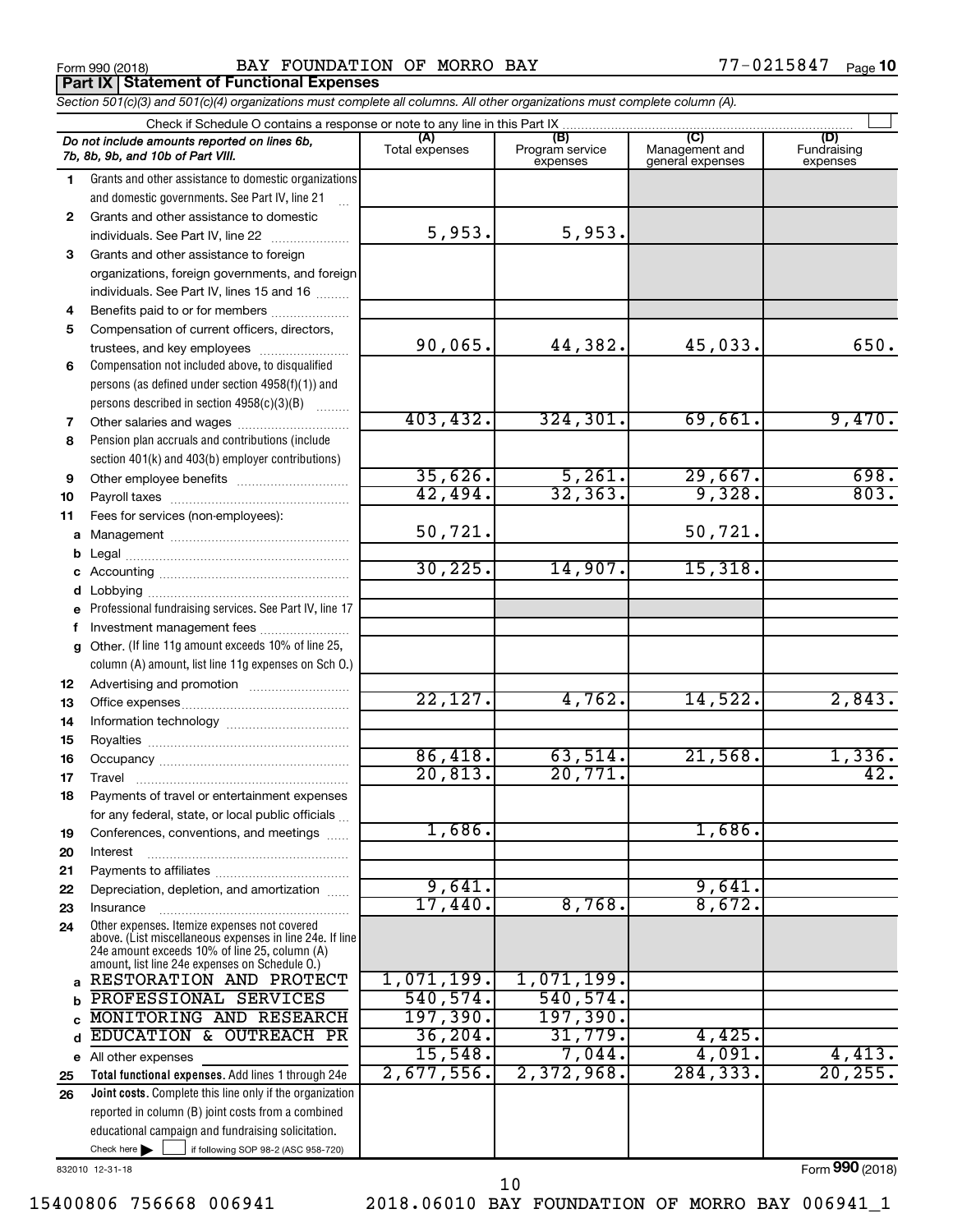**Part IX | Statement of Functional Expenses** 

Form 990 (2018) Page BAY FOUNDATION OF MORRO BAY 77-0215847

|          | Section 501(c)(3) and 501(c)(4) organizations must complete all columns. All other organizations must complete column (A).                                  |                       |                                    |                                           |                                |
|----------|-------------------------------------------------------------------------------------------------------------------------------------------------------------|-----------------------|------------------------------------|-------------------------------------------|--------------------------------|
|          | Check if Schedule O contains a response or note to any line in this Part IX                                                                                 |                       |                                    |                                           |                                |
|          | Do not include amounts reported on lines 6b,<br>7b, 8b, 9b, and 10b of Part VIII.                                                                           | (A)<br>Total expenses | (B)<br>Program service<br>expenses | (C)<br>Management and<br>general expenses | (D)<br>Fundraising<br>expenses |
| 1.       | Grants and other assistance to domestic organizations                                                                                                       |                       |                                    |                                           |                                |
|          | and domestic governments. See Part IV, line 21                                                                                                              |                       |                                    |                                           |                                |
| 2        | Grants and other assistance to domestic                                                                                                                     |                       |                                    |                                           |                                |
|          | individuals. See Part IV, line 22                                                                                                                           | 5,953.                | 5,953.                             |                                           |                                |
| 3        | Grants and other assistance to foreign                                                                                                                      |                       |                                    |                                           |                                |
|          | organizations, foreign governments, and foreign                                                                                                             |                       |                                    |                                           |                                |
|          | individuals. See Part IV, lines 15 and 16                                                                                                                   |                       |                                    |                                           |                                |
| 4        | Benefits paid to or for members                                                                                                                             |                       |                                    |                                           |                                |
| 5        | Compensation of current officers, directors,                                                                                                                |                       |                                    |                                           |                                |
|          | trustees, and key employees                                                                                                                                 | 90,065.               | 44,382.                            | 45,033.                                   | 650.                           |
| 6        | Compensation not included above, to disqualified                                                                                                            |                       |                                    |                                           |                                |
|          | persons (as defined under section 4958(f)(1)) and                                                                                                           |                       |                                    |                                           |                                |
|          | persons described in section 4958(c)(3)(B)                                                                                                                  |                       |                                    |                                           |                                |
| 7        | Other salaries and wages                                                                                                                                    | 403, 432.             | 324, 301.                          | 69,661.                                   | 9,470.                         |
| 8        | Pension plan accruals and contributions (include                                                                                                            |                       |                                    |                                           |                                |
|          | section 401(k) and 403(b) employer contributions)                                                                                                           |                       |                                    |                                           |                                |
| 9        |                                                                                                                                                             | 35,626.               | $\frac{5,261}{32,363}$             | $\frac{29,667}{9,328}$                    | 698.                           |
| 10       |                                                                                                                                                             | 42,494.               |                                    |                                           | 803.                           |
| 11       | Fees for services (non-employees):                                                                                                                          |                       |                                    |                                           |                                |
|          |                                                                                                                                                             | 50,721.               |                                    | 50,721.                                   |                                |
| b        |                                                                                                                                                             |                       |                                    |                                           |                                |
|          |                                                                                                                                                             | 30, 225.              | 14,907.                            | 15,318.                                   |                                |
|          |                                                                                                                                                             |                       |                                    |                                           |                                |
|          | e Professional fundraising services. See Part IV, line 17                                                                                                   |                       |                                    |                                           |                                |
|          | Investment management fees                                                                                                                                  |                       |                                    |                                           |                                |
| g        | Other. (If line 11g amount exceeds 10% of line 25,                                                                                                          |                       |                                    |                                           |                                |
|          | column (A) amount, list line 11g expenses on Sch O.)                                                                                                        |                       |                                    |                                           |                                |
| 12       |                                                                                                                                                             |                       |                                    |                                           |                                |
| 13       |                                                                                                                                                             | 22,127.               | 4,762.                             | 14,522.                                   | 2,843.                         |
| 14       |                                                                                                                                                             |                       |                                    |                                           |                                |
| 15       |                                                                                                                                                             |                       |                                    |                                           |                                |
| 16       |                                                                                                                                                             | 86,418.<br>20,813.    | 63,514.                            | 21,568.                                   | 1,336.<br>42.                  |
| 17       |                                                                                                                                                             |                       | 20,771.                            |                                           |                                |
| 18       | Payments of travel or entertainment expenses                                                                                                                |                       |                                    |                                           |                                |
|          | for any federal, state, or local public officials                                                                                                           | 1,686.                |                                    | 1,686.                                    |                                |
| 19       | Conferences, conventions, and meetings                                                                                                                      |                       |                                    |                                           |                                |
| 20       | Interest                                                                                                                                                    |                       |                                    |                                           |                                |
| 21       | Depreciation, depletion, and amortization                                                                                                                   | 9,641.                |                                    | 9,641.                                    |                                |
| 22       |                                                                                                                                                             | 17,440.               | 8,768.                             | 8,672.                                    |                                |
| 23<br>24 | Insurance<br>Other expenses. Itemize expenses not covered                                                                                                   |                       |                                    |                                           |                                |
|          | above. (List miscellaneous expenses in line 24e. If line<br>24e amount exceeds 10% of line 25, column (A)<br>amount, list line 24e expenses on Schedule O.) |                       |                                    |                                           |                                |
| a        | RESTORATION AND PROTECT                                                                                                                                     | 1,071,199.            | 1,071,199.                         |                                           |                                |
| b        | PROFESSIONAL SERVICES                                                                                                                                       | 540, 574.             | 540,574.                           |                                           |                                |
|          | MONITORING AND RESEARCH                                                                                                                                     | 197,390.              | <u>197,390.</u>                    |                                           |                                |
| d        | EDUCATION & OUTREACH PR                                                                                                                                     | 36, 204.              | 31,779.                            | 4,425.                                    |                                |
|          | e All other expenses                                                                                                                                        | 15,548.               | 7,044.                             | 4,091.                                    | 4,413.                         |
| 25       | Total functional expenses. Add lines 1 through 24e                                                                                                          | $2,677,556$ .         | 2,372,968.                         | 284, 333.                                 | 20, 255.                       |
| 26       | Joint costs. Complete this line only if the organization                                                                                                    |                       |                                    |                                           |                                |
|          | reported in column (B) joint costs from a combined                                                                                                          |                       |                                    |                                           |                                |
|          | educational campaign and fundraising solicitation.                                                                                                          |                       |                                    |                                           |                                |

832010 12-31-18

Check here

Form (2018) **990**

 $\Box$ 

if following SOP 98-2 (ASC 958-720)

10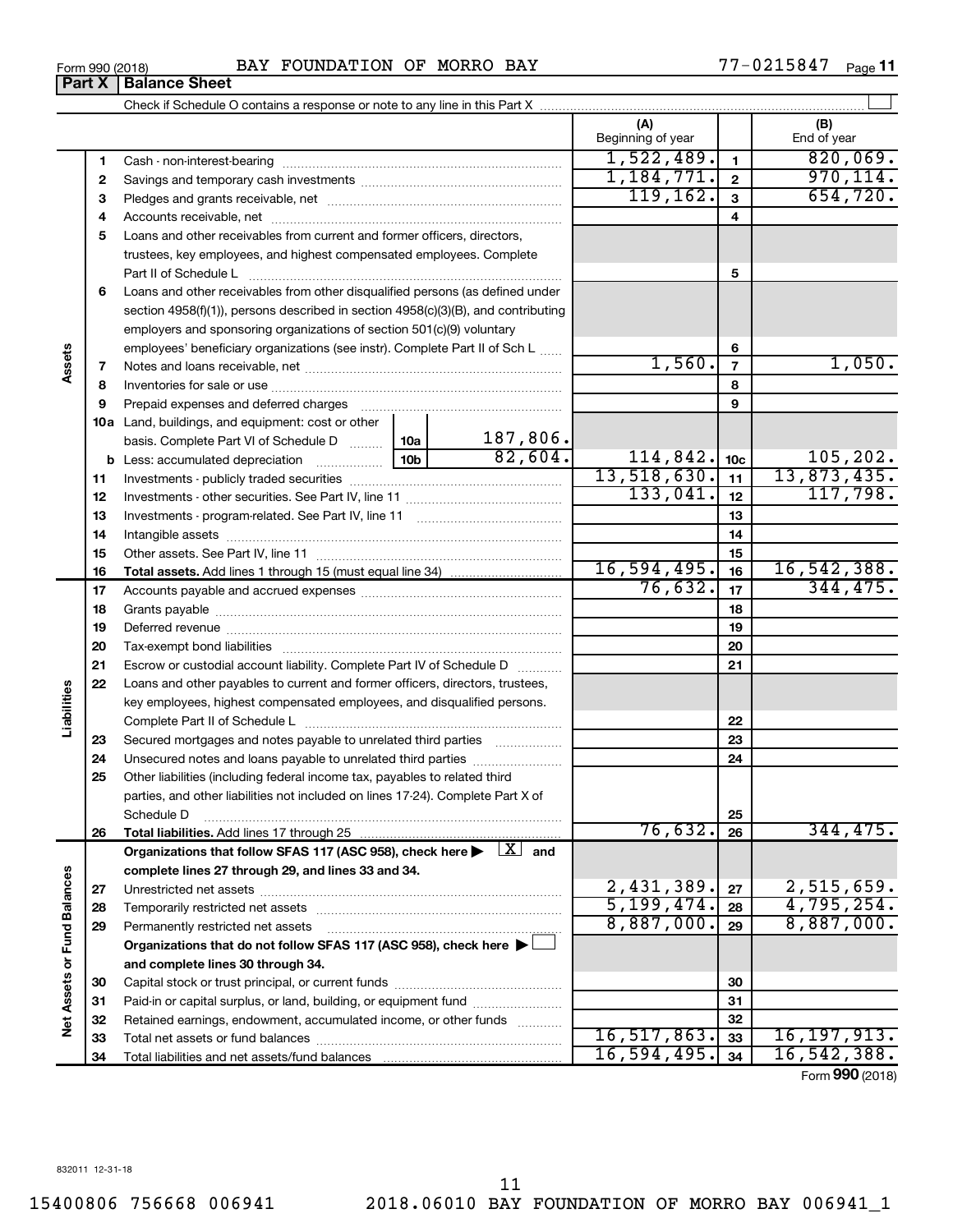| Form 990 (2018) | FOUNDATION OF MORRO BAY<br>BAY | ,-0215847<br>Page |
|-----------------|--------------------------------|-------------------|
|-----------------|--------------------------------|-------------------|

**(A) (B) 1 2 3** Check if Schedule O contains a response or note to any line in this Part X Beginning of year  $\vert$  | End of year ~~~~~~~~~~~~~~~~~~ ~~~~~~~~~~~~~~~~~~~~~  $1,522,489.$  1 820,069.

|                      | 1            | Cash - non-interest-bearing                                                                                                                                                                                                    | 1,522,489.                     | 1              | 820,069.                 |
|----------------------|--------------|--------------------------------------------------------------------------------------------------------------------------------------------------------------------------------------------------------------------------------|--------------------------------|----------------|--------------------------|
|                      | $\mathbf{2}$ |                                                                                                                                                                                                                                | 1,184,771.                     | $\mathbf{2}$   | 970, 114.                |
|                      | з            |                                                                                                                                                                                                                                | 119, 162.                      | 3              | 654,720.                 |
|                      | 4            |                                                                                                                                                                                                                                |                                | 4              |                          |
|                      | 5            | Loans and other receivables from current and former officers, directors,                                                                                                                                                       |                                |                |                          |
|                      |              | trustees, key employees, and highest compensated employees. Complete                                                                                                                                                           |                                |                |                          |
|                      |              | Part II of Schedule L                                                                                                                                                                                                          |                                | 5              |                          |
|                      | 6            | Loans and other receivables from other disqualified persons (as defined under                                                                                                                                                  |                                |                |                          |
|                      |              | section $4958(f)(1)$ , persons described in section $4958(c)(3)(B)$ , and contributing                                                                                                                                         |                                |                |                          |
|                      |              | employers and sponsoring organizations of section 501(c)(9) voluntary                                                                                                                                                          |                                |                |                          |
|                      |              | employees' beneficiary organizations (see instr). Complete Part II of Sch L                                                                                                                                                    |                                | 6              |                          |
| Assets               | 7            |                                                                                                                                                                                                                                | 1,560.                         | $\overline{7}$ | 1,050.                   |
|                      | 8            |                                                                                                                                                                                                                                |                                | 8              |                          |
|                      | 9            | Prepaid expenses and deferred charges [11] [11] prepaid expenses and deferred charges [11] [11] minimum and the P                                                                                                              |                                | 9              |                          |
|                      |              | 10a Land, buildings, and equipment: cost or other                                                                                                                                                                              |                                |                |                          |
|                      |              | 187,806.<br>basis. Complete Part VI of Schedule D  10a                                                                                                                                                                         |                                |                |                          |
|                      |              | 82,604.                                                                                                                                                                                                                        | 114,842.                       | 10c            | 105, 202.                |
|                      | 11           |                                                                                                                                                                                                                                | 13,518,630.                    | 11             | 13,873,435.              |
|                      | 12           |                                                                                                                                                                                                                                | 133,041.                       | 12             | 117,798.                 |
|                      | 13           |                                                                                                                                                                                                                                |                                | 13             |                          |
|                      | 14           | Intangible assets [111] intervention and the assets and the continuum and the continuum and the continuum and the continuum and the continuum and the continuum and the continuum and the continuum and continuum and continuu |                                | 14             |                          |
|                      | 15           |                                                                                                                                                                                                                                |                                | 15             |                          |
|                      | 16           |                                                                                                                                                                                                                                | 16, 594, 495.                  | 16             | 16,542,388.              |
|                      | 17           |                                                                                                                                                                                                                                | 76,632.                        | 17             | 344,475.                 |
|                      | 18           |                                                                                                                                                                                                                                |                                | 18             |                          |
|                      | 19           |                                                                                                                                                                                                                                |                                | 19             |                          |
|                      | 20           |                                                                                                                                                                                                                                |                                | 20             |                          |
|                      | 21           | Escrow or custodial account liability. Complete Part IV of Schedule D                                                                                                                                                          |                                | 21             |                          |
|                      | 22           | Loans and other payables to current and former officers, directors, trustees,                                                                                                                                                  |                                |                |                          |
| Liabilities          |              | key employees, highest compensated employees, and disqualified persons.                                                                                                                                                        |                                |                |                          |
|                      |              |                                                                                                                                                                                                                                |                                | 22             |                          |
|                      | 23           | Secured mortgages and notes payable to unrelated third parties                                                                                                                                                                 |                                | 23             |                          |
|                      | 24           | Unsecured notes and loans payable to unrelated third parties                                                                                                                                                                   |                                | 24             |                          |
|                      | 25           | Other liabilities (including federal income tax, payables to related third                                                                                                                                                     |                                |                |                          |
|                      |              | parties, and other liabilities not included on lines 17-24). Complete Part X of                                                                                                                                                |                                |                |                          |
|                      |              | Schedule D                                                                                                                                                                                                                     |                                | 25             |                          |
|                      | 26           |                                                                                                                                                                                                                                | 76,632.                        | 26             | 344,475.                 |
|                      |              | $\lfloor x \rfloor$<br>Organizations that follow SFAS 117 (ASC 958), check here<br>and                                                                                                                                         |                                |                |                          |
|                      |              | complete lines 27 through 29, and lines 33 and 34.                                                                                                                                                                             |                                |                |                          |
|                      | 27           |                                                                                                                                                                                                                                | 2,431,389.                     | 27             | 2,515,659.               |
|                      | 28           |                                                                                                                                                                                                                                | 5, 199, 474.                   | 28             | 4,795,254.<br>8,887,000. |
| <b>Fund Balances</b> | 29           | Permanently restricted net assets                                                                                                                                                                                              | 8,887,000.                     | 29             |                          |
|                      |              | Organizations that do not follow SFAS 117 (ASC 958), check here $\blacktriangleright$                                                                                                                                          |                                |                |                          |
| ð                    |              | and complete lines 30 through 34.                                                                                                                                                                                              |                                |                |                          |
|                      | 30           |                                                                                                                                                                                                                                |                                | 30             |                          |
|                      | 31           | Paid-in or capital surplus, or land, building, or equipment fund                                                                                                                                                               |                                | 31             |                          |
| <b>Net Assets</b>    | 32           | Retained earnings, endowment, accumulated income, or other funds                                                                                                                                                               |                                | 32             |                          |
|                      | 33           |                                                                                                                                                                                                                                | 16, 517, 863.<br>16, 594, 495. | 33             | 16,197,913.              |
|                      | 34           |                                                                                                                                                                                                                                |                                | 34             | 16,542,388.              |
|                      |              |                                                                                                                                                                                                                                |                                |                | Form 990 (2018)          |

 $\perp$ 

| Form 990 (2018)               |  |  |
|-------------------------------|--|--|
| <b>Part X   Balance Sheet</b> |  |  |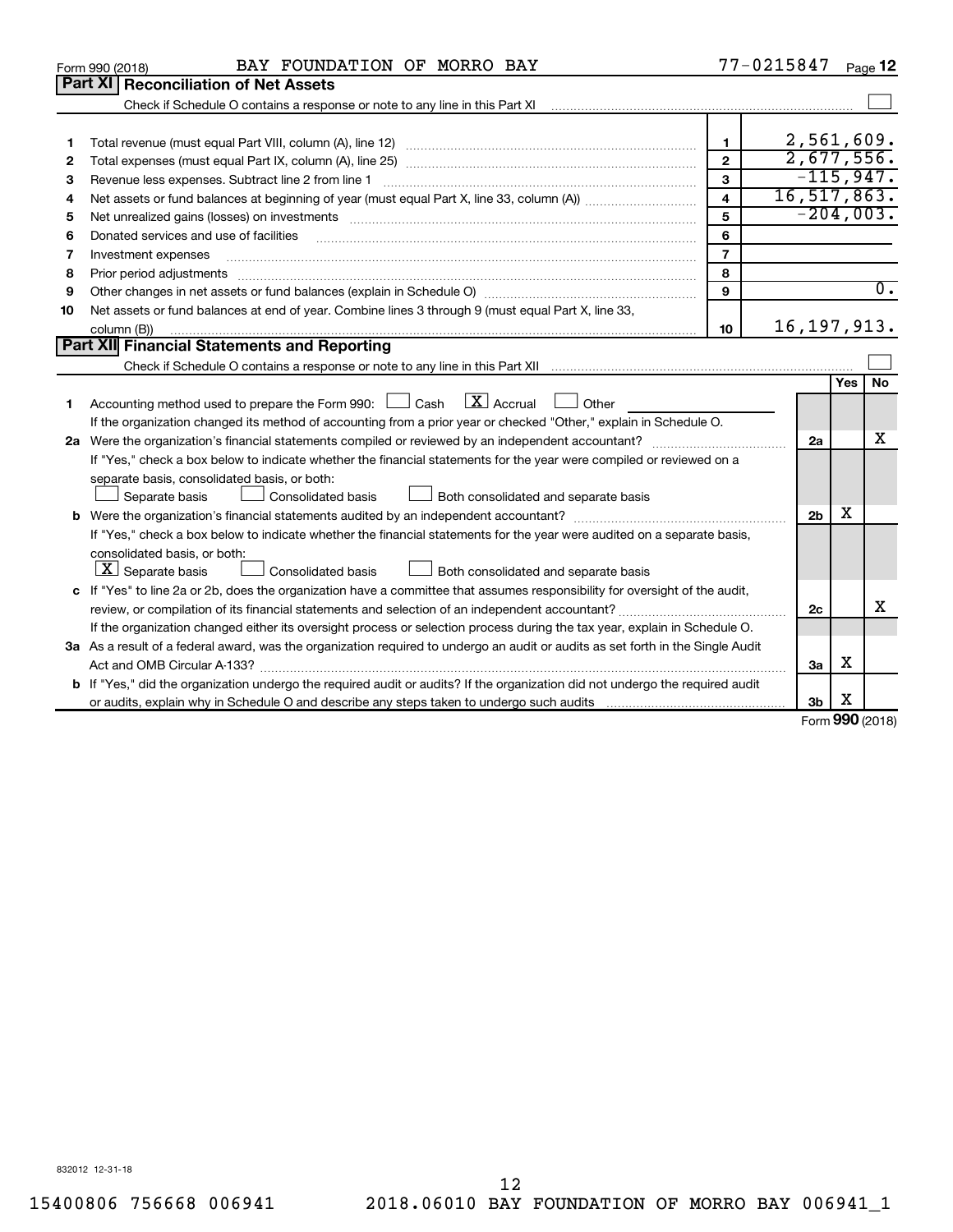|    | BAY FOUNDATION OF MORRO BAY<br>Form 990 (2018)                                                                                                                                                                                 |                         | 77-0215847     |          | Page 12          |
|----|--------------------------------------------------------------------------------------------------------------------------------------------------------------------------------------------------------------------------------|-------------------------|----------------|----------|------------------|
|    | Part XI   Reconciliation of Net Assets                                                                                                                                                                                         |                         |                |          |                  |
|    | Check if Schedule O contains a response or note to any line in this Part XI [11] [12] Check if Schedule O contains a response or note to any line in this Part XI                                                              |                         |                |          |                  |
|    |                                                                                                                                                                                                                                |                         |                |          |                  |
| 1  |                                                                                                                                                                                                                                | 1                       | 2,561,609.     |          |                  |
| 2  |                                                                                                                                                                                                                                | $\mathbf{2}$            | 2,677,556.     |          |                  |
| з  | Revenue less expenses. Subtract line 2 from line 1                                                                                                                                                                             | 3                       | $-115,947.$    |          |                  |
| 4  |                                                                                                                                                                                                                                | $\overline{\mathbf{4}}$ | 16, 517, 863.  |          |                  |
| 5  | Net unrealized gains (losses) on investments [111] matter in the contract of the contract of the contract of the contract of the contract of the contract of the contract of the contract of the contract of the contract of t | 5                       | $-204,003.$    |          |                  |
| 6  | Donated services and use of facilities                                                                                                                                                                                         | 6                       |                |          |                  |
| 7  | Investment expenses                                                                                                                                                                                                            | $\overline{7}$          |                |          |                  |
| 8  | Prior period adjustments                                                                                                                                                                                                       | 8                       |                |          |                  |
| 9  |                                                                                                                                                                                                                                | $\mathbf{9}$            |                |          | $\overline{0}$ . |
| 10 | Net assets or fund balances at end of year. Combine lines 3 through 9 (must equal Part X, line 33,                                                                                                                             |                         |                |          |                  |
|    | column (B))                                                                                                                                                                                                                    | 10                      | 16, 197, 913.  |          |                  |
|    | Part XII Financial Statements and Reporting                                                                                                                                                                                    |                         |                |          |                  |
|    |                                                                                                                                                                                                                                |                         |                |          |                  |
|    |                                                                                                                                                                                                                                |                         |                | Yes      | <b>No</b>        |
| 1  | $\lfloor \mathbf{X} \rfloor$ Accrual<br>Accounting method used to prepare the Form 990: [130] Cash<br>Other                                                                                                                    |                         |                |          |                  |
|    | If the organization changed its method of accounting from a prior year or checked "Other," explain in Schedule O.                                                                                                              |                         |                |          |                  |
|    |                                                                                                                                                                                                                                |                         | 2a             |          | x                |
|    | If "Yes," check a box below to indicate whether the financial statements for the year were compiled or reviewed on a                                                                                                           |                         |                |          |                  |
|    | separate basis, consolidated basis, or both:                                                                                                                                                                                   |                         |                |          |                  |
|    | Both consolidated and separate basis<br>Separate basis<br>Consolidated basis                                                                                                                                                   |                         |                |          |                  |
|    |                                                                                                                                                                                                                                |                         | 2 <sub>b</sub> | x        |                  |
|    | If "Yes," check a box below to indicate whether the financial statements for the year were audited on a separate basis,                                                                                                        |                         |                |          |                  |
|    | consolidated basis, or both:                                                                                                                                                                                                   |                         |                |          |                  |
|    | $ \mathbf{X} $ Separate basis<br>Consolidated basis<br>Both consolidated and separate basis                                                                                                                                    |                         |                |          |                  |
|    | c If "Yes" to line 2a or 2b, does the organization have a committee that assumes responsibility for oversight of the audit,                                                                                                    |                         |                |          |                  |
|    |                                                                                                                                                                                                                                |                         | 2c             |          | X                |
|    | If the organization changed either its oversight process or selection process during the tax year, explain in Schedule O.                                                                                                      |                         |                |          |                  |
|    | 3a As a result of a federal award, was the organization required to undergo an audit or audits as set forth in the Single Audit                                                                                                |                         |                |          |                  |
|    |                                                                                                                                                                                                                                |                         | 3a             | x        |                  |
|    | <b>b</b> If "Yes," did the organization undergo the required audit or audits? If the organization did not undergo the required audit                                                                                           |                         |                |          |                  |
|    |                                                                                                                                                                                                                                |                         | 3b             | X<br>nnn |                  |

Form (2018) **990**

832012 12-31-18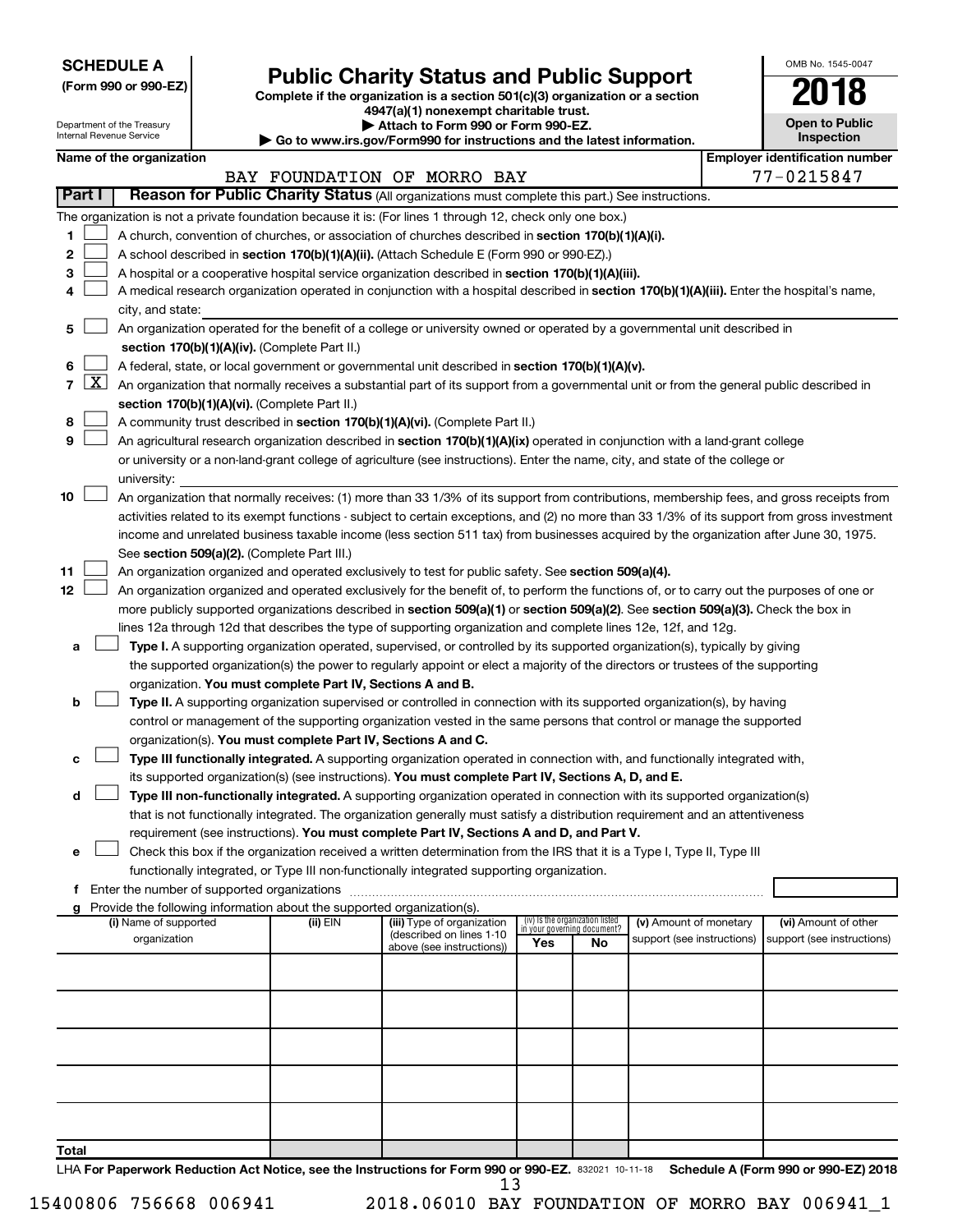**SCHEDULE A**

Department of the Treasury Internal Revenue Service

# Form 990 or 990-EZ)<br>
Complete if the organization is a section 501(c)(3) organization or a section<br> **Public Charity Status and Public Support**

**4947(a)(1) nonexempt charitable trust. | Attach to Form 990 or Form 990-EZ.** 

**| Go to www.irs.gov/Form990 for instructions and the latest information.**

| OMB No 1545-0047                    |
|-------------------------------------|
| $\mathbf{1}$<br>W                   |
| <b>Open to Public</b><br>Inspection |
|                                     |

 $\mathbf{I}$ 

| Name of the organization |  |
|--------------------------|--|
|--------------------------|--|

|                |        | Name of the organization                                                                                                                      |          |                                                       |                             |                                 |                            |  | <b>Employer identification number</b> |
|----------------|--------|-----------------------------------------------------------------------------------------------------------------------------------------------|----------|-------------------------------------------------------|-----------------------------|---------------------------------|----------------------------|--|---------------------------------------|
|                |        |                                                                                                                                               |          | BAY FOUNDATION OF MORRO BAY                           |                             |                                 |                            |  | 77-0215847                            |
|                | Part I | Reason for Public Charity Status (All organizations must complete this part.) See instructions.                                               |          |                                                       |                             |                                 |                            |  |                                       |
|                |        | The organization is not a private foundation because it is: (For lines 1 through 12, check only one box.)                                     |          |                                                       |                             |                                 |                            |  |                                       |
| 1              |        | A church, convention of churches, or association of churches described in section 170(b)(1)(A)(i).                                            |          |                                                       |                             |                                 |                            |  |                                       |
| 2              |        | A school described in section 170(b)(1)(A)(ii). (Attach Schedule E (Form 990 or 990-EZ).)                                                     |          |                                                       |                             |                                 |                            |  |                                       |
| 3              |        | A hospital or a cooperative hospital service organization described in section 170(b)(1)(A)(iii).                                             |          |                                                       |                             |                                 |                            |  |                                       |
| 4              |        | A medical research organization operated in conjunction with a hospital described in section 170(b)(1)(A)(iii). Enter the hospital's name,    |          |                                                       |                             |                                 |                            |  |                                       |
|                |        | city, and state:                                                                                                                              |          |                                                       |                             |                                 |                            |  |                                       |
| 5              |        | An organization operated for the benefit of a college or university owned or operated by a governmental unit described in                     |          |                                                       |                             |                                 |                            |  |                                       |
|                |        | section 170(b)(1)(A)(iv). (Complete Part II.)                                                                                                 |          |                                                       |                             |                                 |                            |  |                                       |
| 6              |        | A federal, state, or local government or governmental unit described in section 170(b)(1)(A)(v).                                              |          |                                                       |                             |                                 |                            |  |                                       |
| $\overline{7}$ |        | $X$ An organization that normally receives a substantial part of its support from a governmental unit or from the general public described in |          |                                                       |                             |                                 |                            |  |                                       |
|                |        | section 170(b)(1)(A)(vi). (Complete Part II.)                                                                                                 |          |                                                       |                             |                                 |                            |  |                                       |
| 8              |        | A community trust described in section 170(b)(1)(A)(vi). (Complete Part II.)                                                                  |          |                                                       |                             |                                 |                            |  |                                       |
| 9              |        | An agricultural research organization described in section 170(b)(1)(A)(ix) operated in conjunction with a land-grant college                 |          |                                                       |                             |                                 |                            |  |                                       |
|                |        | or university or a non-land-grant college of agriculture (see instructions). Enter the name, city, and state of the college or                |          |                                                       |                             |                                 |                            |  |                                       |
|                |        | university:                                                                                                                                   |          |                                                       |                             |                                 |                            |  |                                       |
| 10             |        | An organization that normally receives: (1) more than 33 1/3% of its support from contributions, membership fees, and gross receipts from     |          |                                                       |                             |                                 |                            |  |                                       |
|                |        | activities related to its exempt functions - subject to certain exceptions, and (2) no more than 33 1/3% of its support from gross investment |          |                                                       |                             |                                 |                            |  |                                       |
|                |        | income and unrelated business taxable income (less section 511 tax) from businesses acquired by the organization after June 30, 1975.         |          |                                                       |                             |                                 |                            |  |                                       |
|                |        | See section 509(a)(2). (Complete Part III.)                                                                                                   |          |                                                       |                             |                                 |                            |  |                                       |
| 11             |        | An organization organized and operated exclusively to test for public safety. See section 509(a)(4).                                          |          |                                                       |                             |                                 |                            |  |                                       |
| 12             |        | An organization organized and operated exclusively for the benefit of, to perform the functions of, or to carry out the purposes of one or    |          |                                                       |                             |                                 |                            |  |                                       |
|                |        | more publicly supported organizations described in section 509(a)(1) or section 509(a)(2). See section 509(a)(3). Check the box in            |          |                                                       |                             |                                 |                            |  |                                       |
|                |        | lines 12a through 12d that describes the type of supporting organization and complete lines 12e, 12f, and 12g.                                |          |                                                       |                             |                                 |                            |  |                                       |
| а              |        | Type I. A supporting organization operated, supervised, or controlled by its supported organization(s), typically by giving                   |          |                                                       |                             |                                 |                            |  |                                       |
|                |        | the supported organization(s) the power to regularly appoint or elect a majority of the directors or trustees of the supporting               |          |                                                       |                             |                                 |                            |  |                                       |
|                |        | organization. You must complete Part IV, Sections A and B.                                                                                    |          |                                                       |                             |                                 |                            |  |                                       |
| b              |        | Type II. A supporting organization supervised or controlled in connection with its supported organization(s), by having                       |          |                                                       |                             |                                 |                            |  |                                       |
|                |        | control or management of the supporting organization vested in the same persons that control or manage the supported                          |          |                                                       |                             |                                 |                            |  |                                       |
|                |        | organization(s). You must complete Part IV, Sections A and C.                                                                                 |          |                                                       |                             |                                 |                            |  |                                       |
| с              |        | Type III functionally integrated. A supporting organization operated in connection with, and functionally integrated with,                    |          |                                                       |                             |                                 |                            |  |                                       |
|                |        | its supported organization(s) (see instructions). You must complete Part IV, Sections A, D, and E.                                            |          |                                                       |                             |                                 |                            |  |                                       |
| d              |        | Type III non-functionally integrated. A supporting organization operated in connection with its supported organization(s)                     |          |                                                       |                             |                                 |                            |  |                                       |
|                |        | that is not functionally integrated. The organization generally must satisfy a distribution requirement and an attentiveness                  |          |                                                       |                             |                                 |                            |  |                                       |
|                |        | requirement (see instructions). You must complete Part IV, Sections A and D, and Part V.                                                      |          |                                                       |                             |                                 |                            |  |                                       |
|                |        | Check this box if the organization received a written determination from the IRS that it is a Type I, Type II, Type III                       |          |                                                       |                             |                                 |                            |  |                                       |
|                |        | functionally integrated, or Type III non-functionally integrated supporting organization.                                                     |          |                                                       |                             |                                 |                            |  |                                       |
|                |        | f Enter the number of supported organizations                                                                                                 |          |                                                       |                             |                                 |                            |  |                                       |
|                |        | g Provide the following information about the supported organization(s).                                                                      |          |                                                       |                             |                                 |                            |  |                                       |
|                |        | (i) Name of supported                                                                                                                         | (ii) EIN | (iii) Type of organization                            | in your governing document? | (iv) Is the organization listed | (v) Amount of monetary     |  | (vi) Amount of other                  |
|                |        | organization                                                                                                                                  |          | (described on lines 1-10<br>above (see instructions)) | Yes                         | No                              | support (see instructions) |  | support (see instructions)            |
|                |        |                                                                                                                                               |          |                                                       |                             |                                 |                            |  |                                       |
|                |        |                                                                                                                                               |          |                                                       |                             |                                 |                            |  |                                       |
|                |        |                                                                                                                                               |          |                                                       |                             |                                 |                            |  |                                       |
|                |        |                                                                                                                                               |          |                                                       |                             |                                 |                            |  |                                       |
|                |        |                                                                                                                                               |          |                                                       |                             |                                 |                            |  |                                       |
|                |        |                                                                                                                                               |          |                                                       |                             |                                 |                            |  |                                       |
|                |        |                                                                                                                                               |          |                                                       |                             |                                 |                            |  |                                       |
|                |        |                                                                                                                                               |          |                                                       |                             |                                 |                            |  |                                       |
|                |        |                                                                                                                                               |          |                                                       |                             |                                 |                            |  |                                       |
|                |        |                                                                                                                                               |          |                                                       |                             |                                 |                            |  |                                       |
| Total          |        |                                                                                                                                               |          |                                                       |                             |                                 |                            |  |                                       |
|                |        | $1 \text{ H}$ Ear Reparatively Reduction Act Notice, and the Instructions for Earm 000 or 000 EZ, assess that the                             |          |                                                       |                             |                                 |                            |  | Schodule A (Form 000 or 000 F7) 2019  |

832021 10-11-18 **For Paperwork Reduction Act Notice, see the Instructions for Form 990 or 990-EZ. Schedule A (Form 990 or 990-EZ) 2018** LHA For Paperwork Reduction 13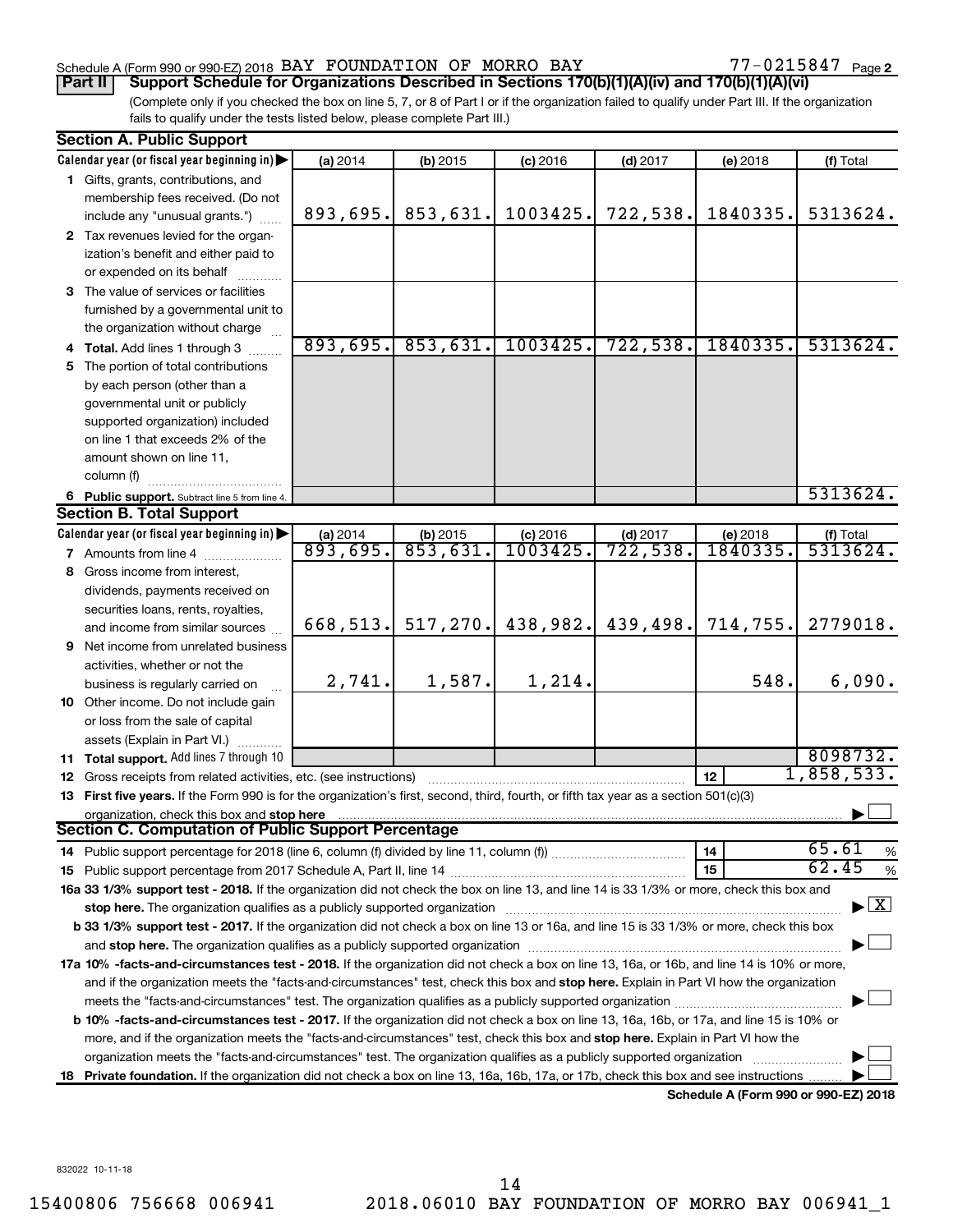## Schedule A (Form 990 or 990-EZ) 2018  $\,$  BAY FOUNDATION OF MORRO BAY  $\,$  77 - 0215847  $\,$  Page

77-0215847 Page 2

(Complete only if you checked the box on line 5, 7, or 8 of Part I or if the organization failed to qualify under Part III. If the organization fails to qualify under the tests listed below, please complete Part III.) **Part II Support Schedule for Organizations Described in Sections 170(b)(1)(A)(iv) and 170(b)(1)(A)(vi)**

|     | <b>Section A. Public Support</b>                                                                                                                                                                                                                                   |                        |                     |                     |            |                                      |                                          |
|-----|--------------------------------------------------------------------------------------------------------------------------------------------------------------------------------------------------------------------------------------------------------------------|------------------------|---------------------|---------------------|------------|--------------------------------------|------------------------------------------|
|     | Calendar year (or fiscal year beginning in)                                                                                                                                                                                                                        | (a) 2014               | (b) 2015            | $(c)$ 2016          | $(d)$ 2017 | (e) 2018                             | (f) Total                                |
|     | 1 Gifts, grants, contributions, and                                                                                                                                                                                                                                |                        |                     |                     |            |                                      |                                          |
|     | membership fees received. (Do not                                                                                                                                                                                                                                  |                        |                     |                     |            |                                      |                                          |
|     | include any "unusual grants.")                                                                                                                                                                                                                                     | 893,695.               | 853,631.            | 1003425.            | 722,538.   | 1840335.                             | 5313624.                                 |
|     | 2 Tax revenues levied for the organ-                                                                                                                                                                                                                               |                        |                     |                     |            |                                      |                                          |
|     | ization's benefit and either paid to                                                                                                                                                                                                                               |                        |                     |                     |            |                                      |                                          |
|     | or expended on its behalf                                                                                                                                                                                                                                          |                        |                     |                     |            |                                      |                                          |
|     | 3 The value of services or facilities                                                                                                                                                                                                                              |                        |                     |                     |            |                                      |                                          |
|     | furnished by a governmental unit to                                                                                                                                                                                                                                |                        |                     |                     |            |                                      |                                          |
|     | the organization without charge                                                                                                                                                                                                                                    |                        |                     |                     |            |                                      |                                          |
|     | 4 Total. Add lines 1 through 3                                                                                                                                                                                                                                     | 893,695.               | 853,631.            | 1003425.            | 722, 538.  | 1840335.                             | 5313624.                                 |
| 5.  | The portion of total contributions                                                                                                                                                                                                                                 |                        |                     |                     |            |                                      |                                          |
|     | by each person (other than a                                                                                                                                                                                                                                       |                        |                     |                     |            |                                      |                                          |
|     | governmental unit or publicly                                                                                                                                                                                                                                      |                        |                     |                     |            |                                      |                                          |
|     | supported organization) included                                                                                                                                                                                                                                   |                        |                     |                     |            |                                      |                                          |
|     | on line 1 that exceeds 2% of the                                                                                                                                                                                                                                   |                        |                     |                     |            |                                      |                                          |
|     | amount shown on line 11,                                                                                                                                                                                                                                           |                        |                     |                     |            |                                      |                                          |
|     | column (f)                                                                                                                                                                                                                                                         |                        |                     |                     |            |                                      |                                          |
|     | 6 Public support. Subtract line 5 from line 4.                                                                                                                                                                                                                     |                        |                     |                     |            |                                      | 5313624.                                 |
|     | <b>Section B. Total Support</b>                                                                                                                                                                                                                                    |                        |                     |                     |            |                                      |                                          |
|     | Calendar year (or fiscal year beginning in)                                                                                                                                                                                                                        | $\frac{2014}{893,695}$ | $\frac{1}{853,631}$ | $\frac{c}{1003425}$ | $(d)$ 2017 | (e) 2018                             | $(f)$ Total<br>5313624.                  |
|     | <b>7</b> Amounts from line 4                                                                                                                                                                                                                                       |                        |                     |                     | 722,538.   | 1840335.                             |                                          |
| 8   | Gross income from interest,                                                                                                                                                                                                                                        |                        |                     |                     |            |                                      |                                          |
|     | dividends, payments received on                                                                                                                                                                                                                                    |                        |                     |                     |            |                                      |                                          |
|     | securities loans, rents, royalties,                                                                                                                                                                                                                                |                        |                     |                     |            |                                      |                                          |
|     | and income from similar sources                                                                                                                                                                                                                                    | 668,513.               | 517, 270.           | 438,982.            | 439,498.   | 714,755.                             | 2779018.                                 |
|     | <b>9</b> Net income from unrelated business                                                                                                                                                                                                                        |                        |                     |                     |            |                                      |                                          |
|     | activities, whether or not the                                                                                                                                                                                                                                     |                        |                     |                     |            |                                      |                                          |
|     | business is regularly carried on                                                                                                                                                                                                                                   | 2,741.                 | 1,587.              | 1,214.              |            | 548.                                 | 6,090.                                   |
|     | 10 Other income. Do not include gain                                                                                                                                                                                                                               |                        |                     |                     |            |                                      |                                          |
|     | or loss from the sale of capital                                                                                                                                                                                                                                   |                        |                     |                     |            |                                      |                                          |
|     | assets (Explain in Part VI.)                                                                                                                                                                                                                                       |                        |                     |                     |            |                                      |                                          |
|     | 11 Total support. Add lines 7 through 10                                                                                                                                                                                                                           |                        |                     |                     |            |                                      | 8098732.                                 |
|     | 12 Gross receipts from related activities, etc. (see instructions)                                                                                                                                                                                                 |                        |                     |                     |            | 12                                   | 1,858,533.                               |
|     | 13 First five years. If the Form 990 is for the organization's first, second, third, fourth, or fifth tax year as a section 501(c)(3)                                                                                                                              |                        |                     |                     |            |                                      |                                          |
|     | organization, check this box and stop here<br>Section C. Computation of Public Support Percentage                                                                                                                                                                  |                        |                     |                     |            |                                      |                                          |
|     |                                                                                                                                                                                                                                                                    |                        |                     |                     |            |                                      | 65.61                                    |
|     |                                                                                                                                                                                                                                                                    |                        |                     |                     |            | 14<br>15                             | %<br>62.45                               |
|     | 16a 33 1/3% support test - 2018. If the organization did not check the box on line 13, and line 14 is 33 1/3% or more, check this box and                                                                                                                          |                        |                     |                     |            |                                      | %                                        |
|     |                                                                                                                                                                                                                                                                    |                        |                     |                     |            |                                      | $\blacktriangleright$ $\boxed{\text{X}}$ |
|     | stop here. The organization qualifies as a publicly supported organization manufaction manufacture or the organization<br>b 33 1/3% support test - 2017. If the organization did not check a box on line 13 or 16a, and line 15 is 33 1/3% or more, check this box |                        |                     |                     |            |                                      |                                          |
|     |                                                                                                                                                                                                                                                                    |                        |                     |                     |            |                                      |                                          |
|     | 17a 10% -facts-and-circumstances test - 2018. If the organization did not check a box on line 13, 16a, or 16b, and line 14 is 10% or more,                                                                                                                         |                        |                     |                     |            |                                      |                                          |
|     | and if the organization meets the "facts-and-circumstances" test, check this box and stop here. Explain in Part VI how the organization                                                                                                                            |                        |                     |                     |            |                                      |                                          |
|     |                                                                                                                                                                                                                                                                    |                        |                     |                     |            |                                      |                                          |
|     | <b>b 10%</b> -facts-and-circumstances test - 2017. If the organization did not check a box on line 13, 16a, 16b, or 17a, and line 15 is 10% or                                                                                                                     |                        |                     |                     |            |                                      |                                          |
|     | more, and if the organization meets the "facts-and-circumstances" test, check this box and stop here. Explain in Part VI how the                                                                                                                                   |                        |                     |                     |            |                                      |                                          |
|     | organization meets the "facts-and-circumstances" test. The organization qualifies as a publicly supported organization                                                                                                                                             |                        |                     |                     |            |                                      |                                          |
| 18. | Private foundation. If the organization did not check a box on line 13, 16a, 16b, 17a, or 17b, check this box and see instructions                                                                                                                                 |                        |                     |                     |            |                                      |                                          |
|     |                                                                                                                                                                                                                                                                    |                        |                     |                     |            | Schedule A (Form 990 or 990-F7) 2018 |                                          |

**Schedule A (Form 990 or 990-EZ) 2018**

832022 10-11-18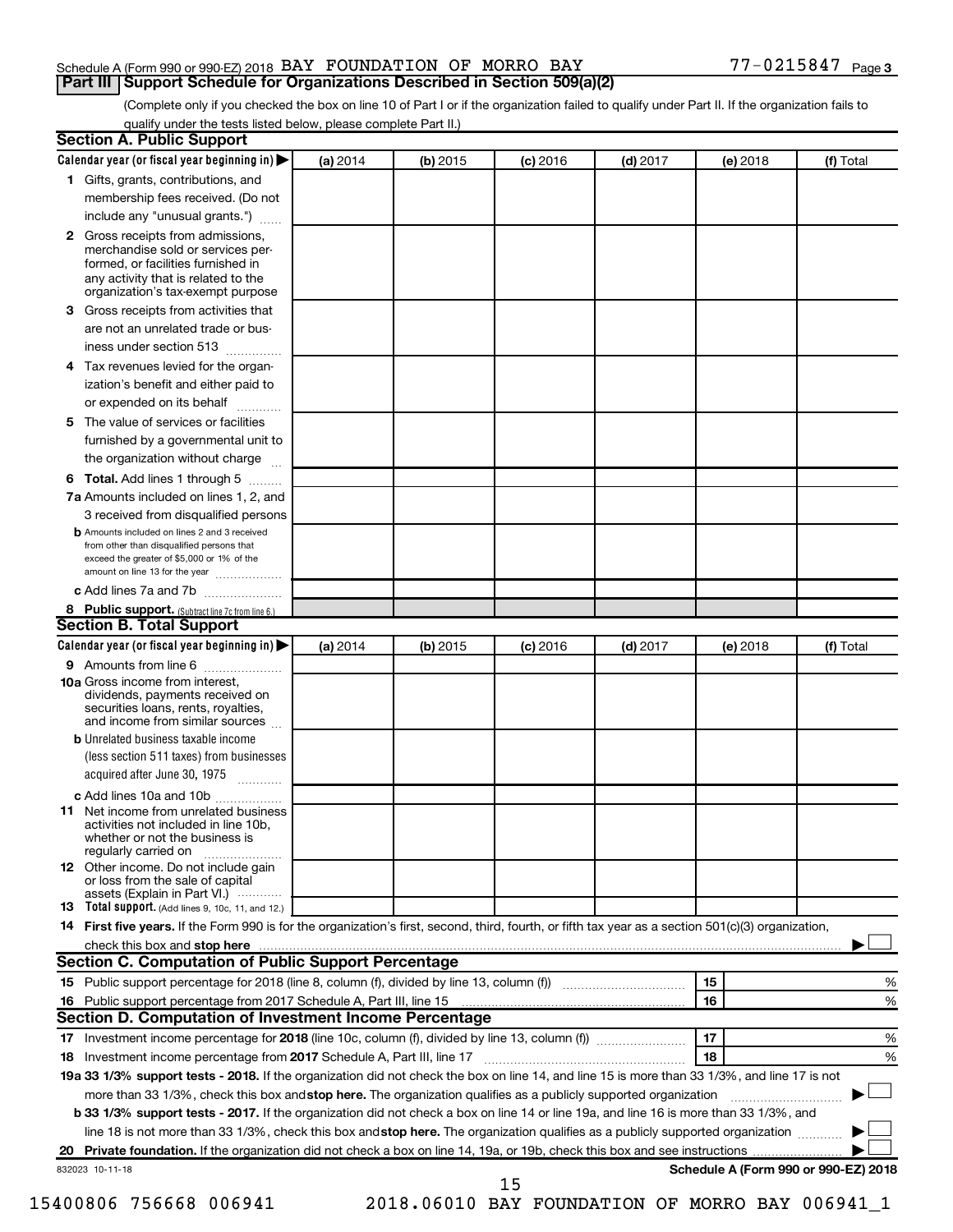## Schedule A (Form 990 or 990-EZ) 2018  $\,$  BAY FOUNDATION OF MORRO BAY  $\,$  77 - 0215847  $\,$  Page **Part III Support Schedule for Organizations Described in Section 509(a)(2)**

(Complete only if you checked the box on line 10 of Part I or if the organization failed to qualify under Part II. If the organization fails to qualify under the tests listed below, please complete Part II.)

| <b>Section A. Public Support</b>                                                                                                                                                                |          |            |            |            |          |                                      |
|-------------------------------------------------------------------------------------------------------------------------------------------------------------------------------------------------|----------|------------|------------|------------|----------|--------------------------------------|
| Calendar year (or fiscal year beginning in)                                                                                                                                                     | (a) 2014 | (b) 2015   | $(c)$ 2016 | $(d)$ 2017 | (e) 2018 | (f) Total                            |
| 1 Gifts, grants, contributions, and                                                                                                                                                             |          |            |            |            |          |                                      |
| membership fees received. (Do not                                                                                                                                                               |          |            |            |            |          |                                      |
| include any "unusual grants.")                                                                                                                                                                  |          |            |            |            |          |                                      |
| <b>2</b> Gross receipts from admissions,<br>merchandise sold or services per-<br>formed, or facilities furnished in<br>any activity that is related to the<br>organization's tax-exempt purpose |          |            |            |            |          |                                      |
| 3 Gross receipts from activities that                                                                                                                                                           |          |            |            |            |          |                                      |
| are not an unrelated trade or bus-                                                                                                                                                              |          |            |            |            |          |                                      |
| iness under section 513                                                                                                                                                                         |          |            |            |            |          |                                      |
| 4 Tax revenues levied for the organ-                                                                                                                                                            |          |            |            |            |          |                                      |
| ization's benefit and either paid to                                                                                                                                                            |          |            |            |            |          |                                      |
| or expended on its behalf                                                                                                                                                                       |          |            |            |            |          |                                      |
| 5 The value of services or facilities                                                                                                                                                           |          |            |            |            |          |                                      |
| furnished by a governmental unit to                                                                                                                                                             |          |            |            |            |          |                                      |
| the organization without charge                                                                                                                                                                 |          |            |            |            |          |                                      |
| 6 Total. Add lines 1 through 5                                                                                                                                                                  |          |            |            |            |          |                                      |
| 7a Amounts included on lines 1, 2, and                                                                                                                                                          |          |            |            |            |          |                                      |
| 3 received from disqualified persons                                                                                                                                                            |          |            |            |            |          |                                      |
| <b>b</b> Amounts included on lines 2 and 3 received<br>from other than disqualified persons that<br>exceed the greater of \$5,000 or 1% of the<br>amount on line 13 for the year                |          |            |            |            |          |                                      |
| c Add lines 7a and 7b                                                                                                                                                                           |          |            |            |            |          |                                      |
| 8 Public support. (Subtract line 7c from line 6.)                                                                                                                                               |          |            |            |            |          |                                      |
| <b>Section B. Total Support</b>                                                                                                                                                                 |          |            |            |            |          |                                      |
| Calendar year (or fiscal year beginning in)                                                                                                                                                     | (a) 2014 | $(b)$ 2015 | $(c)$ 2016 | $(d)$ 2017 | (e) 2018 | (f) Total                            |
| 9 Amounts from line 6                                                                                                                                                                           |          |            |            |            |          |                                      |
| <b>10a</b> Gross income from interest,<br>dividends, payments received on<br>securities loans, rents, royalties,<br>and income from similar sources                                             |          |            |            |            |          |                                      |
| <b>b</b> Unrelated business taxable income                                                                                                                                                      |          |            |            |            |          |                                      |
| (less section 511 taxes) from businesses                                                                                                                                                        |          |            |            |            |          |                                      |
| acquired after June 30, 1975                                                                                                                                                                    |          |            |            |            |          |                                      |
| c Add lines 10a and 10b                                                                                                                                                                         |          |            |            |            |          |                                      |
| <b>11</b> Net income from unrelated business<br>activities not included in line 10b.<br>whether or not the business is<br>regularly carried on                                                  |          |            |            |            |          |                                      |
| 12 Other income. Do not include gain<br>or loss from the sale of capital<br>assets (Explain in Part VI.)                                                                                        |          |            |            |            |          |                                      |
| <b>13</b> Total support. (Add lines 9, 10c, 11, and 12.)                                                                                                                                        |          |            |            |            |          |                                      |
| 14 First five years. If the Form 990 is for the organization's first, second, third, fourth, or fifth tax year as a section 501(c)(3) organization,                                             |          |            |            |            |          |                                      |
| check this box and stop here <b>contained and the contained and stop here</b> check this box and stop here <b>contained and stop here</b>                                                       |          |            |            |            |          |                                      |
| Section C. Computation of Public Support Percentage                                                                                                                                             |          |            |            |            |          |                                      |
| 15 Public support percentage for 2018 (line 8, column (f), divided by line 13, column (f) <i></i>                                                                                               |          |            |            |            | 15       | ℅                                    |
|                                                                                                                                                                                                 |          |            |            |            | 16       | %                                    |
| Section D. Computation of Investment Income Percentage                                                                                                                                          |          |            |            |            |          |                                      |
|                                                                                                                                                                                                 |          |            |            |            | 17       | %                                    |
| 18 Investment income percentage from 2017 Schedule A, Part III, line 17                                                                                                                         |          |            |            |            | 18       | %                                    |
| 19a 33 1/3% support tests - 2018. If the organization did not check the box on line 14, and line 15 is more than 33 1/3%, and line 17 is not                                                    |          |            |            |            |          |                                      |
| more than 33 1/3%, check this box and stop here. The organization qualifies as a publicly supported organization                                                                                |          |            |            |            |          |                                      |
| b 33 1/3% support tests - 2017. If the organization did not check a box on line 14 or line 19a, and line 16 is more than 33 1/3%, and                                                           |          |            |            |            |          |                                      |
| line 18 is not more than 33 1/3%, check this box and stop here. The organization qualifies as a publicly supported organization                                                                 |          |            |            |            |          |                                      |
|                                                                                                                                                                                                 |          |            |            |            |          |                                      |
| 832023 10-11-18                                                                                                                                                                                 |          |            | 15         |            |          | Schedule A (Form 990 or 990-EZ) 2018 |
|                                                                                                                                                                                                 |          |            |            |            |          |                                      |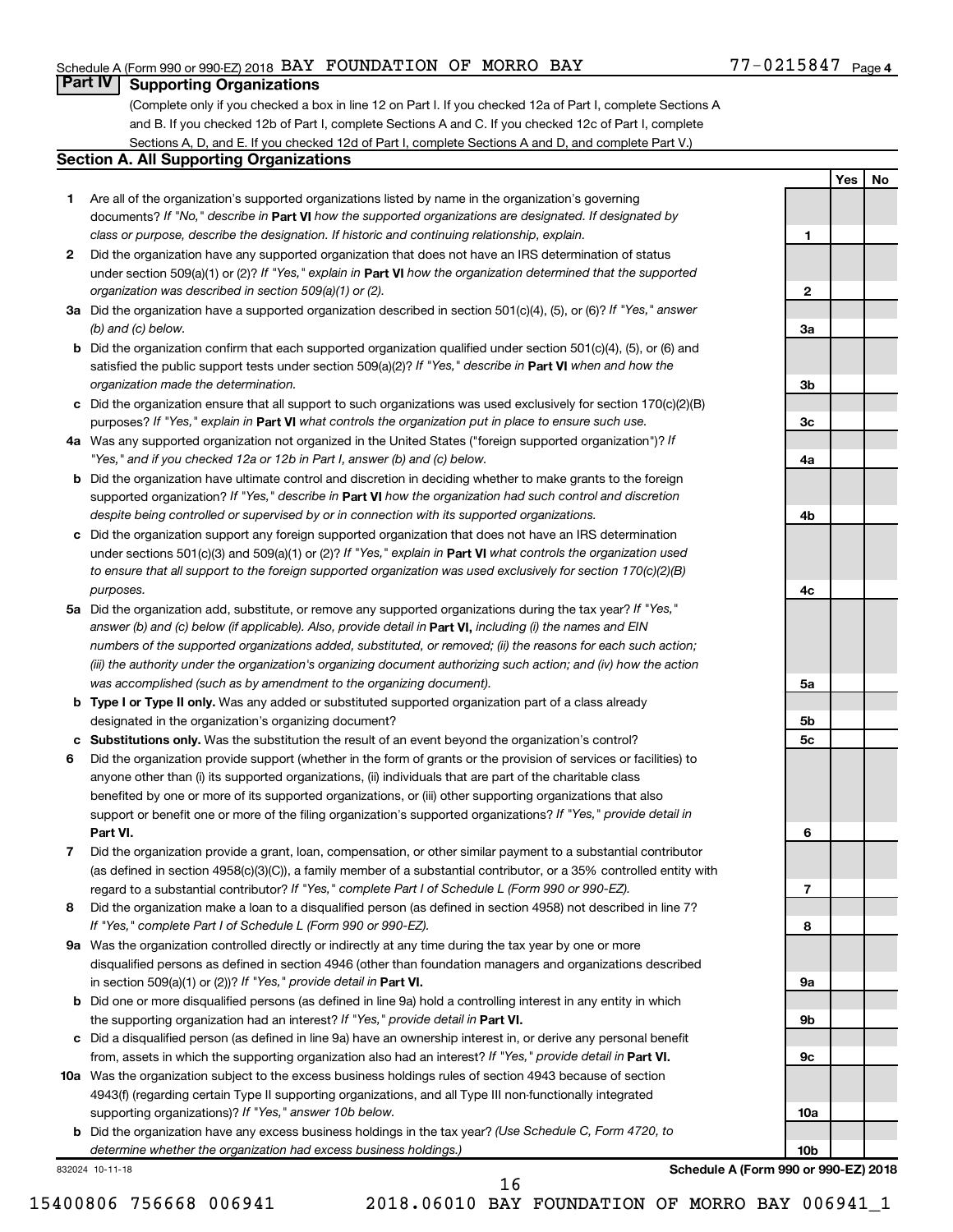## Schedule A (Form 990 or 990-EZ) 2018  $\,$  BAY FOUNDATION OF MORRO BAY  $\,$  77 - 0215847  $\,$  Page

## **Part IV Supporting Organizations**

(Complete only if you checked a box in line 12 on Part I. If you checked 12a of Part I, complete Sections A and B. If you checked 12b of Part I, complete Sections A and C. If you checked 12c of Part I, complete Sections A, D, and E. If you checked 12d of Part I, complete Sections A and D, and complete Part V.)

## **Section A. All Supporting Organizations**

- **1** Are all of the organization's supported organizations listed by name in the organization's governing documents? If "No," describe in Part VI how the supported organizations are designated. If designated by *class or purpose, describe the designation. If historic and continuing relationship, explain.*
- **2** Did the organization have any supported organization that does not have an IRS determination of status under section 509(a)(1) or (2)? If "Yes," explain in Part **VI** how the organization determined that the supported *organization was described in section 509(a)(1) or (2).*
- **3a** Did the organization have a supported organization described in section 501(c)(4), (5), or (6)? If "Yes," answer *(b) and (c) below.*
- **b** Did the organization confirm that each supported organization qualified under section 501(c)(4), (5), or (6) and satisfied the public support tests under section 509(a)(2)? If "Yes," describe in Part VI when and how the *organization made the determination.*
- **c** Did the organization ensure that all support to such organizations was used exclusively for section 170(c)(2)(B) purposes? If "Yes," explain in Part VI what controls the organization put in place to ensure such use.
- **4 a** *If* Was any supported organization not organized in the United States ("foreign supported organization")? *"Yes," and if you checked 12a or 12b in Part I, answer (b) and (c) below.*
- **b** Did the organization have ultimate control and discretion in deciding whether to make grants to the foreign supported organization? If "Yes," describe in Part VI how the organization had such control and discretion *despite being controlled or supervised by or in connection with its supported organizations.*
- **c** Did the organization support any foreign supported organization that does not have an IRS determination under sections 501(c)(3) and 509(a)(1) or (2)? If "Yes," explain in Part VI what controls the organization used *to ensure that all support to the foreign supported organization was used exclusively for section 170(c)(2)(B) purposes.*
- **5a** Did the organization add, substitute, or remove any supported organizations during the tax year? If "Yes," answer (b) and (c) below (if applicable). Also, provide detail in **Part VI,** including (i) the names and EIN *numbers of the supported organizations added, substituted, or removed; (ii) the reasons for each such action; (iii) the authority under the organization's organizing document authorizing such action; and (iv) how the action was accomplished (such as by amendment to the organizing document).*
- **b Type I or Type II only.** Was any added or substituted supported organization part of a class already designated in the organization's organizing document?
- **c Substitutions only.**  Was the substitution the result of an event beyond the organization's control?
- **6** Did the organization provide support (whether in the form of grants or the provision of services or facilities) to **Part VI.** support or benefit one or more of the filing organization's supported organizations? If "Yes," provide detail in anyone other than (i) its supported organizations, (ii) individuals that are part of the charitable class benefited by one or more of its supported organizations, or (iii) other supporting organizations that also
- **7** Did the organization provide a grant, loan, compensation, or other similar payment to a substantial contributor regard to a substantial contributor? If "Yes," complete Part I of Schedule L (Form 990 or 990-EZ). (as defined in section 4958(c)(3)(C)), a family member of a substantial contributor, or a 35% controlled entity with
- **8** Did the organization make a loan to a disqualified person (as defined in section 4958) not described in line 7? *If "Yes," complete Part I of Schedule L (Form 990 or 990-EZ).*
- **9 a** Was the organization controlled directly or indirectly at any time during the tax year by one or more in section 509(a)(1) or (2))? If "Yes," provide detail in **Part VI.** disqualified persons as defined in section 4946 (other than foundation managers and organizations described
- **b** Did one or more disqualified persons (as defined in line 9a) hold a controlling interest in any entity in which the supporting organization had an interest? If "Yes," provide detail in Part VI.
- **c** Did a disqualified person (as defined in line 9a) have an ownership interest in, or derive any personal benefit from, assets in which the supporting organization also had an interest? If "Yes," provide detail in Part VI.
- **10 a** Was the organization subject to the excess business holdings rules of section 4943 because of section supporting organizations)? If "Yes," answer 10b below. 4943(f) (regarding certain Type II supporting organizations, and all Type III non-functionally integrated
	- **b** Did the organization have any excess business holdings in the tax year? (Use Schedule C, Form 4720, to *determine whether the organization had excess business holdings.)*

832024 10-11-18

**Yes No**

| 2               |  |  |
|-----------------|--|--|
|                 |  |  |
| За              |  |  |
|                 |  |  |
|                 |  |  |
| 3b              |  |  |
|                 |  |  |
| 3c              |  |  |
| 4a              |  |  |
|                 |  |  |
|                 |  |  |
| 4b              |  |  |
|                 |  |  |
|                 |  |  |
|                 |  |  |
| 4c              |  |  |
|                 |  |  |
|                 |  |  |
|                 |  |  |
|                 |  |  |
| 5a              |  |  |
|                 |  |  |
| 5b<br>5c        |  |  |
|                 |  |  |
|                 |  |  |
|                 |  |  |
|                 |  |  |
| 6               |  |  |
|                 |  |  |
|                 |  |  |
| 7               |  |  |
|                 |  |  |
| 8               |  |  |
|                 |  |  |
| 9а              |  |  |
|                 |  |  |
| 9b              |  |  |
|                 |  |  |
| 9c              |  |  |
|                 |  |  |
|                 |  |  |
| 10a             |  |  |
| 10 <sub>b</sub> |  |  |

**1**

**Schedule A (Form 990 or 990-EZ) 2018**

15400806 756668 006941 2018.06010 BAY FOUNDATION OF MORRO BAY 006941\_1

16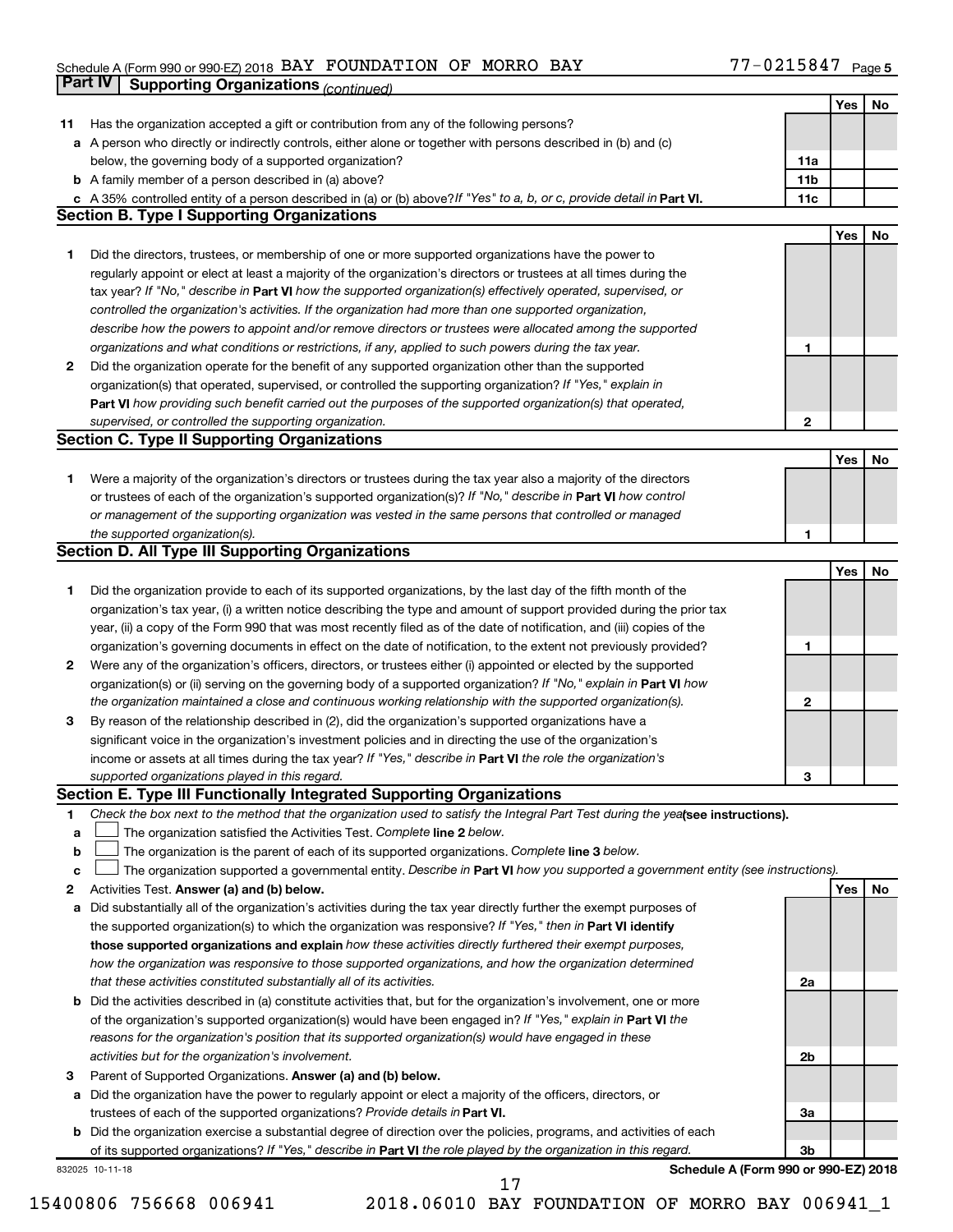#### Schedule A (Form 990 or 990-EZ) 2018 Page BAY FOUNDATION OF MORRO BAY 77-0215847

|    | <b>Part IV</b>  | <b>Supporting Organizations (continued)</b>                                                                                     |                 |            |    |
|----|-----------------|---------------------------------------------------------------------------------------------------------------------------------|-----------------|------------|----|
|    |                 |                                                                                                                                 |                 | Yes        | No |
| 11 |                 | Has the organization accepted a gift or contribution from any of the following persons?                                         |                 |            |    |
| а  |                 | A person who directly or indirectly controls, either alone or together with persons described in (b) and (c)                    |                 |            |    |
|    |                 | below, the governing body of a supported organization?                                                                          | 11a             |            |    |
|    |                 | <b>b</b> A family member of a person described in (a) above?                                                                    | 11 <sub>b</sub> |            |    |
|    |                 | c A 35% controlled entity of a person described in (a) or (b) above? If "Yes" to a, b, or c, provide detail in Part VI.         | 11c             |            |    |
|    |                 | <b>Section B. Type I Supporting Organizations</b>                                                                               |                 |            |    |
|    |                 |                                                                                                                                 |                 | Yes        | No |
| 1. |                 | Did the directors, trustees, or membership of one or more supported organizations have the power to                             |                 |            |    |
|    |                 | regularly appoint or elect at least a majority of the organization's directors or trustees at all times during the              |                 |            |    |
|    |                 |                                                                                                                                 |                 |            |    |
|    |                 | tax year? If "No," describe in Part VI how the supported organization(s) effectively operated, supervised, or                   |                 |            |    |
|    |                 | controlled the organization's activities. If the organization had more than one supported organization,                         |                 |            |    |
|    |                 | describe how the powers to appoint and/or remove directors or trustees were allocated among the supported                       |                 |            |    |
|    |                 | organizations and what conditions or restrictions, if any, applied to such powers during the tax year.                          | 1               |            |    |
| 2  |                 | Did the organization operate for the benefit of any supported organization other than the supported                             |                 |            |    |
|    |                 | organization(s) that operated, supervised, or controlled the supporting organization? If "Yes," explain in                      |                 |            |    |
|    |                 | Part VI how providing such benefit carried out the purposes of the supported organization(s) that operated,                     |                 |            |    |
|    |                 | supervised, or controlled the supporting organization.                                                                          | 2               |            |    |
|    |                 | <b>Section C. Type II Supporting Organizations</b>                                                                              |                 |            |    |
|    |                 |                                                                                                                                 |                 | Yes        | No |
| 1. |                 | Were a majority of the organization's directors or trustees during the tax year also a majority of the directors                |                 |            |    |
|    |                 | or trustees of each of the organization's supported organization(s)? If "No," describe in Part VI how control                   |                 |            |    |
|    |                 | or management of the supporting organization was vested in the same persons that controlled or managed                          |                 |            |    |
|    |                 | the supported organization(s).                                                                                                  | 1               |            |    |
|    |                 | <b>Section D. All Type III Supporting Organizations</b>                                                                         |                 |            |    |
|    |                 |                                                                                                                                 |                 | Yes        | No |
| 1  |                 | Did the organization provide to each of its supported organizations, by the last day of the fifth month of the                  |                 |            |    |
|    |                 | organization's tax year, (i) a written notice describing the type and amount of support provided during the prior tax           |                 |            |    |
|    |                 | year, (ii) a copy of the Form 990 that was most recently filed as of the date of notification, and (iii) copies of the          |                 |            |    |
|    |                 | organization's governing documents in effect on the date of notification, to the extent not previously provided?                | 1               |            |    |
| 2  |                 | Were any of the organization's officers, directors, or trustees either (i) appointed or elected by the supported                |                 |            |    |
|    |                 | organization(s) or (ii) serving on the governing body of a supported organization? If "No," explain in Part VI how              |                 |            |    |
|    |                 | the organization maintained a close and continuous working relationship with the supported organization(s).                     | 2               |            |    |
| 3  |                 | By reason of the relationship described in (2), did the organization's supported organizations have a                           |                 |            |    |
|    |                 | significant voice in the organization's investment policies and in directing the use of the organization's                      |                 |            |    |
|    |                 | income or assets at all times during the tax year? If "Yes," describe in Part VI the role the organization's                    |                 |            |    |
|    |                 | supported organizations played in this regard.                                                                                  |                 |            |    |
|    |                 | Section E. Type III Functionally Integrated Supporting Organizations                                                            | з               |            |    |
|    |                 |                                                                                                                                 |                 |            |    |
| 1  |                 | Check the box next to the method that the organization used to satisfy the Integral Part Test during the yealsee instructions). |                 |            |    |
| a  |                 | The organization satisfied the Activities Test. Complete line 2 below.                                                          |                 |            |    |
| b  |                 | The organization is the parent of each of its supported organizations. Complete line 3 below.                                   |                 |            |    |
| c  |                 | The organization supported a governmental entity. Describe in Part VI how you supported a government entity (see instructions). |                 |            |    |
| 2  |                 | Activities Test. Answer (a) and (b) below.                                                                                      |                 | <b>Yes</b> | No |
| а  |                 | Did substantially all of the organization's activities during the tax year directly further the exempt purposes of              |                 |            |    |
|    |                 | the supported organization(s) to which the organization was responsive? If "Yes," then in Part VI identify                      |                 |            |    |
|    |                 | those supported organizations and explain how these activities directly furthered their exempt purposes,                        |                 |            |    |
|    |                 | how the organization was responsive to those supported organizations, and how the organization determined                       |                 |            |    |
|    |                 | that these activities constituted substantially all of its activities.                                                          | 2a              |            |    |
| b  |                 | Did the activities described in (a) constitute activities that, but for the organization's involvement, one or more             |                 |            |    |
|    |                 | of the organization's supported organization(s) would have been engaged in? If "Yes," explain in Part VI the                    |                 |            |    |
|    |                 | reasons for the organization's position that its supported organization(s) would have engaged in these                          |                 |            |    |
|    |                 | activities but for the organization's involvement.                                                                              | 2b              |            |    |
| з  |                 | Parent of Supported Organizations. Answer (a) and (b) below.                                                                    |                 |            |    |
| а  |                 | Did the organization have the power to regularly appoint or elect a majority of the officers, directors, or                     |                 |            |    |
|    |                 | trustees of each of the supported organizations? Provide details in Part VI.                                                    | За              |            |    |
|    |                 | <b>b</b> Did the organization exercise a substantial degree of direction over the policies, programs, and activities of each    |                 |            |    |
|    |                 | of its supported organizations? If "Yes," describe in Part VI the role played by the organization in this regard.               | 3b              |            |    |
|    | 832025 10-11-18 | Schedule A (Form 990 or 990-EZ) 2018                                                                                            |                 |            |    |
|    |                 | 17                                                                                                                              |                 |            |    |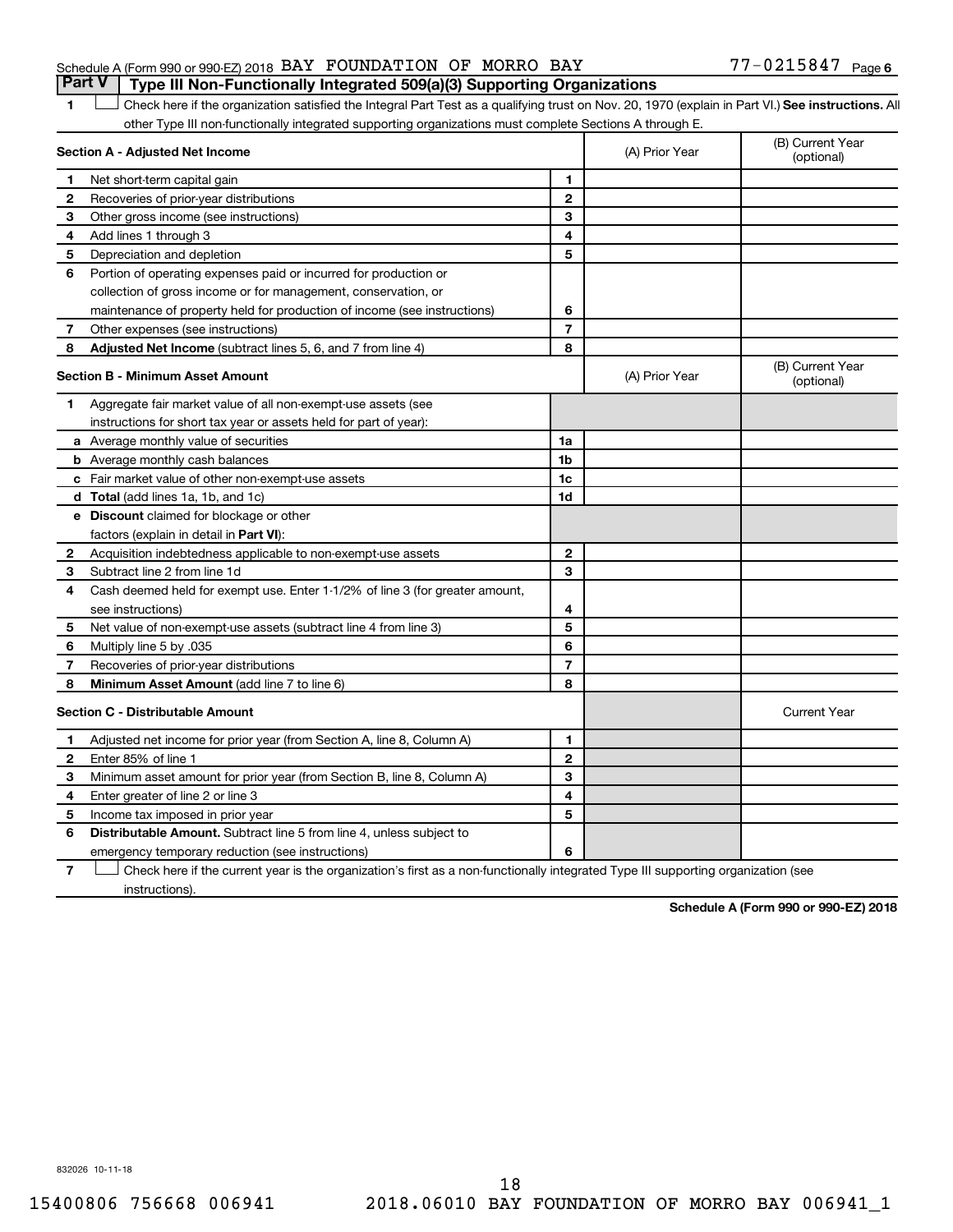## Schedule A (Form 990 or 990-EZ) 2018  $\,$  BAY FOUNDATION OF MORRO BAY  $\,$  77 - 0215847  $\,$  Page **Part V Type III Non-Functionally Integrated 509(a)(3) Supporting Organizations**

## 1 **Letter See instructions.** All Check here if the organization satisfied the Integral Part Test as a qualifying trust on Nov. 20, 1970 (explain in Part VI.) See instructions. All other Type III non-functionally integrated supporting organizations must complete Sections A through E.

|              | Section A - Adjusted Net Income                                              |                | (A) Prior Year | (B) Current Year<br>(optional) |
|--------------|------------------------------------------------------------------------------|----------------|----------------|--------------------------------|
| 1            | Net short-term capital gain                                                  | 1              |                |                                |
| $\mathbf{2}$ | Recoveries of prior-year distributions                                       | $\mathbf{2}$   |                |                                |
| З            | Other gross income (see instructions)                                        | 3              |                |                                |
| 4            | Add lines 1 through 3                                                        | 4              |                |                                |
| 5            | Depreciation and depletion                                                   | 5              |                |                                |
| 6            | Portion of operating expenses paid or incurred for production or             |                |                |                                |
|              | collection of gross income or for management, conservation, or               |                |                |                                |
|              | maintenance of property held for production of income (see instructions)     | 6              |                |                                |
| 7            | Other expenses (see instructions)                                            | $\overline{7}$ |                |                                |
| 8            | <b>Adjusted Net Income</b> (subtract lines 5, 6, and 7 from line 4)          | 8              |                |                                |
|              | <b>Section B - Minimum Asset Amount</b>                                      |                | (A) Prior Year | (B) Current Year<br>(optional) |
| 1            | Aggregate fair market value of all non-exempt-use assets (see                |                |                |                                |
|              | instructions for short tax year or assets held for part of year):            |                |                |                                |
|              | a Average monthly value of securities                                        | 1a             |                |                                |
|              | <b>b</b> Average monthly cash balances                                       | 1b             |                |                                |
|              | c Fair market value of other non-exempt-use assets                           | 1c             |                |                                |
|              | <b>d</b> Total (add lines 1a, 1b, and 1c)                                    | 1d             |                |                                |
|              | e Discount claimed for blockage or other                                     |                |                |                                |
|              | factors (explain in detail in Part VI):                                      |                |                |                                |
| 2            | Acquisition indebtedness applicable to non-exempt-use assets                 | $\mathbf{2}$   |                |                                |
| 3            | Subtract line 2 from line 1d                                                 | 3              |                |                                |
| 4            | Cash deemed held for exempt use. Enter 1-1/2% of line 3 (for greater amount, |                |                |                                |
|              | see instructions)                                                            | 4              |                |                                |
| 5            | Net value of non-exempt-use assets (subtract line 4 from line 3)             | 5              |                |                                |
| 6            | Multiply line 5 by .035                                                      | 6              |                |                                |
| 7            | Recoveries of prior-year distributions                                       | $\overline{7}$ |                |                                |
| 8            | <b>Minimum Asset Amount</b> (add line 7 to line 6)                           | 8              |                |                                |
|              | <b>Section C - Distributable Amount</b>                                      |                |                | <b>Current Year</b>            |
| 1            | Adjusted net income for prior year (from Section A, line 8, Column A)        | 1              |                |                                |
| 2            | Enter 85% of line 1                                                          | $\mathbf{2}$   |                |                                |
| З            | Minimum asset amount for prior year (from Section B, line 8, Column A)       | 3              |                |                                |
| 4            | Enter greater of line 2 or line 3                                            | 4              |                |                                |
| 5            | Income tax imposed in prior year                                             | 5              |                |                                |
| 6            | <b>Distributable Amount.</b> Subtract line 5 from line 4, unless subject to  |                |                |                                |
|              | emergency temporary reduction (see instructions)                             | 6              |                |                                |
|              |                                                                              |                |                |                                |

**7** Check here if the current year is the organization's first as a non-functionally integrated Type III supporting organization (see † instructions).

**Schedule A (Form 990 or 990-EZ) 2018**

832026 10-11-18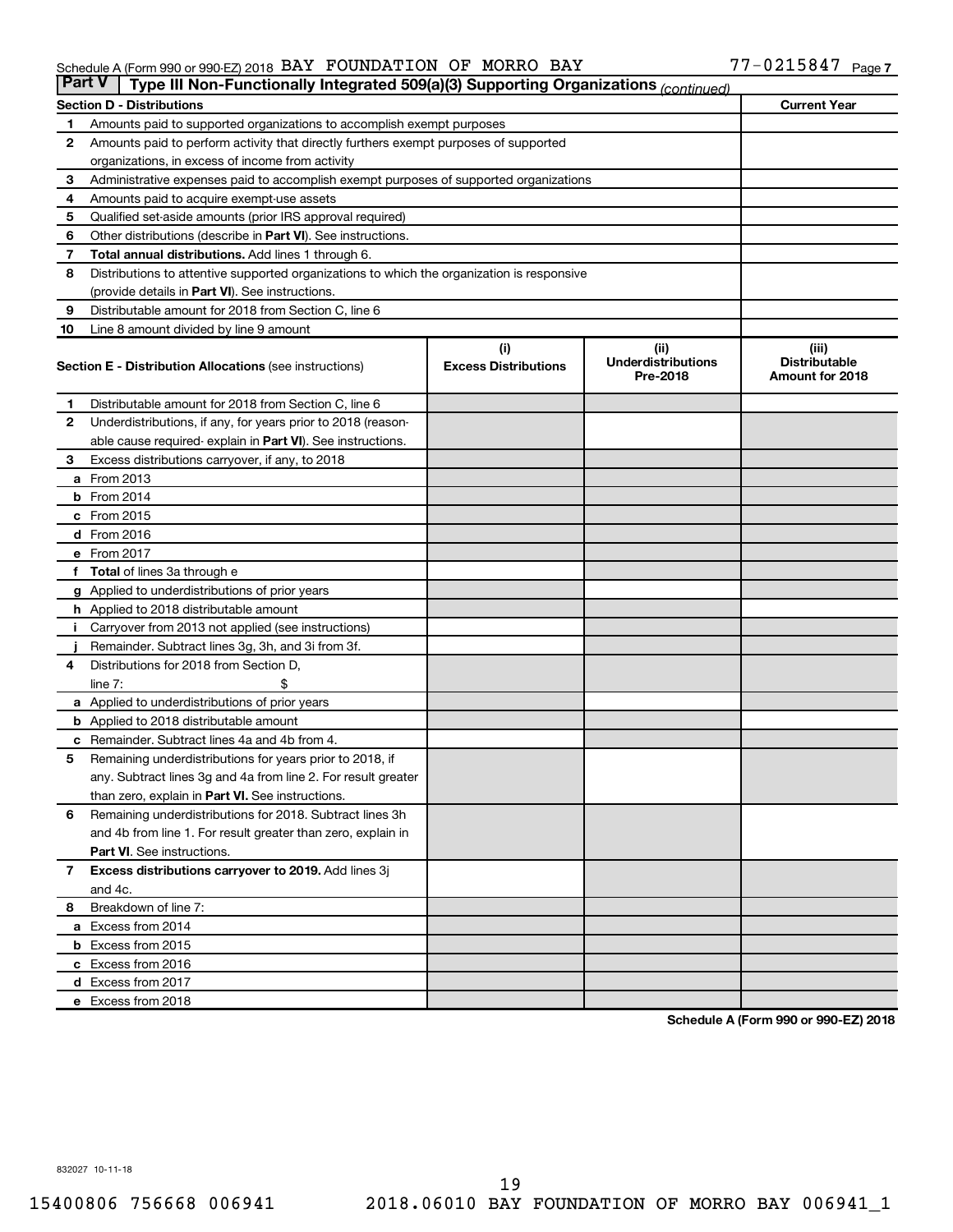#### Schedule A (Form 990 or 990-EZ) 2018 Page BAY FOUNDATION OF MORRO BAY 77-0215847

| <b>Part V</b> | Type III Non-Functionally Integrated 509(a)(3) Supporting Organizations (continued)        |                             |                                       |                                         |  |  |  |  |
|---------------|--------------------------------------------------------------------------------------------|-----------------------------|---------------------------------------|-----------------------------------------|--|--|--|--|
|               | <b>Section D - Distributions</b>                                                           |                             |                                       | <b>Current Year</b>                     |  |  |  |  |
| 1             | Amounts paid to supported organizations to accomplish exempt purposes                      |                             |                                       |                                         |  |  |  |  |
| $\mathbf{2}$  | Amounts paid to perform activity that directly furthers exempt purposes of supported       |                             |                                       |                                         |  |  |  |  |
|               | organizations, in excess of income from activity                                           |                             |                                       |                                         |  |  |  |  |
| 3             | Administrative expenses paid to accomplish exempt purposes of supported organizations      |                             |                                       |                                         |  |  |  |  |
| 4             | Amounts paid to acquire exempt-use assets                                                  |                             |                                       |                                         |  |  |  |  |
| 5             | Qualified set-aside amounts (prior IRS approval required)                                  |                             |                                       |                                         |  |  |  |  |
| 6             | Other distributions (describe in <b>Part VI</b> ). See instructions.                       |                             |                                       |                                         |  |  |  |  |
| 7             | Total annual distributions. Add lines 1 through 6.                                         |                             |                                       |                                         |  |  |  |  |
| 8             | Distributions to attentive supported organizations to which the organization is responsive |                             |                                       |                                         |  |  |  |  |
|               | (provide details in Part VI). See instructions.                                            |                             |                                       |                                         |  |  |  |  |
| 9             | Distributable amount for 2018 from Section C, line 6                                       |                             |                                       |                                         |  |  |  |  |
| 10            | Line 8 amount divided by line 9 amount                                                     |                             |                                       |                                         |  |  |  |  |
|               |                                                                                            | (i)                         | (ii)                                  | (iii)                                   |  |  |  |  |
|               | <b>Section E - Distribution Allocations (see instructions)</b>                             | <b>Excess Distributions</b> | <b>Underdistributions</b><br>Pre-2018 | <b>Distributable</b><br>Amount for 2018 |  |  |  |  |
| 1             | Distributable amount for 2018 from Section C, line 6                                       |                             |                                       |                                         |  |  |  |  |
| $\mathbf{2}$  | Underdistributions, if any, for years prior to 2018 (reason-                               |                             |                                       |                                         |  |  |  |  |
|               | able cause required-explain in Part VI). See instructions.                                 |                             |                                       |                                         |  |  |  |  |
| 3             | Excess distributions carryover, if any, to 2018                                            |                             |                                       |                                         |  |  |  |  |
|               | <b>a</b> From 2013                                                                         |                             |                                       |                                         |  |  |  |  |
|               | $b$ From 2014                                                                              |                             |                                       |                                         |  |  |  |  |
|               | c From 2015                                                                                |                             |                                       |                                         |  |  |  |  |
|               | d From 2016                                                                                |                             |                                       |                                         |  |  |  |  |
|               | e From 2017                                                                                |                             |                                       |                                         |  |  |  |  |
|               | f Total of lines 3a through e                                                              |                             |                                       |                                         |  |  |  |  |
|               | g Applied to underdistributions of prior years                                             |                             |                                       |                                         |  |  |  |  |
|               | h Applied to 2018 distributable amount                                                     |                             |                                       |                                         |  |  |  |  |
| Ť.            | Carryover from 2013 not applied (see instructions)                                         |                             |                                       |                                         |  |  |  |  |
|               | Remainder. Subtract lines 3g, 3h, and 3i from 3f.                                          |                             |                                       |                                         |  |  |  |  |
| 4             | Distributions for 2018 from Section D,                                                     |                             |                                       |                                         |  |  |  |  |
|               | line $7:$                                                                                  |                             |                                       |                                         |  |  |  |  |
|               | a Applied to underdistributions of prior years                                             |                             |                                       |                                         |  |  |  |  |
|               | <b>b</b> Applied to 2018 distributable amount                                              |                             |                                       |                                         |  |  |  |  |
| с             | Remainder. Subtract lines 4a and 4b from 4.                                                |                             |                                       |                                         |  |  |  |  |
| 5             | Remaining underdistributions for years prior to 2018, if                                   |                             |                                       |                                         |  |  |  |  |
|               | any. Subtract lines 3g and 4a from line 2. For result greater                              |                             |                                       |                                         |  |  |  |  |
|               | than zero, explain in Part VI. See instructions.                                           |                             |                                       |                                         |  |  |  |  |
| 6             | Remaining underdistributions for 2018. Subtract lines 3h                                   |                             |                                       |                                         |  |  |  |  |
|               | and 4b from line 1. For result greater than zero, explain in                               |                             |                                       |                                         |  |  |  |  |
|               | <b>Part VI.</b> See instructions.                                                          |                             |                                       |                                         |  |  |  |  |
| $\mathbf{7}$  | Excess distributions carryover to 2019. Add lines 3j                                       |                             |                                       |                                         |  |  |  |  |
|               | and 4c.                                                                                    |                             |                                       |                                         |  |  |  |  |
| 8             | Breakdown of line 7:                                                                       |                             |                                       |                                         |  |  |  |  |
|               | a Excess from 2014                                                                         |                             |                                       |                                         |  |  |  |  |
|               | <b>b</b> Excess from 2015                                                                  |                             |                                       |                                         |  |  |  |  |
|               | c Excess from 2016                                                                         |                             |                                       |                                         |  |  |  |  |
|               | d Excess from 2017                                                                         |                             |                                       |                                         |  |  |  |  |
|               | e Excess from 2018                                                                         |                             |                                       |                                         |  |  |  |  |

**Schedule A (Form 990 or 990-EZ) 2018**

832027 10-11-18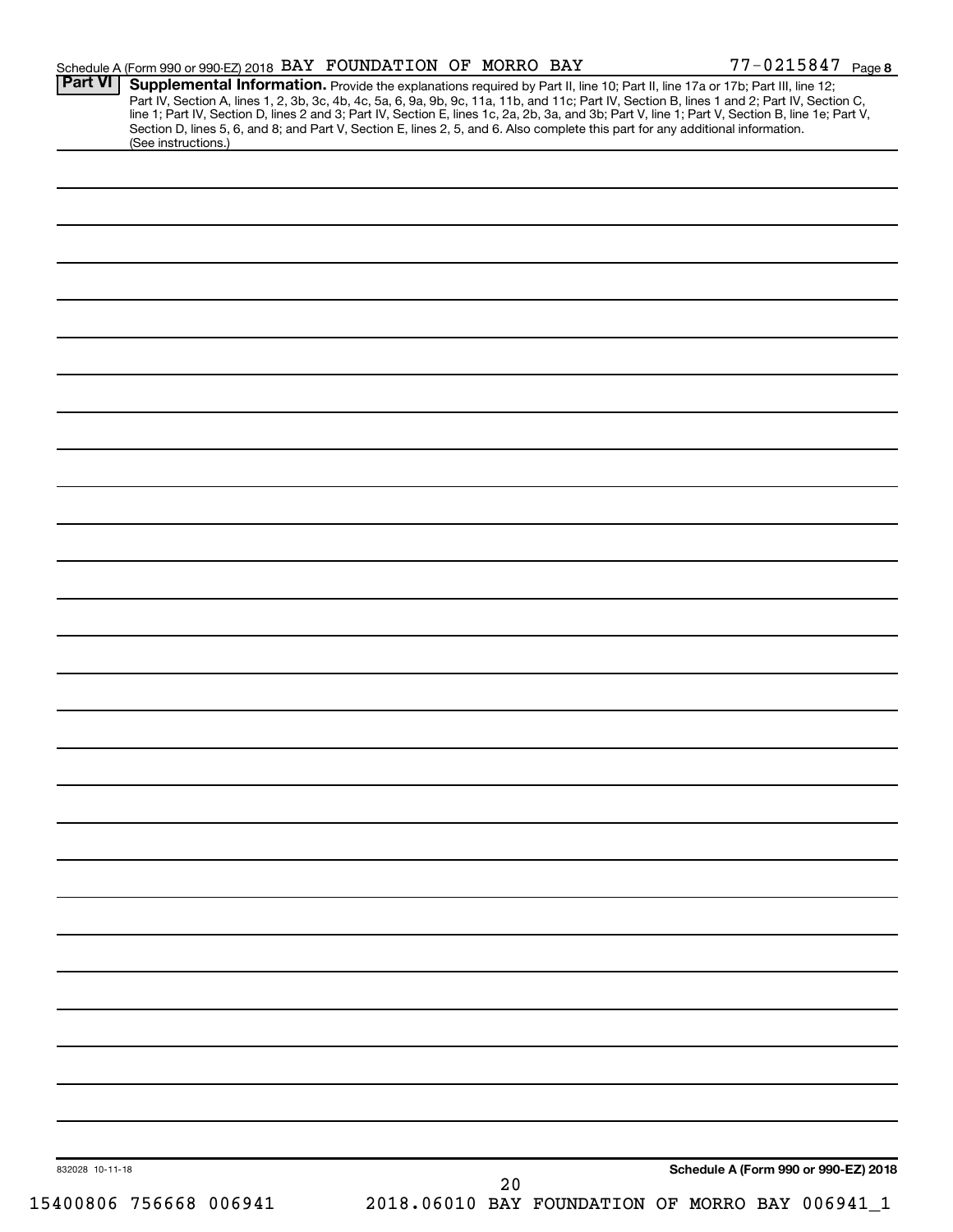| <b>Part VI</b>  | Schedule A (Form 990 or 990-EZ) 2018 BAY FOUNDATION OF MORRO BAY                                                                |    | $77 - 0215847$ Page 8                                                                                                                            |
|-----------------|---------------------------------------------------------------------------------------------------------------------------------|----|--------------------------------------------------------------------------------------------------------------------------------------------------|
|                 | Supplemental Information. Provide the explanations required by Part II, line 10; Part II, line 17a or 17b; Part III, line 12;   |    | Part IV, Section A, lines 1, 2, 3b, 3c, 4b, 4c, 5a, 6, 9a, 9b, 9c, 11a, 11b, and 11c; Part IV, Section B, lines 1 and 2; Part IV, Section C,     |
|                 | Section D, lines 5, 6, and 8; and Part V, Section E, lines 2, 5, and 6. Also complete this part for any additional information. |    | line 1; Part IV, Section D, lines 2 and 3; Part IV, Section E, lines 1c, 2a, 2b, 3a, and 3b; Part V, line 1; Part V, Section B, line 1e; Part V, |
|                 | (See instructions.)                                                                                                             |    |                                                                                                                                                  |
|                 |                                                                                                                                 |    |                                                                                                                                                  |
|                 |                                                                                                                                 |    |                                                                                                                                                  |
|                 |                                                                                                                                 |    |                                                                                                                                                  |
|                 |                                                                                                                                 |    |                                                                                                                                                  |
|                 |                                                                                                                                 |    |                                                                                                                                                  |
|                 |                                                                                                                                 |    |                                                                                                                                                  |
|                 |                                                                                                                                 |    |                                                                                                                                                  |
|                 |                                                                                                                                 |    |                                                                                                                                                  |
|                 |                                                                                                                                 |    |                                                                                                                                                  |
|                 |                                                                                                                                 |    |                                                                                                                                                  |
|                 |                                                                                                                                 |    |                                                                                                                                                  |
|                 |                                                                                                                                 |    |                                                                                                                                                  |
|                 |                                                                                                                                 |    |                                                                                                                                                  |
|                 |                                                                                                                                 |    |                                                                                                                                                  |
|                 |                                                                                                                                 |    |                                                                                                                                                  |
|                 |                                                                                                                                 |    |                                                                                                                                                  |
|                 |                                                                                                                                 |    |                                                                                                                                                  |
|                 |                                                                                                                                 |    |                                                                                                                                                  |
|                 |                                                                                                                                 |    |                                                                                                                                                  |
|                 |                                                                                                                                 |    |                                                                                                                                                  |
|                 |                                                                                                                                 |    |                                                                                                                                                  |
|                 |                                                                                                                                 |    |                                                                                                                                                  |
|                 |                                                                                                                                 |    |                                                                                                                                                  |
|                 |                                                                                                                                 |    |                                                                                                                                                  |
|                 |                                                                                                                                 |    |                                                                                                                                                  |
|                 |                                                                                                                                 |    |                                                                                                                                                  |
|                 |                                                                                                                                 |    |                                                                                                                                                  |
|                 |                                                                                                                                 |    |                                                                                                                                                  |
|                 |                                                                                                                                 |    |                                                                                                                                                  |
|                 |                                                                                                                                 |    |                                                                                                                                                  |
|                 |                                                                                                                                 |    |                                                                                                                                                  |
|                 |                                                                                                                                 |    |                                                                                                                                                  |
|                 |                                                                                                                                 |    |                                                                                                                                                  |
|                 |                                                                                                                                 |    |                                                                                                                                                  |
|                 |                                                                                                                                 |    |                                                                                                                                                  |
|                 |                                                                                                                                 |    |                                                                                                                                                  |
|                 |                                                                                                                                 |    |                                                                                                                                                  |
|                 |                                                                                                                                 |    |                                                                                                                                                  |
|                 |                                                                                                                                 |    |                                                                                                                                                  |
|                 |                                                                                                                                 |    |                                                                                                                                                  |
|                 |                                                                                                                                 |    |                                                                                                                                                  |
|                 |                                                                                                                                 |    |                                                                                                                                                  |
|                 |                                                                                                                                 |    |                                                                                                                                                  |
|                 |                                                                                                                                 |    |                                                                                                                                                  |
|                 |                                                                                                                                 |    |                                                                                                                                                  |
| 832028 10-11-18 |                                                                                                                                 |    | Schedule A (Form 990 or 990-EZ) 2018                                                                                                             |
|                 |                                                                                                                                 | 20 |                                                                                                                                                  |
|                 | 15400806 756668 006941                                                                                                          |    | 2018.06010 BAY FOUNDATION OF MORRO BAY 006941_1                                                                                                  |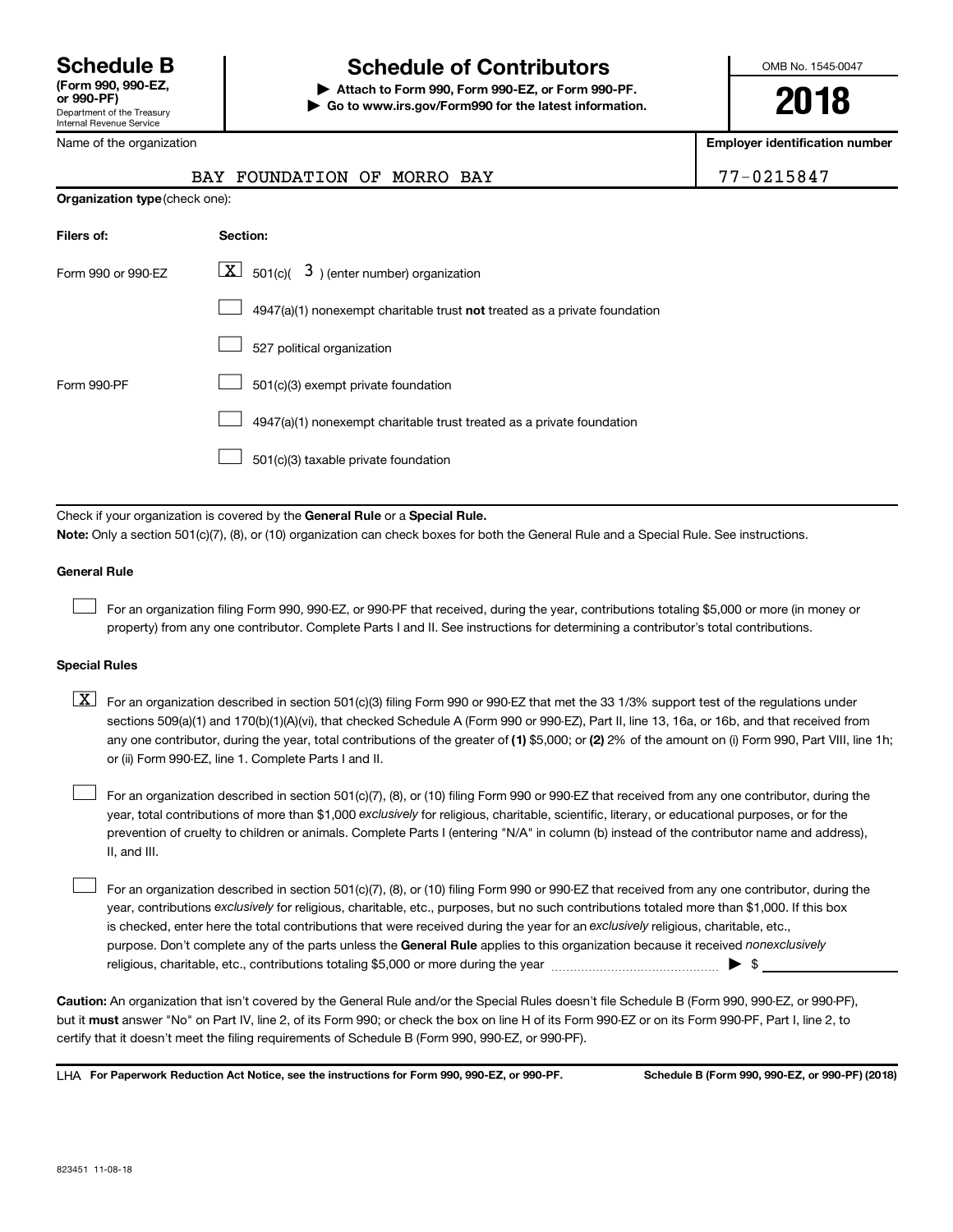## **Schedule B Schedule of Contributors**

**or 990-PF) | Attach to Form 990, Form 990-EZ, or Form 990-PF. | Go to www.irs.gov/Form990 for the latest information.** OMB No. 1545-0047

**2018**

**Employer identification number**

| 7-0215847 |  |  |  |
|-----------|--|--|--|
|           |  |  |  |

|  | Name of the organization |  |
|--|--------------------------|--|
|  |                          |  |

| <b>Organization type</b> (check one):                                     |  |  |  |  |  |  |
|---------------------------------------------------------------------------|--|--|--|--|--|--|
| Section:                                                                  |  |  |  |  |  |  |
| $\lfloor x \rfloor$ 501(c)( 3) (enter number) organization                |  |  |  |  |  |  |
| 4947(a)(1) nonexempt charitable trust not treated as a private foundation |  |  |  |  |  |  |
| 527 political organization                                                |  |  |  |  |  |  |
| 501(c)(3) exempt private foundation                                       |  |  |  |  |  |  |
| 4947(a)(1) nonexempt charitable trust treated as a private foundation     |  |  |  |  |  |  |
| 501(c)(3) taxable private foundation                                      |  |  |  |  |  |  |
|                                                                           |  |  |  |  |  |  |

Check if your organization is covered by the General Rule or a Special Rule.

BAY FOUNDATION OF MORRO BAY

**Note:**  Only a section 501(c)(7), (8), or (10) organization can check boxes for both the General Rule and a Special Rule. See instructions.

## **General Rule**

 $\Box$ 

For an organization filing Form 990, 990-EZ, or 990-PF that received, during the year, contributions totaling \$5,000 or more (in money or property) from any one contributor. Complete Parts I and II. See instructions for determining a contributor's total contributions.

## **Special Rules**

any one contributor, during the year, total contributions of the greater of (1) \$5,000; or (2) 2% of the amount on (i) Form 990, Part VIII, line 1h;  $\boxed{\text{X}}$  For an organization described in section 501(c)(3) filing Form 990 or 990-EZ that met the 33 1/3% support test of the regulations under sections 509(a)(1) and 170(b)(1)(A)(vi), that checked Schedule A (Form 990 or 990-EZ), Part II, line 13, 16a, or 16b, and that received from or (ii) Form 990-EZ, line 1. Complete Parts I and II.

year, total contributions of more than \$1,000 *exclusively* for religious, charitable, scientific, literary, or educational purposes, or for the For an organization described in section 501(c)(7), (8), or (10) filing Form 990 or 990-EZ that received from any one contributor, during the prevention of cruelty to children or animals. Complete Parts I (entering "N/A" in column (b) instead of the contributor name and address), II, and III.  $\Box$ 

purpose. Don't complete any of the parts unless the General Rule applies to this organization because it received nonexclusively year, contributions exclusively for religious, charitable, etc., purposes, but no such contributions totaled more than \$1,000. If this box is checked, enter here the total contributions that were received during the year for an exclusively religious, charitable, etc., For an organization described in section 501(c)(7), (8), or (10) filing Form 990 or 990-EZ that received from any one contributor, during the religious, charitable, etc., contributions totaling \$5,000 or more during the year  $~\ldots\ldots\ldots\ldots\ldots\ldots\ldots\ldots\blacktriangleright~$ \$  $\Box$ 

**Caution:**  An organization that isn't covered by the General Rule and/or the Special Rules doesn't file Schedule B (Form 990, 990-EZ, or 990-PF),  **must** but it answer "No" on Part IV, line 2, of its Form 990; or check the box on line H of its Form 990-EZ or on its Form 990-PF, Part I, line 2, to certify that it doesn't meet the filing requirements of Schedule B (Form 990, 990-EZ, or 990-PF).

**For Paperwork Reduction Act Notice, see the instructions for Form 990, 990-EZ, or 990-PF. Schedule B (Form 990, 990-EZ, or 990-PF) (2018)** LHA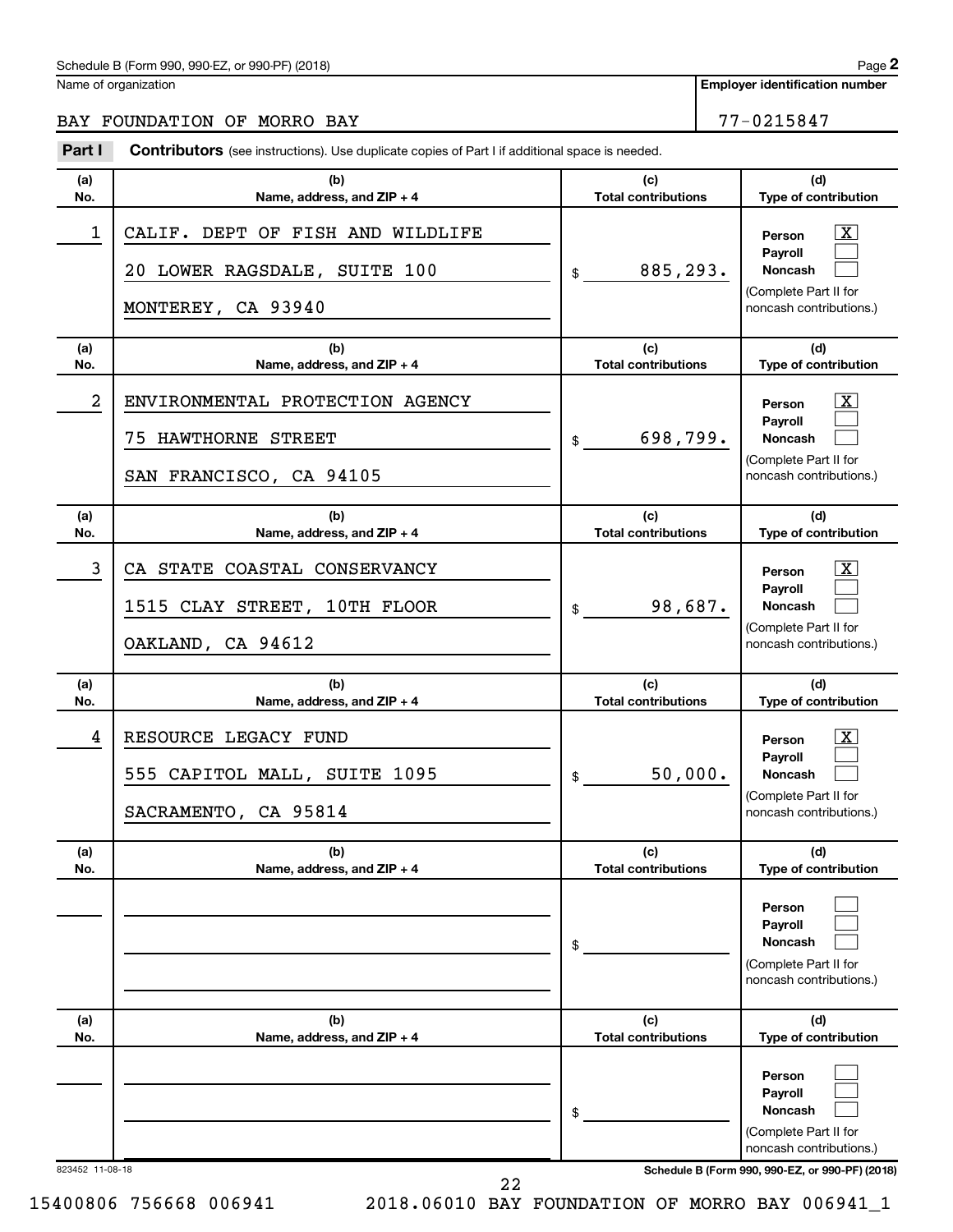Name of organization

**Employer identification number**

BAY FOUNDATION OF MORRO BAY 77-0215847

#### 823452 11-08-18 **Schedule B (Form 990, 990-EZ, or 990-PF) (2018) (a) No. (b) Name, address, and ZIP + 4 (c) Total contributions (d) Type of contribution Person Payroll Noncash (a) No. (b) Name, address, and ZIP + 4 (c) Total contributions (d) Type of contribution Person Payroll Noncash (a) No. (b) Name, address, and ZIP + 4 (c) Total contributions (d) Type of contribution Person Payroll Noncash (a) No. (b) Name, address, and ZIP + 4 (c) Total contributions (d) Type of contribution Person Payroll Noncash (a) No. (b) Name, address, and ZIP + 4 (c) Total contributions (d) Type of contribution Person Payroll Noncash (a) No. (b) Name, address, and ZIP + 4 (c) Total contributions (d) Type of contribution Person Payroll Noncash Part I** Contributors (see instructions). Use duplicate copies of Part I if additional space is needed. \$ (Complete Part II for noncash contributions.) \$ (Complete Part II for noncash contributions.) \$ (Complete Part II for noncash contributions.) \$ (Complete Part II for noncash contributions.) \$ (Complete Part II for noncash contributions.) \$ (Complete Part II for noncash contributions.) †  $\Box$  $\Box$  $\overline{\mathbf{X}}$  $\Box$  $\Box$  $\boxed{\textbf{X}}$  $\Box$  $\Box$  $\boxed{\textbf{X}}$  $\Box$  $\Box$  $\Box$  $\Box$  $\Box$  $\Box$  $\Box$  $\Box$ 1 CALIF. DEPT OF FISH AND WILDLIFE X 20 LOWER RAGSDALE, SUITE  $100$   $| \text{ } s$  885,293. MONTEREY, CA 93940 2 | ENVIRONMENTAL PROTECTION AGENCY 75 HAWTHORNE STREET  $\vert \text{ }_{\text{\$}}\text{ }$  698,799. SAN FRANCISCO, CA 94105 3 | CA STATE COASTAL CONSERVANCY  $1515$  CLAY STREET,  $10$ TH FLOOR  $\begin{array}{ccc} | & 0 & 98,687 \end{array}$ OAKLAND, CA 94612 4 | RESOURCE LEGACY FUND 555 CAPITOL MALL, SUITE  $1095$   $| \t s$  50,000. SACRAMENTO, CA 95814 22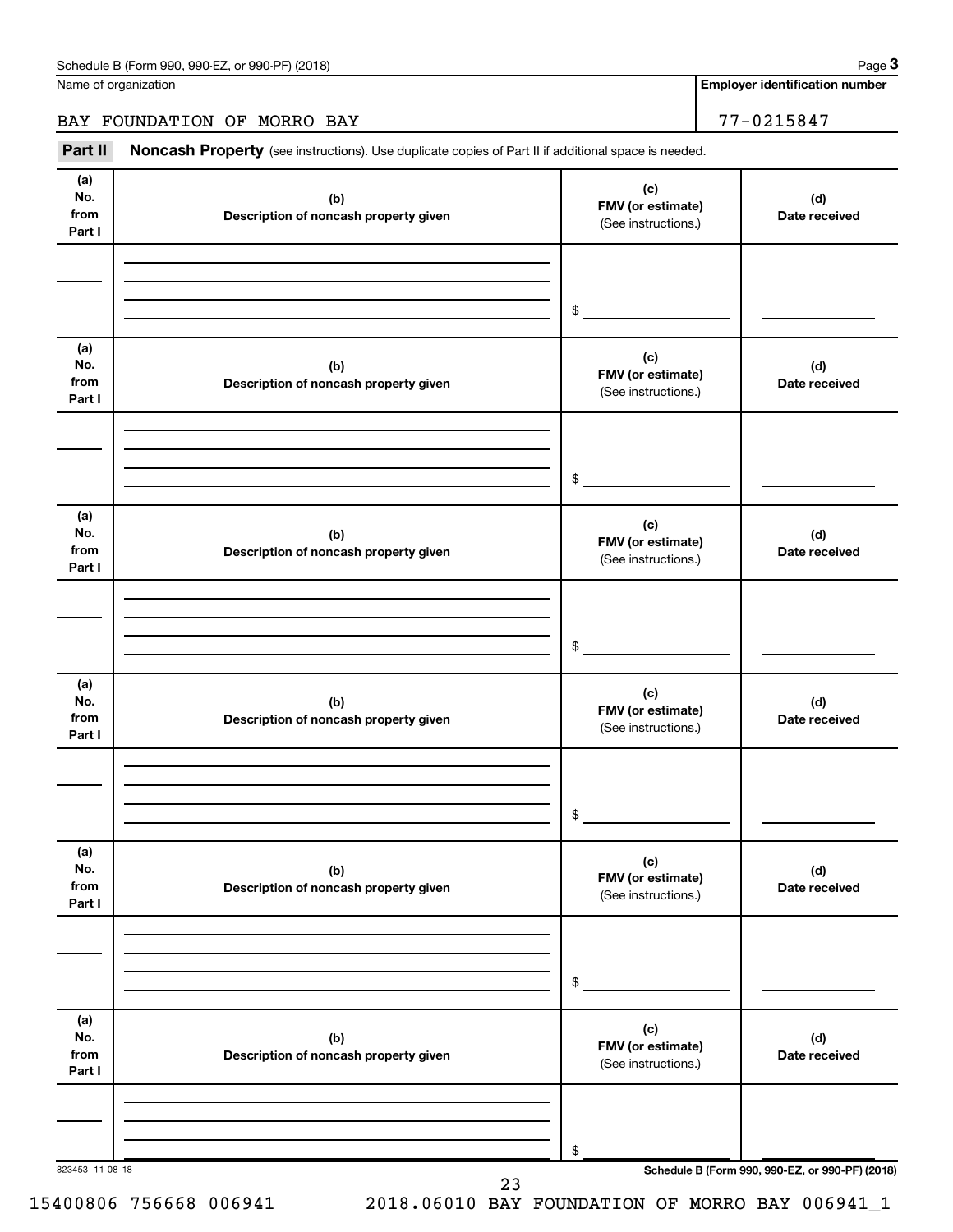Name of organization

**Employer identification number**

BAY FOUNDATION OF MORRO BAY 77-0215847

Part II Noncash Property (see instructions). Use duplicate copies of Part II if additional space is needed.

| No.<br>from<br>Part I        | (b)<br>Description of noncash property given | (c)<br>FMV (or estimate)<br>(See instructions.) | (d)<br>Date received                            |
|------------------------------|----------------------------------------------|-------------------------------------------------|-------------------------------------------------|
|                              |                                              | $\frac{1}{2}$                                   |                                                 |
| (a)<br>No.<br>from<br>Part I | (b)<br>Description of noncash property given | (c)<br>FMV (or estimate)<br>(See instructions.) | (d)<br>Date received                            |
|                              |                                              | $\frac{1}{2}$                                   |                                                 |
| (a)<br>No.<br>from<br>Part I | (b)<br>Description of noncash property given | (c)<br>FMV (or estimate)<br>(See instructions.) | (d)<br>Date received                            |
|                              |                                              | $\frac{1}{2}$                                   |                                                 |
| (a)<br>No.<br>from<br>Part I | (b)<br>Description of noncash property given | (c)<br>FMV (or estimate)<br>(See instructions.) | (d)<br>Date received                            |
|                              |                                              | $\frac{1}{2}$                                   |                                                 |
| (a)<br>No.<br>from<br>Part I | (b)<br>Description of noncash property given | (c)<br>FMV (or estimate)<br>(See instructions.) | (d)<br>Date received                            |
|                              |                                              | \$                                              |                                                 |
| (a)<br>No.<br>from<br>Part I | (b)<br>Description of noncash property given | (c)<br>FMV (or estimate)<br>(See instructions.) | (d)<br>Date received                            |
| 823453 11-08-18              |                                              | \$                                              | Schedule B (Form 990, 990-EZ, or 990-PF) (2018) |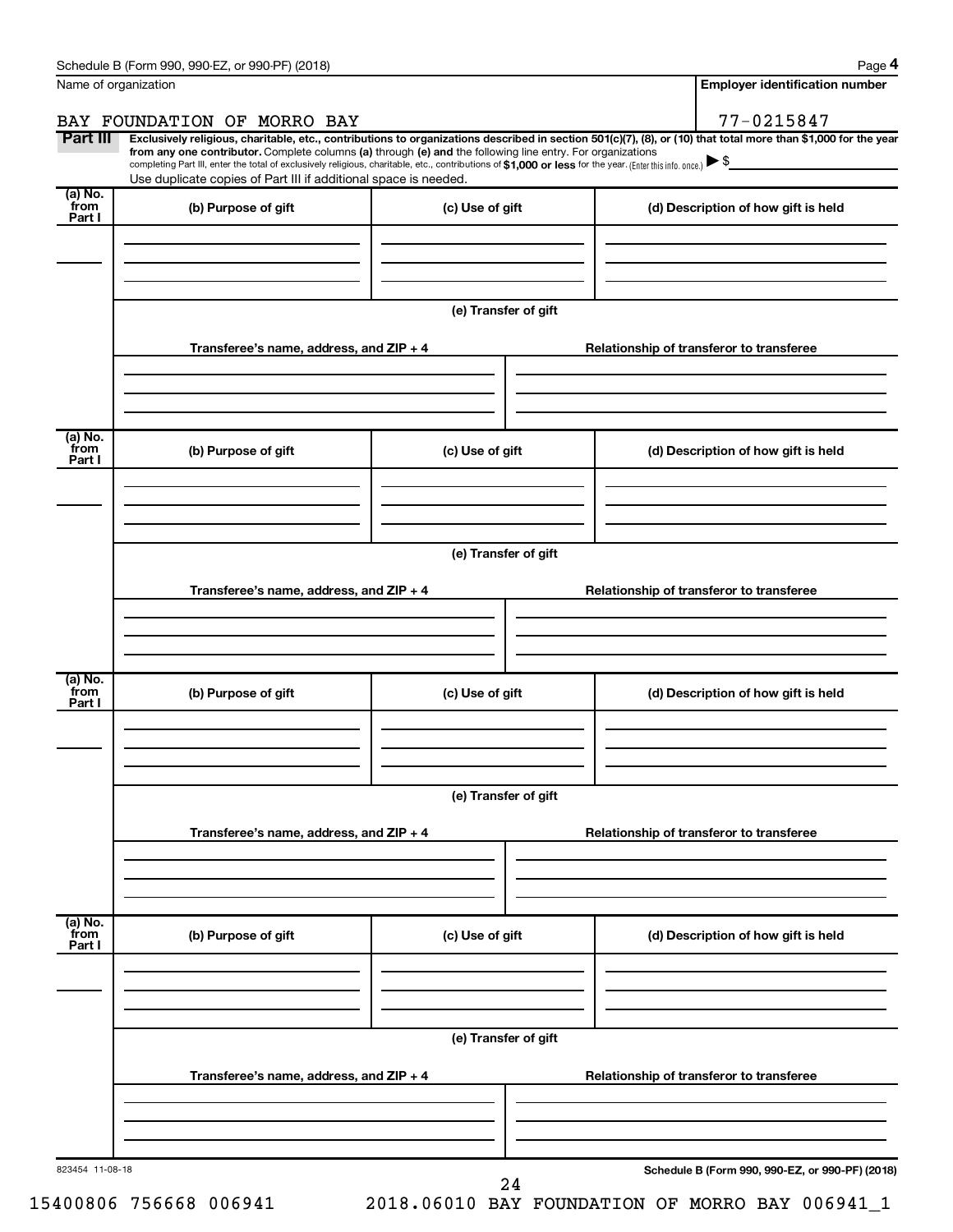|                           | Name of organization                                                                                                                                                                                                                                                                                                                                               |                      | <b>Employer identification number</b>                                                                                                                          |  |  |  |  |  |  |  |
|---------------------------|--------------------------------------------------------------------------------------------------------------------------------------------------------------------------------------------------------------------------------------------------------------------------------------------------------------------------------------------------------------------|----------------------|----------------------------------------------------------------------------------------------------------------------------------------------------------------|--|--|--|--|--|--|--|
|                           | BAY FOUNDATION OF MORRO BAY                                                                                                                                                                                                                                                                                                                                        |                      | 77-0215847                                                                                                                                                     |  |  |  |  |  |  |  |
| Part III                  | from any one contributor. Complete columns (a) through (e) and the following line entry. For organizations<br>completing Part III, enter the total of exclusively religious, charitable, etc., contributions of \$1,000 or less for the year. (Enter this info. once.) $\blacktriangleright$ \$<br>Use duplicate copies of Part III if additional space is needed. |                      | Exclusively religious, charitable, etc., contributions to organizations described in section 501(c)(7), (8), or (10) that total more than \$1,000 for the year |  |  |  |  |  |  |  |
| (a) No.<br>from<br>Part I | (b) Purpose of gift                                                                                                                                                                                                                                                                                                                                                | (c) Use of gift      | (d) Description of how gift is held                                                                                                                            |  |  |  |  |  |  |  |
|                           |                                                                                                                                                                                                                                                                                                                                                                    |                      |                                                                                                                                                                |  |  |  |  |  |  |  |
|                           |                                                                                                                                                                                                                                                                                                                                                                    | (e) Transfer of gift |                                                                                                                                                                |  |  |  |  |  |  |  |
|                           | Transferee's name, address, and ZIP + 4                                                                                                                                                                                                                                                                                                                            |                      | Relationship of transferor to transferee                                                                                                                       |  |  |  |  |  |  |  |
|                           |                                                                                                                                                                                                                                                                                                                                                                    |                      |                                                                                                                                                                |  |  |  |  |  |  |  |
| (a) No.<br>from<br>Part I | (b) Purpose of gift                                                                                                                                                                                                                                                                                                                                                | (c) Use of gift      | (d) Description of how gift is held                                                                                                                            |  |  |  |  |  |  |  |
|                           |                                                                                                                                                                                                                                                                                                                                                                    |                      |                                                                                                                                                                |  |  |  |  |  |  |  |
|                           | (e) Transfer of gift                                                                                                                                                                                                                                                                                                                                               |                      |                                                                                                                                                                |  |  |  |  |  |  |  |
|                           | Transferee's name, address, and ZIP + 4                                                                                                                                                                                                                                                                                                                            |                      | Relationship of transferor to transferee                                                                                                                       |  |  |  |  |  |  |  |
|                           |                                                                                                                                                                                                                                                                                                                                                                    |                      |                                                                                                                                                                |  |  |  |  |  |  |  |
| (a) No.<br>from<br>Part I | (b) Purpose of gift                                                                                                                                                                                                                                                                                                                                                | (c) Use of gift      | (d) Description of how gift is held                                                                                                                            |  |  |  |  |  |  |  |
|                           |                                                                                                                                                                                                                                                                                                                                                                    |                      |                                                                                                                                                                |  |  |  |  |  |  |  |
|                           | (e) Transfer of gift                                                                                                                                                                                                                                                                                                                                               |                      |                                                                                                                                                                |  |  |  |  |  |  |  |
|                           | Transferee's name, address, and ZIP + 4                                                                                                                                                                                                                                                                                                                            |                      | Relationship of transferor to transferee                                                                                                                       |  |  |  |  |  |  |  |
|                           |                                                                                                                                                                                                                                                                                                                                                                    |                      |                                                                                                                                                                |  |  |  |  |  |  |  |
| (a) No.<br>from<br>Part I | (b) Purpose of gift                                                                                                                                                                                                                                                                                                                                                | (c) Use of gift      | (d) Description of how gift is held                                                                                                                            |  |  |  |  |  |  |  |
|                           |                                                                                                                                                                                                                                                                                                                                                                    |                      |                                                                                                                                                                |  |  |  |  |  |  |  |
|                           | (e) Transfer of gift                                                                                                                                                                                                                                                                                                                                               |                      |                                                                                                                                                                |  |  |  |  |  |  |  |
|                           | Transferee's name, address, and ZIP + 4                                                                                                                                                                                                                                                                                                                            |                      | Relationship of transferor to transferee                                                                                                                       |  |  |  |  |  |  |  |
|                           |                                                                                                                                                                                                                                                                                                                                                                    |                      |                                                                                                                                                                |  |  |  |  |  |  |  |
| 823454 11-08-18           |                                                                                                                                                                                                                                                                                                                                                                    | 24                   | Schedule B (Form 990, 990-EZ, or 990-PF) (2018)                                                                                                                |  |  |  |  |  |  |  |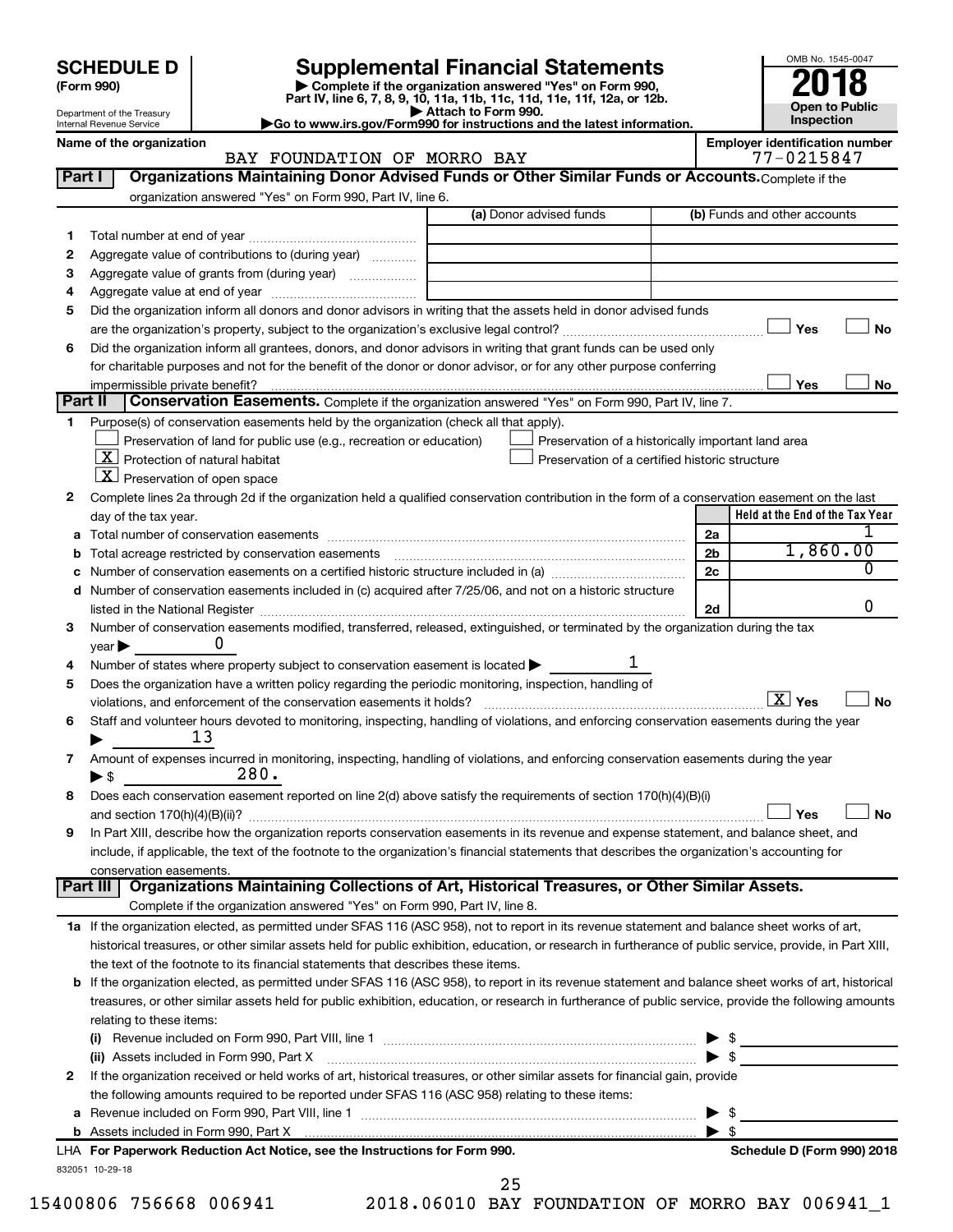| <b>SCHEDULE D</b> |  |
|-------------------|--|
|-------------------|--|

Department of the Treasury Internal Revenue Service

| (Form 990) |
|------------|
|            |

# **SCHEDULE D Supplemental Financial Statements**<br> **Form 990 2018**<br> **Part IV** line 6.7.8.9.10, 11a, 11b, 11d, 11d, 11d, 11d, 11d, 12a, 0r, 12b

**(Form 990) | Complete if the organization answered "Yes" on Form 990, Part IV, line 6, 7, 8, 9, 10, 11a, 11b, 11c, 11d, 11e, 11f, 12a, or 12b.**

**| Attach to Form 990. |Go to www.irs.gov/Form990 for instructions and the latest information.**



|  |  |  | Name of the organizatio |
|--|--|--|-------------------------|
|--|--|--|-------------------------|

## on **Name of the organization CF MORRO BAY Employer identification number**<br>BAY FOUNDATION OF MORRO BAY **Property** 17-0215847 BAY FOUNDATION OF MORRO BAY

| organization answered "Yes" on Form 990, Part IV, line 6.<br>(a) Donor advised funds<br>(b) Funds and other accounts<br>1<br>Aggregate value of contributions to (during year)<br>2<br>Aggregate value of grants from (during year)<br>3<br>4<br>Did the organization inform all donors and donor advisors in writing that the assets held in donor advised funds<br>5<br>Yes<br>No<br>Did the organization inform all grantees, donors, and donor advisors in writing that grant funds can be used only<br>6<br>for charitable purposes and not for the benefit of the donor or donor advisor, or for any other purpose conferring<br>Yes<br>impermissible private benefit?<br>No<br>Part II<br>Conservation Easements. Complete if the organization answered "Yes" on Form 990, Part IV, line 7.<br>Purpose(s) of conservation easements held by the organization (check all that apply).<br>$\mathbf 1$<br>Preservation of land for public use (e.g., recreation or education)<br>Preservation of a historically important land area<br>$X$ Protection of natural habitat<br>Preservation of a certified historic structure<br>$X$ Preservation of open space<br>Complete lines 2a through 2d if the organization held a qualified conservation contribution in the form of a conservation easement on the last<br>2<br>Held at the End of the Tax Year<br>day of the tax year.<br>2a<br>1,860.00<br>2 <sub>b</sub><br><b>b</b> Total acreage restricted by conservation easements<br>0<br>c Number of conservation easements on a certified historic structure included in (a) manufacture included in (a)<br>2c<br>d Number of conservation easements included in (c) acquired after 7/25/06, and not on a historic structure<br>0<br>listed in the National Register [111] Marshall Register [11] Marshall Register [11] Marshall Register [11] Marshall Register [11] Marshall Register [11] Marshall Register [11] Marshall Register [11] Marshall Register [11]<br>2d<br>Number of conservation easements modified, transferred, released, extinguished, or terminated by the organization during the tax<br>3<br>$year \blacktriangleright$<br>Number of states where property subject to conservation easement is located ><br>4<br>Does the organization have a written policy regarding the periodic monitoring, inspection, handling of<br>5<br>$\boxed{\text{X}}$ Yes<br>No<br>violations, and enforcement of the conservation easements it holds?<br>Staff and volunteer hours devoted to monitoring, inspecting, handling of violations, and enforcing conservation easements during the year<br>6<br>13<br>Amount of expenses incurred in monitoring, inspecting, handling of violations, and enforcing conservation easements during the year<br>7<br>280.<br>$\blacktriangleright$ \$<br>Does each conservation easement reported on line 2(d) above satisfy the requirements of section 170(h)(4)(B)(i)<br>8<br>No<br>Yes<br>In Part XIII, describe how the organization reports conservation easements in its revenue and expense statement, and balance sheet, and<br>9<br>include, if applicable, the text of the footnote to the organization's financial statements that describes the organization's accounting for<br>conservation easements.<br>Organizations Maintaining Collections of Art, Historical Treasures, or Other Similar Assets.<br>Part III<br>Complete if the organization answered "Yes" on Form 990, Part IV, line 8.<br>1a If the organization elected, as permitted under SFAS 116 (ASC 958), not to report in its revenue statement and balance sheet works of art,<br>historical treasures, or other similar assets held for public exhibition, education, or research in furtherance of public service, provide, in Part XIII,<br>the text of the footnote to its financial statements that describes these items.<br>b If the organization elected, as permitted under SFAS 116 (ASC 958), to report in its revenue statement and balance sheet works of art, historical<br>treasures, or other similar assets held for public exhibition, education, or research in furtherance of public service, provide the following amounts<br>relating to these items:<br>$\blacktriangleright$ \$<br>(ii) Assets included in Form 990, Part X [11] [2000] [2010] Assets included in Form 990, Part X [11] [11] [200<br>If the organization received or held works of art, historical treasures, or other similar assets for financial gain, provide<br>2<br>the following amounts required to be reported under SFAS 116 (ASC 958) relating to these items:<br>- \$<br>$\blacktriangleright$ \$<br>LHA For Paperwork Reduction Act Notice, see the Instructions for Form 990.<br>Schedule D (Form 990) 2018<br>832051 10-29-18 | Part I | Organizations Maintaining Donor Advised Funds or Other Similar Funds or Accounts. Complete if the |  |  |  |  |  |  |
|---------------------------------------------------------------------------------------------------------------------------------------------------------------------------------------------------------------------------------------------------------------------------------------------------------------------------------------------------------------------------------------------------------------------------------------------------------------------------------------------------------------------------------------------------------------------------------------------------------------------------------------------------------------------------------------------------------------------------------------------------------------------------------------------------------------------------------------------------------------------------------------------------------------------------------------------------------------------------------------------------------------------------------------------------------------------------------------------------------------------------------------------------------------------------------------------------------------------------------------------------------------------------------------------------------------------------------------------------------------------------------------------------------------------------------------------------------------------------------------------------------------------------------------------------------------------------------------------------------------------------------------------------------------------------------------------------------------------------------------------------------------------------------------------------------------------------------------------------------------------------------------------------------------------------------------------------------------------------------------------------------------------------------------------------------------------------------------------------------------------------------------------------------------------------------------------------------------------------------------------------------------------------------------------------------------------------------------------------------------------------------------------------------------------------------------------------------------------------------------------------------------------------------------------------------------------------------------------------------------------------------------------------------------------------------------------------------------------------------------------------------------------------------------------------------------------------------------------------------------------------------------------------------------------------------------------------------------------------------------------------------------------------------------------------------------------------------------------------------------------------------------------------------------------------------------------------------------------------------------------------------------------------------------------------------------------------------------------------------------------------------------------------------------------------------------------------------------------------------------------------------------------------------------------------------------------------------------------------------------------------------------------------------------------------------------------------------------------------------------------------------------------------------------------------------------------------------------------------------------------------------------------------------------------------------------------------------------------------------------------------------------------------------------------------------------------------------------------------------------------------------------------------------------------------------------------------------------------------------------------------------------------------------------------------------------------------------------------------------------------------------------------------------------------------------------------------------------------------------------------------------------------------------------------------------------------------------------------------------------------------------------------------------------------------------------------------------------------------------------------------------------------------|--------|---------------------------------------------------------------------------------------------------|--|--|--|--|--|--|
|                                                                                                                                                                                                                                                                                                                                                                                                                                                                                                                                                                                                                                                                                                                                                                                                                                                                                                                                                                                                                                                                                                                                                                                                                                                                                                                                                                                                                                                                                                                                                                                                                                                                                                                                                                                                                                                                                                                                                                                                                                                                                                                                                                                                                                                                                                                                                                                                                                                                                                                                                                                                                                                                                                                                                                                                                                                                                                                                                                                                                                                                                                                                                                                                                                                                                                                                                                                                                                                                                                                                                                                                                                                                                                                                                                                                                                                                                                                                                                                                                                                                                                                                                                                                                                                                                                                                                                                                                                                                                                                                                                                                                                                                                                                                                                           |        |                                                                                                   |  |  |  |  |  |  |
|                                                                                                                                                                                                                                                                                                                                                                                                                                                                                                                                                                                                                                                                                                                                                                                                                                                                                                                                                                                                                                                                                                                                                                                                                                                                                                                                                                                                                                                                                                                                                                                                                                                                                                                                                                                                                                                                                                                                                                                                                                                                                                                                                                                                                                                                                                                                                                                                                                                                                                                                                                                                                                                                                                                                                                                                                                                                                                                                                                                                                                                                                                                                                                                                                                                                                                                                                                                                                                                                                                                                                                                                                                                                                                                                                                                                                                                                                                                                                                                                                                                                                                                                                                                                                                                                                                                                                                                                                                                                                                                                                                                                                                                                                                                                                                           |        |                                                                                                   |  |  |  |  |  |  |
|                                                                                                                                                                                                                                                                                                                                                                                                                                                                                                                                                                                                                                                                                                                                                                                                                                                                                                                                                                                                                                                                                                                                                                                                                                                                                                                                                                                                                                                                                                                                                                                                                                                                                                                                                                                                                                                                                                                                                                                                                                                                                                                                                                                                                                                                                                                                                                                                                                                                                                                                                                                                                                                                                                                                                                                                                                                                                                                                                                                                                                                                                                                                                                                                                                                                                                                                                                                                                                                                                                                                                                                                                                                                                                                                                                                                                                                                                                                                                                                                                                                                                                                                                                                                                                                                                                                                                                                                                                                                                                                                                                                                                                                                                                                                                                           |        |                                                                                                   |  |  |  |  |  |  |
|                                                                                                                                                                                                                                                                                                                                                                                                                                                                                                                                                                                                                                                                                                                                                                                                                                                                                                                                                                                                                                                                                                                                                                                                                                                                                                                                                                                                                                                                                                                                                                                                                                                                                                                                                                                                                                                                                                                                                                                                                                                                                                                                                                                                                                                                                                                                                                                                                                                                                                                                                                                                                                                                                                                                                                                                                                                                                                                                                                                                                                                                                                                                                                                                                                                                                                                                                                                                                                                                                                                                                                                                                                                                                                                                                                                                                                                                                                                                                                                                                                                                                                                                                                                                                                                                                                                                                                                                                                                                                                                                                                                                                                                                                                                                                                           |        |                                                                                                   |  |  |  |  |  |  |
|                                                                                                                                                                                                                                                                                                                                                                                                                                                                                                                                                                                                                                                                                                                                                                                                                                                                                                                                                                                                                                                                                                                                                                                                                                                                                                                                                                                                                                                                                                                                                                                                                                                                                                                                                                                                                                                                                                                                                                                                                                                                                                                                                                                                                                                                                                                                                                                                                                                                                                                                                                                                                                                                                                                                                                                                                                                                                                                                                                                                                                                                                                                                                                                                                                                                                                                                                                                                                                                                                                                                                                                                                                                                                                                                                                                                                                                                                                                                                                                                                                                                                                                                                                                                                                                                                                                                                                                                                                                                                                                                                                                                                                                                                                                                                                           |        |                                                                                                   |  |  |  |  |  |  |
|                                                                                                                                                                                                                                                                                                                                                                                                                                                                                                                                                                                                                                                                                                                                                                                                                                                                                                                                                                                                                                                                                                                                                                                                                                                                                                                                                                                                                                                                                                                                                                                                                                                                                                                                                                                                                                                                                                                                                                                                                                                                                                                                                                                                                                                                                                                                                                                                                                                                                                                                                                                                                                                                                                                                                                                                                                                                                                                                                                                                                                                                                                                                                                                                                                                                                                                                                                                                                                                                                                                                                                                                                                                                                                                                                                                                                                                                                                                                                                                                                                                                                                                                                                                                                                                                                                                                                                                                                                                                                                                                                                                                                                                                                                                                                                           |        |                                                                                                   |  |  |  |  |  |  |
|                                                                                                                                                                                                                                                                                                                                                                                                                                                                                                                                                                                                                                                                                                                                                                                                                                                                                                                                                                                                                                                                                                                                                                                                                                                                                                                                                                                                                                                                                                                                                                                                                                                                                                                                                                                                                                                                                                                                                                                                                                                                                                                                                                                                                                                                                                                                                                                                                                                                                                                                                                                                                                                                                                                                                                                                                                                                                                                                                                                                                                                                                                                                                                                                                                                                                                                                                                                                                                                                                                                                                                                                                                                                                                                                                                                                                                                                                                                                                                                                                                                                                                                                                                                                                                                                                                                                                                                                                                                                                                                                                                                                                                                                                                                                                                           |        |                                                                                                   |  |  |  |  |  |  |
|                                                                                                                                                                                                                                                                                                                                                                                                                                                                                                                                                                                                                                                                                                                                                                                                                                                                                                                                                                                                                                                                                                                                                                                                                                                                                                                                                                                                                                                                                                                                                                                                                                                                                                                                                                                                                                                                                                                                                                                                                                                                                                                                                                                                                                                                                                                                                                                                                                                                                                                                                                                                                                                                                                                                                                                                                                                                                                                                                                                                                                                                                                                                                                                                                                                                                                                                                                                                                                                                                                                                                                                                                                                                                                                                                                                                                                                                                                                                                                                                                                                                                                                                                                                                                                                                                                                                                                                                                                                                                                                                                                                                                                                                                                                                                                           |        |                                                                                                   |  |  |  |  |  |  |
|                                                                                                                                                                                                                                                                                                                                                                                                                                                                                                                                                                                                                                                                                                                                                                                                                                                                                                                                                                                                                                                                                                                                                                                                                                                                                                                                                                                                                                                                                                                                                                                                                                                                                                                                                                                                                                                                                                                                                                                                                                                                                                                                                                                                                                                                                                                                                                                                                                                                                                                                                                                                                                                                                                                                                                                                                                                                                                                                                                                                                                                                                                                                                                                                                                                                                                                                                                                                                                                                                                                                                                                                                                                                                                                                                                                                                                                                                                                                                                                                                                                                                                                                                                                                                                                                                                                                                                                                                                                                                                                                                                                                                                                                                                                                                                           |        |                                                                                                   |  |  |  |  |  |  |
|                                                                                                                                                                                                                                                                                                                                                                                                                                                                                                                                                                                                                                                                                                                                                                                                                                                                                                                                                                                                                                                                                                                                                                                                                                                                                                                                                                                                                                                                                                                                                                                                                                                                                                                                                                                                                                                                                                                                                                                                                                                                                                                                                                                                                                                                                                                                                                                                                                                                                                                                                                                                                                                                                                                                                                                                                                                                                                                                                                                                                                                                                                                                                                                                                                                                                                                                                                                                                                                                                                                                                                                                                                                                                                                                                                                                                                                                                                                                                                                                                                                                                                                                                                                                                                                                                                                                                                                                                                                                                                                                                                                                                                                                                                                                                                           |        |                                                                                                   |  |  |  |  |  |  |
|                                                                                                                                                                                                                                                                                                                                                                                                                                                                                                                                                                                                                                                                                                                                                                                                                                                                                                                                                                                                                                                                                                                                                                                                                                                                                                                                                                                                                                                                                                                                                                                                                                                                                                                                                                                                                                                                                                                                                                                                                                                                                                                                                                                                                                                                                                                                                                                                                                                                                                                                                                                                                                                                                                                                                                                                                                                                                                                                                                                                                                                                                                                                                                                                                                                                                                                                                                                                                                                                                                                                                                                                                                                                                                                                                                                                                                                                                                                                                                                                                                                                                                                                                                                                                                                                                                                                                                                                                                                                                                                                                                                                                                                                                                                                                                           |        |                                                                                                   |  |  |  |  |  |  |
|                                                                                                                                                                                                                                                                                                                                                                                                                                                                                                                                                                                                                                                                                                                                                                                                                                                                                                                                                                                                                                                                                                                                                                                                                                                                                                                                                                                                                                                                                                                                                                                                                                                                                                                                                                                                                                                                                                                                                                                                                                                                                                                                                                                                                                                                                                                                                                                                                                                                                                                                                                                                                                                                                                                                                                                                                                                                                                                                                                                                                                                                                                                                                                                                                                                                                                                                                                                                                                                                                                                                                                                                                                                                                                                                                                                                                                                                                                                                                                                                                                                                                                                                                                                                                                                                                                                                                                                                                                                                                                                                                                                                                                                                                                                                                                           |        |                                                                                                   |  |  |  |  |  |  |
|                                                                                                                                                                                                                                                                                                                                                                                                                                                                                                                                                                                                                                                                                                                                                                                                                                                                                                                                                                                                                                                                                                                                                                                                                                                                                                                                                                                                                                                                                                                                                                                                                                                                                                                                                                                                                                                                                                                                                                                                                                                                                                                                                                                                                                                                                                                                                                                                                                                                                                                                                                                                                                                                                                                                                                                                                                                                                                                                                                                                                                                                                                                                                                                                                                                                                                                                                                                                                                                                                                                                                                                                                                                                                                                                                                                                                                                                                                                                                                                                                                                                                                                                                                                                                                                                                                                                                                                                                                                                                                                                                                                                                                                                                                                                                                           |        |                                                                                                   |  |  |  |  |  |  |
|                                                                                                                                                                                                                                                                                                                                                                                                                                                                                                                                                                                                                                                                                                                                                                                                                                                                                                                                                                                                                                                                                                                                                                                                                                                                                                                                                                                                                                                                                                                                                                                                                                                                                                                                                                                                                                                                                                                                                                                                                                                                                                                                                                                                                                                                                                                                                                                                                                                                                                                                                                                                                                                                                                                                                                                                                                                                                                                                                                                                                                                                                                                                                                                                                                                                                                                                                                                                                                                                                                                                                                                                                                                                                                                                                                                                                                                                                                                                                                                                                                                                                                                                                                                                                                                                                                                                                                                                                                                                                                                                                                                                                                                                                                                                                                           |        |                                                                                                   |  |  |  |  |  |  |
|                                                                                                                                                                                                                                                                                                                                                                                                                                                                                                                                                                                                                                                                                                                                                                                                                                                                                                                                                                                                                                                                                                                                                                                                                                                                                                                                                                                                                                                                                                                                                                                                                                                                                                                                                                                                                                                                                                                                                                                                                                                                                                                                                                                                                                                                                                                                                                                                                                                                                                                                                                                                                                                                                                                                                                                                                                                                                                                                                                                                                                                                                                                                                                                                                                                                                                                                                                                                                                                                                                                                                                                                                                                                                                                                                                                                                                                                                                                                                                                                                                                                                                                                                                                                                                                                                                                                                                                                                                                                                                                                                                                                                                                                                                                                                                           |        |                                                                                                   |  |  |  |  |  |  |
|                                                                                                                                                                                                                                                                                                                                                                                                                                                                                                                                                                                                                                                                                                                                                                                                                                                                                                                                                                                                                                                                                                                                                                                                                                                                                                                                                                                                                                                                                                                                                                                                                                                                                                                                                                                                                                                                                                                                                                                                                                                                                                                                                                                                                                                                                                                                                                                                                                                                                                                                                                                                                                                                                                                                                                                                                                                                                                                                                                                                                                                                                                                                                                                                                                                                                                                                                                                                                                                                                                                                                                                                                                                                                                                                                                                                                                                                                                                                                                                                                                                                                                                                                                                                                                                                                                                                                                                                                                                                                                                                                                                                                                                                                                                                                                           |        |                                                                                                   |  |  |  |  |  |  |
|                                                                                                                                                                                                                                                                                                                                                                                                                                                                                                                                                                                                                                                                                                                                                                                                                                                                                                                                                                                                                                                                                                                                                                                                                                                                                                                                                                                                                                                                                                                                                                                                                                                                                                                                                                                                                                                                                                                                                                                                                                                                                                                                                                                                                                                                                                                                                                                                                                                                                                                                                                                                                                                                                                                                                                                                                                                                                                                                                                                                                                                                                                                                                                                                                                                                                                                                                                                                                                                                                                                                                                                                                                                                                                                                                                                                                                                                                                                                                                                                                                                                                                                                                                                                                                                                                                                                                                                                                                                                                                                                                                                                                                                                                                                                                                           |        |                                                                                                   |  |  |  |  |  |  |
|                                                                                                                                                                                                                                                                                                                                                                                                                                                                                                                                                                                                                                                                                                                                                                                                                                                                                                                                                                                                                                                                                                                                                                                                                                                                                                                                                                                                                                                                                                                                                                                                                                                                                                                                                                                                                                                                                                                                                                                                                                                                                                                                                                                                                                                                                                                                                                                                                                                                                                                                                                                                                                                                                                                                                                                                                                                                                                                                                                                                                                                                                                                                                                                                                                                                                                                                                                                                                                                                                                                                                                                                                                                                                                                                                                                                                                                                                                                                                                                                                                                                                                                                                                                                                                                                                                                                                                                                                                                                                                                                                                                                                                                                                                                                                                           |        |                                                                                                   |  |  |  |  |  |  |
|                                                                                                                                                                                                                                                                                                                                                                                                                                                                                                                                                                                                                                                                                                                                                                                                                                                                                                                                                                                                                                                                                                                                                                                                                                                                                                                                                                                                                                                                                                                                                                                                                                                                                                                                                                                                                                                                                                                                                                                                                                                                                                                                                                                                                                                                                                                                                                                                                                                                                                                                                                                                                                                                                                                                                                                                                                                                                                                                                                                                                                                                                                                                                                                                                                                                                                                                                                                                                                                                                                                                                                                                                                                                                                                                                                                                                                                                                                                                                                                                                                                                                                                                                                                                                                                                                                                                                                                                                                                                                                                                                                                                                                                                                                                                                                           |        |                                                                                                   |  |  |  |  |  |  |
|                                                                                                                                                                                                                                                                                                                                                                                                                                                                                                                                                                                                                                                                                                                                                                                                                                                                                                                                                                                                                                                                                                                                                                                                                                                                                                                                                                                                                                                                                                                                                                                                                                                                                                                                                                                                                                                                                                                                                                                                                                                                                                                                                                                                                                                                                                                                                                                                                                                                                                                                                                                                                                                                                                                                                                                                                                                                                                                                                                                                                                                                                                                                                                                                                                                                                                                                                                                                                                                                                                                                                                                                                                                                                                                                                                                                                                                                                                                                                                                                                                                                                                                                                                                                                                                                                                                                                                                                                                                                                                                                                                                                                                                                                                                                                                           |        |                                                                                                   |  |  |  |  |  |  |
|                                                                                                                                                                                                                                                                                                                                                                                                                                                                                                                                                                                                                                                                                                                                                                                                                                                                                                                                                                                                                                                                                                                                                                                                                                                                                                                                                                                                                                                                                                                                                                                                                                                                                                                                                                                                                                                                                                                                                                                                                                                                                                                                                                                                                                                                                                                                                                                                                                                                                                                                                                                                                                                                                                                                                                                                                                                                                                                                                                                                                                                                                                                                                                                                                                                                                                                                                                                                                                                                                                                                                                                                                                                                                                                                                                                                                                                                                                                                                                                                                                                                                                                                                                                                                                                                                                                                                                                                                                                                                                                                                                                                                                                                                                                                                                           |        |                                                                                                   |  |  |  |  |  |  |
|                                                                                                                                                                                                                                                                                                                                                                                                                                                                                                                                                                                                                                                                                                                                                                                                                                                                                                                                                                                                                                                                                                                                                                                                                                                                                                                                                                                                                                                                                                                                                                                                                                                                                                                                                                                                                                                                                                                                                                                                                                                                                                                                                                                                                                                                                                                                                                                                                                                                                                                                                                                                                                                                                                                                                                                                                                                                                                                                                                                                                                                                                                                                                                                                                                                                                                                                                                                                                                                                                                                                                                                                                                                                                                                                                                                                                                                                                                                                                                                                                                                                                                                                                                                                                                                                                                                                                                                                                                                                                                                                                                                                                                                                                                                                                                           |        |                                                                                                   |  |  |  |  |  |  |
|                                                                                                                                                                                                                                                                                                                                                                                                                                                                                                                                                                                                                                                                                                                                                                                                                                                                                                                                                                                                                                                                                                                                                                                                                                                                                                                                                                                                                                                                                                                                                                                                                                                                                                                                                                                                                                                                                                                                                                                                                                                                                                                                                                                                                                                                                                                                                                                                                                                                                                                                                                                                                                                                                                                                                                                                                                                                                                                                                                                                                                                                                                                                                                                                                                                                                                                                                                                                                                                                                                                                                                                                                                                                                                                                                                                                                                                                                                                                                                                                                                                                                                                                                                                                                                                                                                                                                                                                                                                                                                                                                                                                                                                                                                                                                                           |        |                                                                                                   |  |  |  |  |  |  |
|                                                                                                                                                                                                                                                                                                                                                                                                                                                                                                                                                                                                                                                                                                                                                                                                                                                                                                                                                                                                                                                                                                                                                                                                                                                                                                                                                                                                                                                                                                                                                                                                                                                                                                                                                                                                                                                                                                                                                                                                                                                                                                                                                                                                                                                                                                                                                                                                                                                                                                                                                                                                                                                                                                                                                                                                                                                                                                                                                                                                                                                                                                                                                                                                                                                                                                                                                                                                                                                                                                                                                                                                                                                                                                                                                                                                                                                                                                                                                                                                                                                                                                                                                                                                                                                                                                                                                                                                                                                                                                                                                                                                                                                                                                                                                                           |        |                                                                                                   |  |  |  |  |  |  |
|                                                                                                                                                                                                                                                                                                                                                                                                                                                                                                                                                                                                                                                                                                                                                                                                                                                                                                                                                                                                                                                                                                                                                                                                                                                                                                                                                                                                                                                                                                                                                                                                                                                                                                                                                                                                                                                                                                                                                                                                                                                                                                                                                                                                                                                                                                                                                                                                                                                                                                                                                                                                                                                                                                                                                                                                                                                                                                                                                                                                                                                                                                                                                                                                                                                                                                                                                                                                                                                                                                                                                                                                                                                                                                                                                                                                                                                                                                                                                                                                                                                                                                                                                                                                                                                                                                                                                                                                                                                                                                                                                                                                                                                                                                                                                                           |        |                                                                                                   |  |  |  |  |  |  |
|                                                                                                                                                                                                                                                                                                                                                                                                                                                                                                                                                                                                                                                                                                                                                                                                                                                                                                                                                                                                                                                                                                                                                                                                                                                                                                                                                                                                                                                                                                                                                                                                                                                                                                                                                                                                                                                                                                                                                                                                                                                                                                                                                                                                                                                                                                                                                                                                                                                                                                                                                                                                                                                                                                                                                                                                                                                                                                                                                                                                                                                                                                                                                                                                                                                                                                                                                                                                                                                                                                                                                                                                                                                                                                                                                                                                                                                                                                                                                                                                                                                                                                                                                                                                                                                                                                                                                                                                                                                                                                                                                                                                                                                                                                                                                                           |        |                                                                                                   |  |  |  |  |  |  |
|                                                                                                                                                                                                                                                                                                                                                                                                                                                                                                                                                                                                                                                                                                                                                                                                                                                                                                                                                                                                                                                                                                                                                                                                                                                                                                                                                                                                                                                                                                                                                                                                                                                                                                                                                                                                                                                                                                                                                                                                                                                                                                                                                                                                                                                                                                                                                                                                                                                                                                                                                                                                                                                                                                                                                                                                                                                                                                                                                                                                                                                                                                                                                                                                                                                                                                                                                                                                                                                                                                                                                                                                                                                                                                                                                                                                                                                                                                                                                                                                                                                                                                                                                                                                                                                                                                                                                                                                                                                                                                                                                                                                                                                                                                                                                                           |        |                                                                                                   |  |  |  |  |  |  |
|                                                                                                                                                                                                                                                                                                                                                                                                                                                                                                                                                                                                                                                                                                                                                                                                                                                                                                                                                                                                                                                                                                                                                                                                                                                                                                                                                                                                                                                                                                                                                                                                                                                                                                                                                                                                                                                                                                                                                                                                                                                                                                                                                                                                                                                                                                                                                                                                                                                                                                                                                                                                                                                                                                                                                                                                                                                                                                                                                                                                                                                                                                                                                                                                                                                                                                                                                                                                                                                                                                                                                                                                                                                                                                                                                                                                                                                                                                                                                                                                                                                                                                                                                                                                                                                                                                                                                                                                                                                                                                                                                                                                                                                                                                                                                                           |        |                                                                                                   |  |  |  |  |  |  |
|                                                                                                                                                                                                                                                                                                                                                                                                                                                                                                                                                                                                                                                                                                                                                                                                                                                                                                                                                                                                                                                                                                                                                                                                                                                                                                                                                                                                                                                                                                                                                                                                                                                                                                                                                                                                                                                                                                                                                                                                                                                                                                                                                                                                                                                                                                                                                                                                                                                                                                                                                                                                                                                                                                                                                                                                                                                                                                                                                                                                                                                                                                                                                                                                                                                                                                                                                                                                                                                                                                                                                                                                                                                                                                                                                                                                                                                                                                                                                                                                                                                                                                                                                                                                                                                                                                                                                                                                                                                                                                                                                                                                                                                                                                                                                                           |        |                                                                                                   |  |  |  |  |  |  |
|                                                                                                                                                                                                                                                                                                                                                                                                                                                                                                                                                                                                                                                                                                                                                                                                                                                                                                                                                                                                                                                                                                                                                                                                                                                                                                                                                                                                                                                                                                                                                                                                                                                                                                                                                                                                                                                                                                                                                                                                                                                                                                                                                                                                                                                                                                                                                                                                                                                                                                                                                                                                                                                                                                                                                                                                                                                                                                                                                                                                                                                                                                                                                                                                                                                                                                                                                                                                                                                                                                                                                                                                                                                                                                                                                                                                                                                                                                                                                                                                                                                                                                                                                                                                                                                                                                                                                                                                                                                                                                                                                                                                                                                                                                                                                                           |        |                                                                                                   |  |  |  |  |  |  |
|                                                                                                                                                                                                                                                                                                                                                                                                                                                                                                                                                                                                                                                                                                                                                                                                                                                                                                                                                                                                                                                                                                                                                                                                                                                                                                                                                                                                                                                                                                                                                                                                                                                                                                                                                                                                                                                                                                                                                                                                                                                                                                                                                                                                                                                                                                                                                                                                                                                                                                                                                                                                                                                                                                                                                                                                                                                                                                                                                                                                                                                                                                                                                                                                                                                                                                                                                                                                                                                                                                                                                                                                                                                                                                                                                                                                                                                                                                                                                                                                                                                                                                                                                                                                                                                                                                                                                                                                                                                                                                                                                                                                                                                                                                                                                                           |        |                                                                                                   |  |  |  |  |  |  |
|                                                                                                                                                                                                                                                                                                                                                                                                                                                                                                                                                                                                                                                                                                                                                                                                                                                                                                                                                                                                                                                                                                                                                                                                                                                                                                                                                                                                                                                                                                                                                                                                                                                                                                                                                                                                                                                                                                                                                                                                                                                                                                                                                                                                                                                                                                                                                                                                                                                                                                                                                                                                                                                                                                                                                                                                                                                                                                                                                                                                                                                                                                                                                                                                                                                                                                                                                                                                                                                                                                                                                                                                                                                                                                                                                                                                                                                                                                                                                                                                                                                                                                                                                                                                                                                                                                                                                                                                                                                                                                                                                                                                                                                                                                                                                                           |        |                                                                                                   |  |  |  |  |  |  |
|                                                                                                                                                                                                                                                                                                                                                                                                                                                                                                                                                                                                                                                                                                                                                                                                                                                                                                                                                                                                                                                                                                                                                                                                                                                                                                                                                                                                                                                                                                                                                                                                                                                                                                                                                                                                                                                                                                                                                                                                                                                                                                                                                                                                                                                                                                                                                                                                                                                                                                                                                                                                                                                                                                                                                                                                                                                                                                                                                                                                                                                                                                                                                                                                                                                                                                                                                                                                                                                                                                                                                                                                                                                                                                                                                                                                                                                                                                                                                                                                                                                                                                                                                                                                                                                                                                                                                                                                                                                                                                                                                                                                                                                                                                                                                                           |        |                                                                                                   |  |  |  |  |  |  |
|                                                                                                                                                                                                                                                                                                                                                                                                                                                                                                                                                                                                                                                                                                                                                                                                                                                                                                                                                                                                                                                                                                                                                                                                                                                                                                                                                                                                                                                                                                                                                                                                                                                                                                                                                                                                                                                                                                                                                                                                                                                                                                                                                                                                                                                                                                                                                                                                                                                                                                                                                                                                                                                                                                                                                                                                                                                                                                                                                                                                                                                                                                                                                                                                                                                                                                                                                                                                                                                                                                                                                                                                                                                                                                                                                                                                                                                                                                                                                                                                                                                                                                                                                                                                                                                                                                                                                                                                                                                                                                                                                                                                                                                                                                                                                                           |        |                                                                                                   |  |  |  |  |  |  |
|                                                                                                                                                                                                                                                                                                                                                                                                                                                                                                                                                                                                                                                                                                                                                                                                                                                                                                                                                                                                                                                                                                                                                                                                                                                                                                                                                                                                                                                                                                                                                                                                                                                                                                                                                                                                                                                                                                                                                                                                                                                                                                                                                                                                                                                                                                                                                                                                                                                                                                                                                                                                                                                                                                                                                                                                                                                                                                                                                                                                                                                                                                                                                                                                                                                                                                                                                                                                                                                                                                                                                                                                                                                                                                                                                                                                                                                                                                                                                                                                                                                                                                                                                                                                                                                                                                                                                                                                                                                                                                                                                                                                                                                                                                                                                                           |        |                                                                                                   |  |  |  |  |  |  |
|                                                                                                                                                                                                                                                                                                                                                                                                                                                                                                                                                                                                                                                                                                                                                                                                                                                                                                                                                                                                                                                                                                                                                                                                                                                                                                                                                                                                                                                                                                                                                                                                                                                                                                                                                                                                                                                                                                                                                                                                                                                                                                                                                                                                                                                                                                                                                                                                                                                                                                                                                                                                                                                                                                                                                                                                                                                                                                                                                                                                                                                                                                                                                                                                                                                                                                                                                                                                                                                                                                                                                                                                                                                                                                                                                                                                                                                                                                                                                                                                                                                                                                                                                                                                                                                                                                                                                                                                                                                                                                                                                                                                                                                                                                                                                                           |        |                                                                                                   |  |  |  |  |  |  |
|                                                                                                                                                                                                                                                                                                                                                                                                                                                                                                                                                                                                                                                                                                                                                                                                                                                                                                                                                                                                                                                                                                                                                                                                                                                                                                                                                                                                                                                                                                                                                                                                                                                                                                                                                                                                                                                                                                                                                                                                                                                                                                                                                                                                                                                                                                                                                                                                                                                                                                                                                                                                                                                                                                                                                                                                                                                                                                                                                                                                                                                                                                                                                                                                                                                                                                                                                                                                                                                                                                                                                                                                                                                                                                                                                                                                                                                                                                                                                                                                                                                                                                                                                                                                                                                                                                                                                                                                                                                                                                                                                                                                                                                                                                                                                                           |        |                                                                                                   |  |  |  |  |  |  |
|                                                                                                                                                                                                                                                                                                                                                                                                                                                                                                                                                                                                                                                                                                                                                                                                                                                                                                                                                                                                                                                                                                                                                                                                                                                                                                                                                                                                                                                                                                                                                                                                                                                                                                                                                                                                                                                                                                                                                                                                                                                                                                                                                                                                                                                                                                                                                                                                                                                                                                                                                                                                                                                                                                                                                                                                                                                                                                                                                                                                                                                                                                                                                                                                                                                                                                                                                                                                                                                                                                                                                                                                                                                                                                                                                                                                                                                                                                                                                                                                                                                                                                                                                                                                                                                                                                                                                                                                                                                                                                                                                                                                                                                                                                                                                                           |        |                                                                                                   |  |  |  |  |  |  |
|                                                                                                                                                                                                                                                                                                                                                                                                                                                                                                                                                                                                                                                                                                                                                                                                                                                                                                                                                                                                                                                                                                                                                                                                                                                                                                                                                                                                                                                                                                                                                                                                                                                                                                                                                                                                                                                                                                                                                                                                                                                                                                                                                                                                                                                                                                                                                                                                                                                                                                                                                                                                                                                                                                                                                                                                                                                                                                                                                                                                                                                                                                                                                                                                                                                                                                                                                                                                                                                                                                                                                                                                                                                                                                                                                                                                                                                                                                                                                                                                                                                                                                                                                                                                                                                                                                                                                                                                                                                                                                                                                                                                                                                                                                                                                                           |        |                                                                                                   |  |  |  |  |  |  |
|                                                                                                                                                                                                                                                                                                                                                                                                                                                                                                                                                                                                                                                                                                                                                                                                                                                                                                                                                                                                                                                                                                                                                                                                                                                                                                                                                                                                                                                                                                                                                                                                                                                                                                                                                                                                                                                                                                                                                                                                                                                                                                                                                                                                                                                                                                                                                                                                                                                                                                                                                                                                                                                                                                                                                                                                                                                                                                                                                                                                                                                                                                                                                                                                                                                                                                                                                                                                                                                                                                                                                                                                                                                                                                                                                                                                                                                                                                                                                                                                                                                                                                                                                                                                                                                                                                                                                                                                                                                                                                                                                                                                                                                                                                                                                                           |        |                                                                                                   |  |  |  |  |  |  |
|                                                                                                                                                                                                                                                                                                                                                                                                                                                                                                                                                                                                                                                                                                                                                                                                                                                                                                                                                                                                                                                                                                                                                                                                                                                                                                                                                                                                                                                                                                                                                                                                                                                                                                                                                                                                                                                                                                                                                                                                                                                                                                                                                                                                                                                                                                                                                                                                                                                                                                                                                                                                                                                                                                                                                                                                                                                                                                                                                                                                                                                                                                                                                                                                                                                                                                                                                                                                                                                                                                                                                                                                                                                                                                                                                                                                                                                                                                                                                                                                                                                                                                                                                                                                                                                                                                                                                                                                                                                                                                                                                                                                                                                                                                                                                                           |        |                                                                                                   |  |  |  |  |  |  |
|                                                                                                                                                                                                                                                                                                                                                                                                                                                                                                                                                                                                                                                                                                                                                                                                                                                                                                                                                                                                                                                                                                                                                                                                                                                                                                                                                                                                                                                                                                                                                                                                                                                                                                                                                                                                                                                                                                                                                                                                                                                                                                                                                                                                                                                                                                                                                                                                                                                                                                                                                                                                                                                                                                                                                                                                                                                                                                                                                                                                                                                                                                                                                                                                                                                                                                                                                                                                                                                                                                                                                                                                                                                                                                                                                                                                                                                                                                                                                                                                                                                                                                                                                                                                                                                                                                                                                                                                                                                                                                                                                                                                                                                                                                                                                                           |        |                                                                                                   |  |  |  |  |  |  |
|                                                                                                                                                                                                                                                                                                                                                                                                                                                                                                                                                                                                                                                                                                                                                                                                                                                                                                                                                                                                                                                                                                                                                                                                                                                                                                                                                                                                                                                                                                                                                                                                                                                                                                                                                                                                                                                                                                                                                                                                                                                                                                                                                                                                                                                                                                                                                                                                                                                                                                                                                                                                                                                                                                                                                                                                                                                                                                                                                                                                                                                                                                                                                                                                                                                                                                                                                                                                                                                                                                                                                                                                                                                                                                                                                                                                                                                                                                                                                                                                                                                                                                                                                                                                                                                                                                                                                                                                                                                                                                                                                                                                                                                                                                                                                                           |        |                                                                                                   |  |  |  |  |  |  |
|                                                                                                                                                                                                                                                                                                                                                                                                                                                                                                                                                                                                                                                                                                                                                                                                                                                                                                                                                                                                                                                                                                                                                                                                                                                                                                                                                                                                                                                                                                                                                                                                                                                                                                                                                                                                                                                                                                                                                                                                                                                                                                                                                                                                                                                                                                                                                                                                                                                                                                                                                                                                                                                                                                                                                                                                                                                                                                                                                                                                                                                                                                                                                                                                                                                                                                                                                                                                                                                                                                                                                                                                                                                                                                                                                                                                                                                                                                                                                                                                                                                                                                                                                                                                                                                                                                                                                                                                                                                                                                                                                                                                                                                                                                                                                                           |        |                                                                                                   |  |  |  |  |  |  |
|                                                                                                                                                                                                                                                                                                                                                                                                                                                                                                                                                                                                                                                                                                                                                                                                                                                                                                                                                                                                                                                                                                                                                                                                                                                                                                                                                                                                                                                                                                                                                                                                                                                                                                                                                                                                                                                                                                                                                                                                                                                                                                                                                                                                                                                                                                                                                                                                                                                                                                                                                                                                                                                                                                                                                                                                                                                                                                                                                                                                                                                                                                                                                                                                                                                                                                                                                                                                                                                                                                                                                                                                                                                                                                                                                                                                                                                                                                                                                                                                                                                                                                                                                                                                                                                                                                                                                                                                                                                                                                                                                                                                                                                                                                                                                                           |        |                                                                                                   |  |  |  |  |  |  |
|                                                                                                                                                                                                                                                                                                                                                                                                                                                                                                                                                                                                                                                                                                                                                                                                                                                                                                                                                                                                                                                                                                                                                                                                                                                                                                                                                                                                                                                                                                                                                                                                                                                                                                                                                                                                                                                                                                                                                                                                                                                                                                                                                                                                                                                                                                                                                                                                                                                                                                                                                                                                                                                                                                                                                                                                                                                                                                                                                                                                                                                                                                                                                                                                                                                                                                                                                                                                                                                                                                                                                                                                                                                                                                                                                                                                                                                                                                                                                                                                                                                                                                                                                                                                                                                                                                                                                                                                                                                                                                                                                                                                                                                                                                                                                                           |        |                                                                                                   |  |  |  |  |  |  |
|                                                                                                                                                                                                                                                                                                                                                                                                                                                                                                                                                                                                                                                                                                                                                                                                                                                                                                                                                                                                                                                                                                                                                                                                                                                                                                                                                                                                                                                                                                                                                                                                                                                                                                                                                                                                                                                                                                                                                                                                                                                                                                                                                                                                                                                                                                                                                                                                                                                                                                                                                                                                                                                                                                                                                                                                                                                                                                                                                                                                                                                                                                                                                                                                                                                                                                                                                                                                                                                                                                                                                                                                                                                                                                                                                                                                                                                                                                                                                                                                                                                                                                                                                                                                                                                                                                                                                                                                                                                                                                                                                                                                                                                                                                                                                                           |        |                                                                                                   |  |  |  |  |  |  |
|                                                                                                                                                                                                                                                                                                                                                                                                                                                                                                                                                                                                                                                                                                                                                                                                                                                                                                                                                                                                                                                                                                                                                                                                                                                                                                                                                                                                                                                                                                                                                                                                                                                                                                                                                                                                                                                                                                                                                                                                                                                                                                                                                                                                                                                                                                                                                                                                                                                                                                                                                                                                                                                                                                                                                                                                                                                                                                                                                                                                                                                                                                                                                                                                                                                                                                                                                                                                                                                                                                                                                                                                                                                                                                                                                                                                                                                                                                                                                                                                                                                                                                                                                                                                                                                                                                                                                                                                                                                                                                                                                                                                                                                                                                                                                                           |        |                                                                                                   |  |  |  |  |  |  |
|                                                                                                                                                                                                                                                                                                                                                                                                                                                                                                                                                                                                                                                                                                                                                                                                                                                                                                                                                                                                                                                                                                                                                                                                                                                                                                                                                                                                                                                                                                                                                                                                                                                                                                                                                                                                                                                                                                                                                                                                                                                                                                                                                                                                                                                                                                                                                                                                                                                                                                                                                                                                                                                                                                                                                                                                                                                                                                                                                                                                                                                                                                                                                                                                                                                                                                                                                                                                                                                                                                                                                                                                                                                                                                                                                                                                                                                                                                                                                                                                                                                                                                                                                                                                                                                                                                                                                                                                                                                                                                                                                                                                                                                                                                                                                                           |        |                                                                                                   |  |  |  |  |  |  |
|                                                                                                                                                                                                                                                                                                                                                                                                                                                                                                                                                                                                                                                                                                                                                                                                                                                                                                                                                                                                                                                                                                                                                                                                                                                                                                                                                                                                                                                                                                                                                                                                                                                                                                                                                                                                                                                                                                                                                                                                                                                                                                                                                                                                                                                                                                                                                                                                                                                                                                                                                                                                                                                                                                                                                                                                                                                                                                                                                                                                                                                                                                                                                                                                                                                                                                                                                                                                                                                                                                                                                                                                                                                                                                                                                                                                                                                                                                                                                                                                                                                                                                                                                                                                                                                                                                                                                                                                                                                                                                                                                                                                                                                                                                                                                                           |        |                                                                                                   |  |  |  |  |  |  |
|                                                                                                                                                                                                                                                                                                                                                                                                                                                                                                                                                                                                                                                                                                                                                                                                                                                                                                                                                                                                                                                                                                                                                                                                                                                                                                                                                                                                                                                                                                                                                                                                                                                                                                                                                                                                                                                                                                                                                                                                                                                                                                                                                                                                                                                                                                                                                                                                                                                                                                                                                                                                                                                                                                                                                                                                                                                                                                                                                                                                                                                                                                                                                                                                                                                                                                                                                                                                                                                                                                                                                                                                                                                                                                                                                                                                                                                                                                                                                                                                                                                                                                                                                                                                                                                                                                                                                                                                                                                                                                                                                                                                                                                                                                                                                                           |        |                                                                                                   |  |  |  |  |  |  |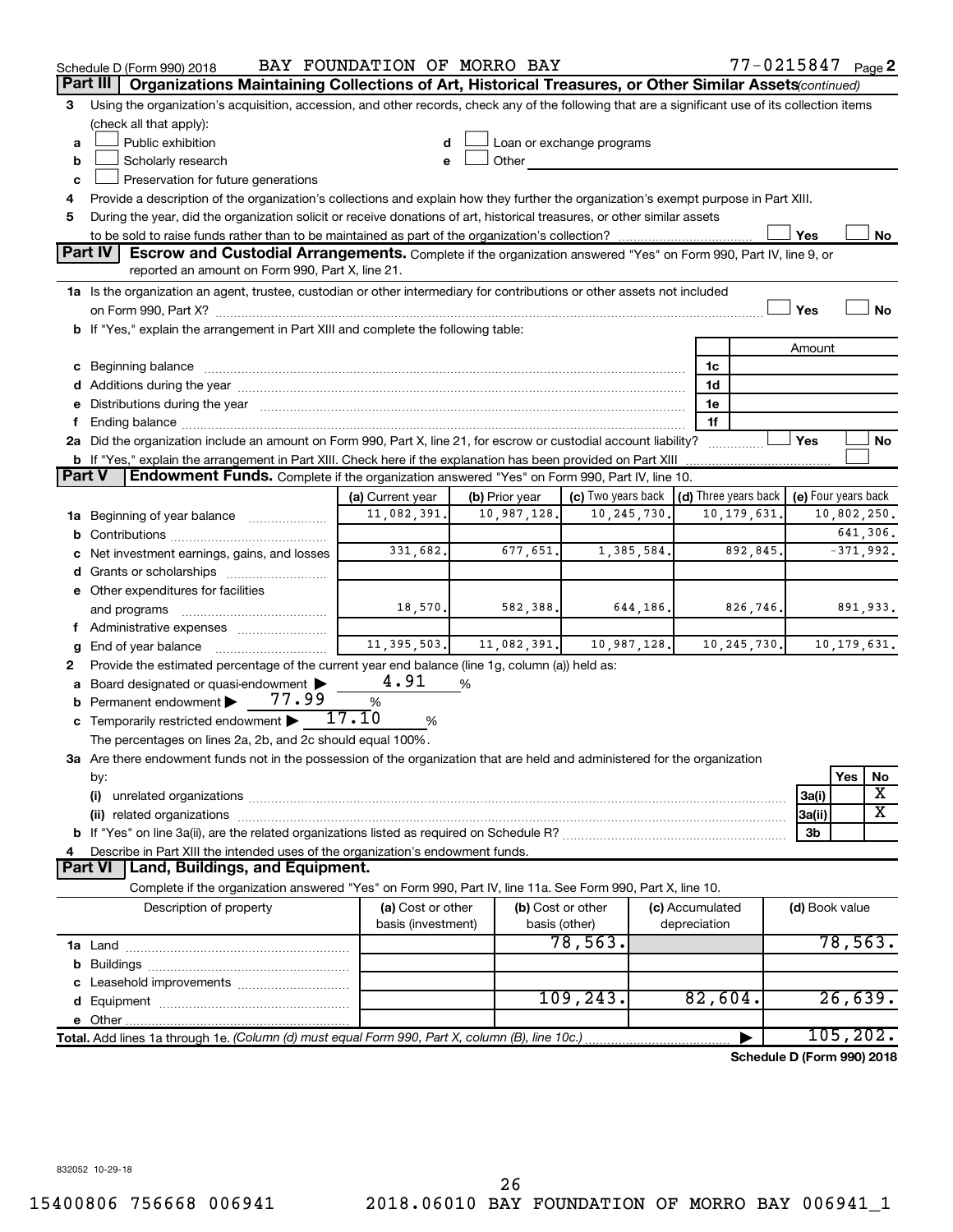|               | Schedule D (Form 990) 2018                                                                                                                                                                                                     | BAY FOUNDATION OF MORRO BAY |                |                                                         |                 | $77 - 0215847$ Page 2      |                         |  |
|---------------|--------------------------------------------------------------------------------------------------------------------------------------------------------------------------------------------------------------------------------|-----------------------------|----------------|---------------------------------------------------------|-----------------|----------------------------|-------------------------|--|
|               | Organizations Maintaining Collections of Art, Historical Treasures, or Other Similar Assets(continued)<br>Part III                                                                                                             |                             |                |                                                         |                 |                            |                         |  |
| 3             | Using the organization's acquisition, accession, and other records, check any of the following that are a significant use of its collection items                                                                              |                             |                |                                                         |                 |                            |                         |  |
|               | (check all that apply):                                                                                                                                                                                                        |                             |                |                                                         |                 |                            |                         |  |
| a             | Public exhibition                                                                                                                                                                                                              |                             |                | Loan or exchange programs                               |                 |                            |                         |  |
| b             | Scholarly research<br>Other                                                                                                                                                                                                    |                             |                |                                                         |                 |                            |                         |  |
| c             | Preservation for future generations                                                                                                                                                                                            |                             |                |                                                         |                 |                            |                         |  |
| 4             | Provide a description of the organization's collections and explain how they further the organization's exempt purpose in Part XIII.                                                                                           |                             |                |                                                         |                 |                            |                         |  |
| 5             | During the year, did the organization solicit or receive donations of art, historical treasures, or other similar assets                                                                                                       |                             |                |                                                         |                 |                            |                         |  |
|               |                                                                                                                                                                                                                                |                             |                |                                                         |                 | Yes                        | No                      |  |
|               | <b>Part IV</b><br><b>Escrow and Custodial Arrangements.</b> Complete if the organization answered "Yes" on Form 990, Part IV, line 9, or<br>reported an amount on Form 990, Part X, line 21.                                   |                             |                |                                                         |                 |                            |                         |  |
|               | 1a Is the organization an agent, trustee, custodian or other intermediary for contributions or other assets not included                                                                                                       |                             |                |                                                         |                 |                            |                         |  |
|               |                                                                                                                                                                                                                                |                             |                |                                                         |                 | Yes                        | No                      |  |
|               | b If "Yes," explain the arrangement in Part XIII and complete the following table:                                                                                                                                             |                             |                |                                                         |                 |                            |                         |  |
|               |                                                                                                                                                                                                                                |                             |                |                                                         |                 | Amount                     |                         |  |
|               | c Beginning balance measurements and the contract of the contract of the contract of the contract of the contract of the contract of the contract of the contract of the contract of the contract of the contract of the contr |                             |                |                                                         | 1c              |                            |                         |  |
|               |                                                                                                                                                                                                                                |                             |                |                                                         | 1d              |                            |                         |  |
|               | e Distributions during the year manufactured and continuum and contact the control of the control of the state of the control of the control of the control of the control of the control of the control of the control of the |                             |                |                                                         | 1e              |                            |                         |  |
| f.            |                                                                                                                                                                                                                                |                             |                |                                                         | 1f              |                            |                         |  |
|               | 2a Did the organization include an amount on Form 990, Part X, line 21, for escrow or custodial account liability?                                                                                                             |                             |                |                                                         |                 | Yes                        | No                      |  |
|               | <b>b</b> If "Yes," explain the arrangement in Part XIII. Check here if the explanation has been provided on Part XIII                                                                                                          |                             |                |                                                         |                 |                            |                         |  |
| <b>Part V</b> | <b>Endowment Funds.</b> Complete if the organization answered "Yes" on Form 990, Part IV, line 10.                                                                                                                             |                             |                |                                                         |                 |                            |                         |  |
|               |                                                                                                                                                                                                                                | (a) Current year            | (b) Prior year | (c) Two years back $\vert$ (d) Three years back $\vert$ |                 | (e) Four years back        |                         |  |
|               | <b>1a</b> Beginning of year balance <i>manumum</i>                                                                                                                                                                             | 11,082,391.                 | 10,987,128.    | 10,245,730.                                             | 10,179,631.     |                            | 10,802,250.             |  |
|               |                                                                                                                                                                                                                                |                             |                |                                                         |                 |                            | 641,306.                |  |
|               | c Net investment earnings, gains, and losses                                                                                                                                                                                   | 331,682.                    | 677,651.       | 1,385,584.                                              | 892,845.        |                            | $-371,992.$             |  |
|               |                                                                                                                                                                                                                                |                             |                |                                                         |                 |                            |                         |  |
|               | e Other expenditures for facilities                                                                                                                                                                                            |                             |                |                                                         |                 |                            |                         |  |
|               | and programs                                                                                                                                                                                                                   | 18,570.                     | 582,388.       | 644, 186.                                               | 826, 746.       |                            | 891,933.                |  |
|               | f Administrative expenses                                                                                                                                                                                                      |                             |                |                                                         |                 |                            |                         |  |
| g             | End of year balance <i></i>                                                                                                                                                                                                    | 11, 395, 503.               | 11,082,391.    | 10,987,128.                                             | 10, 245, 730.   |                            | 10,179,631.             |  |
| 2             | Provide the estimated percentage of the current year end balance (line 1g, column (a)) held as:                                                                                                                                |                             |                |                                                         |                 |                            |                         |  |
|               | a Board designated or quasi-endowment >                                                                                                                                                                                        | 4.91                        | %              |                                                         |                 |                            |                         |  |
|               | 77.99<br><b>b</b> Permanent endowment $\blacktriangleright$                                                                                                                                                                    | $\%$                        |                |                                                         |                 |                            |                         |  |
|               | <b>c</b> Temporarily restricted endowment $\blacktriangleright$                                                                                                                                                                | 17.10<br>%                  |                |                                                         |                 |                            |                         |  |
|               | The percentages on lines 2a, 2b, and 2c should equal 100%.                                                                                                                                                                     |                             |                |                                                         |                 |                            |                         |  |
|               | 3a Are there endowment funds not in the possession of the organization that are held and administered for the organization                                                                                                     |                             |                |                                                         |                 |                            |                         |  |
|               | by:                                                                                                                                                                                                                            |                             |                |                                                         |                 | Yes                        | No<br>Х                 |  |
|               | (i)                                                                                                                                                                                                                            |                             |                |                                                         |                 | 3a(i)                      | $\overline{\textbf{x}}$ |  |
|               |                                                                                                                                                                                                                                |                             |                |                                                         |                 | 3a(ii)                     |                         |  |
|               |                                                                                                                                                                                                                                |                             |                |                                                         |                 | 3b                         |                         |  |
| 4             | Describe in Part XIII the intended uses of the organization's endowment funds.<br><b>Land, Buildings, and Equipment.</b><br><b>Part VI</b>                                                                                     |                             |                |                                                         |                 |                            |                         |  |
|               | Complete if the organization answered "Yes" on Form 990, Part IV, line 11a. See Form 990, Part X, line 10.                                                                                                                     |                             |                |                                                         |                 |                            |                         |  |
|               | Description of property                                                                                                                                                                                                        | (a) Cost or other           |                | (b) Cost or other                                       | (c) Accumulated | (d) Book value             |                         |  |
|               |                                                                                                                                                                                                                                | basis (investment)          |                | basis (other)                                           | depreciation    |                            |                         |  |
|               |                                                                                                                                                                                                                                |                             |                | 78,563.                                                 |                 |                            | 78,563.                 |  |
|               |                                                                                                                                                                                                                                |                             |                |                                                         |                 |                            |                         |  |
|               |                                                                                                                                                                                                                                |                             |                |                                                         |                 |                            |                         |  |
|               |                                                                                                                                                                                                                                |                             |                | 109, 243.                                               | 82,604.         |                            | 26,639.                 |  |
|               |                                                                                                                                                                                                                                |                             |                |                                                         |                 |                            |                         |  |
|               | Total. Add lines 1a through 1e. (Column (d) must equal Form 990, Part X, column (B), line 10c.)                                                                                                                                |                             |                |                                                         |                 |                            | 105, 202.               |  |
|               |                                                                                                                                                                                                                                |                             |                |                                                         |                 | Schedule D (Form 990) 2018 |                         |  |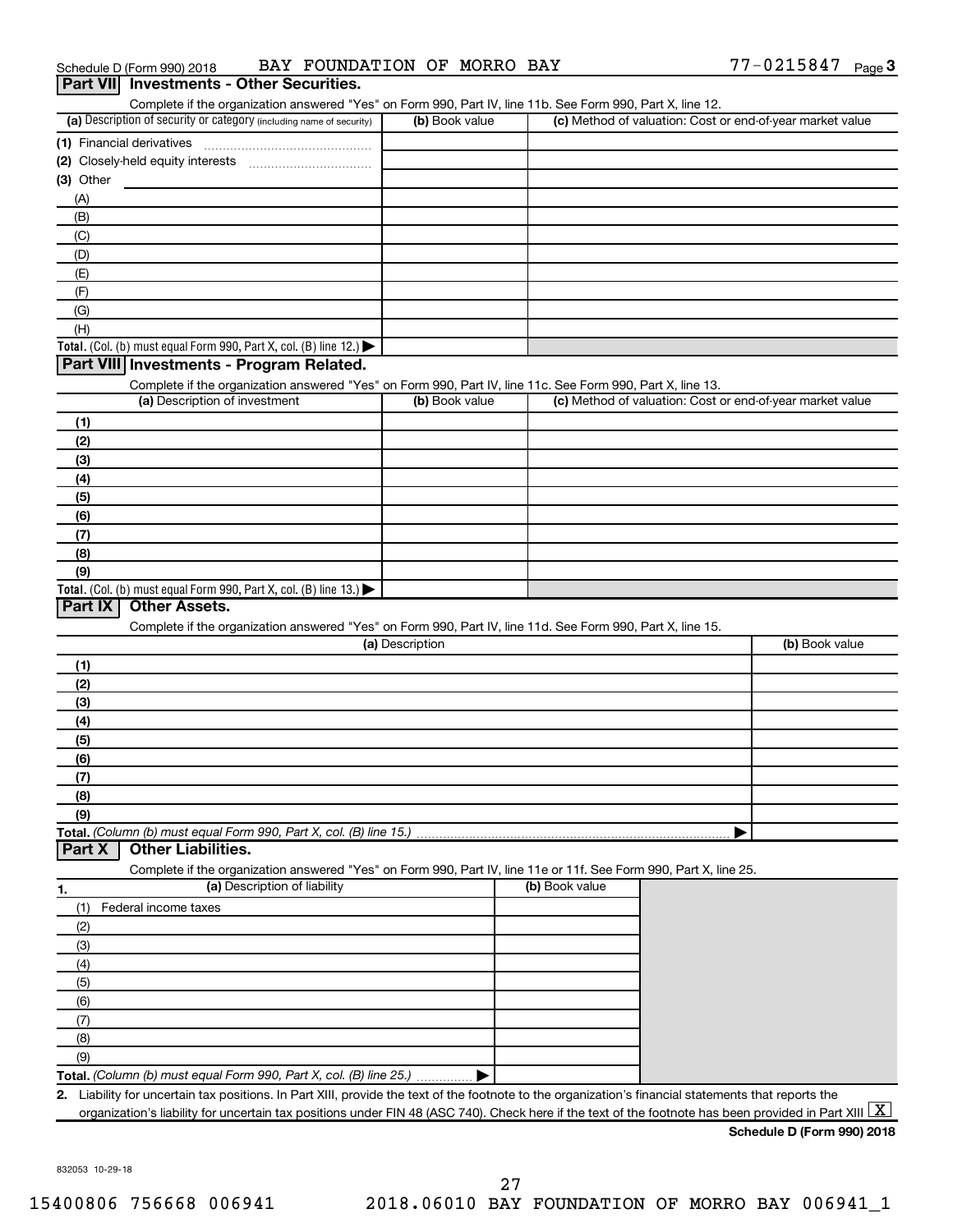| Schedule D (Form 990) 2018                      | BAY FOUNDATION OF MORRO BAY |  | 77-0215847 | Page $\mathbf 3$ |
|-------------------------------------------------|-----------------------------|--|------------|------------------|
| <b>Part VII</b> Investments - Other Securities. |                             |  |            |                  |

| (a) Description of security or category (including name of security)                                                                                                                                                    | (b) Book value  | (c) Method of valuation: Cost or end-of-year market value |                |
|-------------------------------------------------------------------------------------------------------------------------------------------------------------------------------------------------------------------------|-----------------|-----------------------------------------------------------|----------------|
|                                                                                                                                                                                                                         |                 |                                                           |                |
| (2) Closely-held equity interests                                                                                                                                                                                       |                 |                                                           |                |
| (3) Other                                                                                                                                                                                                               |                 |                                                           |                |
| (A)                                                                                                                                                                                                                     |                 |                                                           |                |
| (B)                                                                                                                                                                                                                     |                 |                                                           |                |
|                                                                                                                                                                                                                         |                 |                                                           |                |
| (C)                                                                                                                                                                                                                     |                 |                                                           |                |
| (D)                                                                                                                                                                                                                     |                 |                                                           |                |
| (E)                                                                                                                                                                                                                     |                 |                                                           |                |
| (F)                                                                                                                                                                                                                     |                 |                                                           |                |
| (G)                                                                                                                                                                                                                     |                 |                                                           |                |
| (H)                                                                                                                                                                                                                     |                 |                                                           |                |
| Total. (Col. (b) must equal Form 990, Part X, col. (B) line 12.) $\blacktriangleright$                                                                                                                                  |                 |                                                           |                |
| Part VIII Investments - Program Related.                                                                                                                                                                                |                 |                                                           |                |
| Complete if the organization answered "Yes" on Form 990, Part IV, line 11c. See Form 990, Part X, line 13.                                                                                                              |                 |                                                           |                |
| (a) Description of investment                                                                                                                                                                                           | (b) Book value  | (c) Method of valuation: Cost or end-of-year market value |                |
| (1)                                                                                                                                                                                                                     |                 |                                                           |                |
| (2)                                                                                                                                                                                                                     |                 |                                                           |                |
| (3)                                                                                                                                                                                                                     |                 |                                                           |                |
|                                                                                                                                                                                                                         |                 |                                                           |                |
| (4)                                                                                                                                                                                                                     |                 |                                                           |                |
| (5)                                                                                                                                                                                                                     |                 |                                                           |                |
| (6)                                                                                                                                                                                                                     |                 |                                                           |                |
| (7)                                                                                                                                                                                                                     |                 |                                                           |                |
| (8)                                                                                                                                                                                                                     |                 |                                                           |                |
| (9)                                                                                                                                                                                                                     |                 |                                                           |                |
| Total. (Col. (b) must equal Form 990, Part X, col. (B) line $13$ .)                                                                                                                                                     |                 |                                                           |                |
| Part IX<br><b>Other Assets.</b>                                                                                                                                                                                         |                 |                                                           |                |
| Complete if the organization answered "Yes" on Form 990, Part IV, line 11d. See Form 990, Part X, line 15.                                                                                                              |                 |                                                           |                |
|                                                                                                                                                                                                                         | (a) Description |                                                           | (b) Book value |
| (1)                                                                                                                                                                                                                     |                 |                                                           |                |
|                                                                                                                                                                                                                         |                 |                                                           |                |
| (2)                                                                                                                                                                                                                     |                 |                                                           |                |
| (3)                                                                                                                                                                                                                     |                 |                                                           |                |
| (4)                                                                                                                                                                                                                     |                 |                                                           |                |
| (5)                                                                                                                                                                                                                     |                 |                                                           |                |
| (6)                                                                                                                                                                                                                     |                 |                                                           |                |
| (7)                                                                                                                                                                                                                     |                 |                                                           |                |
| (8)                                                                                                                                                                                                                     |                 |                                                           |                |
|                                                                                                                                                                                                                         |                 |                                                           |                |
|                                                                                                                                                                                                                         |                 |                                                           |                |
| (9)                                                                                                                                                                                                                     |                 |                                                           |                |
|                                                                                                                                                                                                                         |                 |                                                           |                |
| <b>Other Liabilities.</b>                                                                                                                                                                                               |                 |                                                           |                |
| Complete if the organization answered "Yes" on Form 990, Part IV, line 11e or 11f. See Form 990, Part X, line 25.                                                                                                       |                 |                                                           |                |
| (a) Description of liability                                                                                                                                                                                            |                 | (b) Book value                                            |                |
| Federal income taxes<br>(1)                                                                                                                                                                                             |                 |                                                           |                |
| (2)                                                                                                                                                                                                                     |                 |                                                           |                |
| (3)                                                                                                                                                                                                                     |                 |                                                           |                |
| (4)                                                                                                                                                                                                                     |                 |                                                           |                |
|                                                                                                                                                                                                                         |                 |                                                           |                |
| (5)                                                                                                                                                                                                                     |                 |                                                           |                |
| (6)                                                                                                                                                                                                                     |                 |                                                           |                |
| Total. (Column (b) must equal Form 990, Part X, col. (B) line 15.)<br>Part X<br>1.<br>(7)                                                                                                                               |                 |                                                           |                |
| (8)                                                                                                                                                                                                                     |                 |                                                           |                |
| (9)                                                                                                                                                                                                                     |                 |                                                           |                |
| Total. (Column (b) must equal Form 990, Part X, col. (B) line 25.)<br>Liability for uncertain tax positions. In Part XIII, provide the text of the footnote to the organization's financial statements that reports the |                 |                                                           |                |

832053 10-29-18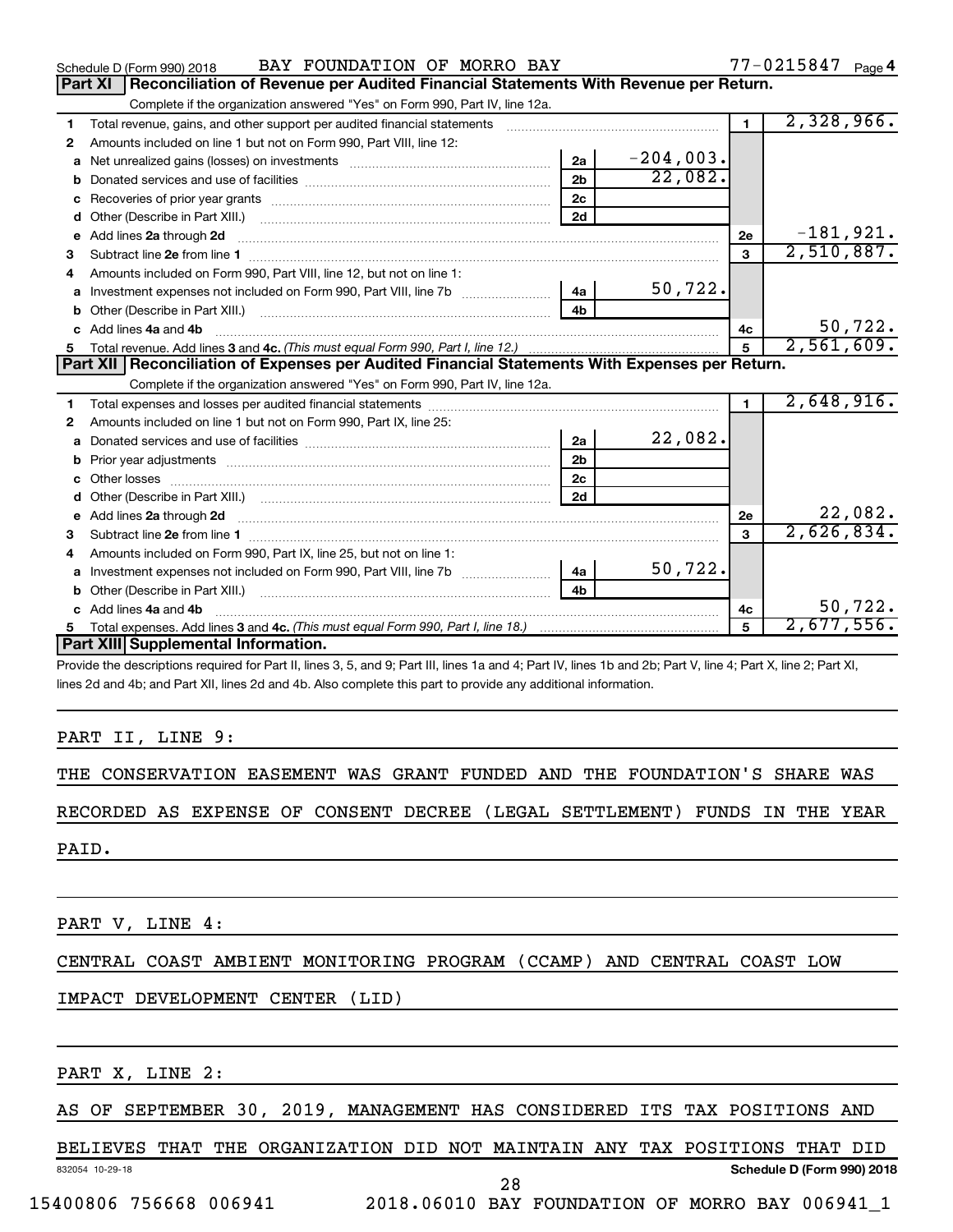|              | BAY FOUNDATION OF MORRO BAY<br>Schedule D (Form 990) 2018                                                                                                                                                                      |                |             |                | $77 - 0215847$ Page 4 |
|--------------|--------------------------------------------------------------------------------------------------------------------------------------------------------------------------------------------------------------------------------|----------------|-------------|----------------|-----------------------|
|              | Reconciliation of Revenue per Audited Financial Statements With Revenue per Return.<br>Part XI                                                                                                                                 |                |             |                |                       |
|              | Complete if the organization answered "Yes" on Form 990, Part IV, line 12a.                                                                                                                                                    |                |             |                |                       |
| 1            | Total revenue, gains, and other support per audited financial statements                                                                                                                                                       |                |             | $\blacksquare$ | 2,328,966.            |
| 2            | Amounts included on line 1 but not on Form 990, Part VIII, line 12:                                                                                                                                                            |                |             |                |                       |
| a            |                                                                                                                                                                                                                                | 2a             | $-204,003.$ |                |                       |
|              |                                                                                                                                                                                                                                | 2 <sub>b</sub> | 22,082.     |                |                       |
|              |                                                                                                                                                                                                                                | 2c             |             |                |                       |
| d            |                                                                                                                                                                                                                                | 2d             |             |                |                       |
| $\mathbf{e}$ | Add lines 2a through 2d                                                                                                                                                                                                        |                |             | 2е             | $-181,921.$           |
| 3            | Subtract line 2e from line 1 <b>manufacture in the contract of the 2e</b> from line 1                                                                                                                                          |                |             | 3              | 2,510,887.            |
| 4            | Amounts included on Form 990, Part VIII, line 12, but not on line 1:                                                                                                                                                           |                |             |                |                       |
|              |                                                                                                                                                                                                                                |                | 50, 722.    |                |                       |
|              |                                                                                                                                                                                                                                | 4 <sub>b</sub> |             |                |                       |
|              | c Add lines 4a and 4b                                                                                                                                                                                                          |                |             | 4c             | 50, 722.              |
|              |                                                                                                                                                                                                                                |                |             | 5              | 2,561,609.            |
|              | Part XII   Reconciliation of Expenses per Audited Financial Statements With Expenses per Return.                                                                                                                               |                |             |                |                       |
|              | Complete if the organization answered "Yes" on Form 990, Part IV, line 12a.                                                                                                                                                    |                |             |                |                       |
| 1.           |                                                                                                                                                                                                                                |                |             | 1.             | 2,648,916.            |
| 2            | Amounts included on line 1 but not on Form 990, Part IX, line 25:                                                                                                                                                              |                |             |                |                       |
| a            |                                                                                                                                                                                                                                | 2a             | 22,082.     |                |                       |
|              |                                                                                                                                                                                                                                | 2 <sub>b</sub> |             |                |                       |
|              |                                                                                                                                                                                                                                | 2 <sub>c</sub> |             |                |                       |
|              |                                                                                                                                                                                                                                | 2d             |             |                |                       |
|              | e Add lines 2a through 2d [11] manual contract and a set of the contract of the contract of the contract of the contract of the contract of the contract of the contract of the contract of the contract of the contract of th |                |             | 2e             | 22,082.               |
|              |                                                                                                                                                                                                                                |                |             | $\mathbf{a}$   | 2,626,834.            |
| 4            | Amounts included on Form 990, Part IX, line 25, but not on line 1:                                                                                                                                                             |                |             |                |                       |
| a            |                                                                                                                                                                                                                                | 4a             | 50,722.     |                |                       |
| b            |                                                                                                                                                                                                                                | 4 <sub>h</sub> |             |                |                       |
|              | c Add lines 4a and 4b                                                                                                                                                                                                          |                |             | 4с             | 50,722.               |
| 5            |                                                                                                                                                                                                                                |                |             | 5              | 2,677,556.            |
|              | Part XIII Supplemental Information.                                                                                                                                                                                            |                |             |                |                       |
|              |                                                                                                                                                                                                                                |                |             |                |                       |

Provide the descriptions required for Part II, lines 3, 5, and 9; Part III, lines 1a and 4; Part IV, lines 1b and 2b; Part V, line 4; Part X, line 2; Part XI, lines 2d and 4b; and Part XII, lines 2d and 4b. Also complete this part to provide any additional information.

## PART II, LINE 9:

THE CONSERVATION EASEMENT WAS GRANT FUNDED AND THE FOUNDATION'S SHARE WAS

## RECORDED AS EXPENSE OF CONSENT DECREE (LEGAL SETTLEMENT) FUNDS IN THE YEAR

PAID.

PART V, LINE 4:

CENTRAL COAST AMBIENT MONITORING PROGRAM (CCAMP) AND CENTRAL COAST LOW

## IMPACT DEVELOPMENT CENTER (LID)

PART X, LINE 2:

AS OF SEPTEMBER 30, 2019, MANAGEMENT HAS CONSIDERED ITS TAX POSITIONS AND

### 832054 10-29-18 **Schedule D (Form 990) 2018** BELIEVES THAT THE ORGANIZATION DID NOT MAINTAIN ANY TAX POSITIONS THAT DID

28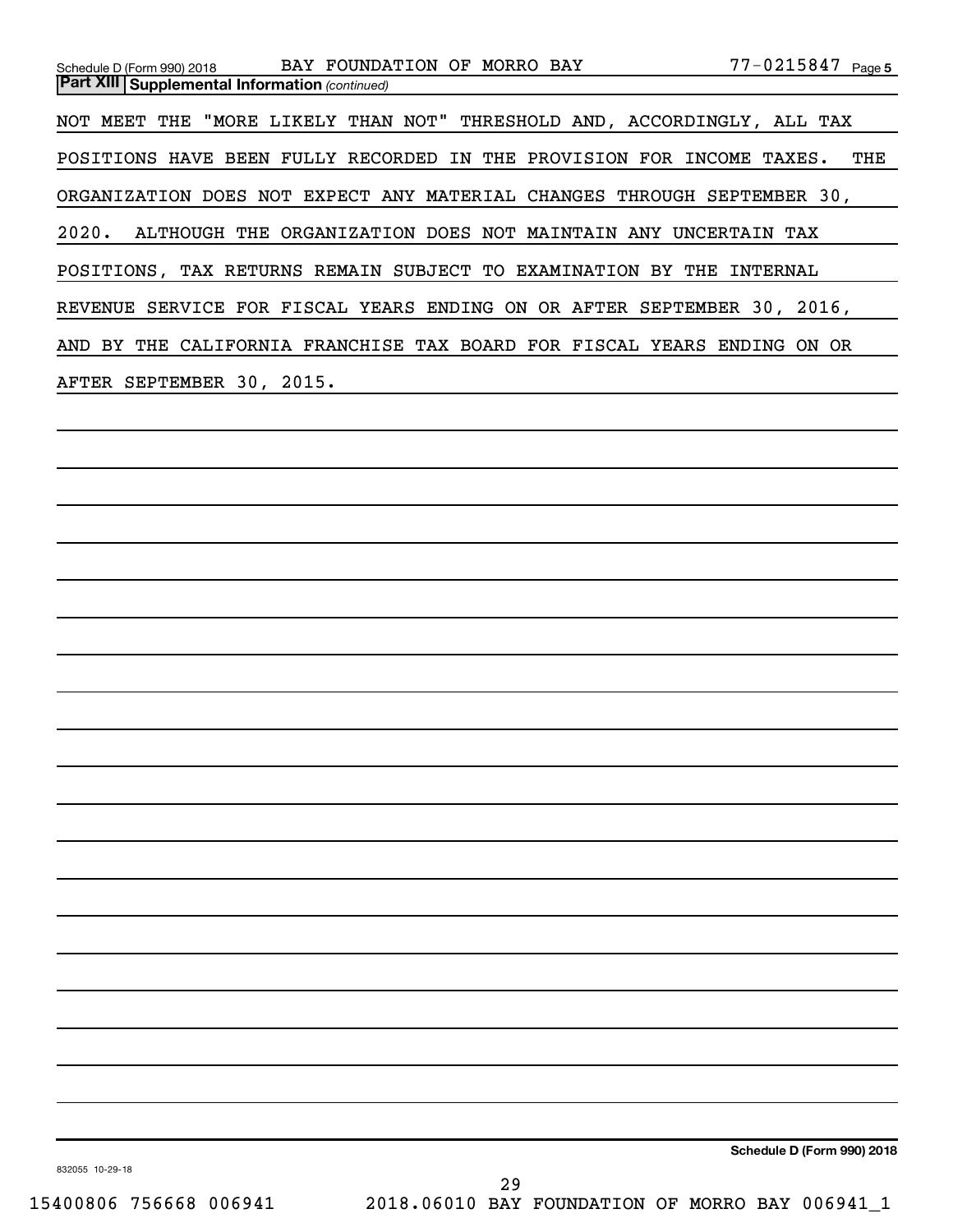| Schedule D (Form 990) 2018                            | BAY FOUNDATION OF MORRO BAY                                             | $77 - 0215847$ Page 5 |
|-------------------------------------------------------|-------------------------------------------------------------------------|-----------------------|
| <b>Part XIII Supplemental Information (continued)</b> |                                                                         |                       |
|                                                       | NOT MEET THE "MORE LIKELY THAN NOT" THRESHOLD AND, ACCORDINGLY, ALL TAX |                       |
|                                                       | POSITIONS HAVE BEEN FULLY RECORDED IN THE PROVISION FOR INCOME TAXES.   | THE                   |
|                                                       | ORGANIZATION DOES NOT EXPECT ANY MATERIAL CHANGES THROUGH SEPTEMBER 30, |                       |
|                                                       | 2020. ALTHOUGH THE ORGANIZATION DOES NOT MAINTAIN ANY UNCERTAIN TAX     |                       |
|                                                       | POSITIONS, TAX RETURNS REMAIN SUBJECT TO EXAMINATION BY                 | THE<br>INTERNAL       |
|                                                       | REVENUE SERVICE FOR FISCAL YEARS ENDING ON OR AFTER SEPTEMBER 30, 2016, |                       |
|                                                       | AND BY THE CALIFORNIA FRANCHISE TAX BOARD FOR FISCAL YEARS ENDING       | ON OR                 |
| AFTER SEPTEMBER 30, 2015.                             |                                                                         |                       |
|                                                       |                                                                         |                       |

832055 10-29-18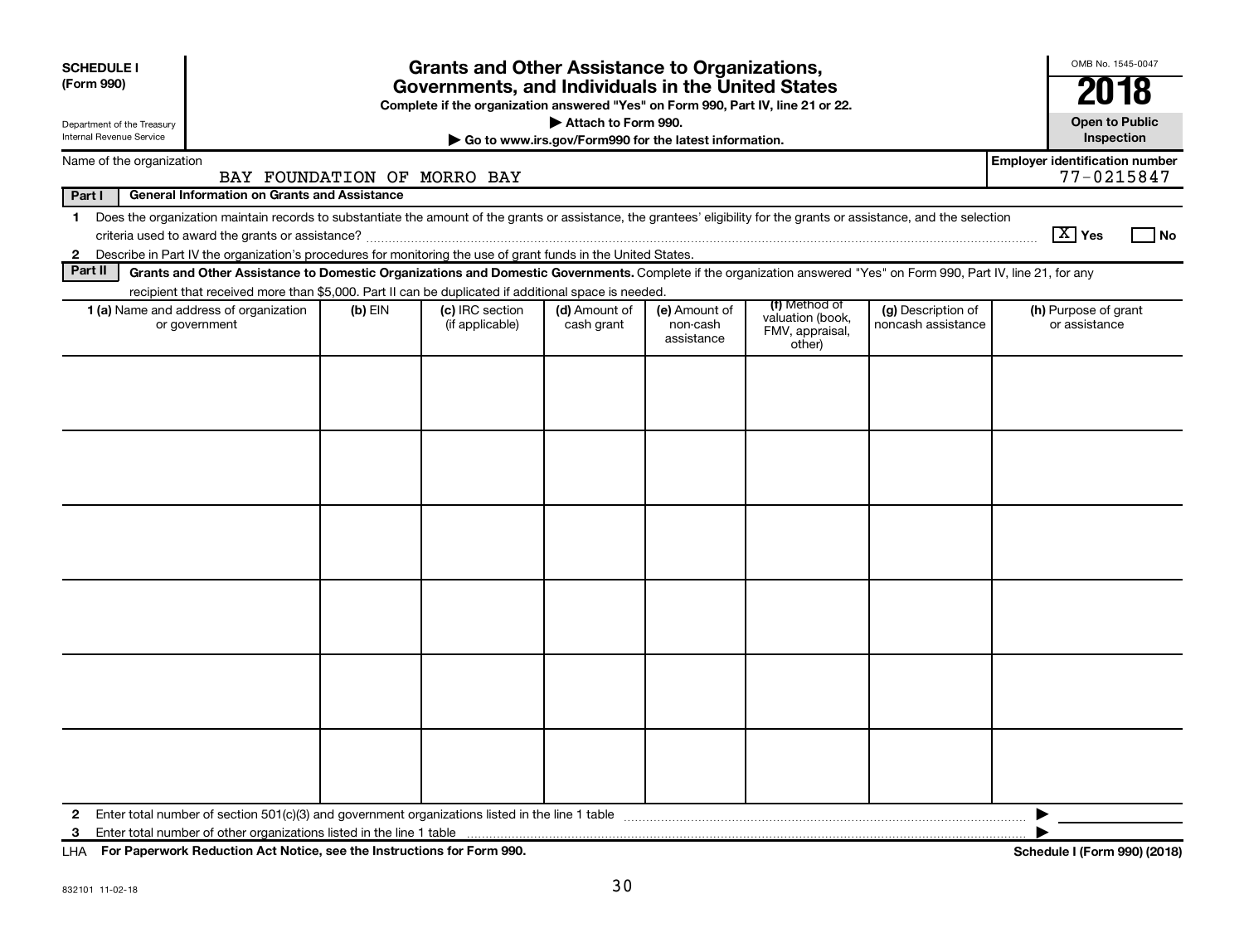| <b>SCHEDULE I</b><br>(Form 990)                        |                                                                                                                                                                                                                                                                                               |           | <b>Grants and Other Assistance to Organizations,</b><br>Governments, and Individuals in the United States<br>Complete if the organization answered "Yes" on Form 990, Part IV, line 21 or 22. |                                                                              |                                         |                                                                |                                          | OMB No. 1545-0047<br>2018                           |
|--------------------------------------------------------|-----------------------------------------------------------------------------------------------------------------------------------------------------------------------------------------------------------------------------------------------------------------------------------------------|-----------|-----------------------------------------------------------------------------------------------------------------------------------------------------------------------------------------------|------------------------------------------------------------------------------|-----------------------------------------|----------------------------------------------------------------|------------------------------------------|-----------------------------------------------------|
| Department of the Treasury<br>Internal Revenue Service |                                                                                                                                                                                                                                                                                               |           |                                                                                                                                                                                               | Attach to Form 990.<br>Go to www.irs.gov/Form990 for the latest information. |                                         |                                                                |                                          | <b>Open to Public</b><br>Inspection                 |
| Name of the organization                               | BAY FOUNDATION OF MORRO BAY                                                                                                                                                                                                                                                                   |           |                                                                                                                                                                                               |                                                                              |                                         |                                                                |                                          | <b>Employer identification number</b><br>77-0215847 |
| Part I                                                 | <b>General Information on Grants and Assistance</b>                                                                                                                                                                                                                                           |           |                                                                                                                                                                                               |                                                                              |                                         |                                                                |                                          |                                                     |
|                                                        | 1 Does the organization maintain records to substantiate the amount of the grants or assistance, the grantees' eligibility for the grants or assistance, and the selection<br>2 Describe in Part IV the organization's procedures for monitoring the use of grant funds in the United States. |           |                                                                                                                                                                                               |                                                                              |                                         |                                                                |                                          | $ \mathbf{X} $ Yes<br>l No                          |
| Part II                                                | Grants and Other Assistance to Domestic Organizations and Domestic Governments. Complete if the organization answered "Yes" on Form 990, Part IV, line 21, for any<br>recipient that received more than \$5,000. Part II can be duplicated if additional space is needed.                     |           |                                                                                                                                                                                               |                                                                              |                                         |                                                                |                                          |                                                     |
|                                                        | 1 (a) Name and address of organization<br>or government                                                                                                                                                                                                                                       | $(b)$ EIN | (c) IRC section<br>(if applicable)                                                                                                                                                            | (d) Amount of<br>cash grant                                                  | (e) Amount of<br>non-cash<br>assistance | (f) Method of<br>valuation (book,<br>FMV, appraisal,<br>other) | (g) Description of<br>noncash assistance | (h) Purpose of grant<br>or assistance               |
|                                                        |                                                                                                                                                                                                                                                                                               |           |                                                                                                                                                                                               |                                                                              |                                         |                                                                |                                          |                                                     |
| $\mathbf{2}$<br>3                                      |                                                                                                                                                                                                                                                                                               |           |                                                                                                                                                                                               |                                                                              |                                         |                                                                |                                          | ▶                                                   |

**For Paperwork Reduction Act Notice, see the Instructions for Form 990. Schedule I (Form 990) (2018)** LHA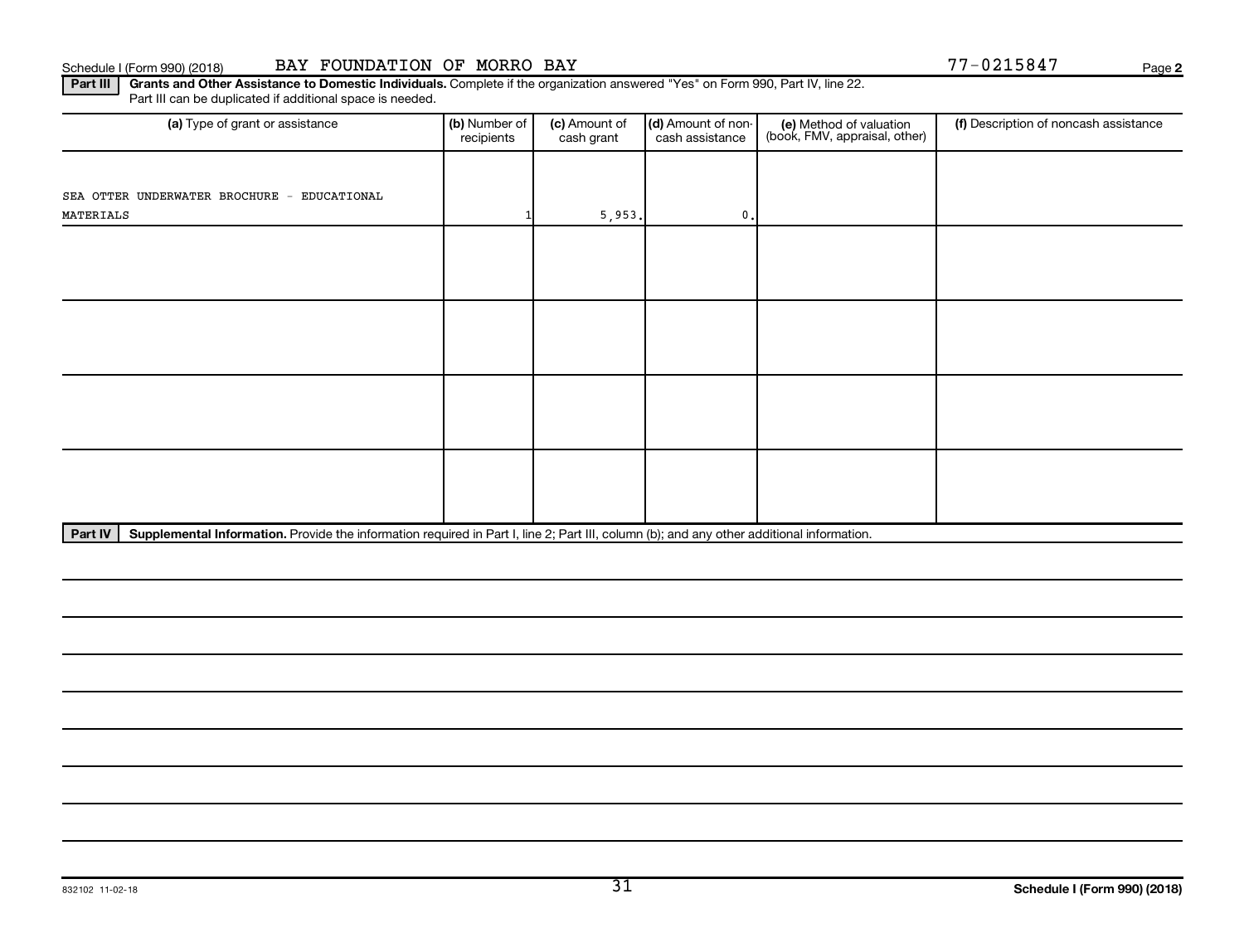## Schedule I (Form 990) (2018) BAY FOUNDATION OF MORRO BAY **Page 19th 100 and 100 and 100 and 100 and 1**77-0215847

**2**

Part III | Grants and Other Assistance to Domestic Individuals. Complete if the organization answered "Yes" on Form 990, Part IV, line 22. Part III can be duplicated if additional space is needed.

| (a) Type of grant or assistance             | (b) Number of<br>recipients | (c) Amount of<br>cash grant | (d) Amount of non-<br>cash assistance | (e) Method of valuation<br>(book, FMV, appraisal, other) | (f) Description of noncash assistance |
|---------------------------------------------|-----------------------------|-----------------------------|---------------------------------------|----------------------------------------------------------|---------------------------------------|
|                                             |                             |                             |                                       |                                                          |                                       |
| SEA OTTER UNDERWATER BROCHURE - EDUCATIONAL |                             |                             |                                       |                                                          |                                       |
| MATERIALS                                   |                             | 5,953.                      | $0$ .                                 |                                                          |                                       |
|                                             |                             |                             |                                       |                                                          |                                       |
|                                             |                             |                             |                                       |                                                          |                                       |
|                                             |                             |                             |                                       |                                                          |                                       |
|                                             |                             |                             |                                       |                                                          |                                       |
|                                             |                             |                             |                                       |                                                          |                                       |
|                                             |                             |                             |                                       |                                                          |                                       |
|                                             |                             |                             |                                       |                                                          |                                       |
|                                             |                             |                             |                                       |                                                          |                                       |
|                                             |                             |                             |                                       |                                                          |                                       |
|                                             |                             |                             |                                       |                                                          |                                       |
|                                             |                             |                             |                                       |                                                          |                                       |
|                                             |                             |                             |                                       |                                                          |                                       |
|                                             |                             |                             |                                       |                                                          |                                       |

Part IV | Supplemental Information. Provide the information required in Part I, line 2; Part III, column (b); and any other additional information.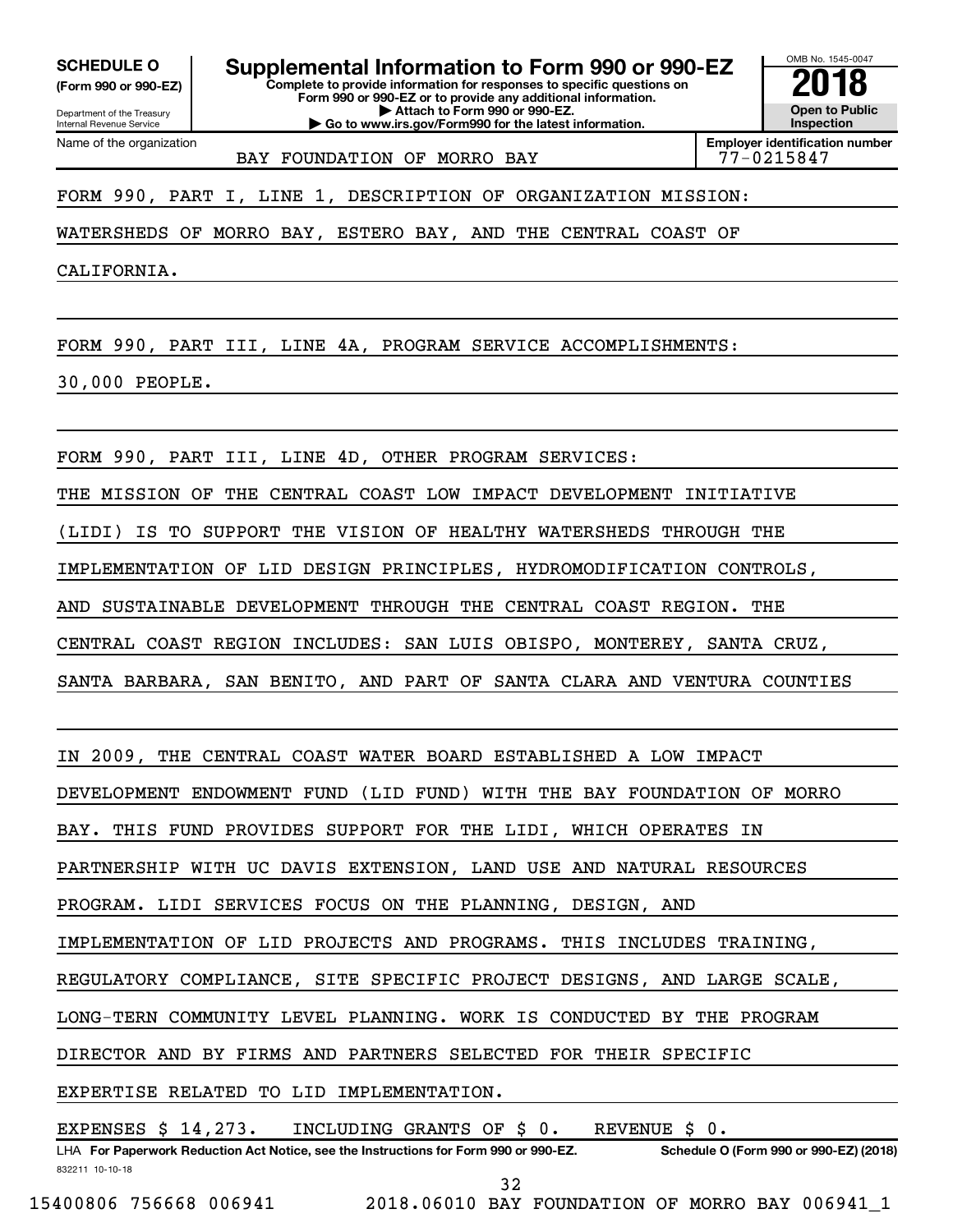**(Form 990 or 990-EZ)**

Department of the Treasury

Name of the organization

Internal Revenue Service

**Complete to provide information for responses to specific questions on Form 990 or 990-EZ or to provide any additional information.** SCHEDULE O **Supplemental Information to Form 990 or 990-EZ 2018**<br>(Form 990 or 990-EZ) Complete to provide information for responses to specific questions on

**| Attach to Form 990 or 990-EZ.**

**| Go to www.irs.gov/Form990 for the latest information.**

**Employer identification number** BAY FOUNDATION OF MORRO BAY **77-0215847** 

OMB No. 1545-0047

**Open to Public Inspection**

FORM 990, PART I, LINE 1, DESCRIPTION OF ORGANIZATION MISSION:

WATERSHEDS OF MORRO BAY, ESTERO BAY, AND THE CENTRAL COAST OF

CALIFORNIA.

FORM 990, PART III, LINE 4A, PROGRAM SERVICE ACCOMPLISHMENTS:

30,000 PEOPLE.

FORM 990, PART III, LINE 4D, OTHER PROGRAM SERVICES:

THE MISSION OF THE CENTRAL COAST LOW IMPACT DEVELOPMENT INITIATIVE

(LIDI) IS TO SUPPORT THE VISION OF HEALTHY WATERSHEDS THROUGH THE

IMPLEMENTATION OF LID DESIGN PRINCIPLES, HYDROMODIFICATION CONTROLS,

AND SUSTAINABLE DEVELOPMENT THROUGH THE CENTRAL COAST REGION. THE

CENTRAL COAST REGION INCLUDES: SAN LUIS OBISPO, MONTEREY, SANTA CRUZ,

SANTA BARBARA, SAN BENITO, AND PART OF SANTA CLARA AND VENTURA COUNTIES

IN 2009, THE CENTRAL COAST WATER BOARD ESTABLISHED A LOW IMPACT

DEVELOPMENT ENDOWMENT FUND (LID FUND) WITH THE BAY FOUNDATION OF MORRO

BAY. THIS FUND PROVIDES SUPPORT FOR THE LIDI, WHICH OPERATES IN

PARTNERSHIP WITH UC DAVIS EXTENSION, LAND USE AND NATURAL RESOURCES

PROGRAM. LIDI SERVICES FOCUS ON THE PLANNING, DESIGN, AND

IMPLEMENTATION OF LID PROJECTS AND PROGRAMS. THIS INCLUDES TRAINING,

REGULATORY COMPLIANCE, SITE SPECIFIC PROJECT DESIGNS, AND LARGE SCALE,

LONG-TERN COMMUNITY LEVEL PLANNING. WORK IS CONDUCTED BY THE PROGRAM

DIRECTOR AND BY FIRMS AND PARTNERS SELECTED FOR THEIR SPECIFIC

EXPERTISE RELATED TO LID IMPLEMENTATION.

EXPENSES \$ 14,273. INCLUDING GRANTS OF \$ 0. REVENUE \$ 0.

832211 10-10-18 LHA For Paperwork Reduction Act Notice, see the Instructions for Form 990 or 990-EZ. Schedule O (Form 990 or 990-EZ) (2018) 32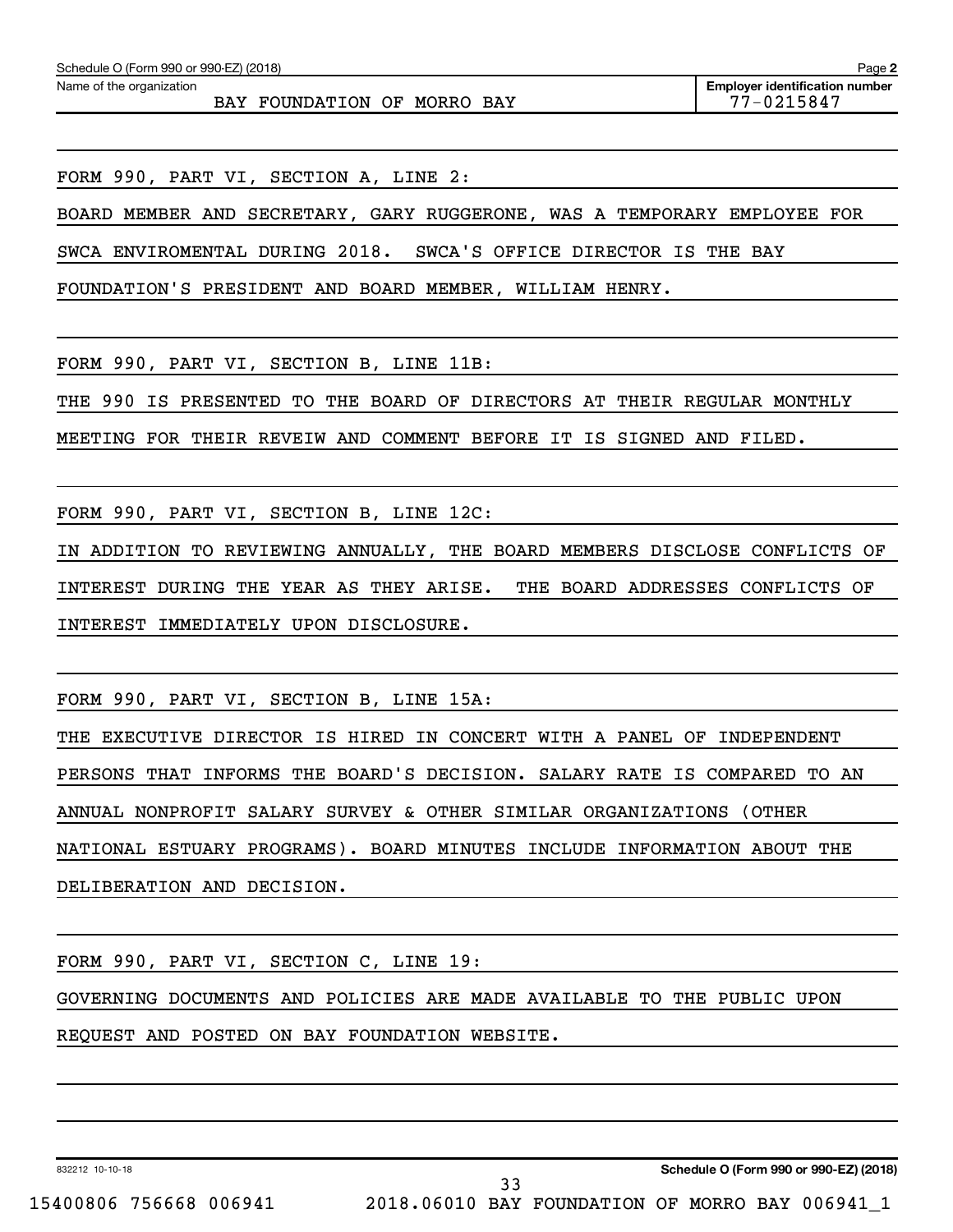Name of the organization

BAY FOUNDATION OF MORRO BAY 77-0215847

**Employer identification number**

FORM 990, PART VI, SECTION A, LINE 2:

BOARD MEMBER AND SECRETARY, GARY RUGGERONE, WAS A TEMPORARY EMPLOYEE FOR

SWCA ENVIROMENTAL DURING 2018. SWCA'S OFFICE DIRECTOR IS THE BAY

FOUNDATION'S PRESIDENT AND BOARD MEMBER, WILLIAM HENRY.

FORM 990, PART VI, SECTION B, LINE 11B:

THE 990 IS PRESENTED TO THE BOARD OF DIRECTORS AT THEIR REGULAR MONTHLY

MEETING FOR THEIR REVEIW AND COMMENT BEFORE IT IS SIGNED AND FILED.

FORM 990, PART VI, SECTION B, LINE 12C:

IN ADDITION TO REVIEWING ANNUALLY, THE BOARD MEMBERS DISCLOSE CONFLICTS OF

INTEREST DURING THE YEAR AS THEY ARISE. THE BOARD ADDRESSES CONFLICTS OF

INTEREST IMMEDIATELY UPON DISCLOSURE.

FORM 990, PART VI, SECTION B, LINE 15A:

THE EXECUTIVE DIRECTOR IS HIRED IN CONCERT WITH A PANEL OF INDEPENDENT PERSONS THAT INFORMS THE BOARD'S DECISION. SALARY RATE IS COMPARED TO AN ANNUAL NONPROFIT SALARY SURVEY & OTHER SIMILAR ORGANIZATIONS (OTHER NATIONAL ESTUARY PROGRAMS). BOARD MINUTES INCLUDE INFORMATION ABOUT THE DELIBERATION AND DECISION.

FORM 990, PART VI, SECTION C, LINE 19: GOVERNING DOCUMENTS AND POLICIES ARE MADE AVAILABLE TO THE PUBLIC UPON REQUEST AND POSTED ON BAY FOUNDATION WEBSITE.

33

832212 10-10-18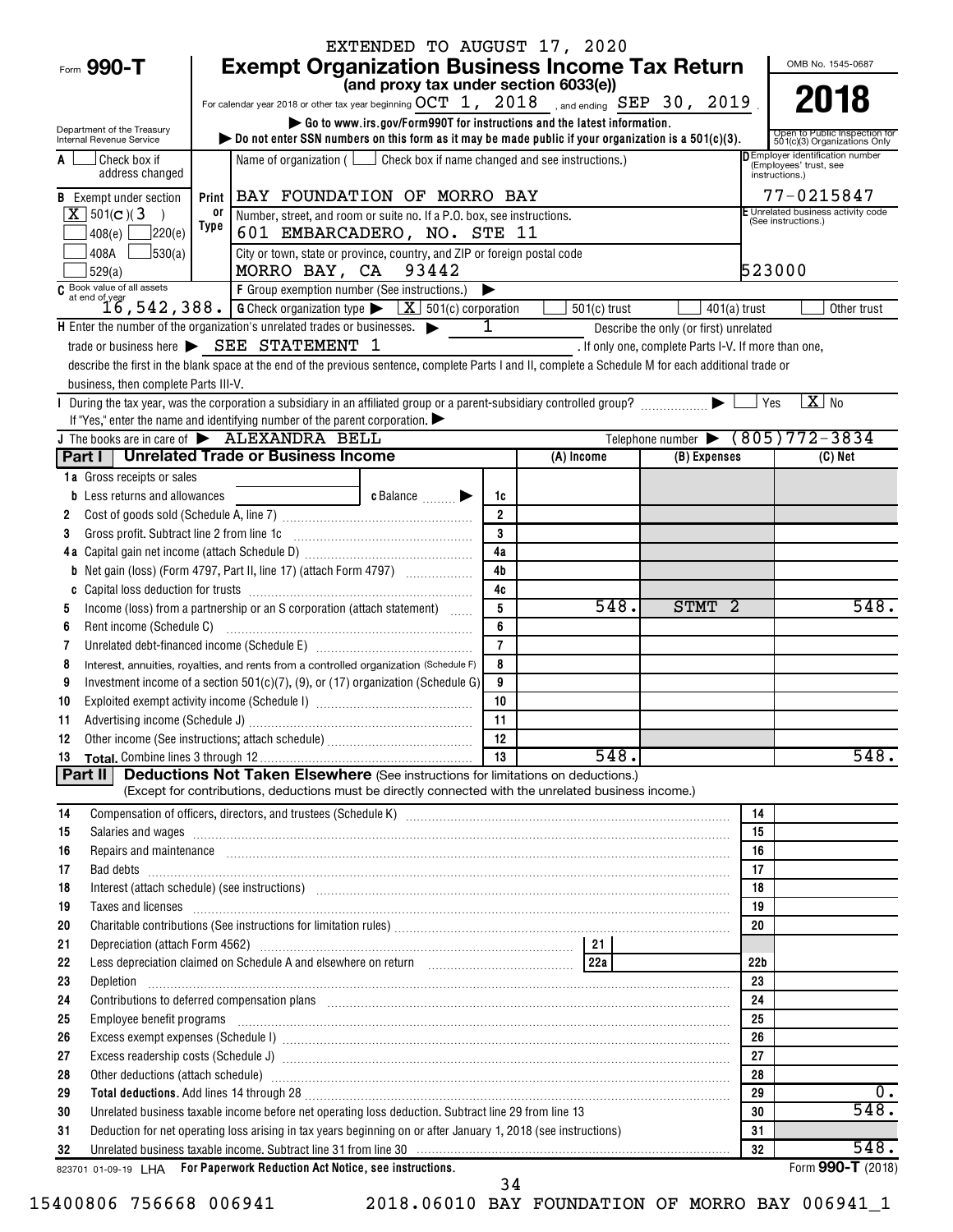|                                                                           |       |                                                                                                                                                                                                                                                                                                                                        | EXTENDED TO AUGUST 17, 2020                     |                               |                                                                         |                                                       |                 |                                                                  |
|---------------------------------------------------------------------------|-------|----------------------------------------------------------------------------------------------------------------------------------------------------------------------------------------------------------------------------------------------------------------------------------------------------------------------------------------|-------------------------------------------------|-------------------------------|-------------------------------------------------------------------------|-------------------------------------------------------|-----------------|------------------------------------------------------------------|
| Form 990-T                                                                |       | <b>Exempt Organization Business Income Tax Return</b>                                                                                                                                                                                                                                                                                  |                                                 |                               |                                                                         |                                                       |                 | OMB No. 1545-0687                                                |
|                                                                           |       |                                                                                                                                                                                                                                                                                                                                        | (and proxy tax under section 6033(e))           |                               |                                                                         |                                                       |                 |                                                                  |
|                                                                           |       | For calendar year 2018 or other tax year beginning $OCT\;$ 1, $\;$ 2018 $\;$ , and ending SEP 30, 2019                                                                                                                                                                                                                                 |                                                 |                               |                                                                         |                                                       |                 | 2018                                                             |
| Department of the Treasury<br>Internal Revenue Service                    |       | bo not enter SSN numbers on this form as it may be made public if your organization is a $501(c)(3)$ .                                                                                                                                                                                                                                 |                                                 |                               | Go to www.irs.gov/Form990T for instructions and the latest information. |                                                       |                 | Open to Public Inspection for<br>501(c)(3) Organizations Only    |
| Check box if<br>A<br>address changed                                      |       | Name of organization ( $\Box$ Check box if name changed and see instructions.)                                                                                                                                                                                                                                                         |                                                 |                               |                                                                         |                                                       | instructions.)  | <b>DEmployer identification number</b><br>(Employees' trust, see |
| <b>B</b> Exempt under section                                             | Print | BAY FOUNDATION OF MORRO BAY                                                                                                                                                                                                                                                                                                            |                                                 |                               |                                                                         |                                                       |                 | 77-0215847                                                       |
| $\overline{X}$ 501(c)(3<br>$\rightarrow$                                  | 0ľ    | Number, street, and room or suite no. If a P.O. box, see instructions.                                                                                                                                                                                                                                                                 |                                                 |                               |                                                                         |                                                       |                 | E Unrelated business activity code<br>(See instructions.)        |
| ]220(e)<br>408(e)                                                         | Type  | 601 EMBARCADERO, NO. STE 11                                                                                                                                                                                                                                                                                                            |                                                 |                               |                                                                         |                                                       |                 |                                                                  |
| 408A<br>J530(a)<br>529(a)                                                 |       | City or town, state or province, country, and ZIP or foreign postal code<br>MORRO BAY, CA 93442                                                                                                                                                                                                                                        |                                                 |                               |                                                                         |                                                       | 523000          |                                                                  |
| C Book value of all assets                                                |       | F Group exemption number (See instructions.)                                                                                                                                                                                                                                                                                           |                                                 | ▶                             |                                                                         |                                                       |                 |                                                                  |
|                                                                           |       | at end of year<br>16, 542, 388. G Check organization type > <u>X</u> 501(c) corporation                                                                                                                                                                                                                                                |                                                 |                               | $501(c)$ trust                                                          | $401(a)$ trust                                        |                 | Other trust                                                      |
| H Enter the number of the organization's unrelated trades or businesses.  |       |                                                                                                                                                                                                                                                                                                                                        |                                                 | 1                             |                                                                         | Describe the only (or first) unrelated                |                 |                                                                  |
|                                                                           |       | trade or business here > SEE STATEMENT 1                                                                                                                                                                                                                                                                                               |                                                 |                               |                                                                         | . If only one, complete Parts I-V. If more than one,  |                 |                                                                  |
| business, then complete Parts III-V.                                      |       | describe the first in the blank space at the end of the previous sentence, complete Parts I and II, complete a Schedule M for each additional trade or                                                                                                                                                                                 |                                                 |                               |                                                                         |                                                       |                 |                                                                  |
|                                                                           |       |                                                                                                                                                                                                                                                                                                                                        |                                                 |                               |                                                                         |                                                       | Yes             | $X$ No                                                           |
|                                                                           |       | If "Yes," enter the name and identifying number of the parent corporation. $\blacktriangleright$                                                                                                                                                                                                                                       |                                                 |                               |                                                                         |                                                       |                 |                                                                  |
| J The books are in care of $\blacktriangleright$ ALEXANDRA BELL           |       |                                                                                                                                                                                                                                                                                                                                        |                                                 |                               |                                                                         | Telephone number $\blacktriangleright$ (805) 772-3834 |                 |                                                                  |
|                                                                           |       | Part I   Unrelated Trade or Business Income                                                                                                                                                                                                                                                                                            |                                                 |                               | (A) Income                                                              | (B) Expenses                                          |                 | (C) Net                                                          |
| 1a Gross receipts or sales                                                |       |                                                                                                                                                                                                                                                                                                                                        |                                                 |                               |                                                                         |                                                       |                 |                                                                  |
| <b>b</b> Less returns and allowances                                      |       |                                                                                                                                                                                                                                                                                                                                        | $c$ Balance $\qquad \qquad \blacktriangleright$ | 1c                            |                                                                         |                                                       |                 |                                                                  |
| 2                                                                         |       |                                                                                                                                                                                                                                                                                                                                        |                                                 | $\overline{2}$                |                                                                         |                                                       |                 |                                                                  |
| 3                                                                         |       | Gross profit. Subtract line 2 from line 1c [11] [11] [12] [12] [13] [14] [15] [15] [15] [15] [15] [15] [15] [1                                                                                                                                                                                                                         |                                                 | $\overline{\mathbf{3}}$<br>4a |                                                                         |                                                       |                 |                                                                  |
|                                                                           |       | <b>b</b> Net gain (loss) (Form 4797, Part II, line 17) (attach Form 4797)                                                                                                                                                                                                                                                              |                                                 | 4 <sub>b</sub>                |                                                                         |                                                       |                 |                                                                  |
| C                                                                         |       |                                                                                                                                                                                                                                                                                                                                        |                                                 | 4c                            |                                                                         |                                                       |                 |                                                                  |
| 5                                                                         |       | Income (loss) from a partnership or an S corporation (attach statement)                                                                                                                                                                                                                                                                |                                                 | 5                             | 548.                                                                    | STMT 2                                                |                 | 548.                                                             |
| Rent income (Schedule C)<br>6                                             |       |                                                                                                                                                                                                                                                                                                                                        |                                                 | 6                             |                                                                         |                                                       |                 |                                                                  |
| 7                                                                         |       | Unrelated debt-financed income (Schedule E) [11] [2010] [2010] [2010] [2010] [2010] [2010] [2010] [2010] [2010                                                                                                                                                                                                                         |                                                 | $\overline{7}$                |                                                                         |                                                       |                 |                                                                  |
| 8                                                                         |       | Interest, annuities, royalties, and rents from a controlled organization (Schedule F)                                                                                                                                                                                                                                                  |                                                 | 8                             |                                                                         |                                                       |                 |                                                                  |
| 9                                                                         |       | Investment income of a section 501(c)(7), (9), or (17) organization (Schedule G)                                                                                                                                                                                                                                                       |                                                 | 9                             |                                                                         |                                                       |                 |                                                                  |
| 10                                                                        |       |                                                                                                                                                                                                                                                                                                                                        |                                                 | 10                            |                                                                         |                                                       |                 |                                                                  |
| 11                                                                        |       |                                                                                                                                                                                                                                                                                                                                        |                                                 | 11                            |                                                                         |                                                       |                 |                                                                  |
| 12                                                                        |       |                                                                                                                                                                                                                                                                                                                                        |                                                 |                               | 548.                                                                    |                                                       |                 | 548.                                                             |
| 13<br>Part II                                                             |       | <b>Deductions Not Taken Elsewhere</b> (See instructions for limitations on deductions.)                                                                                                                                                                                                                                                |                                                 |                               |                                                                         |                                                       |                 |                                                                  |
|                                                                           |       | (Except for contributions, deductions must be directly connected with the unrelated business income.)                                                                                                                                                                                                                                  |                                                 |                               |                                                                         |                                                       |                 |                                                                  |
| 14                                                                        |       |                                                                                                                                                                                                                                                                                                                                        |                                                 |                               |                                                                         |                                                       | 14              |                                                                  |
| 15                                                                        |       | Salaries and wages <b>construction and construction of the construction</b> and wages <b>construction and wages</b>                                                                                                                                                                                                                    |                                                 |                               |                                                                         |                                                       | 15              |                                                                  |
| 16                                                                        |       | Repairs and maintenance <i>[1] [1] [1] [1] [1] [1] [1] [1] [1] [1]</i> [1] <b>[1]</b> [1] <b>[1]</b> [1] <b>[1] [1] [1] [1] [1] [1] [1] [1] [1] [1] [1] [1] [1] [1] [1] [1] [1] [1] [1] [1] [1] [1]</b>                                                                                                                                |                                                 |                               |                                                                         |                                                       | 16              |                                                                  |
| 17                                                                        |       |                                                                                                                                                                                                                                                                                                                                        |                                                 |                               |                                                                         |                                                       | 17              |                                                                  |
| 18                                                                        |       | Interest (attach schedule) (see instructions) www.communications.communications.communications.communications.                                                                                                                                                                                                                         |                                                 |                               |                                                                         |                                                       | 18              |                                                                  |
| 19<br>20                                                                  |       | Taxes and licenses <b>construction and construction of the construction of the construction</b> of the construction of the construction of the construction of the construction of the construction of the construction of the cons                                                                                                    |                                                 |                               |                                                                         |                                                       | 19<br>20        |                                                                  |
| 21                                                                        |       |                                                                                                                                                                                                                                                                                                                                        |                                                 |                               |                                                                         |                                                       |                 |                                                                  |
| 22                                                                        |       | Less depreciation claimed on Schedule A and elsewhere on return [1994] [228] [228]                                                                                                                                                                                                                                                     |                                                 |                               |                                                                         |                                                       | 22 <sub>b</sub> |                                                                  |
| 23                                                                        |       |                                                                                                                                                                                                                                                                                                                                        |                                                 |                               |                                                                         |                                                       | 23              |                                                                  |
| 24                                                                        |       | Contributions to deferred compensation plans [11] manufactured contributions to deferred compensation plans [11] manufactured compensation plans [11] manufactured compensation plans [11] manufactured contributions to defer                                                                                                         |                                                 |                               |                                                                         |                                                       | 24              |                                                                  |
| 25                                                                        |       | Employee benefit programs in the continuum contract of the contract of the contract of the contract of the contract of the contract of the contract of the contract of the contract of the contract of the contract of the con                                                                                                         |                                                 |                               |                                                                         |                                                       | 25              |                                                                  |
| 26                                                                        |       |                                                                                                                                                                                                                                                                                                                                        |                                                 |                               |                                                                         |                                                       | 26              |                                                                  |
| 27                                                                        |       |                                                                                                                                                                                                                                                                                                                                        |                                                 |                               |                                                                         |                                                       | 27              |                                                                  |
| 28                                                                        |       | Other deductions (attach schedule) www.communications.communications.communications.communications.com                                                                                                                                                                                                                                 |                                                 |                               |                                                                         |                                                       | 28<br>29        | 0.                                                               |
| 29<br>30                                                                  |       | Total deductions. Add lines 14 through 28 [[11] 20 [11] 20 [11] 20 [12] 20 [12] 20 [12] 20 [12] 20 [12] 20 [12] 20 [12] 20 [12] 20 [12] 20 [12] 20 [12] 20 [12] 20 [12] 20 [12] 20 [12] 20 [12] 20 [12] 20 [12] 20 [12] 20 [12<br>Unrelated business taxable income before net operating loss deduction. Subtract line 29 from line 13 |                                                 |                               |                                                                         |                                                       | 30              | 548.                                                             |
| 31                                                                        |       | Deduction for net operating loss arising in tax years beginning on or after January 1, 2018 (see instructions)                                                                                                                                                                                                                         |                                                 |                               |                                                                         |                                                       | 31              |                                                                  |
| 32                                                                        |       |                                                                                                                                                                                                                                                                                                                                        |                                                 |                               |                                                                         |                                                       | 32              | 548.                                                             |
| 823701 01-09-19 LHA For Paperwork Reduction Act Notice, see instructions. |       |                                                                                                                                                                                                                                                                                                                                        |                                                 |                               |                                                                         |                                                       |                 | Form 990-T (2018)                                                |
|                                                                           |       |                                                                                                                                                                                                                                                                                                                                        |                                                 | 34                            |                                                                         |                                                       |                 |                                                                  |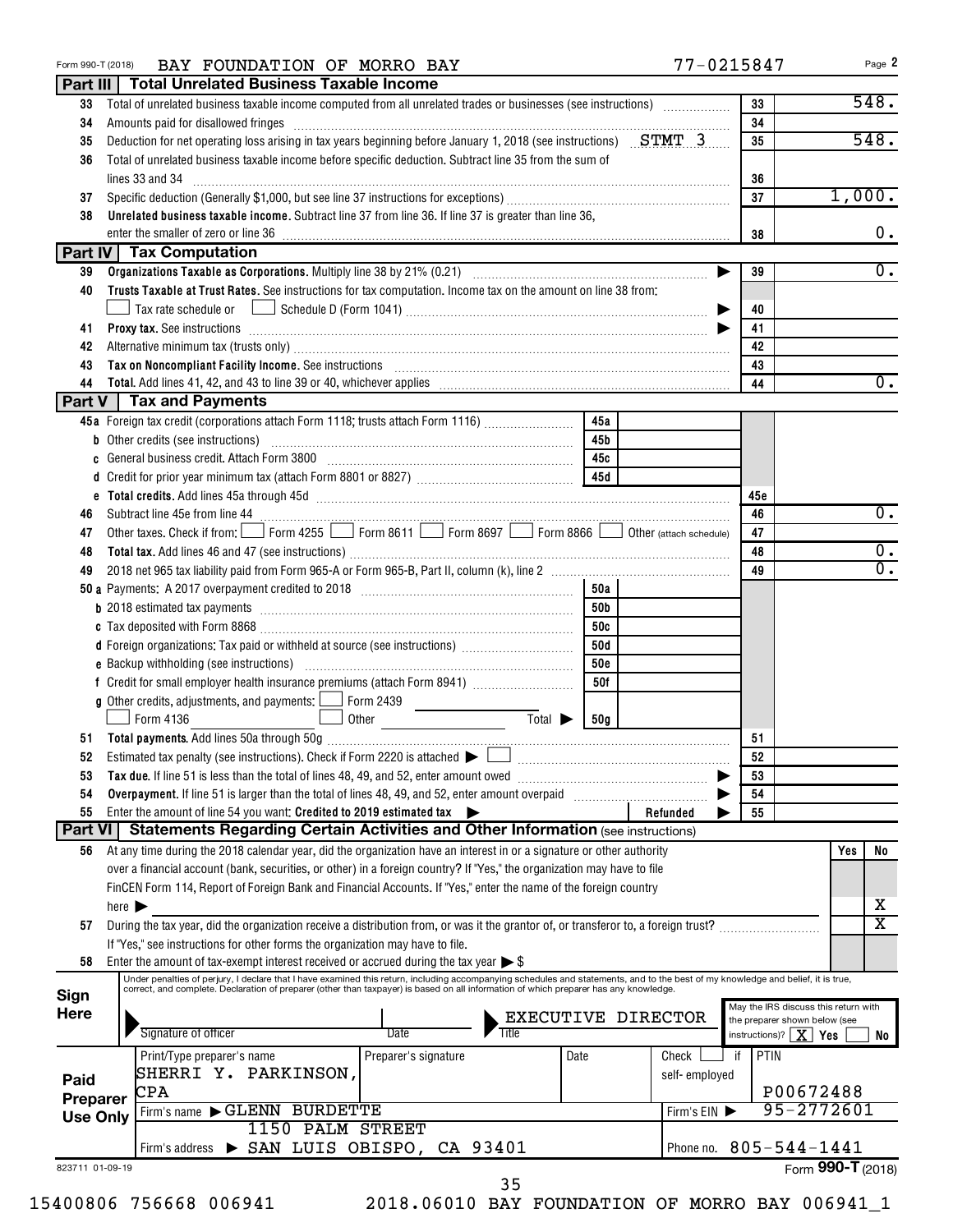| Form 990-T (2018) | BAY FOUNDATION OF MORRO BAY                                                                                                                                                                                                                                                             |                        |            |                    | 77-0215847                                                        | Page 2                  |
|-------------------|-----------------------------------------------------------------------------------------------------------------------------------------------------------------------------------------------------------------------------------------------------------------------------------------|------------------------|------------|--------------------|-------------------------------------------------------------------|-------------------------|
|                   | Part III   Total Unrelated Business Taxable Income                                                                                                                                                                                                                                      |                        |            |                    |                                                                   |                         |
| 33                | Total of unrelated business taxable income computed from all unrelated trades or businesses (see instructions)                                                                                                                                                                          |                        |            |                    | 33                                                                | 548.                    |
| 34                | Amounts paid for disallowed fringes [11, 12] Amounts and the disability of the state of the state of the state of the state of the state of the state of the state of the state of the state of the state of the state of the                                                           |                        |            |                    | 34                                                                |                         |
| 35                | Deduction for net operating loss arising in tax years beginning before January 1, 2018 (see instructions) $STMT$ 3                                                                                                                                                                      |                        |            |                    | 35                                                                | 548.                    |
| 36                | Total of unrelated business taxable income before specific deduction. Subtract line 35 from the sum of                                                                                                                                                                                  |                        |            |                    |                                                                   |                         |
|                   | lines 33 and 34                                                                                                                                                                                                                                                                         |                        |            |                    | 36                                                                |                         |
| 37                |                                                                                                                                                                                                                                                                                         |                        |            |                    | 37                                                                | 1,000.                  |
| 38                | Unrelated business taxable income. Subtract line 37 from line 36. If line 37 is greater than line 36,                                                                                                                                                                                   |                        |            |                    |                                                                   |                         |
|                   |                                                                                                                                                                                                                                                                                         |                        |            |                    | 38                                                                | 0.                      |
|                   | <b>Part IV Tax Computation</b>                                                                                                                                                                                                                                                          |                        |            |                    |                                                                   |                         |
| 39                |                                                                                                                                                                                                                                                                                         |                        |            |                    | 39                                                                | 0.                      |
| 40                | Trusts Taxable at Trust Rates. See instructions for tax computation. Income tax on the amount on line 38 from:                                                                                                                                                                          |                        |            |                    |                                                                   |                         |
|                   | Tax rate schedule or $\quad \Box \,$ Schedule D (Form 1041) ………………………………………………………………………                                                                                                                                                                                                 |                        |            |                    | 40                                                                |                         |
| 41                | Proxy tax. See instructions information and contact the set of the set of the set of the set of the set of the set of the set of the set of the set of the set of the set of the set of the set of the set of the set of the s                                                          |                        |            |                    | 41                                                                |                         |
| 42                | Alternative minimum tax (trusts only) [11] Martin Martin Martin Martin Martin Martin Martin Martin Martin Martin Martin Martin Martin Martin Martin Martin Martin Martin Martin Martin Martin Martin Martin Martin Martin Mart                                                          |                        |            |                    | 42                                                                |                         |
| 43                | Tax on Noncompliant Facility Income. See instructions [11] Martin Martin Martin Martin Martin Martin Martin Ma                                                                                                                                                                          |                        |            |                    | 43                                                                | $\overline{0}$ .        |
| 44                | <b>Part V</b> Tax and Payments                                                                                                                                                                                                                                                          |                        |            |                    | 44                                                                |                         |
|                   | 45a Foreign tax credit (corporations attach Form 1118; trusts attach Form 1116)                                                                                                                                                                                                         |                        | 45a        |                    |                                                                   |                         |
|                   | <b>b</b> Other credits (see instructions)                                                                                                                                                                                                                                               |                        | 45b        |                    |                                                                   |                         |
| c                 |                                                                                                                                                                                                                                                                                         |                        | 45c        |                    |                                                                   |                         |
|                   |                                                                                                                                                                                                                                                                                         |                        | 45 d       |                    |                                                                   |                         |
|                   |                                                                                                                                                                                                                                                                                         |                        |            |                    | 45 e                                                              |                         |
| 46                |                                                                                                                                                                                                                                                                                         |                        |            |                    | 46                                                                | 0.                      |
| 47                | Other taxes. Check if from: Form 4255 Form 8611 Form 8697 Form 8866 Obther (attach schedule)                                                                                                                                                                                            |                        |            |                    | 47                                                                |                         |
| 48                |                                                                                                                                                                                                                                                                                         |                        |            |                    | 48                                                                | 0.                      |
| 49                |                                                                                                                                                                                                                                                                                         |                        |            |                    | 49                                                                | $\overline{0}$ .        |
|                   |                                                                                                                                                                                                                                                                                         |                        | 50a        |                    |                                                                   |                         |
|                   |                                                                                                                                                                                                                                                                                         |                        | 50b        |                    |                                                                   |                         |
|                   |                                                                                                                                                                                                                                                                                         |                        | 50c        |                    |                                                                   |                         |
|                   | d Foreign organizations: Tax paid or withheld at source (see instructions) [                                                                                                                                                                                                            |                        | 50d        |                    |                                                                   |                         |
|                   |                                                                                                                                                                                                                                                                                         |                        | <b>50e</b> |                    |                                                                   |                         |
|                   | f Credit for small employer health insurance premiums (attach Form 8941) [                                                                                                                                                                                                              |                        | 50f        |                    |                                                                   |                         |
|                   | <b>g</b> Other credits, adjustments, and payments: $\boxed{\phantom{0}}$ Form 2439                                                                                                                                                                                                      |                        |            |                    |                                                                   |                         |
|                   | Form 4136                                                                                                                                                                                                                                                                               | $Total \triangleright$ | 50g        |                    |                                                                   |                         |
|                   |                                                                                                                                                                                                                                                                                         |                        |            |                    | 51                                                                |                         |
| 52                | Estimated tax penalty (see instructions). Check if Form 2220 is attached $\blacktriangleright \Box$                                                                                                                                                                                     |                        |            |                    | 52                                                                |                         |
| 53                |                                                                                                                                                                                                                                                                                         |                        |            |                    | 53                                                                |                         |
| 54                | Overpayment. If line 51 is larger than the total of lines 48, 49, and 52, enter amount overpaid                                                                                                                                                                                         |                        |            |                    | 54                                                                |                         |
| 55                | Enter the amount of line 54 you want: Credited to 2019 estimated tax                                                                                                                                                                                                                    |                        |            | Refunded           | 55                                                                |                         |
| Part VI           | <b>Statements Regarding Certain Activities and Other Information (see instructions)</b>                                                                                                                                                                                                 |                        |            |                    |                                                                   |                         |
| 56                | At any time during the 2018 calendar year, did the organization have an interest in or a signature or other authority                                                                                                                                                                   |                        |            |                    |                                                                   | Yes<br>No               |
|                   | over a financial account (bank, securities, or other) in a foreign country? If "Yes," the organization may have to file                                                                                                                                                                 |                        |            |                    |                                                                   |                         |
|                   | FinCEN Form 114, Report of Foreign Bank and Financial Accounts. If "Yes," enter the name of the foreign country                                                                                                                                                                         |                        |            |                    |                                                                   |                         |
|                   | here $\blacktriangleright$                                                                                                                                                                                                                                                              |                        |            |                    |                                                                   | х                       |
| 57                | During the tax year, did the organization receive a distribution from, or was it the grantor of, or transferor to, a foreign trust?                                                                                                                                                     |                        |            |                    |                                                                   | $\overline{\mathtt{x}}$ |
|                   | If "Yes," see instructions for other forms the organization may have to file.                                                                                                                                                                                                           |                        |            |                    |                                                                   |                         |
| 58                | Enter the amount of tax-exempt interest received or accrued during the tax year $\triangleright$ \$<br>Under penalties of perjury, I declare that I have examined this return, including accompanying schedules and statements, and to the best of my knowledge and belief, it is true, |                        |            |                    |                                                                   |                         |
| Sign              | correct, and complete. Declaration of preparer (other than taxpayer) is based on all information of which preparer has any knowledge.                                                                                                                                                   |                        |            |                    |                                                                   |                         |
| <b>Here</b>       |                                                                                                                                                                                                                                                                                         |                        |            | EXECUTIVE DIRECTOR | May the IRS discuss this return with                              |                         |
|                   | Signature of officer<br>Date                                                                                                                                                                                                                                                            | Title                  |            |                    | the preparer shown below (see<br>instructions)? $\mid X \mid Yes$ | No                      |
|                   | Print/Type preparer's name<br>Preparer's signature                                                                                                                                                                                                                                      |                        | Date       | Check              | PTIN<br>if                                                        |                         |
|                   | SHERRI Y. PARKINSON,                                                                                                                                                                                                                                                                    |                        |            | self-employed      |                                                                   |                         |
| Paid              | CPA                                                                                                                                                                                                                                                                                     |                        |            |                    |                                                                   | P00672488               |
| Preparer          | Firm's name GLENN BURDETTE                                                                                                                                                                                                                                                              |                        |            | Firm's EIN         |                                                                   | 95-2772601              |
| <b>Use Only</b>   | 1150 PALM STREET                                                                                                                                                                                                                                                                        |                        |            |                    |                                                                   |                         |
|                   | Firm's address > SAN LUIS OBISPO, CA 93401                                                                                                                                                                                                                                              |                        |            |                    | Phone no. $805 - 544 - 1441$                                      |                         |
| 823711 01-09-19   |                                                                                                                                                                                                                                                                                         |                        |            |                    |                                                                   | Form 990-T (2018)       |
|                   |                                                                                                                                                                                                                                                                                         | 35                     |            |                    |                                                                   |                         |

| 15400806 756668 006941 |
|------------------------|
|------------------------|

<sup>2018.06010</sup> BAY FOUNDATION OF MORRO BAY 006941\_1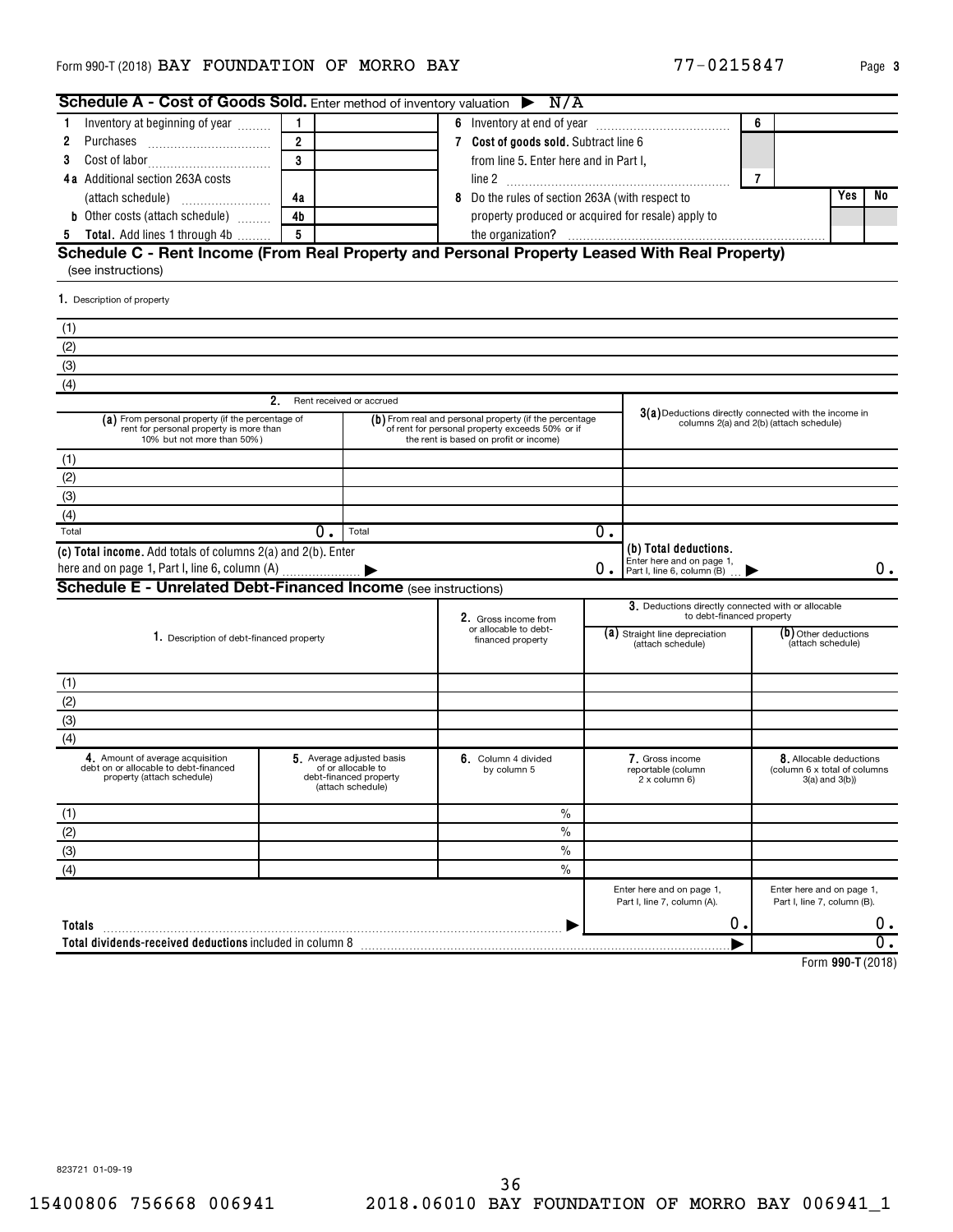| Schedule A - Cost of Goods Sold. Enter method of inventory valuation $\triangleright$ N/A                                 |                |                                                                                                |   |                                                                                                                                                     |    |                                                                                                    |                   |                                                                           |       |
|---------------------------------------------------------------------------------------------------------------------------|----------------|------------------------------------------------------------------------------------------------|---|-----------------------------------------------------------------------------------------------------------------------------------------------------|----|----------------------------------------------------------------------------------------------------|-------------------|---------------------------------------------------------------------------|-------|
| Inventory at beginning of year<br>1                                                                                       | $\mathbf{1}$   |                                                                                                |   |                                                                                                                                                     |    |                                                                                                    | 6                 |                                                                           |       |
| 2<br>Purchases                                                                                                            | $\overline{2}$ |                                                                                                |   | 7 Cost of goods sold. Subtract line 6                                                                                                               |    |                                                                                                    |                   |                                                                           |       |
| 3                                                                                                                         | 3              |                                                                                                |   | from line 5. Enter here and in Part I,                                                                                                              |    |                                                                                                    |                   |                                                                           |       |
| 4a Additional section 263A costs                                                                                          |                |                                                                                                |   |                                                                                                                                                     |    |                                                                                                    | $\overline{7}$    |                                                                           |       |
|                                                                                                                           | 4a             |                                                                                                | 8 | Do the rules of section 263A (with respect to                                                                                                       |    |                                                                                                    |                   | Yes                                                                       | No    |
| <b>b</b> Other costs (attach schedule)                                                                                    | 4 <sub>b</sub> |                                                                                                |   | property produced or acquired for resale) apply to                                                                                                  |    |                                                                                                    |                   |                                                                           |       |
| <b>5</b> Total. Add lines 1 through 4b                                                                                    | $-5$           |                                                                                                |   |                                                                                                                                                     |    |                                                                                                    |                   |                                                                           |       |
| Schedule C - Rent Income (From Real Property and Personal Property Leased With Real Property)<br>(see instructions)       |                |                                                                                                |   |                                                                                                                                                     |    |                                                                                                    |                   |                                                                           |       |
| 1. Description of property                                                                                                |                |                                                                                                |   |                                                                                                                                                     |    |                                                                                                    |                   |                                                                           |       |
| (1)                                                                                                                       |                |                                                                                                |   |                                                                                                                                                     |    |                                                                                                    |                   |                                                                           |       |
| (2)                                                                                                                       |                |                                                                                                |   |                                                                                                                                                     |    |                                                                                                    |                   |                                                                           |       |
| (3)                                                                                                                       |                |                                                                                                |   |                                                                                                                                                     |    |                                                                                                    |                   |                                                                           |       |
| (4)                                                                                                                       |                |                                                                                                |   |                                                                                                                                                     |    |                                                                                                    |                   |                                                                           |       |
|                                                                                                                           | $2_{-}$        | Rent received or accrued                                                                       |   |                                                                                                                                                     |    |                                                                                                    |                   |                                                                           |       |
| (a) From personal property (if the percentage of<br>rent for personal property is more than<br>10% but not more than 50%) |                |                                                                                                |   | (b) From real and personal property (if the percentage<br>of rent for personal property exceeds 50% or if<br>the rent is based on profit or income) |    | $3(a)$ Deductions directly connected with the income in<br>columns 2(a) and 2(b) (attach schedule) |                   |                                                                           |       |
| (1)                                                                                                                       |                |                                                                                                |   |                                                                                                                                                     |    |                                                                                                    |                   |                                                                           |       |
| (2)                                                                                                                       |                |                                                                                                |   |                                                                                                                                                     |    |                                                                                                    |                   |                                                                           |       |
| (3)                                                                                                                       |                |                                                                                                |   |                                                                                                                                                     |    |                                                                                                    |                   |                                                                           |       |
| (4)                                                                                                                       |                |                                                                                                |   |                                                                                                                                                     |    |                                                                                                    |                   |                                                                           |       |
| Total                                                                                                                     | 0.             | Total                                                                                          |   |                                                                                                                                                     | 0. |                                                                                                    |                   |                                                                           |       |
| (c) Total income. Add totals of columns 2(a) and 2(b). Enter                                                              |                |                                                                                                |   |                                                                                                                                                     | 0. | (b) Total deductions.<br>Enter here and on page 1,<br>Part I, line 6, column (B)                   |                   |                                                                           | 0.    |
| <b>Schedule E - Unrelated Debt-Financed Income (see instructions)</b>                                                     |                |                                                                                                |   |                                                                                                                                                     |    |                                                                                                    |                   |                                                                           |       |
|                                                                                                                           |                |                                                                                                |   |                                                                                                                                                     |    | 3. Deductions directly connected with or allocable<br>to debt-financed property                    |                   |                                                                           |       |
|                                                                                                                           |                |                                                                                                |   | 2. Gross income from<br>or allocable to debt-                                                                                                       |    | (a) Straight line depreciation                                                                     |                   | (b) Other deductions                                                      |       |
| 1. Description of debt-financed property                                                                                  |                |                                                                                                |   | financed property                                                                                                                                   |    | (attach schedule)                                                                                  | (attach schedule) |                                                                           |       |
|                                                                                                                           |                |                                                                                                |   |                                                                                                                                                     |    |                                                                                                    |                   |                                                                           |       |
| (1)<br>(2)                                                                                                                |                |                                                                                                |   |                                                                                                                                                     |    |                                                                                                    |                   |                                                                           |       |
|                                                                                                                           |                |                                                                                                |   |                                                                                                                                                     |    |                                                                                                    |                   |                                                                           |       |
| (3)                                                                                                                       |                |                                                                                                |   |                                                                                                                                                     |    |                                                                                                    |                   |                                                                           |       |
| (4)                                                                                                                       |                |                                                                                                |   |                                                                                                                                                     |    |                                                                                                    |                   |                                                                           |       |
| 4. Amount of average acquisition<br>debt on or allocable to debt-financed<br>property (attach schedule)                   |                | 5. Average adjusted basis<br>of or allocable to<br>debt-financed property<br>(attach schedule) |   | 6. Column 4 divided<br>by column 5                                                                                                                  |    | 7. Gross income<br>reportable (column<br>2 x column 6)                                             |                   | 8. Allocable deductions<br>(column 6 x total of columns<br>3(a) and 3(b)) |       |
| (1)                                                                                                                       |                |                                                                                                |   | $\frac{0}{0}$                                                                                                                                       |    |                                                                                                    |                   |                                                                           |       |
| (2)                                                                                                                       |                |                                                                                                |   | $\frac{0}{0}$                                                                                                                                       |    |                                                                                                    |                   |                                                                           |       |
| (3)                                                                                                                       |                |                                                                                                |   | $\%$                                                                                                                                                |    |                                                                                                    |                   |                                                                           |       |
| (4)                                                                                                                       |                |                                                                                                |   | $\frac{0}{0}$                                                                                                                                       |    |                                                                                                    |                   |                                                                           |       |
|                                                                                                                           |                |                                                                                                |   |                                                                                                                                                     |    | Enter here and on page 1,<br>Part I, line 7, column (A).                                           |                   | Enter here and on page 1,<br>Part I, line 7, column (B).                  |       |
| Totals                                                                                                                    |                |                                                                                                |   |                                                                                                                                                     |    | 0.                                                                                                 |                   |                                                                           | $0$ . |
|                                                                                                                           |                |                                                                                                |   |                                                                                                                                                     |    |                                                                                                    |                   |                                                                           |       |
|                                                                                                                           |                |                                                                                                |   |                                                                                                                                                     |    |                                                                                                    |                   |                                                                           | Ο.    |

**990-T**  Form (2018)

823721 01-09-19

77-0215847 Page 3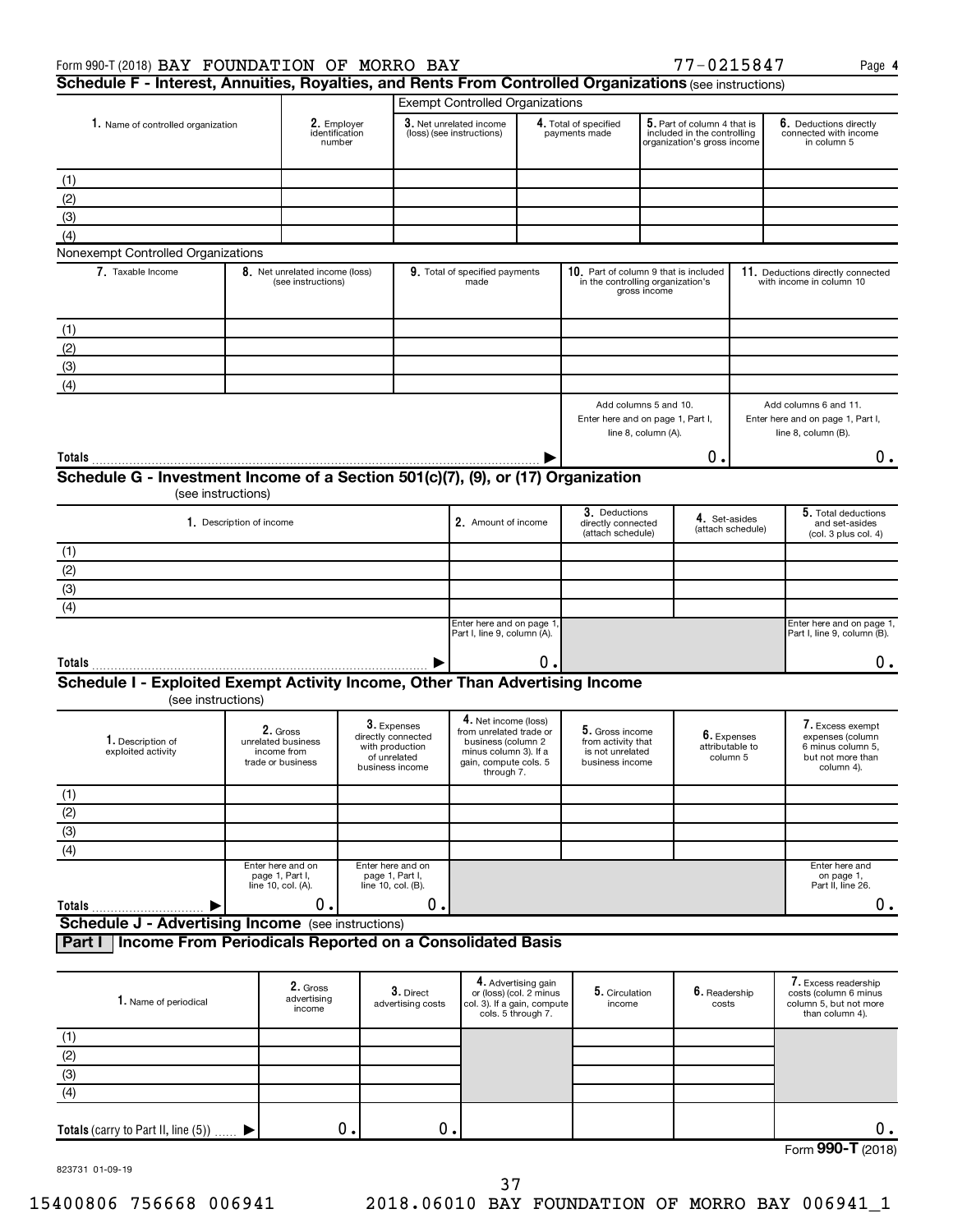| Form 990-T (2018) BAY FOUNDATION OF MORRO BAY                                                                                   |                                                            |                                                      |  |                                                                          |                                                                                    |                                                |                                                                            |                     | 77-0215847                                                                                |                   | Page 4                                                                   |
|---------------------------------------------------------------------------------------------------------------------------------|------------------------------------------------------------|------------------------------------------------------|--|--------------------------------------------------------------------------|------------------------------------------------------------------------------------|------------------------------------------------|----------------------------------------------------------------------------|---------------------|-------------------------------------------------------------------------------------------|-------------------|--------------------------------------------------------------------------|
| Schedule F - Interest, Annuities, Royalties, and Rents From Controlled Organizations (see instructions)                         |                                                            |                                                      |  |                                                                          |                                                                                    |                                                |                                                                            |                     |                                                                                           |                   |                                                                          |
|                                                                                                                                 |                                                            |                                                      |  |                                                                          | <b>Exempt Controlled Organizations</b>                                             |                                                |                                                                            |                     |                                                                                           |                   |                                                                          |
| 1. Name of controlled organization                                                                                              |                                                            | 2. Employer<br>identification<br>number              |  |                                                                          | 3. Net unrelated income<br>(loss) (see instructions)                               |                                                | 4. Total of specified<br>payments made                                     |                     | 5. Part of column 4 that is<br>included in the controlling<br>organization's gross income |                   | 6. Deductions directly<br>connected with income<br>in column 5           |
| (1)                                                                                                                             |                                                            |                                                      |  |                                                                          |                                                                                    |                                                |                                                                            |                     |                                                                                           |                   |                                                                          |
| (2)                                                                                                                             |                                                            |                                                      |  |                                                                          |                                                                                    |                                                |                                                                            |                     |                                                                                           |                   |                                                                          |
| (3)                                                                                                                             |                                                            |                                                      |  |                                                                          |                                                                                    |                                                |                                                                            |                     |                                                                                           |                   |                                                                          |
| (4)                                                                                                                             |                                                            |                                                      |  |                                                                          |                                                                                    |                                                |                                                                            |                     |                                                                                           |                   |                                                                          |
| Nonexempt Controlled Organizations                                                                                              |                                                            |                                                      |  |                                                                          |                                                                                    |                                                |                                                                            |                     |                                                                                           |                   |                                                                          |
| 7. Taxable Income                                                                                                               |                                                            | 8. Net unrelated income (loss)<br>(see instructions) |  |                                                                          | 9. Total of specified payments<br>made                                             |                                                | 10. Part of column 9 that is included<br>in the controlling organization's | gross income        |                                                                                           |                   | 11. Deductions directly connected<br>with income in column 10            |
| (1)                                                                                                                             |                                                            |                                                      |  |                                                                          |                                                                                    |                                                |                                                                            |                     |                                                                                           |                   |                                                                          |
| (2)                                                                                                                             |                                                            |                                                      |  |                                                                          |                                                                                    |                                                |                                                                            |                     |                                                                                           |                   |                                                                          |
| (3)                                                                                                                             |                                                            |                                                      |  |                                                                          |                                                                                    |                                                |                                                                            |                     |                                                                                           |                   |                                                                          |
| (4)                                                                                                                             |                                                            |                                                      |  |                                                                          |                                                                                    |                                                |                                                                            |                     |                                                                                           |                   |                                                                          |
|                                                                                                                                 |                                                            |                                                      |  |                                                                          |                                                                                    |                                                | Add columns 5 and 10.                                                      |                     |                                                                                           |                   | Add columns 6 and 11.                                                    |
|                                                                                                                                 |                                                            |                                                      |  |                                                                          |                                                                                    |                                                | Enter here and on page 1, Part I,                                          | line 8, column (A). |                                                                                           |                   | Enter here and on page 1, Part I,<br>line 8, column (B).                 |
|                                                                                                                                 |                                                            |                                                      |  |                                                                          |                                                                                    |                                                |                                                                            |                     | Ο.                                                                                        |                   | О.                                                                       |
| Schedule G - Investment Income of a Section 501(c)(7), (9), or (17) Organization                                                |                                                            |                                                      |  |                                                                          |                                                                                    |                                                |                                                                            |                     |                                                                                           |                   |                                                                          |
|                                                                                                                                 | (see instructions)                                         |                                                      |  |                                                                          |                                                                                    |                                                |                                                                            |                     |                                                                                           |                   |                                                                          |
|                                                                                                                                 | 1. Description of income                                   |                                                      |  |                                                                          | 2. Amount of income                                                                |                                                | 3. Deductions<br>directly connected                                        |                     | 4. Set-asides                                                                             | (attach schedule) | 5. Total deductions<br>and set-asides                                    |
|                                                                                                                                 |                                                            |                                                      |  |                                                                          |                                                                                    |                                                | (attach schedule)                                                          |                     |                                                                                           |                   | (col. 3 plus col. 4)                                                     |
| (1)<br>(2)                                                                                                                      |                                                            |                                                      |  |                                                                          |                                                                                    |                                                |                                                                            |                     |                                                                                           |                   |                                                                          |
|                                                                                                                                 |                                                            |                                                      |  |                                                                          |                                                                                    |                                                |                                                                            |                     |                                                                                           |                   |                                                                          |
| (3)                                                                                                                             |                                                            |                                                      |  |                                                                          |                                                                                    |                                                |                                                                            |                     |                                                                                           |                   |                                                                          |
| (4)                                                                                                                             |                                                            |                                                      |  |                                                                          | Enter here and on page 1                                                           |                                                |                                                                            |                     |                                                                                           |                   | Enter here and on page 1,                                                |
|                                                                                                                                 |                                                            |                                                      |  |                                                                          | Part I, line 9, column (A).                                                        |                                                |                                                                            |                     |                                                                                           |                   | Part I, line 9, column (B).                                              |
|                                                                                                                                 |                                                            |                                                      |  |                                                                          |                                                                                    | 0.                                             |                                                                            |                     |                                                                                           |                   | 0.                                                                       |
| Schedule I - Exploited Exempt Activity Income, Other Than Advertising Income<br>(see instructions)                              |                                                            |                                                      |  |                                                                          |                                                                                    |                                                |                                                                            |                     |                                                                                           |                   |                                                                          |
|                                                                                                                                 | 2. Gross                                                   |                                                      |  | 3. Expenses                                                              | 4. Net income (loss)<br>from unrelated trade or                                    |                                                | 5. Gross income                                                            |                     |                                                                                           |                   | 7. Excess exempt                                                         |
| 1. Description of<br>exploited activity                                                                                         | unrelated business<br>income from<br>trade or business     |                                                      |  | directly connected<br>with production<br>of unrelated<br>business income | business (column 2<br>minus column 3). If a<br>gain, compute cols. 5<br>through 7. |                                                | from activity that<br>is not unrelated<br>business income                  |                     | 6. Expenses<br>attributable to<br>column 5                                                |                   | expenses (column<br>6 minus column 5,<br>but not more than<br>column 4). |
| (1)                                                                                                                             |                                                            |                                                      |  |                                                                          |                                                                                    |                                                |                                                                            |                     |                                                                                           |                   |                                                                          |
| (2)                                                                                                                             |                                                            |                                                      |  |                                                                          |                                                                                    |                                                |                                                                            |                     |                                                                                           |                   |                                                                          |
| (3)                                                                                                                             |                                                            |                                                      |  |                                                                          |                                                                                    |                                                |                                                                            |                     |                                                                                           |                   |                                                                          |
| (4)                                                                                                                             |                                                            |                                                      |  |                                                                          |                                                                                    |                                                |                                                                            |                     |                                                                                           |                   |                                                                          |
|                                                                                                                                 | Enter here and on<br>page 1, Part I,<br>line 10, col. (A). |                                                      |  | Enter here and on<br>page 1, Part I,<br>line 10, col. (B).               |                                                                                    |                                                |                                                                            |                     |                                                                                           |                   | Enter here and<br>on page 1,<br>Part II, line 26.                        |
| Totals                                                                                                                          |                                                            | 0.                                                   |  | 0.                                                                       |                                                                                    |                                                |                                                                            |                     |                                                                                           |                   | $0$ .                                                                    |
| <b>Schedule J - Advertising Income</b> (see instructions)<br>Income From Periodicals Reported on a Consolidated Basis<br>Part I |                                                            |                                                      |  |                                                                          |                                                                                    |                                                |                                                                            |                     |                                                                                           |                   |                                                                          |
| 1. Name of periodical                                                                                                           |                                                            | 2. Gross<br>advertising                              |  | 3. Direct                                                                |                                                                                    | 4. Advertising gain<br>or (loss) (col. 2 minus | 5. Circulation                                                             |                     | 6. Readership                                                                             |                   | 7. Excess readership<br>costs (column 6 minus                            |
|                                                                                                                                 |                                                            | income                                               |  | advertising costs                                                        | col. 3). If a gain, compute                                                        | cols. 5 through 7.                             | income                                                                     |                     | costs                                                                                     |                   | column 5, but not more<br>than column 4).                                |
| (1)                                                                                                                             |                                                            |                                                      |  |                                                                          |                                                                                    |                                                |                                                                            |                     |                                                                                           |                   |                                                                          |
| (2)                                                                                                                             |                                                            |                                                      |  |                                                                          |                                                                                    |                                                |                                                                            |                     |                                                                                           |                   |                                                                          |
| (3)                                                                                                                             |                                                            |                                                      |  |                                                                          |                                                                                    |                                                |                                                                            |                     |                                                                                           |                   |                                                                          |

| 1. Name of periodical                  | 2. Gross<br>advertising<br>income | 3. Direct<br>advertising costs | 4. Advertising gain<br>or (loss) (col. 2 minus<br>col. 3). If a gain, compute<br>cols. 5 through 7. | 5. Circulation<br>income | $\boldsymbol{6}$ . Readership<br>costs | 7. Excess readership<br>costs (column 6 minus<br>column 5, but not more<br>than column 4). |
|----------------------------------------|-----------------------------------|--------------------------------|-----------------------------------------------------------------------------------------------------|--------------------------|----------------------------------------|--------------------------------------------------------------------------------------------|
| (1)                                    |                                   |                                |                                                                                                     |                          |                                        |                                                                                            |
| (2)                                    |                                   |                                |                                                                                                     |                          |                                        |                                                                                            |
| (3)                                    |                                   |                                |                                                                                                     |                          |                                        |                                                                                            |
| (4)                                    |                                   |                                |                                                                                                     |                          |                                        |                                                                                            |
| Totals (carry to Part II, line $(5)$ ) | О.                                | Ο.                             |                                                                                                     |                          |                                        | 0.                                                                                         |
|                                        |                                   |                                |                                                                                                     |                          |                                        | Form 990-T (2018)                                                                          |

823731 01-09-19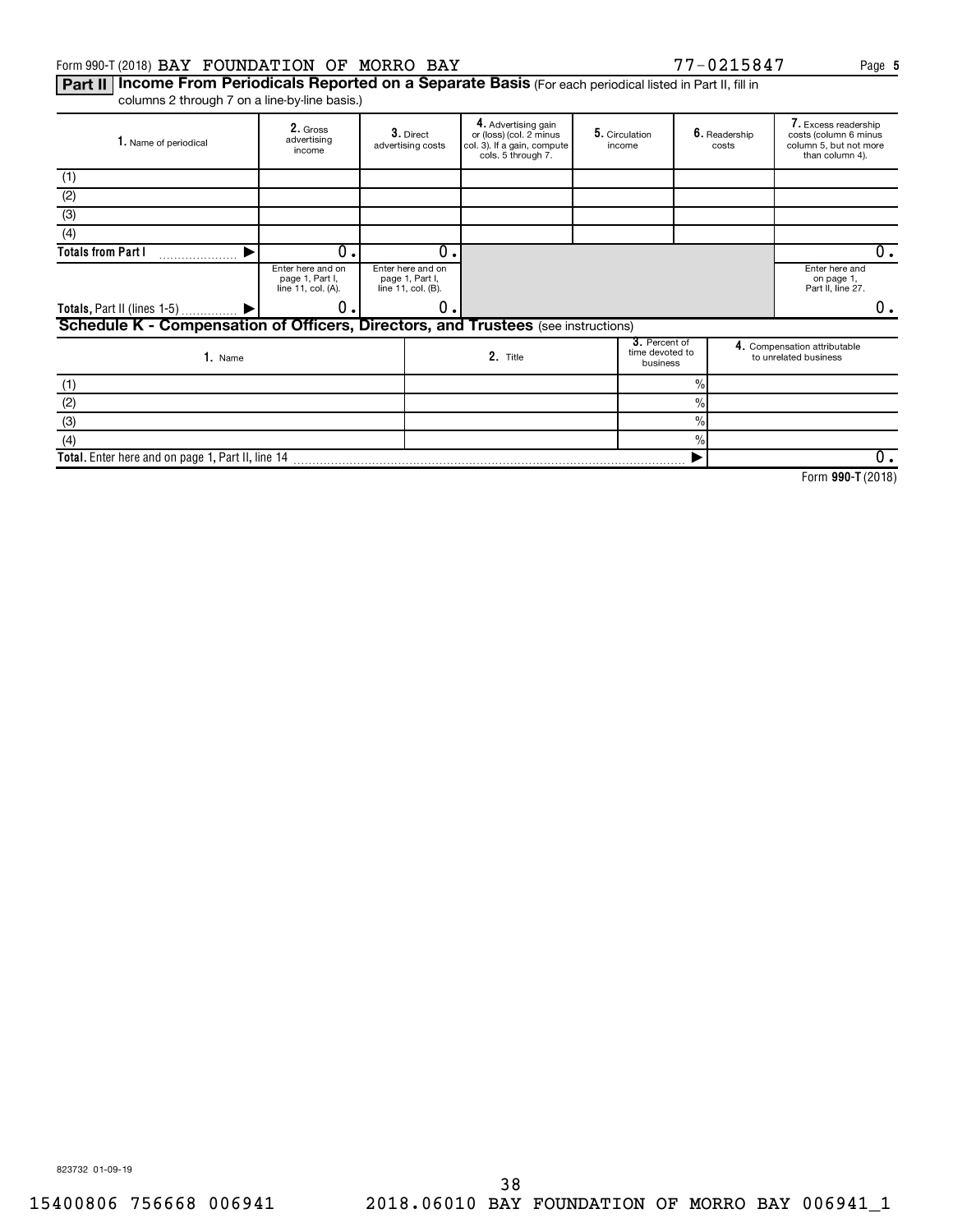## Form 990-T (2018) Page BAY FOUNDATION OF MORRO BAY 77-0215847

Part II | Income From Periodicals Reported on a Separate Basis (For each periodical listed in Part II, fill in columns 2 through 7 on a line-by-line basis.)

| 1. Name of periodical                                                             | 2. Gross<br>advertising<br>income                          | $3.$ Direct<br>advertising costs                           |    | 4. Advertising gain<br>or (loss) (col. 2 minus<br>col. 3). If a gain, compute<br>cols. 5 through 7. | 5. Circulation<br>income                     |               | 6. Readership<br>costs | 7. Excess readership<br>costs (column 6 minus<br>column 5, but not more<br>than column 4). |
|-----------------------------------------------------------------------------------|------------------------------------------------------------|------------------------------------------------------------|----|-----------------------------------------------------------------------------------------------------|----------------------------------------------|---------------|------------------------|--------------------------------------------------------------------------------------------|
| (1)                                                                               |                                                            |                                                            |    |                                                                                                     |                                              |               |                        |                                                                                            |
| (2)                                                                               |                                                            |                                                            |    |                                                                                                     |                                              |               |                        |                                                                                            |
| (3)                                                                               |                                                            |                                                            |    |                                                                                                     |                                              |               |                        |                                                                                            |
| (4)                                                                               |                                                            |                                                            |    |                                                                                                     |                                              |               |                        |                                                                                            |
| <b>Totals from Part I</b>                                                         | 0.                                                         |                                                            | 0. |                                                                                                     |                                              |               |                        | 0.                                                                                         |
|                                                                                   | Enter here and on<br>page 1, Part I,<br>line 11, col. (A). | Enter here and on<br>page 1, Part I,<br>line 11, col. (B). |    |                                                                                                     |                                              |               |                        | Enter here and<br>on page 1,<br>Part II, line 27.                                          |
| Totals, Part II (lines 1-5)  ▶                                                    | 0.                                                         |                                                            | 0. |                                                                                                     |                                              |               |                        | 0.                                                                                         |
| Schedule K - Compensation of Officers, Directors, and Trustees (see instructions) |                                                            |                                                            |    |                                                                                                     |                                              |               |                        |                                                                                            |
| 1. Name                                                                           |                                                            |                                                            |    | 2. Title                                                                                            | 3. Percent of<br>time devoted to<br>business |               |                        | 4. Compensation attributable<br>to unrelated business                                      |
| (1)                                                                               |                                                            |                                                            |    |                                                                                                     |                                              | $\%$          |                        |                                                                                            |
| (2)                                                                               |                                                            |                                                            |    |                                                                                                     |                                              | $\%$          |                        |                                                                                            |
| (3)                                                                               |                                                            |                                                            |    |                                                                                                     |                                              | $\%$          |                        |                                                                                            |
| (4)                                                                               |                                                            |                                                            |    |                                                                                                     |                                              | $\frac{0}{0}$ |                        |                                                                                            |
| Total. Enter here and on page 1, Part II, line 14                                 |                                                            |                                                            |    |                                                                                                     |                                              |               |                        | 0.                                                                                         |

**990-T**  Form (2018)

823732 01-09-19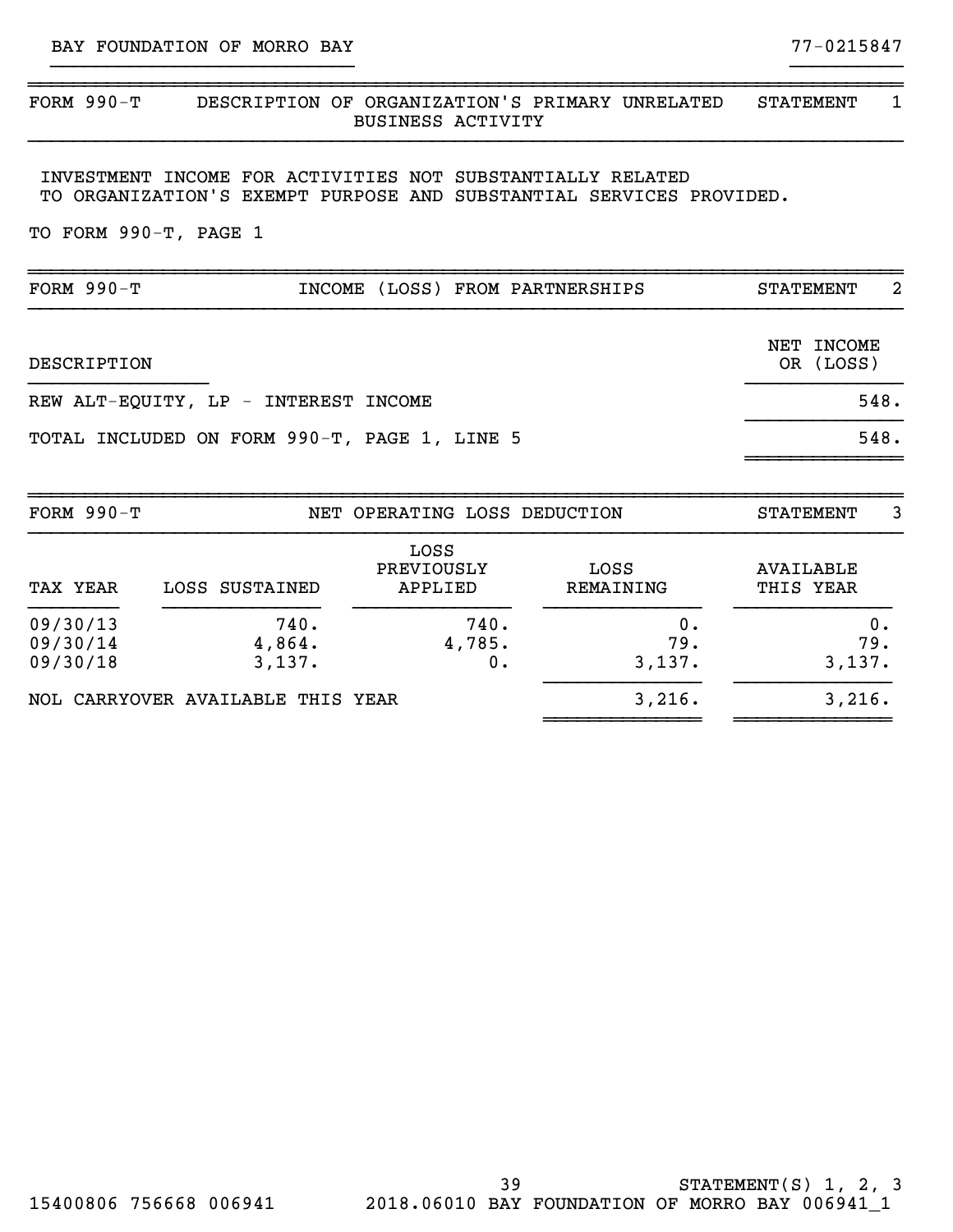## ~~~~~~~~~~~~~~~~~~~~~~~~~~~~~~~~~~~~~~~~~~~~~~~~~~~~~~~~~~~~~~~~~~~~~~~~~~~~~~ FORM 990-T DESCRIPTION OF ORGANIZATION'S PRIMARY UNRELATED STATEMENT 1 BUSINESS ACTIVITY }}}}}}}}}}}}}}}}}}}}}}}}}}}}}}}}}}}}}}}}}}}}}}}}}}}}}}}}}}}}}}}}}}}}}}}}}}}}}}

}}}}}}}}}}}}}}}}}}}}}}}}}}} }}}}}}}}}}

INVESTMENT INCOME FOR ACTIVITIES NOT SUBSTANTIALLY RELATED TO ORGANIZATION'S EXEMPT PURPOSE AND SUBSTANTIAL SERVICES PROVIDED.

TO FORM 990-T, PAGE 1

| FORM $990-T$                                 | INCOME (LOSS) FROM PARTNERSHIPS | -2<br><b>STATEMENT</b>  |
|----------------------------------------------|---------------------------------|-------------------------|
| DESCRIPTION                                  |                                 | NET INCOME<br>OR (LOSS) |
| REW ALT-EQUITY, LP - INTEREST INCOME         |                                 | 548.                    |
| TOTAL INCLUDED ON FORM 990-T, PAGE 1, LINE 5 |                                 | 548.                    |
| FORM $990-T$                                 | NET OPERATING LOSS DEDUCTION    | 3<br><b>STATEMENT</b>   |

| TAX YEAR             | LOSS SUSTAINED                    | LOSS<br>PREVIOUSLY<br>APPLIED | LOSS<br>REMAINING | AVAILABLE<br>THIS YEAR |
|----------------------|-----------------------------------|-------------------------------|-------------------|------------------------|
| 09/30/13<br>09/30/14 | 740.<br>4,864.                    | 740.<br>4,785.                | 0.<br>79.         | 0.<br>79.              |
| 09/30/18             | 3,137.                            | 0.                            | 3,137.            | 3,137.                 |
|                      | NOL CARRYOVER AVAILABLE THIS YEAR |                               | 3,216.            | 3,216.                 |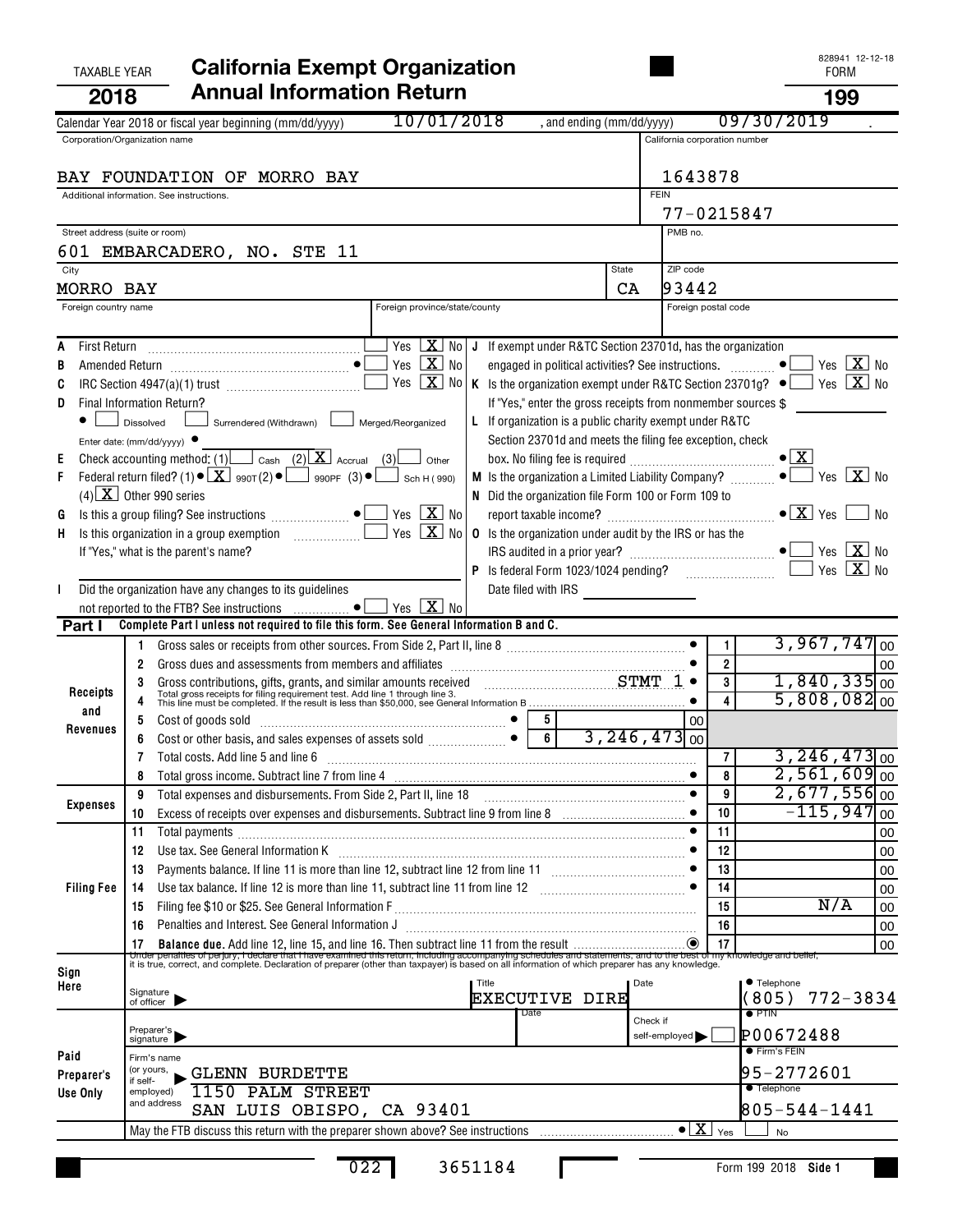## TAXABLE YEAR **California Exempt Organization California Exempt Organization 2018 Annual Information Return 199**

| LV IV<br>10/01/2018                                                                                                                                                                                                                                                                                                                                             |                               | טט ו<br>09/30/2019                                               |      |
|-----------------------------------------------------------------------------------------------------------------------------------------------------------------------------------------------------------------------------------------------------------------------------------------------------------------------------------------------------------------|-------------------------------|------------------------------------------------------------------|------|
| , and ending (mm/dd/yyyy)<br>Calendar Year 2018 or fiscal year beginning (mm/dd/yyyy)<br>Corporation/Organization name                                                                                                                                                                                                                                          | California corporation number |                                                                  |      |
|                                                                                                                                                                                                                                                                                                                                                                 |                               |                                                                  |      |
| BAY FOUNDATION OF MORRO BAY                                                                                                                                                                                                                                                                                                                                     | 1643878                       |                                                                  |      |
| Additional information. See instructions.                                                                                                                                                                                                                                                                                                                       | <b>FEIN</b>                   |                                                                  |      |
|                                                                                                                                                                                                                                                                                                                                                                 |                               | 77-0215847                                                       |      |
| Street address (suite or room)                                                                                                                                                                                                                                                                                                                                  | PMB no.                       |                                                                  |      |
| 601 EMBARCADERO, NO. STE 11<br><b>State</b>                                                                                                                                                                                                                                                                                                                     | ZIP code                      |                                                                  |      |
| City<br>MORRO BAY<br>CA                                                                                                                                                                                                                                                                                                                                         | 93442                         |                                                                  |      |
| Foreign province/state/county<br>Foreign country name                                                                                                                                                                                                                                                                                                           | Foreign postal code           |                                                                  |      |
|                                                                                                                                                                                                                                                                                                                                                                 |                               |                                                                  |      |
| Yes $X$ No<br>J If exempt under R&TC Section 23701d, has the organization<br>A                                                                                                                                                                                                                                                                                  |                               |                                                                  |      |
| Yes $X$ No<br>engaged in political activities? See instructions.  ●<br>В                                                                                                                                                                                                                                                                                        |                               | Yes $X$ No                                                       |      |
| Yes $X$ No<br>K Is the organization exempt under R&TC Section 23701g? $\bullet$ Yes $\boxed{\mathbf{X}}$ No<br>C                                                                                                                                                                                                                                                |                               |                                                                  |      |
| If "Yes," enter the gross receipts from nonmember sources \$<br>Final Information Return?<br>D                                                                                                                                                                                                                                                                  |                               |                                                                  |      |
| Surrendered (Withdrawn) Lack Merged/Reorganized<br>L If organization is a public charity exempt under R&TC<br>Dissolved                                                                                                                                                                                                                                         |                               |                                                                  |      |
| Section 23701d and meets the filing fee exception, check<br>Enter date: (mm/dd/yyyy)                                                                                                                                                                                                                                                                            |                               |                                                                  |      |
| Check accounting method: $(1)$ $\boxed{\phantom{2}\text{cash}$ $(2)$ $\boxed{\mathbf{X}}$ Accrual $(3)$<br>Е<br>Other<br>Federal return filed? (1) $\bullet$ $\boxed{\mathbf{X}}$ 990T(2) $\bullet$ $\boxed{\phantom{0}}$ 990PF (3) $\bullet$ $\boxed{\phantom{0}}$ Sch H (990)<br><b>M</b> Is the organization a Limited Liability Company? $\frac{1}{1}$<br>F |                               | $\bullet$ $\mathbf{X}$ .<br>Yes $X$ No                           |      |
| $(4)$ X Other 990 series<br>N Did the organization file Form 100 or Form 109 to                                                                                                                                                                                                                                                                                 |                               |                                                                  |      |
| Yes $\boxed{\mathbf{X}}$ No<br>Is this a group filing? See instructions $\Box$<br>G                                                                                                                                                                                                                                                                             |                               |                                                                  | No   |
| Yes $X$ No<br><b>0</b> Is the organization under audit by the IRS or has the<br>H.                                                                                                                                                                                                                                                                              |                               |                                                                  |      |
| If "Yes," what is the parent's name?                                                                                                                                                                                                                                                                                                                            |                               | Yes $\boxed{\mathbf{X}}$ No                                      |      |
|                                                                                                                                                                                                                                                                                                                                                                 |                               | Yes $X$ No                                                       |      |
| Did the organization have any changes to its guidelines                                                                                                                                                                                                                                                                                                         |                               |                                                                  |      |
| Yes $X$ No<br>Complete Part I unless not required to file this form. See General Information B and C.                                                                                                                                                                                                                                                           |                               |                                                                  |      |
| Part I                                                                                                                                                                                                                                                                                                                                                          |                               | 3,967,747<br>1                                                   | l oo |
| Gross dues and assessments from members and affiliates [111] contains and according the subsequent support of the ST or ST of the ST or ST or ST or ST or ST or ST or ST or ST or ST or ST or ST or ST or ST or ST or ST or ST                                                                                                                                  |                               | $\overline{2}$                                                   | 00   |
|                                                                                                                                                                                                                                                                                                                                                                 |                               | $1,840,335$ 00<br>3                                              |      |
| Gross contributions, gifts, grants, and similar amounts received $STMT$ $1 \cdot$<br>Total gross receipts for filing requirement test. Add line 1 through line 3.<br>This line must be completed. If the result is less than \$50,000, see<br>Receipts                                                                                                          |                               | $5,808,082$ <sub>00</sub>                                        |      |
| and<br>$\begin{array}{c c} 5 \\ \hline 6 \end{array}$<br>Revenues                                                                                                                                                                                                                                                                                               | 00                            |                                                                  |      |
| 6                                                                                                                                                                                                                                                                                                                                                               | $3, 246, 473$ <sub>00</sub>   |                                                                  |      |
| Total costs. Add line 5 and line 6                                                                                                                                                                                                                                                                                                                              |                               | $3,246,473$ <sub>00</sub><br>7                                   |      |
|                                                                                                                                                                                                                                                                                                                                                                 |                               | $2,561,609$ <sub>00</sub><br>8<br>$2,677,556$ <sub>00</sub><br>9 |      |
| Total expenses and disbursements. From Side 2, Part II, line 18<br>9<br>Expenses                                                                                                                                                                                                                                                                                | $\bullet$                     | $-115,947$<br>10                                                 | 00   |
| 10<br>11                                                                                                                                                                                                                                                                                                                                                        |                               | 11                                                               | 00   |
| 12                                                                                                                                                                                                                                                                                                                                                              |                               | 12                                                               | 00   |
| 13                                                                                                                                                                                                                                                                                                                                                              |                               | 13                                                               | 00   |
| <b>Filing Fee</b><br>14                                                                                                                                                                                                                                                                                                                                         | $\bullet$                     | 14                                                               | 00   |
| 15                                                                                                                                                                                                                                                                                                                                                              |                               | N/A<br>15                                                        | 00   |
| 16                                                                                                                                                                                                                                                                                                                                                              |                               | 16                                                               | 00   |
|                                                                                                                                                                                                                                                                                                                                                                 |                               |                                                                  | 00   |
| Sign                                                                                                                                                                                                                                                                                                                                                            |                               |                                                                  |      |
| Title<br>Here<br>Signature<br>of officer<br>EXECUTIVE DIRE                                                                                                                                                                                                                                                                                                      | Date                          | ● Telephone<br>(805)<br>$772 - 3834$                             |      |
| Date                                                                                                                                                                                                                                                                                                                                                            |                               | $\bullet$ PTIN                                                   |      |
| Preparer's<br>signature                                                                                                                                                                                                                                                                                                                                         | Check if<br>self-employed     | P00672488                                                        |      |
| Paid<br>Firm's name                                                                                                                                                                                                                                                                                                                                             |                               | <b>•</b> Firm's FEIN                                             |      |
| (or yours,<br><b>GLENN BURDETTE</b><br>Preparer's<br>if self-                                                                                                                                                                                                                                                                                                   |                               | 95-2772601                                                       |      |
| 1150 PALM STREET<br>Use Only<br>employed)                                                                                                                                                                                                                                                                                                                       |                               | <b>Telephone</b>                                                 |      |
| and address<br>SAN LUIS OBISPO, CA 93401                                                                                                                                                                                                                                                                                                                        |                               | 805-544-1441                                                     |      |
|                                                                                                                                                                                                                                                                                                                                                                 |                               | No                                                               |      |

022 3651184

п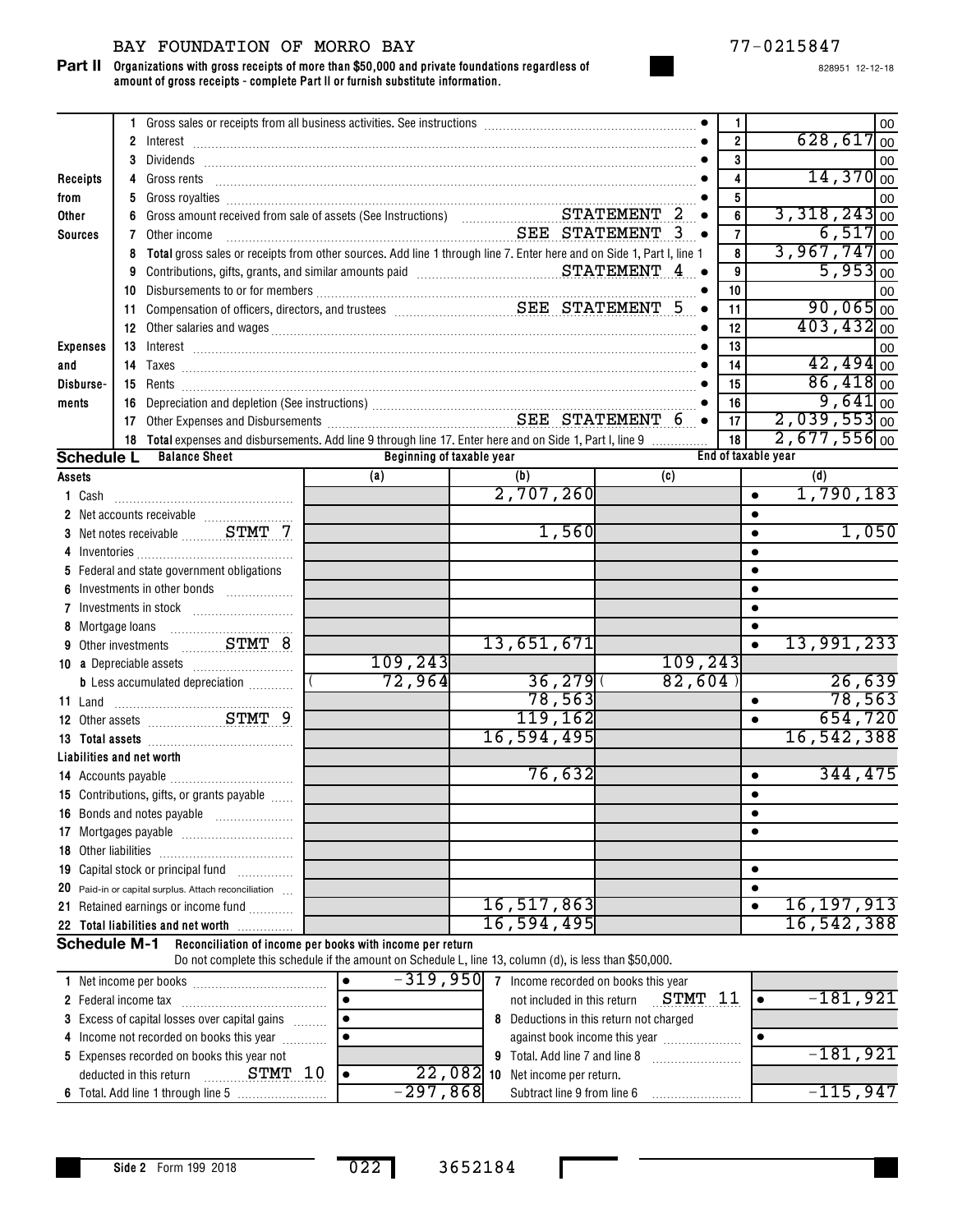## BAY FOUNDATION OF MORRO BAY 77-0215847

**Organizations with gross receipts of more than \$50,000 and private foundations regardless of amount of gross receipts - complete Part II or furnish substitute information. Part II**

|                 |                      | 1 Gross sales or receipts from all business activities. See instructions [11] Gross sales or receipts from all business activities. See instructions [11] Gross sales or receipts from all business activities. |                                                                                                        |                                                   |          | 1                   | 00<br>$628, 617$ <sub>00</sub> |
|-----------------|----------------------|-----------------------------------------------------------------------------------------------------------------------------------------------------------------------------------------------------------------|--------------------------------------------------------------------------------------------------------|---------------------------------------------------|----------|---------------------|--------------------------------|
|                 |                      |                                                                                                                                                                                                                 |                                                                                                        |                                                   |          | $\overline{2}$      |                                |
|                 |                      |                                                                                                                                                                                                                 |                                                                                                        |                                                   |          | 3                   | 00                             |
| Receipts        |                      |                                                                                                                                                                                                                 |                                                                                                        |                                                   |          | 4                   | $14,370$ <sub>00</sub>         |
| from            | 5                    | Gross royalties <b>construction and the construction of the construction of the construction of the construction</b>                                                                                            |                                                                                                        |                                                   |          | 5                   | 00                             |
| Other           |                      |                                                                                                                                                                                                                 |                                                                                                        |                                                   |          | 6                   | $3,318,243$ <sub>00</sub>      |
| <b>Sources</b>  |                      | <b>7</b> Other income                                                                                                                                                                                           | SEE STATEMENT 3 .                                                                                      |                                                   |          | $\overline{7}$      | $6,517$ <sub>00</sub>          |
|                 | 8                    | Total gross sales or receipts from other sources. Add line 1 through line 7. Enter here and on Side 1, Part I, line 1                                                                                           |                                                                                                        |                                                   |          | 8                   | $3,967,747$ <sub>00</sub>      |
|                 |                      | 9 Contributions, gifts, grants, and similar amounts paid Materian Materian Contributions, gifts, grants, and similar amounts paid Materian Contributions, $\mathbf{STATEMENT\_4\_}$                             |                                                                                                        |                                                   |          | 9                   | $5,953$ <sub>00</sub>          |
|                 |                      |                                                                                                                                                                                                                 |                                                                                                        |                                                   |          | 10                  | 00                             |
|                 |                      |                                                                                                                                                                                                                 |                                                                                                        |                                                   |          | 11                  | $90,065$ <sub>00</sub>         |
|                 |                      |                                                                                                                                                                                                                 |                                                                                                        |                                                   |          | 12                  | $403, 432$ <sub>00</sub>       |
| <b>Expenses</b> |                      |                                                                                                                                                                                                                 |                                                                                                        |                                                   |          | 13                  | 00                             |
| and             |                      |                                                                                                                                                                                                                 |                                                                                                        |                                                   |          | 14                  | $42,494$ <sub>00</sub>         |
| Disburse-       |                      |                                                                                                                                                                                                                 |                                                                                                        |                                                   |          | 15                  | $86,418$ <sub>00</sub>         |
| ments           |                      |                                                                                                                                                                                                                 |                                                                                                        |                                                   |          | 16                  | $9,641$ <sub>00</sub>          |
|                 |                      | 16 Depreciation and depletion (See instructions)<br>17 Other Expenses and Disbursements<br>2015 - SEE STATEMENT 6                                                                                               |                                                                                                        |                                                   |          | 17                  | $2,039,553$ <sub>00</sub>      |
|                 |                      | 18 Total expenses and disbursements. Add line 9 through line 17. Enter here and on Side 1, Part I, line 9                                                                                                       |                                                                                                        |                                                   |          | 18                  | $2,677,556$ <sub>00</sub>      |
|                 | <b>Schedule L</b>    | <b>Balance Sheet</b>                                                                                                                                                                                            | Beginning of taxable year                                                                              |                                                   |          | End of taxable year |                                |
| Assets          |                      |                                                                                                                                                                                                                 | (a)                                                                                                    | (b)                                               | (c)      |                     | (d)                            |
| 1 Cash          |                      |                                                                                                                                                                                                                 |                                                                                                        | 2,707,260                                         |          | $\bullet$           | 1,790,183                      |
|                 |                      |                                                                                                                                                                                                                 |                                                                                                        |                                                   |          |                     |                                |
|                 |                      | 3 Net notes receivable ________STMT 7                                                                                                                                                                           |                                                                                                        | 1,560                                             |          |                     | 1,050                          |
|                 |                      |                                                                                                                                                                                                                 |                                                                                                        |                                                   |          |                     |                                |
|                 |                      | 5 Federal and state government obligations                                                                                                                                                                      |                                                                                                        |                                                   |          |                     |                                |
|                 |                      | Investments in other bonds                                                                                                                                                                                      |                                                                                                        |                                                   |          |                     |                                |
|                 |                      |                                                                                                                                                                                                                 |                                                                                                        |                                                   |          |                     |                                |
|                 |                      |                                                                                                                                                                                                                 |                                                                                                        |                                                   |          |                     |                                |
|                 |                      | 9 Other investments  STMT 8                                                                                                                                                                                     |                                                                                                        | 13,651,671                                        |          |                     | 13,991,233                     |
|                 |                      |                                                                                                                                                                                                                 | 109, 243                                                                                               |                                                   | 109, 243 |                     |                                |
|                 |                      | <b>b</b> Less accumulated depreciation                                                                                                                                                                          | 72,964                                                                                                 | 36,279                                            | 82,604   |                     | 26,639                         |
|                 |                      |                                                                                                                                                                                                                 |                                                                                                        | 78,563                                            |          | $\bullet$           | 78,563                         |
|                 |                      |                                                                                                                                                                                                                 |                                                                                                        | 119,162                                           |          | $\bullet$           | 654,720                        |
|                 |                      |                                                                                                                                                                                                                 |                                                                                                        | 16,594,495                                        |          |                     | 16,542,388                     |
|                 |                      | Liabilities and net worth                                                                                                                                                                                       |                                                                                                        |                                                   |          |                     |                                |
|                 |                      |                                                                                                                                                                                                                 |                                                                                                        | 76,632                                            |          | $\bullet$           | 344,475                        |
|                 |                      | 15 Contributions, gifts, or grants payable                                                                                                                                                                      |                                                                                                        |                                                   |          |                     |                                |
|                 |                      | 16 Bonds and notes payable                                                                                                                                                                                      |                                                                                                        |                                                   |          | ٠                   |                                |
|                 |                      |                                                                                                                                                                                                                 |                                                                                                        |                                                   |          |                     |                                |
|                 | 18 Other liabilities |                                                                                                                                                                                                                 |                                                                                                        |                                                   |          |                     |                                |
|                 |                      | 19 Capital stock or principal fund                                                                                                                                                                              |                                                                                                        |                                                   |          | $\bullet$           |                                |
|                 |                      | 20 Paid-in or capital surplus. Attach reconciliation                                                                                                                                                            |                                                                                                        |                                                   |          | $\bullet$           |                                |
|                 |                      | 21 Retained earnings or income fund                                                                                                                                                                             |                                                                                                        | 16,517,863                                        |          | $\bullet$           | 16, 197, 913                   |
|                 |                      | 22 Total liabilities and net worth                                                                                                                                                                              |                                                                                                        | 16,594,495                                        |          |                     | 16,542,388                     |
|                 | <b>Schedule M-1</b>  |                                                                                                                                                                                                                 | Reconciliation of income per books with income per return                                              |                                                   |          |                     |                                |
|                 |                      |                                                                                                                                                                                                                 | Do not complete this schedule if the amount on Schedule L, line 13, column (d), is less than \$50,000. |                                                   |          |                     |                                |
|                 |                      |                                                                                                                                                                                                                 |                                                                                                        | $-319$ , 950 7 Income recorded on books this year |          |                     |                                |
|                 |                      |                                                                                                                                                                                                                 |                                                                                                        |                                                   |          |                     |                                |

| INGLIFICOTITE DEL DOOKS                              | <b>JIJ,JJV</b> | THEOTHE FECOLUTED OIL DOOKS THIS YEAR.          |          |
|------------------------------------------------------|----------------|-------------------------------------------------|----------|
| 2 Federal income tax                                 |                | STMT<br>not included in this return             | -181,921 |
| <b>3</b> Excess of capital losses over capital gains |                | 8 Deductions in this return not charged         |          |
| 4 Income not recorded on books this year             |                | against book income this year                   |          |
| 5 Expenses recorded on books this year not           |                | <b>9</b> Total. Add line 7 and line 8           | -181.921 |
| STMT<br>deducted in this return                      |                | $\overline{22}$ , 082 10 Net income per return. |          |
|                                                      | $-297,868$     | Subtract line 9 from line 6                     | -115,947 |

022 3652184

п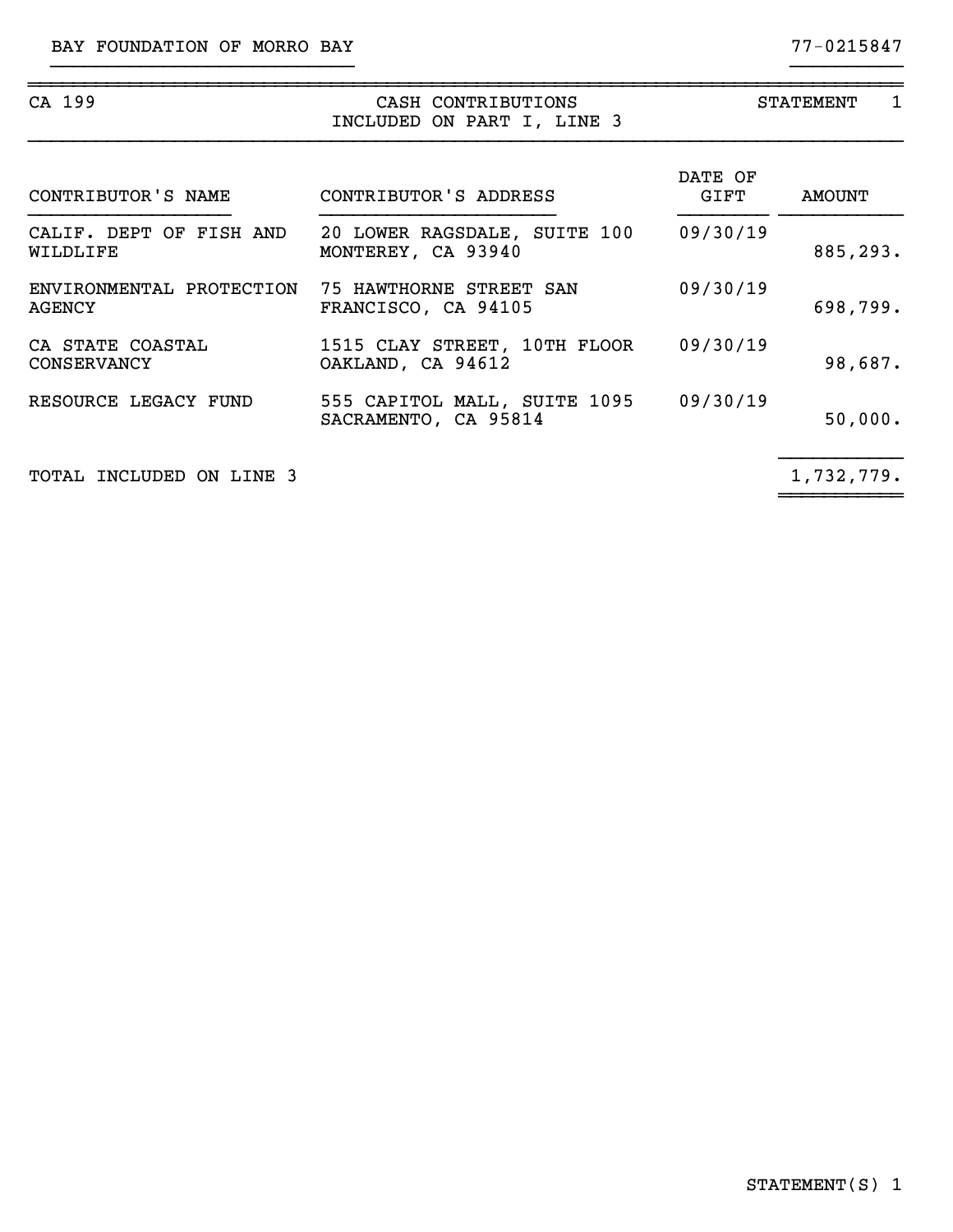| CA 199                                 | CASH CONTRIBUTIONS<br>INCLUDED ON PART I, LINE 3     | <b>STATEMENT</b><br>1 |            |  |  |  |
|----------------------------------------|------------------------------------------------------|-----------------------|------------|--|--|--|
| CONTRIBUTOR'S NAME                     | CONTRIBUTOR'S ADDRESS                                | DATE OF<br>GIFT       | AMOUNT     |  |  |  |
| CALIF. DEPT OF FISH AND<br>WILDLIFE    | 20 LOWER RAGSDALE, SUITE 100<br>MONTEREY, CA 93940   | 09/30/19              | 885,293.   |  |  |  |
| ENVIRONMENTAL PROTECTION<br>AGENCY     | 75 HAWTHORNE STREET SAN<br>FRANCISCO, CA 94105       | 09/30/19              | 698,799.   |  |  |  |
| CA STATE COASTAL<br><b>CONSERVANCY</b> | 1515 CLAY STREET, 10TH FLOOR<br>OAKLAND, CA 94612    | 09/30/19              | 98,687.    |  |  |  |
| RESOURCE LEGACY FUND                   | 555 CAPITOL MALL, SUITE 1095<br>SACRAMENTO, CA 95814 | 09/30/19              | 50,000.    |  |  |  |
| TOTAL INCLUDED ON LINE 3               |                                                      |                       | 1,732,779. |  |  |  |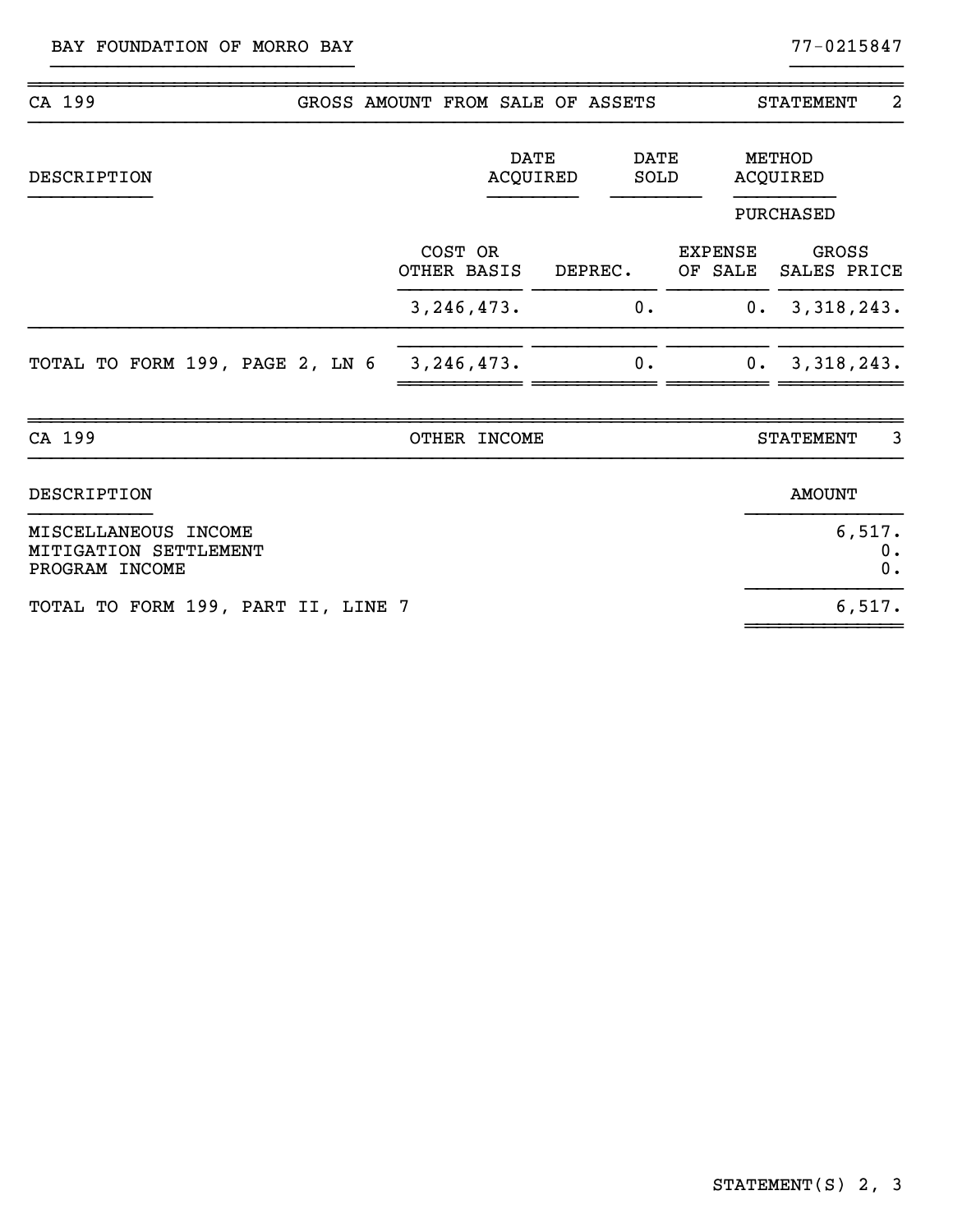| CA 199                                                          | GROSS AMOUNT FROM SALE OF ASSETS |                         | <b>STATEMENT</b><br>2     |                                        |  |
|-----------------------------------------------------------------|----------------------------------|-------------------------|---------------------------|----------------------------------------|--|
| DESCRIPTION                                                     |                                  | <b>DATE</b><br>ACQUIRED | <b>DATE</b><br>SOLD       | METHOD<br><b>ACQUIRED</b><br>PURCHASED |  |
|                                                                 | COST OR<br>OTHER BASIS           | DEPREC.                 | <b>EXPENSE</b><br>OF SALE | GROSS<br>SALES PRICE                   |  |
|                                                                 | 3, 246, 473.                     | 0.                      |                           | 0. 3,318,243.                          |  |
| TOTAL TO FORM 199, PAGE 2, LN 6                                 | 3, 246, 473.                     | 0.                      |                           | 0. 3,318,243.                          |  |
| CA 199                                                          | OTHER INCOME                     |                         |                           | 3<br><b>STATEMENT</b>                  |  |
| <b>DESCRIPTION</b>                                              |                                  |                         |                           | <b>AMOUNT</b>                          |  |
| MISCELLANEOUS INCOME<br>MITIGATION SETTLEMENT<br>PROGRAM INCOME |                                  |                         |                           | 6,517.<br>0.<br>0.                     |  |
| TOTAL TO FORM 199, PART II, LINE 7                              |                                  |                         |                           | 6,517.                                 |  |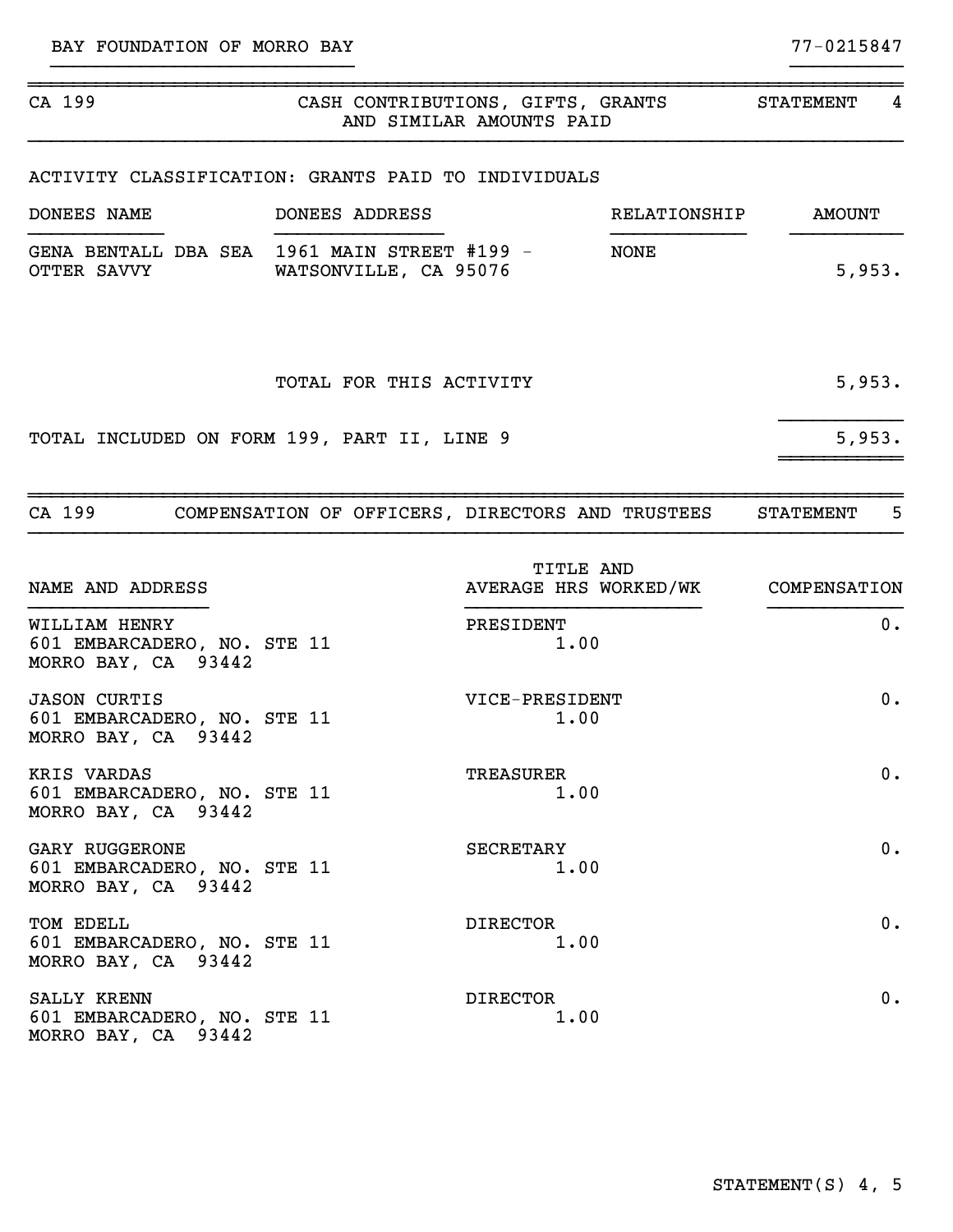| CA 199                                                                      | CASH CONTRIBUTIONS, GIFTS, GRANTS | AND SIMILAR AMOUNTS PAID                        |              | STATEMENT        | 4      |
|-----------------------------------------------------------------------------|-----------------------------------|-------------------------------------------------|--------------|------------------|--------|
| ACTIVITY CLASSIFICATION: GRANTS PAID TO INDIVIDUALS                         |                                   |                                                 |              |                  |        |
| DONEES NAME                                                                 | DONEES ADDRESS                    |                                                 | RELATIONSHIP | <b>AMOUNT</b>    |        |
| GENA BENTALL DBA SEA 1961 MAIN STREET #199 -<br>OTTER SAVVY                 | WATSONVILLE, CA 95076             |                                                 | <b>NONE</b>  |                  | 5,953. |
|                                                                             | TOTAL FOR THIS ACTIVITY           |                                                 |              |                  | 5,953. |
| TOTAL INCLUDED ON FORM 199, PART II, LINE 9                                 |                                   |                                                 |              |                  | 5,953. |
| CA 199 COMPENSATION OF OFFICERS, DIRECTORS AND TRUSTEES                     |                                   |                                                 |              | <b>STATEMENT</b> | 5      |
| NAME AND ADDRESS                                                            |                                   | TITLE AND<br>AVERAGE HRS WORKED/WK COMPENSATION |              |                  |        |
| WILLIAM HENRY<br>601 EMBARCADERO, NO. STE 11<br>MORRO BAY, CA 93442         |                                   | PRESIDENT<br>1.00                               |              |                  | $0$ .  |
| <b>JASON CURTIS</b><br>601 EMBARCADERO, NO. STE 11<br>MORRO BAY, CA 93442   |                                   | VICE-PRESIDENT<br>1.00                          |              |                  | 0.     |
| KRIS VARDAS<br>601 EMBARCADERO, NO. STE 11<br>MORRO BAY, CA 93442           |                                   | <b>TREASURER</b><br>1.00                        |              |                  | 0.     |
| <b>GARY RUGGERONE</b><br>601 EMBARCADERO, NO. STE 11<br>MORRO BAY, CA 93442 |                                   | SECRETARY<br>1.00                               |              |                  | 0.     |
| TOM EDELL<br>601 EMBARCADERO, NO. STE 11<br>MORRO BAY, CA 93442             |                                   | <b>DIRECTOR</b><br>1.00                         |              |                  | 0.     |
| SALLY KRENN<br>601 EMBARCADERO, NO. STE 11<br>MORRO BAY, CA 93442           |                                   | <b>DIRECTOR</b><br>1.00                         |              |                  | 0.     |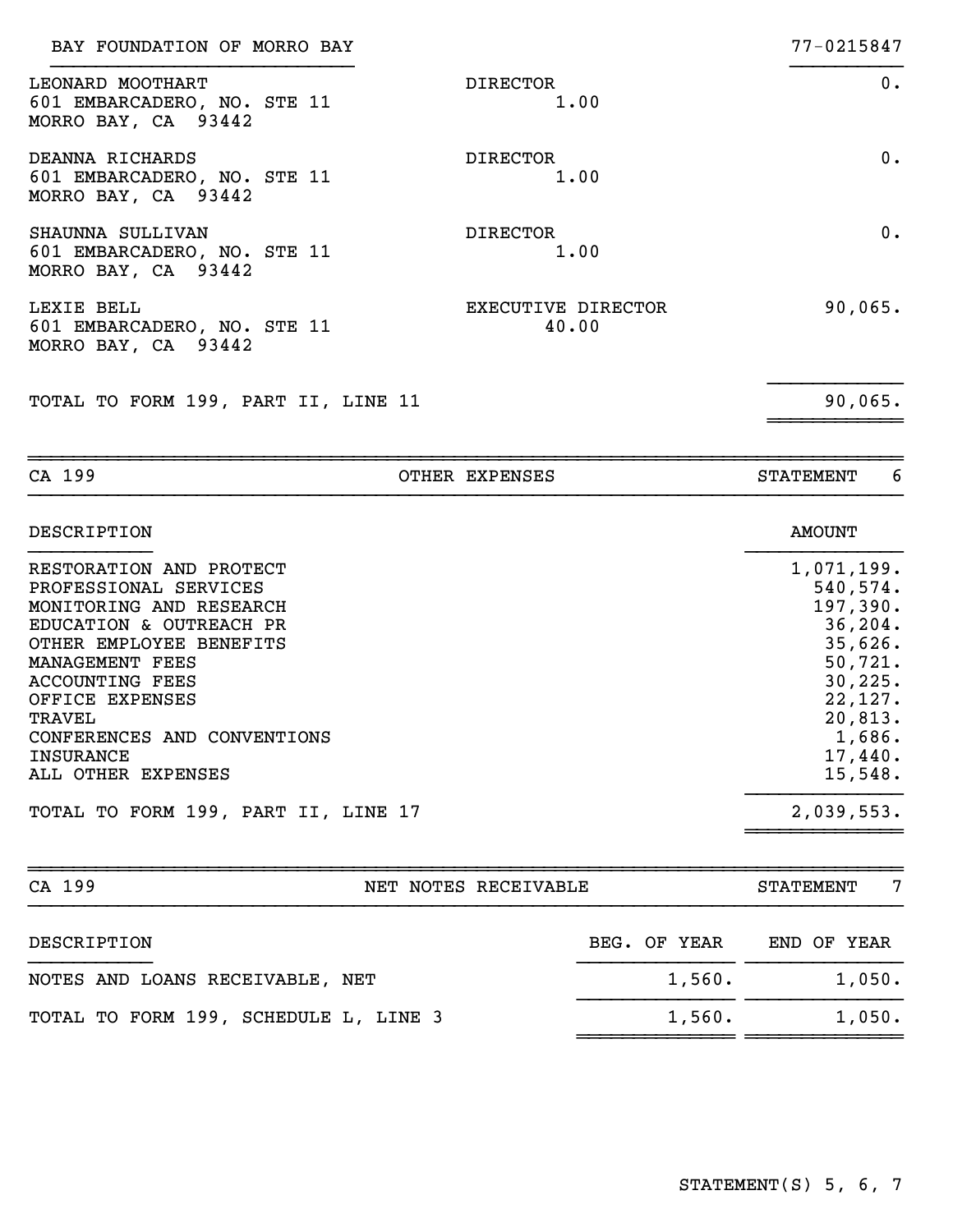| BAY FOUNDATION OF MORRO BAY                                            |                             | 77-0215847 |
|------------------------------------------------------------------------|-----------------------------|------------|
| LEONARD MOOTHART<br>601 EMBARCADERO, NO. STE 11<br>MORRO BAY, CA 93442 | <b>DIRECTOR</b><br>1.00     | $0$ .      |
| DEANNA RICHARDS<br>601 EMBARCADERO, NO. STE 11<br>MORRO BAY, CA 93442  | <b>DIRECTOR</b><br>1.00     | $0 \cdot$  |
| SHAUNNA SULLIVAN<br>601 EMBARCADERO, NO. STE 11<br>MORRO BAY, CA 93442 | <b>DIRECTOR</b><br>1.00     | $0$ .      |
| LEXIE BELL<br>601 EMBARCADERO, NO. STE 11<br>MORRO BAY, CA 93442       | EXECUTIVE DIRECTOR<br>40.00 | 90,065.    |
| TOTAL TO FORM 199, PART II, LINE 11                                    |                             | 90,065.    |
|                                                                        |                             |            |

| DESCRIPTION                                                                                                                                                                                                                                                                   | <b>AMOUNT</b>                                                                                                                           |
|-------------------------------------------------------------------------------------------------------------------------------------------------------------------------------------------------------------------------------------------------------------------------------|-----------------------------------------------------------------------------------------------------------------------------------------|
| RESTORATION AND PROTECT<br>PROFESSIONAL SERVICES<br>MONITORING AND RESEARCH<br>EDUCATION & OUTREACH PR<br>OTHER EMPLOYEE BENEFITS<br>MANAGEMENT FEES<br>ACCOUNTING FEES<br>OFFICE EXPENSES<br>TRAVEL<br>CONFERENCES AND CONVENTIONS<br><b>INSURANCE</b><br>ALL OTHER EXPENSES | 1,071,199.<br>540,574.<br>197,390.<br>36, 204.<br>35,626.<br>50, 721.<br>30, 225.<br>22,127.<br>20,813.<br>1,686.<br>17,440.<br>15,548. |
| TOTAL TO FORM 199, PART II, LINE 17                                                                                                                                                                                                                                           | 2,039,553.                                                                                                                              |
|                                                                                                                                                                                                                                                                               |                                                                                                                                         |

CA 199 CA CONSER EXPENSES CA 199

| CA 199                                | NET NOTES RECEIVABLE |              | <b>STATEMENT</b> | 7 |
|---------------------------------------|----------------------|--------------|------------------|---|
| DESCRIPTION                           |                      | BEG. OF YEAR | END OF YEAR      |   |
| NOTES AND LOANS RECEIVABLE, NET       |                      | 1,560.       | 1,050.           |   |
| TOTAL TO FORM 199, SCHEDULE L, LINE 3 |                      | 1,560.       | 1,050.           |   |
|                                       |                      |              |                  |   |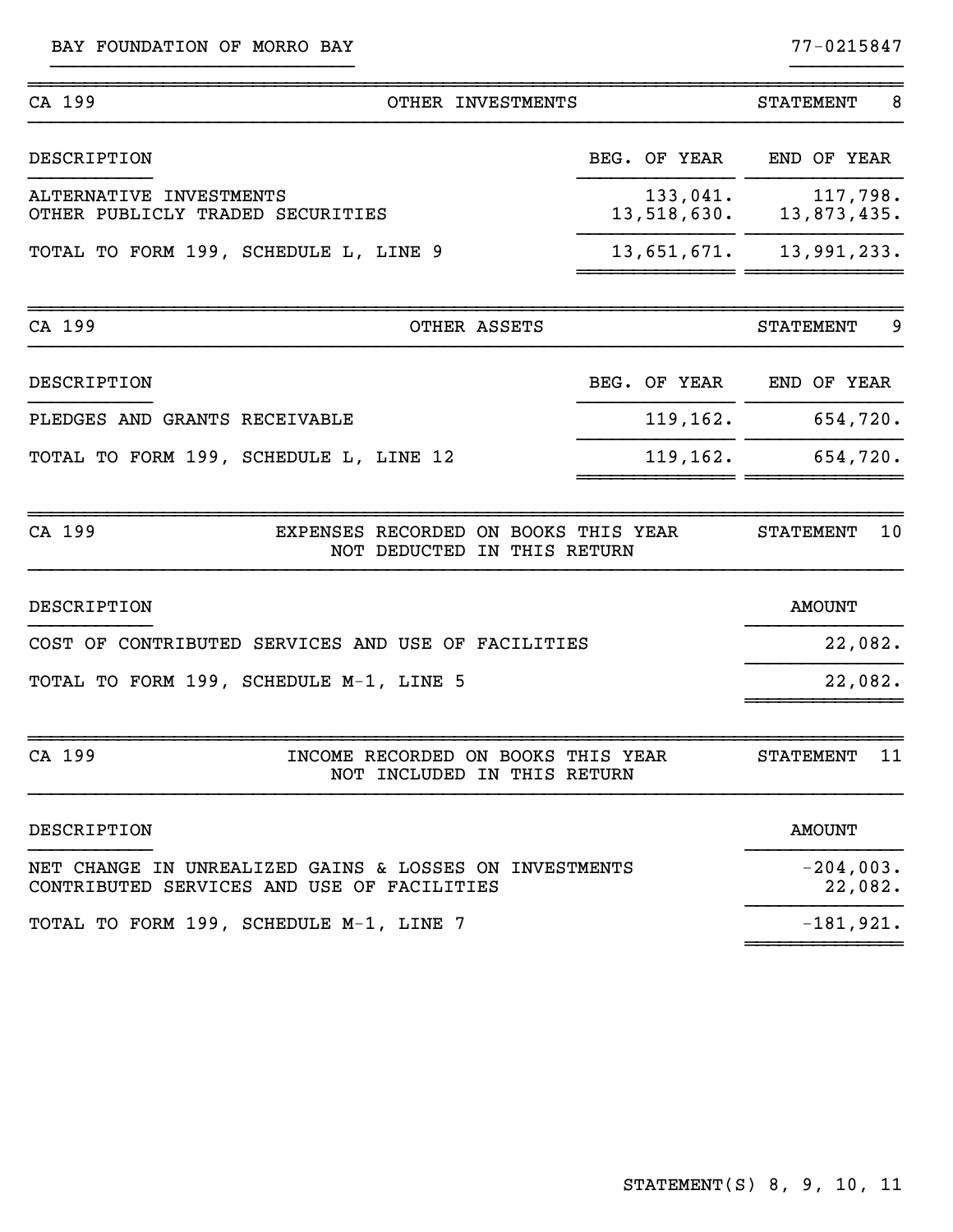BAY FOUNDATION OF MORRO BAY 77-0215847

| CA 199<br>OTHER INVESTMENTS                                                                          |                         | 8<br><b>STATEMENT</b>   |
|------------------------------------------------------------------------------------------------------|-------------------------|-------------------------|
| DESCRIPTION                                                                                          | BEG. OF YEAR            | END OF YEAR             |
| ALTERNATIVE INVESTMENTS<br>OTHER PUBLICLY TRADED SECURITIES                                          | 133,041.<br>13,518,630. | 117,798.<br>13,873,435. |
| TOTAL TO FORM 199, SCHEDULE L, LINE 9                                                                | 13,651,671.             | 13,991,233.             |
| CA 199<br>OTHER ASSETS                                                                               |                         | 9<br><b>STATEMENT</b>   |
| DESCRIPTION                                                                                          | BEG. OF YEAR            | END OF YEAR             |
| PLEDGES AND GRANTS RECEIVABLE                                                                        | 119,162.                | 654,720.                |
| TOTAL TO FORM 199, SCHEDULE L, LINE 12                                                               | 119, 162.               | 654,720.                |
| CA 199<br>EXPENSES RECORDED ON BOOKS THIS YEAR<br>NOT DEDUCTED IN THIS RETURN                        |                         | 10<br><b>STATEMENT</b>  |
| DESCRIPTION                                                                                          |                         | <b>AMOUNT</b>           |
| COST OF CONTRIBUTED SERVICES AND USE OF FACILITIES                                                   |                         | 22,082.                 |
| TOTAL TO FORM 199, SCHEDULE M-1, LINE 5                                                              |                         | 22,082.                 |
| CA 199<br>INCOME RECORDED ON BOOKS THIS YEAR<br>NOT INCLUDED IN THIS RETURN                          |                         | 11<br><b>STATEMENT</b>  |
| DESCRIPTION                                                                                          |                         | <b>AMOUNT</b>           |
| NET CHANGE IN UNREALIZED GAINS & LOSSES ON INVESTMENTS<br>CONTRIBUTED SERVICES AND USE OF FACILITIES |                         | $-204,003.$<br>22,082.  |
| TOTAL TO FORM 199, SCHEDULE M-1, LINE 7                                                              |                         | $-181,921.$             |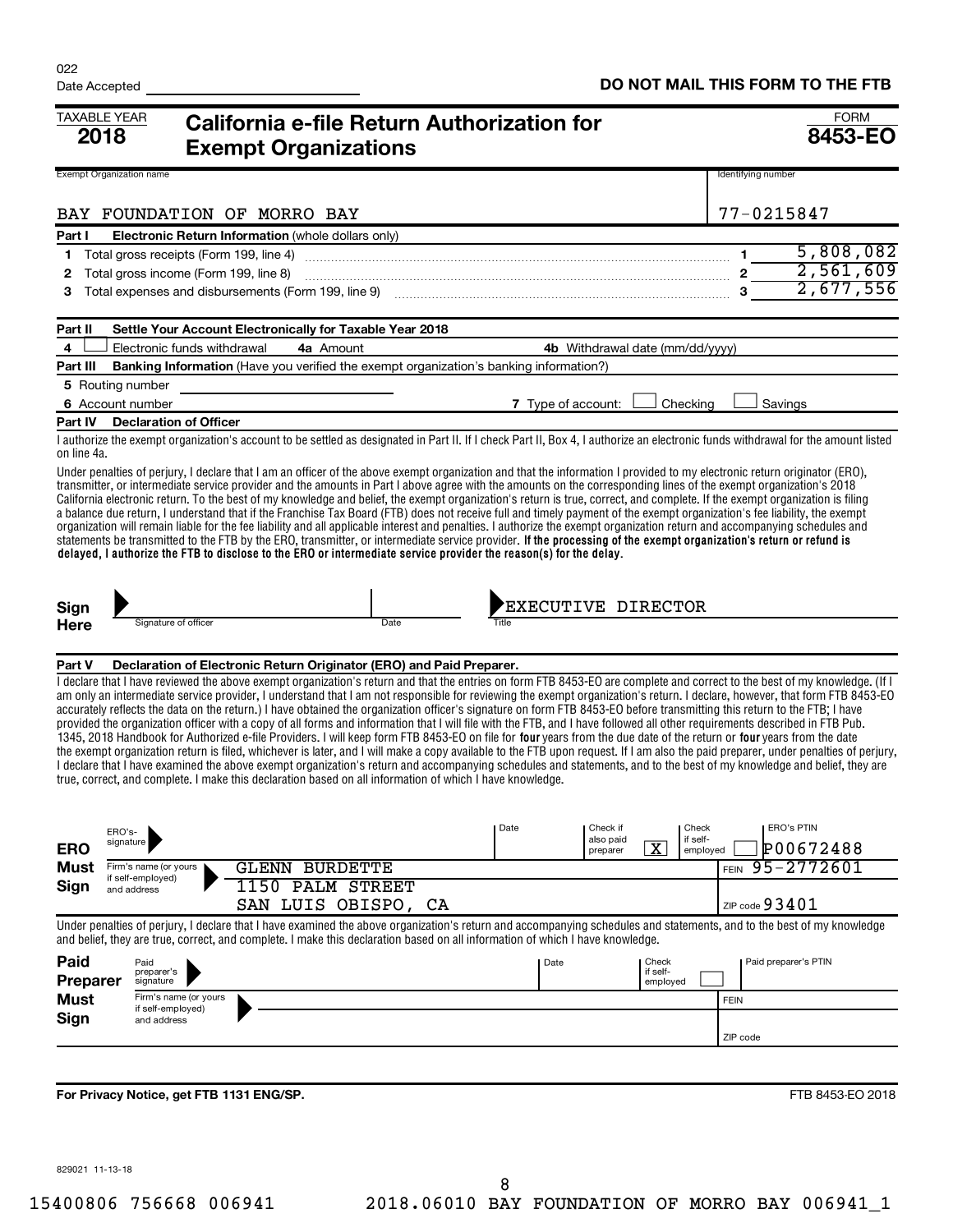| <b>TAXABLE YEAR</b><br>2018 |                                            |                                          | <b>Exempt Organizations</b>                              | California e-file Return Authorization for                                                                                                                                                                                                                                                                                                                                                                                                                                                                                                                                                                                                                                                                                                                                                                                                                                                                                                                                                                                                                                                                                                                                                                                                                                                                                                                            |       |      |                       |                                 |             |                      | <b>FORM</b><br>8453-EO  |
|-----------------------------|--------------------------------------------|------------------------------------------|----------------------------------------------------------|-----------------------------------------------------------------------------------------------------------------------------------------------------------------------------------------------------------------------------------------------------------------------------------------------------------------------------------------------------------------------------------------------------------------------------------------------------------------------------------------------------------------------------------------------------------------------------------------------------------------------------------------------------------------------------------------------------------------------------------------------------------------------------------------------------------------------------------------------------------------------------------------------------------------------------------------------------------------------------------------------------------------------------------------------------------------------------------------------------------------------------------------------------------------------------------------------------------------------------------------------------------------------------------------------------------------------------------------------------------------------|-------|------|-----------------------|---------------------------------|-------------|----------------------|-------------------------|
|                             | <b>Exempt Organization name</b>            |                                          |                                                          |                                                                                                                                                                                                                                                                                                                                                                                                                                                                                                                                                                                                                                                                                                                                                                                                                                                                                                                                                                                                                                                                                                                                                                                                                                                                                                                                                                       |       |      |                       |                                 |             | Identifying number   |                         |
|                             |                                            |                                          | BAY FOUNDATION OF MORRO BAY                              |                                                                                                                                                                                                                                                                                                                                                                                                                                                                                                                                                                                                                                                                                                                                                                                                                                                                                                                                                                                                                                                                                                                                                                                                                                                                                                                                                                       |       |      |                       |                                 |             | 77-0215847           |                         |
| Part I                      |                                            |                                          | Electronic Return Information (whole dollars only)       |                                                                                                                                                                                                                                                                                                                                                                                                                                                                                                                                                                                                                                                                                                                                                                                                                                                                                                                                                                                                                                                                                                                                                                                                                                                                                                                                                                       |       |      |                       |                                 |             |                      |                         |
| 1                           |                                            | Total gross receipts (Form 199, line 4)  |                                                          |                                                                                                                                                                                                                                                                                                                                                                                                                                                                                                                                                                                                                                                                                                                                                                                                                                                                                                                                                                                                                                                                                                                                                                                                                                                                                                                                                                       |       |      |                       |                                 |             |                      | 5,808,082               |
| 2                           |                                            | Total gross income (Form 199, line 8)    |                                                          | $2\overline{2,561,609}$                                                                                                                                                                                                                                                                                                                                                                                                                                                                                                                                                                                                                                                                                                                                                                                                                                                                                                                                                                                                                                                                                                                                                                                                                                                                                                                                               |       |      |                       |                                 |             |                      |                         |
| з                           |                                            |                                          |                                                          | Total expenses and disbursements (Form 199, line 9) <i>mand content and a content mandature mandature and 3</i>                                                                                                                                                                                                                                                                                                                                                                                                                                                                                                                                                                                                                                                                                                                                                                                                                                                                                                                                                                                                                                                                                                                                                                                                                                                       |       |      |                       |                                 |             |                      | 2,677,556               |
| Part II                     |                                            |                                          | Settle Your Account Electronically for Taxable Year 2018 |                                                                                                                                                                                                                                                                                                                                                                                                                                                                                                                                                                                                                                                                                                                                                                                                                                                                                                                                                                                                                                                                                                                                                                                                                                                                                                                                                                       |       |      |                       |                                 |             |                      |                         |
| 4                           |                                            | Electronic funds withdrawal              | 4a Amount                                                |                                                                                                                                                                                                                                                                                                                                                                                                                                                                                                                                                                                                                                                                                                                                                                                                                                                                                                                                                                                                                                                                                                                                                                                                                                                                                                                                                                       |       |      |                       | 4b Withdrawal date (mm/dd/yyyy) |             |                      |                         |
| Part III                    |                                            |                                          |                                                          | <b>Banking Information</b> (Have you verified the exempt organization's banking information?)                                                                                                                                                                                                                                                                                                                                                                                                                                                                                                                                                                                                                                                                                                                                                                                                                                                                                                                                                                                                                                                                                                                                                                                                                                                                         |       |      |                       |                                 |             |                      |                         |
|                             | 5 Routing number                           |                                          |                                                          |                                                                                                                                                                                                                                                                                                                                                                                                                                                                                                                                                                                                                                                                                                                                                                                                                                                                                                                                                                                                                                                                                                                                                                                                                                                                                                                                                                       |       |      |                       |                                 |             |                      |                         |
|                             | 6 Account number                           |                                          |                                                          |                                                                                                                                                                                                                                                                                                                                                                                                                                                                                                                                                                                                                                                                                                                                                                                                                                                                                                                                                                                                                                                                                                                                                                                                                                                                                                                                                                       |       |      | 7 Type of account:    | Checking                        |             | Savings              |                         |
| Part IV                     |                                            | <b>Declaration of Officer</b>            |                                                          |                                                                                                                                                                                                                                                                                                                                                                                                                                                                                                                                                                                                                                                                                                                                                                                                                                                                                                                                                                                                                                                                                                                                                                                                                                                                                                                                                                       |       |      |                       |                                 |             |                      |                         |
| on line 4a.                 |                                            |                                          |                                                          | I authorize the exempt organization's account to be settled as designated in Part II. If I check Part II, Box 4, I authorize an electronic funds withdrawal for the amount listed                                                                                                                                                                                                                                                                                                                                                                                                                                                                                                                                                                                                                                                                                                                                                                                                                                                                                                                                                                                                                                                                                                                                                                                     |       |      |                       |                                 |             |                      |                         |
|                             |                                            |                                          |                                                          | Under penalties of perjury, I declare that I am an officer of the above exempt organization and that the information I provided to my electronic return originator (ERO),<br>transmitter, or intermediate service provider and the amounts in Part I above agree with the amounts on the corresponding lines of the exempt organization's 2018<br>California electronic return. To the best of my knowledge and belief, the exempt organization's return is true, correct, and complete. If the exempt organization is filing<br>a balance due return, I understand that if the Franchise Tax Board (FTB) does not receive full and timely payment of the exempt organization's fee liability, the exempt<br>organization will remain liable for the fee liability and all applicable interest and penalties. I authorize the exempt organization return and accompanying schedules and<br>statements be transmitted to the FTB by the ERO, transmitter, or intermediate service provider. If the processing of the exempt organization's return or refund is<br>delayed, I authorize the FTB to disclose to the ERO or intermediate service provider the reason(s) for the delay.                                                                                                                                                                                    |       |      |                       |                                 |             |                      |                         |
| Sign                        |                                            |                                          |                                                          |                                                                                                                                                                                                                                                                                                                                                                                                                                                                                                                                                                                                                                                                                                                                                                                                                                                                                                                                                                                                                                                                                                                                                                                                                                                                                                                                                                       |       |      |                       | EXECUTIVE DIRECTOR              |             |                      |                         |
| <b>Here</b>                 |                                            | Signature of officer                     |                                                          | Date                                                                                                                                                                                                                                                                                                                                                                                                                                                                                                                                                                                                                                                                                                                                                                                                                                                                                                                                                                                                                                                                                                                                                                                                                                                                                                                                                                  | Title |      |                       |                                 |             |                      |                         |
| Part V                      |                                            |                                          |                                                          | Declaration of Electronic Return Originator (ERO) and Paid Preparer.                                                                                                                                                                                                                                                                                                                                                                                                                                                                                                                                                                                                                                                                                                                                                                                                                                                                                                                                                                                                                                                                                                                                                                                                                                                                                                  |       |      |                       |                                 |             |                      |                         |
|                             |                                            |                                          |                                                          | I declare that I have reviewed the above exempt organization's return and that the entries on form FTB 8453-EO are complete and correct to the best of my knowledge. (If I<br>am only an intermediate service provider, I understand that I am not responsible for reviewing the exempt organization's return. I declare, however, that form FTB 8453-EO<br>accurately reflects the data on the return.) I have obtained the organization officer's signature on form FTB 8453-EO before transmitting this return to the FTB; I have<br>provided the organization officer with a copy of all forms and information that I will file with the FTB, and I have followed all other requirements described in FTB Pub.<br>1345, 2018 Handbook for Authorized e-file Providers. I will keep form FTB 8453-EO on file for four vears from the due date of the return or four vears from the date<br>the exempt organization return is filed, whichever is later, and I will make a copy available to the FTB upon request. If I am also the paid preparer, under penalties of perjury,<br>I declare that I have examined the above exempt organization's return and accompanying schedules and statements, and to the best of my knowledge and belief, they are<br>true, correct, and complete. I make this declaration based on all information of which I have knowledge. |       |      |                       |                                 |             |                      |                         |
|                             | ERO's-<br>signature                        |                                          |                                                          |                                                                                                                                                                                                                                                                                                                                                                                                                                                                                                                                                                                                                                                                                                                                                                                                                                                                                                                                                                                                                                                                                                                                                                                                                                                                                                                                                                       | Date  |      | Check if<br>also paid | Check<br>if self-               |             | <b>ERO's PTIN</b>    |                         |
| ERO                         |                                            |                                          |                                                          |                                                                                                                                                                                                                                                                                                                                                                                                                                                                                                                                                                                                                                                                                                                                                                                                                                                                                                                                                                                                                                                                                                                                                                                                                                                                                                                                                                       |       |      | preparer              | $\overline{\textbf{x}}$         | emploved    |                      | P00672488<br>95-2772601 |
| Must                        | Firm's name (or yours<br>if self-employed) |                                          | <b>GLENN BURDETTE</b><br><b>PALM STREET</b><br>1150      |                                                                                                                                                                                                                                                                                                                                                                                                                                                                                                                                                                                                                                                                                                                                                                                                                                                                                                                                                                                                                                                                                                                                                                                                                                                                                                                                                                       |       |      |                       |                                 | <b>FEIN</b> |                      |                         |
| Sign                        | and address                                |                                          | SAN LUIS OBISPO, CA                                      |                                                                                                                                                                                                                                                                                                                                                                                                                                                                                                                                                                                                                                                                                                                                                                                                                                                                                                                                                                                                                                                                                                                                                                                                                                                                                                                                                                       |       |      |                       |                                 |             | ZIP code $93401$     |                         |
|                             |                                            |                                          |                                                          | Under penalties of perjury, I declare that I have examined the above organization's return and accompanying schedules and statements, and to the best of my knowledge<br>and belief, they are true, correct, and complete. I make this declaration based on all information of which I have knowledge.                                                                                                                                                                                                                                                                                                                                                                                                                                                                                                                                                                                                                                                                                                                                                                                                                                                                                                                                                                                                                                                                |       |      |                       |                                 |             |                      |                         |
| Paid                        | Paid                                       |                                          |                                                          |                                                                                                                                                                                                                                                                                                                                                                                                                                                                                                                                                                                                                                                                                                                                                                                                                                                                                                                                                                                                                                                                                                                                                                                                                                                                                                                                                                       |       | Date |                       | Check                           |             | Paid preparer's PTIN |                         |
| Preparer                    | preparer's<br>signature                    |                                          |                                                          |                                                                                                                                                                                                                                                                                                                                                                                                                                                                                                                                                                                                                                                                                                                                                                                                                                                                                                                                                                                                                                                                                                                                                                                                                                                                                                                                                                       |       |      |                       | if self-<br>employed            |             |                      |                         |
| <b>Must</b>                 |                                            | Firm's name (or yours                    |                                                          |                                                                                                                                                                                                                                                                                                                                                                                                                                                                                                                                                                                                                                                                                                                                                                                                                                                                                                                                                                                                                                                                                                                                                                                                                                                                                                                                                                       |       |      |                       |                                 | <b>FEIN</b> |                      |                         |
| Sign                        | if self-employed)<br>and address           |                                          |                                                          |                                                                                                                                                                                                                                                                                                                                                                                                                                                                                                                                                                                                                                                                                                                                                                                                                                                                                                                                                                                                                                                                                                                                                                                                                                                                                                                                                                       |       |      |                       |                                 |             |                      |                         |
|                             |                                            |                                          |                                                          |                                                                                                                                                                                                                                                                                                                                                                                                                                                                                                                                                                                                                                                                                                                                                                                                                                                                                                                                                                                                                                                                                                                                                                                                                                                                                                                                                                       |       |      |                       |                                 |             | ZIP code             |                         |
|                             |                                            |                                          |                                                          |                                                                                                                                                                                                                                                                                                                                                                                                                                                                                                                                                                                                                                                                                                                                                                                                                                                                                                                                                                                                                                                                                                                                                                                                                                                                                                                                                                       |       |      |                       |                                 |             |                      |                         |
|                             |                                            |                                          |                                                          |                                                                                                                                                                                                                                                                                                                                                                                                                                                                                                                                                                                                                                                                                                                                                                                                                                                                                                                                                                                                                                                                                                                                                                                                                                                                                                                                                                       |       |      |                       |                                 |             |                      |                         |
|                             |                                            | For Privacy Notice, get FTB 1131 ENG/SP. |                                                          |                                                                                                                                                                                                                                                                                                                                                                                                                                                                                                                                                                                                                                                                                                                                                                                                                                                                                                                                                                                                                                                                                                                                                                                                                                                                                                                                                                       |       |      |                       |                                 |             |                      | FTB 8453-EO 2018        |

829021 11-13-18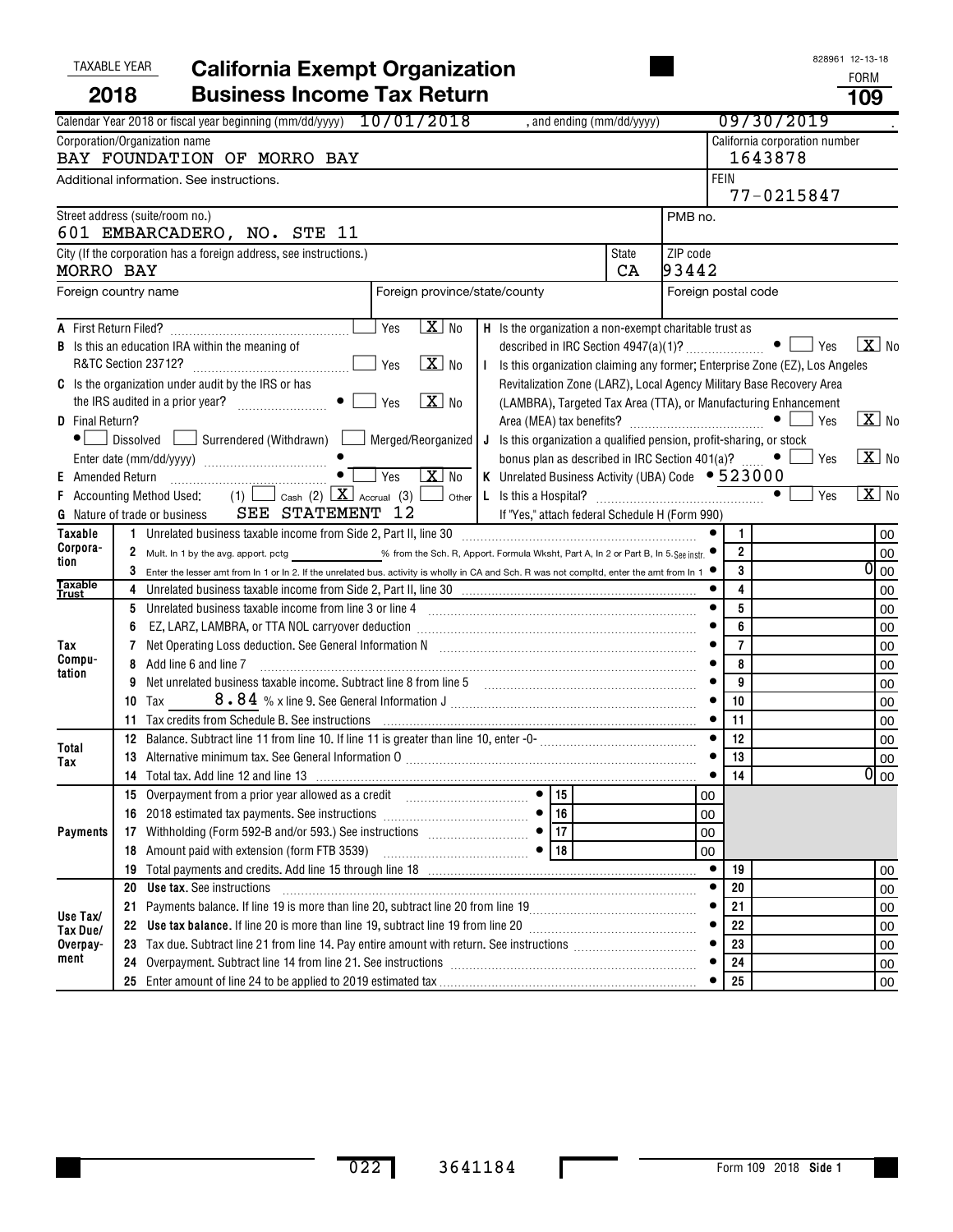#### 828961 12-13-18 A First Return Filed? **B C H** First Return Filed? ~~~~~~~~~~~~~~~~ Yes No Is the organization a non-exempt charitable trust as **I** TAXABLE YEAR FORM **California Exempt Organization** Calendar Year 2018 or fiscal year beginning (mm/dd/yyyy)  $10/01/2018$ , and ending (mm/dd/yyyy)  $09/30/2019$ Corporation/Organization name California corporation number **FEIN** Street address (suite/room no.) City (If the corporation has a foreign address, see instructions.) State ZIP code Is this an education IRA within the meaning of described in IRC Section 4947(a)(1)? R&TC Section 23712?  $~\bullet$   $~\square$  Yes  $~\square$  No ~~~~~~~~~~~~~~ Yes No Is this organization claiming any former; Enterprise Zone (EZ), Los Angeles Revitalization Zone (LARZ), Local Agency Military Base Recovery Area Is the organization under audit by the IRS or has Additional information. See instructions. PMB no. Foreign country name **Foreign province**/state/county **Foreign province/state/county** Foreign postal code **2018 Business Income Tax Return 109**  $\perp$  Yes  $\overline{a}$  $\lfloor \rfloor$  Yes  $\lfloor \mathbf{X} \rfloor$ , and ending (mm/dd/yyyy) BAY FOUNDATION OF MORRO BAY 1643878 77-0215847 601 EMBARCADERO, NO. STE 11 MORRO BAY CA 93442  $X$  No  $\overline{X}$  $\overline{\text{x}}$

|                                                     |                                                                                                                 | <b>B</b> Is this an education IRA within the meaning of                                                                                                                                                                        |                                                                                                                                                     |  |    | described in IRC Section 4947(a)(1)? $\ldots$ $\ldots$ $\ldots$ $\ldots$ $\ldots$ |                |                |     | $ \mathbf{A} $ No |                            |
|-----------------------------------------------------|-----------------------------------------------------------------------------------------------------------------|--------------------------------------------------------------------------------------------------------------------------------------------------------------------------------------------------------------------------------|-----------------------------------------------------------------------------------------------------------------------------------------------------|--|----|-----------------------------------------------------------------------------------|----------------|----------------|-----|-------------------|----------------------------|
|                                                     |                                                                                                                 | $X$ No<br>R&TC Section 23712?                                                                                                                                                                                                  | Is this organization claiming any former, Enterprise Zone (EZ), Los Angeles<br>Revitalization Zone (LARZ), Local Agency Military Base Recovery Area |  |    |                                                                                   |                |                |     |                   |                            |
| C Is the organization under audit by the IRS or has |                                                                                                                 |                                                                                                                                                                                                                                |                                                                                                                                                     |  |    |                                                                                   |                |                |     |                   |                            |
|                                                     | $\boxed{\mathbf{X}}$ No<br>$\bullet$     Yes<br>(LAMBRA), Targeted Tax Area (TTA), or Manufacturing Enhancement |                                                                                                                                                                                                                                |                                                                                                                                                     |  |    |                                                                                   |                |                |     |                   |                            |
| D Final Return?                                     |                                                                                                                 |                                                                                                                                                                                                                                |                                                                                                                                                     |  |    |                                                                                   |                |                | Yes |                   | $X$ No                     |
| $\bullet$                                           |                                                                                                                 | Dissolved Surrendered (Withdrawn) Merged/Reorganized   J Is this organization a qualified pension, profit-sharing, or stock                                                                                                    |                                                                                                                                                     |  |    |                                                                                   |                |                |     |                   |                            |
|                                                     |                                                                                                                 |                                                                                                                                                                                                                                |                                                                                                                                                     |  |    | bonus plan as described in IRC Section 401(a)? $\Box$                             |                |                | Yes |                   | $\boxed{\text{X}}$ No      |
| <b>E</b> Amended Return                             |                                                                                                                 | $X$ No<br>$\vert$ Yes                                                                                                                                                                                                          |                                                                                                                                                     |  |    | K Unrelated Business Activity (UBA) Code $\bullet$ 523000                         |                |                |     |                   |                            |
|                                                     |                                                                                                                 | $(1)$ $\Box$ Cash $(2)$ $\Box$ Accrual $(3)$ $\Box$ Other<br>F Accounting Method Used:<br>G Nature of trade or business SEE STATEMENT 12                                                                                       |                                                                                                                                                     |  |    | If "Yes," attach federal Schedule H (Form 990)                                    |                |                | Yes |                   | $\overline{\mathbf{X}}$ No |
| <b>Taxable</b>                                      |                                                                                                                 | 1 Unrelated business taxable income from Side 2, Part II, line 30 [11] [11] Unrelated business taxable income from Side 2, Part II, line 30                                                                                    |                                                                                                                                                     |  |    |                                                                                   |                | $\mathbf{1}$   |     |                   | 00                         |
| Corpora-<br>tion                                    | 2                                                                                                               | Mult. In 1 by the avg. apport. pctg ______________% from the Sch. R, Apport. Formula Wksht, Part A, In 2 or Part B, In 5. See instr. ●                                                                                         |                                                                                                                                                     |  |    |                                                                                   |                | $\overline{2}$ |     |                   | 00                         |
|                                                     |                                                                                                                 | 3 Enter the lesser amt from In 1 or In 2. If the unrelated bus. activity is wholly in CA and Sch. R was not compltd, enter the amt from In 1 $\bullet$                                                                         |                                                                                                                                                     |  |    |                                                                                   |                | 3              |     |                   | $\overline{0}$ 00          |
| <b>Taxable</b><br>Trust                             |                                                                                                                 |                                                                                                                                                                                                                                |                                                                                                                                                     |  |    |                                                                                   |                | 4              |     |                   | 00                         |
|                                                     | 5                                                                                                               | Unrelated business taxable income from line 3 or line 4 [11] matter incommunications and the state income from line 3 or line 4 [11] matter incommunications and the state of the state of the state of the state of the state |                                                                                                                                                     |  |    |                                                                                   |                | 5              |     |                   | 00                         |
|                                                     |                                                                                                                 |                                                                                                                                                                                                                                |                                                                                                                                                     |  |    |                                                                                   | 6              |                |     | 00                |                            |
| Tax                                                 |                                                                                                                 | Net Operating Loss deduction. See General Information N [11] [11] Matter Loss and Matter Deration Loss deduction. See General Information N [11] [11] Matter Deration Matter Deration Matter Deration Matter Deration Matter D |                                                                                                                                                     |  |    |                                                                                   |                | $\overline{7}$ |     |                   | 00                         |
| Compu-<br>tation                                    | 8                                                                                                               | Add line 6 and line 7                                                                                                                                                                                                          |                                                                                                                                                     |  |    |                                                                                   |                | 8              |     |                   | 00                         |
|                                                     | 9                                                                                                               | Net unrelated business taxable income. Subtract line 8 from line 5                                                                                                                                                             |                                                                                                                                                     |  |    |                                                                                   |                | 9              |     |                   | 00                         |
|                                                     | 10                                                                                                              | <b>Tax</b>                                                                                                                                                                                                                     |                                                                                                                                                     |  |    |                                                                                   |                | 10             |     |                   | 00                         |
|                                                     | 11.                                                                                                             |                                                                                                                                                                                                                                |                                                                                                                                                     |  |    |                                                                                   |                | 11             |     |                   | 00                         |
| Total                                               | 12                                                                                                              |                                                                                                                                                                                                                                |                                                                                                                                                     |  |    |                                                                                   | 12             |                |     | 00                |                            |
| Tax                                                 | 13                                                                                                              | Alternative minimum tax. See General Information 0 [11] Martin Martin Martin Martin Martin Martin Martin Marti                                                                                                                 |                                                                                                                                                     |  |    |                                                                                   | 13             |                |     | 00                |                            |
|                                                     | 14                                                                                                              |                                                                                                                                                                                                                                |                                                                                                                                                     |  |    |                                                                                   | 14             |                |     | $\overline{0}$ 00 |                            |
|                                                     |                                                                                                                 |                                                                                                                                                                                                                                |                                                                                                                                                     |  |    |                                                                                   | 00             |                |     |                   |                            |
|                                                     |                                                                                                                 |                                                                                                                                                                                                                                |                                                                                                                                                     |  | 16 |                                                                                   | 00             |                |     |                   |                            |
| <b>Payments</b>                                     |                                                                                                                 | 17 Withholding (Form 592-B and/or 593.) See instructions $\begin{array}{ c c c c c c c c c }\n\hline\n\textbf{18}}\n\end{array}$ Amount paid with extension (form FTB 3539)                                                    |                                                                                                                                                     |  |    |                                                                                   | 00             |                |     |                   |                            |
|                                                     |                                                                                                                 |                                                                                                                                                                                                                                |                                                                                                                                                     |  |    |                                                                                   | 0 <sub>0</sub> |                |     |                   |                            |
|                                                     | 19                                                                                                              |                                                                                                                                                                                                                                |                                                                                                                                                     |  |    |                                                                                   | 19             |                |     | 00                |                            |
|                                                     | 20                                                                                                              | <b>Use tax.</b> See instructions                                                                                                                                                                                               |                                                                                                                                                     |  |    |                                                                                   |                | 20             |     |                   | 00                         |
| Use Tax/                                            | 21                                                                                                              |                                                                                                                                                                                                                                |                                                                                                                                                     |  |    |                                                                                   | 21             |                |     | 00                |                            |
| Tax Due/                                            |                                                                                                                 | 22 Use tax balance. If line 20 is more than line 19, subtract line 19 from line 20 [11] [11] Use tax balance. If line 20 [11] Use tax balance. If line 20 [11] Use tax balance. If line 20 [11] Use tax balance in the 20 [11] |                                                                                                                                                     |  |    |                                                                                   |                | 22             |     |                   | 00                         |
| Overpay-                                            |                                                                                                                 |                                                                                                                                                                                                                                |                                                                                                                                                     |  |    |                                                                                   |                | 23             |     |                   | 00                         |
| ment                                                | 24                                                                                                              |                                                                                                                                                                                                                                |                                                                                                                                                     |  |    |                                                                                   |                | 24             |     |                   | 00                         |
|                                                     |                                                                                                                 |                                                                                                                                                                                                                                |                                                                                                                                                     |  |    |                                                                                   |                | 25             |     |                   | 00                         |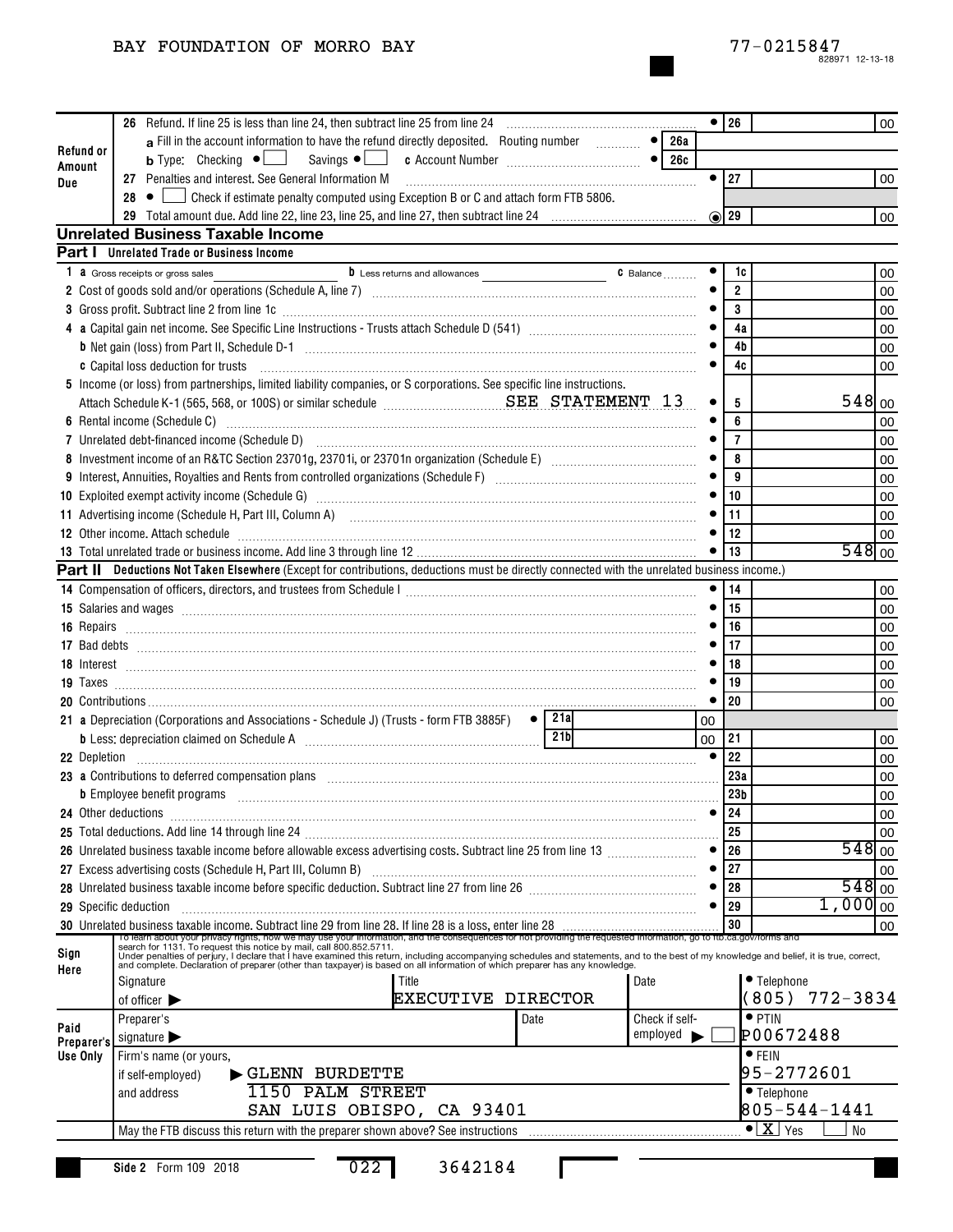## BAY FOUNDATION OF MORRO BAY

|                     |                                           |                                                                                                                                                                                                                                      |           | $\bullet$   26  |                                         | 00                  |
|---------------------|-------------------------------------------|--------------------------------------------------------------------------------------------------------------------------------------------------------------------------------------------------------------------------------------|-----------|-----------------|-----------------------------------------|---------------------|
| Refund or           |                                           | a Fill in the account information to have the refund directly deposited. Routing number<br>-  ●  <br>26a                                                                                                                             |           |                 |                                         |                     |
| Amount              |                                           | 26с                                                                                                                                                                                                                                  |           |                 |                                         |                     |
| <b>Due</b>          |                                           | 27 Penalties and interest. See General Information M                                                                                                                                                                                 | $\bullet$ | 27              |                                         | 00                  |
|                     | $28 \cdot \bullet$                        | $\rfloor$ Check if estimate penalty computed using Exception B or C and attach form FTB 5806.                                                                                                                                        |           |                 |                                         |                     |
|                     |                                           |                                                                                                                                                                                                                                      |           | $\odot$ 29      |                                         | 00                  |
|                     | <b>Unrelated Business Taxable Income</b>  |                                                                                                                                                                                                                                      |           |                 |                                         |                     |
|                     | Part I Unrelated Trade or Business Income |                                                                                                                                                                                                                                      |           |                 |                                         |                     |
| 1.                  | <b>a</b> Gross receipts or gross sales    | C Balance                                                                                                                                                                                                                            |           | 1c              |                                         | 00                  |
|                     |                                           |                                                                                                                                                                                                                                      |           | $\overline{2}$  |                                         | 00                  |
|                     |                                           | 3 Gross profit. Subtract line 2 from line 1c [11] manufacture is a contract to the 2 from line 1c [11] manufacture is a contract to the contract of the contract of the contract of the contract of the contract of the contra       |           | 3               |                                         | 00                  |
|                     |                                           |                                                                                                                                                                                                                                      |           | 4a              |                                         | 00                  |
|                     |                                           |                                                                                                                                                                                                                                      |           | 4b              |                                         | 00                  |
|                     | c Capital loss deduction for trusts       |                                                                                                                                                                                                                                      |           | 4c              |                                         | 00                  |
|                     |                                           | 5 Income (or loss) from partnerships, limited liability companies, or S corporations. See specific line instructions.                                                                                                                |           |                 |                                         |                     |
|                     |                                           | Attach Schedule K-1 (565, 568, or 100S) or similar schedule <b>Mathem SEE STATEMENT 13</b>                                                                                                                                           |           | 5               |                                         | 548 00              |
|                     |                                           |                                                                                                                                                                                                                                      |           | 6               |                                         | 00                  |
|                     |                                           |                                                                                                                                                                                                                                      |           | $\overline{7}$  |                                         | 00                  |
|                     |                                           |                                                                                                                                                                                                                                      |           | 8               |                                         | 00                  |
|                     |                                           |                                                                                                                                                                                                                                      |           | 9               |                                         | 00                  |
|                     |                                           | 10 Exploited exempt activity income (Schedule G) [11] manufacture in the control of the set of the control of the control of the control of the control of the control of the control of the control of the control of the con       |           | 10              |                                         | 00                  |
|                     |                                           | 11 Advertising income (Schedule H, Part III, Column A) [11] Martin Martin Martin Martin Martin Martin Martin M                                                                                                                       |           | 11              |                                         | 00                  |
|                     |                                           | 12 Other income. Attach schedule with an annual contract contract of the contract of the contract of the contract of the contract of the contract of the contract of the contract of the contract of the contract of the contr       |           | 12              |                                         | 00                  |
|                     |                                           |                                                                                                                                                                                                                                      |           | 13              |                                         | $548$ 00            |
|                     |                                           | Part II Deductions Not Taken Elsewhere (Except for contributions, deductions must be directly connected with the unrelated business income.)                                                                                         |           |                 |                                         |                     |
|                     |                                           |                                                                                                                                                                                                                                      |           | 14              |                                         | 00                  |
|                     |                                           | 15 Salaries and wages [11,11] and manufactured and manufactured and manufactured and manufactured and manufactured and manufactured and manufactured and manufactured and manufactured and manufactured and manufactured and m       |           | 15              |                                         | 00                  |
|                     |                                           | 16 Repairs <b>Marine Marine and Taraka and Taraka and Taraka and Taraka and Taraka and Taraka and Taraka and Taraka and Taraka and Taraka and Taraka and Taraka and Taraka and Taraka and Taraka and Taraka and Taraka and Tarak</b> |           | 16              |                                         | 00                  |
|                     |                                           | 17 Bad debts <b>communications</b> and a series of the contract of the contract of the contract of the contract of the contract of the contract of the contract of the contract of the contract of the contract of the contract of   |           | 17              |                                         | 00                  |
|                     |                                           |                                                                                                                                                                                                                                      |           | 18              |                                         | 00                  |
|                     |                                           |                                                                                                                                                                                                                                      |           | 19              |                                         | 00                  |
|                     |                                           |                                                                                                                                                                                                                                      |           | 20              |                                         | 00                  |
|                     |                                           | $\bullet$   21al<br>21 a Depreciation (Corporations and Associations - Schedule J) (Trusts - form FTB 3885F)                                                                                                                         | 00        |                 |                                         |                     |
|                     |                                           | 21 <sub>b</sub>                                                                                                                                                                                                                      | 00        | 21              |                                         | 00                  |
|                     |                                           |                                                                                                                                                                                                                                      | $\bullet$ | 22              |                                         | 00                  |
|                     |                                           | 23 a Contributions to deferred compensation plans manufactured contracts and contributions to deferred compensation plans                                                                                                            |           | 23a             |                                         | 00                  |
|                     |                                           | b Employee benefit programs in the contract of the contract of the contract of the contract of the contract of the contract of the contract of the contract of the contract of the contract of the contract of the contract of       |           | 23 <sub>b</sub> |                                         | 00                  |
| 24 Other deductions |                                           |                                                                                                                                                                                                                                      | $\bullet$ | 24              |                                         | 00                  |
|                     |                                           |                                                                                                                                                                                                                                      |           | 25              |                                         | 00                  |
|                     |                                           |                                                                                                                                                                                                                                      |           | 26              |                                         | 548 00              |
|                     |                                           |                                                                                                                                                                                                                                      |           | 27              |                                         | 00                  |
|                     |                                           |                                                                                                                                                                                                                                      |           | 28              |                                         | $548$ <sub>00</sub> |
|                     | <b>29</b> Specific deduction              |                                                                                                                                                                                                                                      | $\bullet$ | 29              | $1,000 _{00}$                           |                     |
|                     |                                           |                                                                                                                                                                                                                                      |           | 30              |                                         | 00                  |
| Sign                |                                           | To be annoto watch in the one was the conservation and the consequences for not providing the requested information, go to the ca.gov/forms and<br>Search for 1131. To request this notice by mail, call 800.852.5711. The conseq    |           |                 |                                         |                     |
| Here                |                                           |                                                                                                                                                                                                                                      |           |                 |                                         |                     |
|                     | Signature                                 | Title<br>Date<br><b>EXECUTIVE DIRECTOR</b>                                                                                                                                                                                           |           |                 | • Telephone<br>$772 - 3834$<br>(805)    |                     |
|                     | of officer $\blacktriangleright$          |                                                                                                                                                                                                                                      |           |                 |                                         |                     |
| Paid                | Preparer's                                | Check if self-<br>Date<br>employed                                                                                                                                                                                                   |           |                 | $\bullet$ PTIN<br>P00672488             |                     |
| Preparer's          | signature $\blacktriangleright$           |                                                                                                                                                                                                                                      |           |                 |                                         |                     |
| Use Only            | Firm's name (or yours,                    |                                                                                                                                                                                                                                      |           |                 | $\bullet$ FEIN<br>95-2772601            |                     |
|                     | if self-employed)                         | GLENN BURDETTE<br>1150 PALM STREET                                                                                                                                                                                                   |           |                 |                                         |                     |
|                     | and address                               |                                                                                                                                                                                                                                      |           |                 | • Telephone<br>805-544-1441             |                     |
|                     |                                           | SAN LUIS OBISPO, CA 93401                                                                                                                                                                                                            |           |                 | $\overline{\bullet}$ $\overline{X}$ Yes |                     |
|                     |                                           | May the FTB discuss this return with the preparer shown above? See instructions                                                                                                                                                      |           |                 | No                                      |                     |
|                     | Side 2 Form 109 2018                      | 022<br>3642184                                                                                                                                                                                                                       |           |                 |                                         |                     |
|                     |                                           |                                                                                                                                                                                                                                      |           |                 |                                         |                     |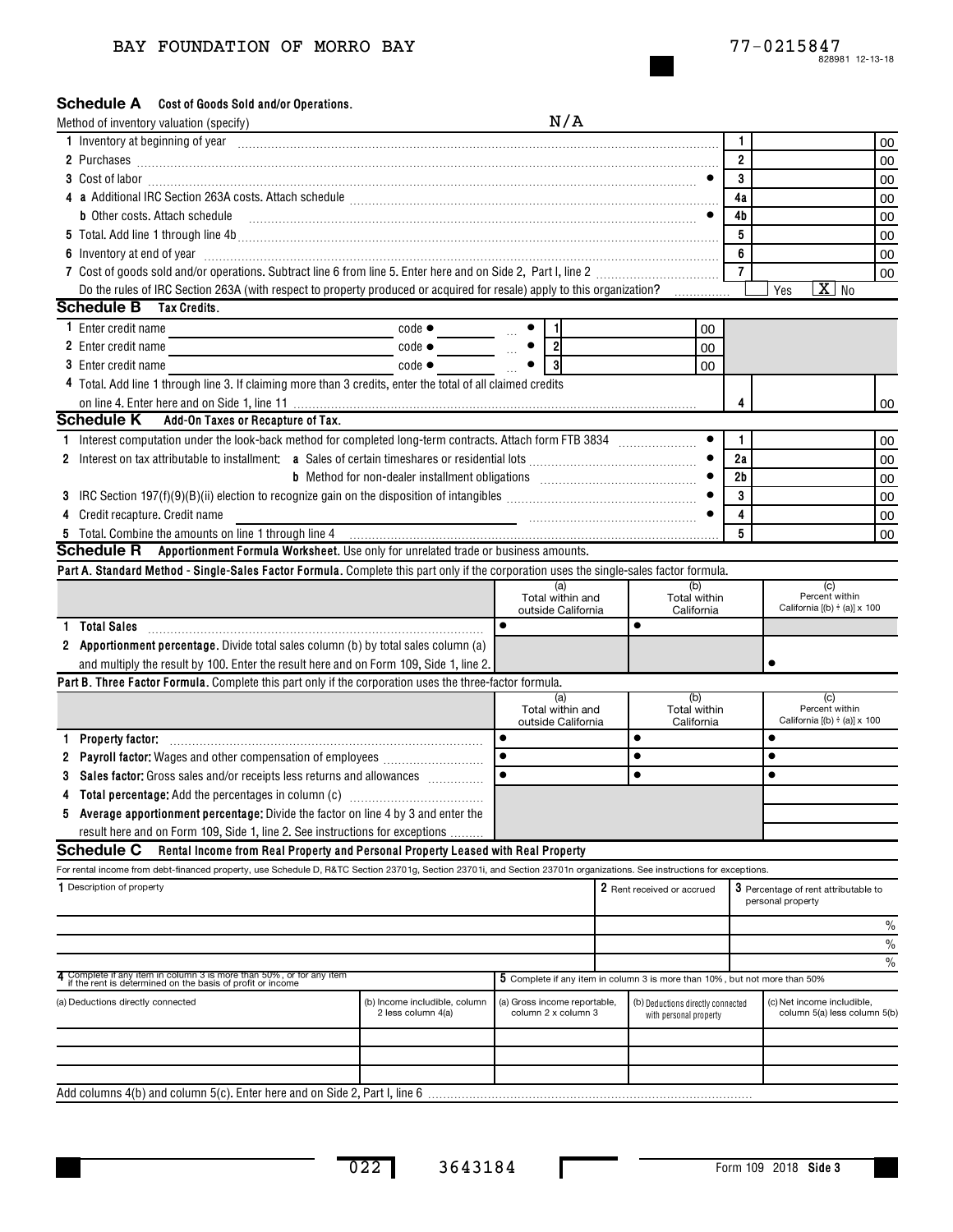## BAY FOUNDATION OF MORRO BAY

## Schedule A Cost of Goods Sold and/or Operations.

|   | Method of inventory valuation (specify)                                                                                                                                                                                              |                                                                                                                                                                                                                                                                                                                                                                                                                                               | N/A                                                 |                                                                            |                |                                                            |               |
|---|--------------------------------------------------------------------------------------------------------------------------------------------------------------------------------------------------------------------------------------|-----------------------------------------------------------------------------------------------------------------------------------------------------------------------------------------------------------------------------------------------------------------------------------------------------------------------------------------------------------------------------------------------------------------------------------------------|-----------------------------------------------------|----------------------------------------------------------------------------|----------------|------------------------------------------------------------|---------------|
|   | 1 Inventory at beginning of year encourance and contained a substitution of the state of the state of the state of the state of the state of the state of the state of the state of the state of the state of the state of the       |                                                                                                                                                                                                                                                                                                                                                                                                                                               |                                                     |                                                                            | 1.             |                                                            | 00            |
|   |                                                                                                                                                                                                                                      |                                                                                                                                                                                                                                                                                                                                                                                                                                               |                                                     |                                                                            | $\overline{2}$ |                                                            | 00            |
|   |                                                                                                                                                                                                                                      |                                                                                                                                                                                                                                                                                                                                                                                                                                               |                                                     |                                                                            | 3              |                                                            | 00            |
|   |                                                                                                                                                                                                                                      |                                                                                                                                                                                                                                                                                                                                                                                                                                               |                                                     |                                                                            | 4a             |                                                            | 00            |
|   | <b>b</b> Other costs. Attach schedule                                                                                                                                                                                                | $\begin{minipage}{0.5\textwidth} \begin{tabular}{ l l l } \hline & \multicolumn{1}{ l l } \hline & \multicolumn{1}{ l } \multicolumn{1}{ l } \hline \multicolumn{1}{ l } \multicolumn{1}{ l } \multicolumn{1}{ l } \multicolumn{1}{ l } \multicolumn{1}{ l } \multicolumn{1}{ l } \multicolumn{1}{ l } \multicolumn{1}{ l } \multicolumn{1}{ l } \multicolumn{1}{ l } \multicolumn{1}{ l } \multicolumn{1}{ l } \multicolumn{1}{ l } \multic$ |                                                     |                                                                            | 4b             |                                                            | 00            |
|   |                                                                                                                                                                                                                                      |                                                                                                                                                                                                                                                                                                                                                                                                                                               |                                                     |                                                                            | 5              |                                                            | 00            |
|   | 6 Inventory at end of year <b>contract the contract of the contract of the contract of the contract of the contract of the contract of the contract of the contract of the contract of the contract of the contract of the contr</b> |                                                                                                                                                                                                                                                                                                                                                                                                                                               |                                                     |                                                                            | 6              |                                                            | 00            |
|   |                                                                                                                                                                                                                                      |                                                                                                                                                                                                                                                                                                                                                                                                                                               |                                                     |                                                                            | $\overline{7}$ |                                                            | 00            |
|   | Do the rules of IRC Section 263A (with respect to property produced or acquired for resale) apply to this organization?                                                                                                              |                                                                                                                                                                                                                                                                                                                                                                                                                                               |                                                     |                                                                            |                | $X$ No<br>Yes                                              |               |
|   | <b>Schedule B</b> Tax Credits.                                                                                                                                                                                                       |                                                                                                                                                                                                                                                                                                                                                                                                                                               |                                                     |                                                                            |                |                                                            |               |
|   | <b>1</b> Enter credit name                                                                                                                                                                                                           | $code \bullet$                                                                                                                                                                                                                                                                                                                                                                                                                                | -1                                                  | 00                                                                         |                |                                                            |               |
|   | 2 Enter credit name                                                                                                                                                                                                                  | $code \bullet$                                                                                                                                                                                                                                                                                                                                                                                                                                | $\overline{2}$                                      | 00                                                                         |                |                                                            |               |
|   | <b>3</b> Enter credit name                                                                                                                                                                                                           | $code \bullet$                                                                                                                                                                                                                                                                                                                                                                                                                                | $\mathbf{3}$                                        | 00                                                                         |                |                                                            |               |
|   | 4 Total. Add line 1 through line 3. If claiming more than 3 credits, enter the total of all claimed credits                                                                                                                          |                                                                                                                                                                                                                                                                                                                                                                                                                                               |                                                     |                                                                            |                |                                                            |               |
|   |                                                                                                                                                                                                                                      |                                                                                                                                                                                                                                                                                                                                                                                                                                               |                                                     |                                                                            |                |                                                            | 00            |
|   | <b>Schedule K</b> Add-On Taxes or Recapture of Tax.                                                                                                                                                                                  |                                                                                                                                                                                                                                                                                                                                                                                                                                               |                                                     |                                                                            |                |                                                            |               |
|   |                                                                                                                                                                                                                                      |                                                                                                                                                                                                                                                                                                                                                                                                                                               |                                                     |                                                                            | $\mathbf{1}$   |                                                            | 00            |
|   |                                                                                                                                                                                                                                      |                                                                                                                                                                                                                                                                                                                                                                                                                                               |                                                     |                                                                            | 2a             |                                                            | 00            |
|   |                                                                                                                                                                                                                                      |                                                                                                                                                                                                                                                                                                                                                                                                                                               |                                                     |                                                                            | 2 <sub>b</sub> |                                                            | 00            |
|   | 3 IRC Section 197(f)(9)(B)(ii) election to recognize gain on the disposition of intangibles <i>machinamachymnomychylin</i>                                                                                                           |                                                                                                                                                                                                                                                                                                                                                                                                                                               |                                                     |                                                                            | 3              |                                                            | 00            |
|   | 4 Credit recapture. Credit name                                                                                                                                                                                                      |                                                                                                                                                                                                                                                                                                                                                                                                                                               |                                                     |                                                                            | 4              |                                                            | 00            |
|   | 5 Total. Combine the amounts on line 1 through line 4 [100] [100] [100] [100] [100] [100] [100] [100] [100] [100] [100] [100] [100] [100] [100] [100] [100] [100] [100] [100] [100] [100] [100] [100] [100] [100] [100] [100]        |                                                                                                                                                                                                                                                                                                                                                                                                                                               |                                                     |                                                                            | 5              |                                                            | 00            |
|   | <b>Schedule R</b> Apportionment Formula Worksheet. Use only for unrelated trade or business amounts.                                                                                                                                 |                                                                                                                                                                                                                                                                                                                                                                                                                                               |                                                     |                                                                            |                |                                                            |               |
|   | Part A. Standard Method - Single-Sales Factor Formula. Complete this part only if the corporation uses the single-sales factor formula.                                                                                              |                                                                                                                                                                                                                                                                                                                                                                                                                                               | (a)                                                 | (b)                                                                        |                | (c)                                                        |               |
|   |                                                                                                                                                                                                                                      |                                                                                                                                                                                                                                                                                                                                                                                                                                               | Total within and<br>outside California              | Total within<br>California                                                 |                | Percent within<br>California $[(b) \div (a)] \times 100$   |               |
| 1 | <b>Total Sales</b>                                                                                                                                                                                                                   |                                                                                                                                                                                                                                                                                                                                                                                                                                               |                                                     | $\bullet$                                                                  |                |                                                            |               |
|   | 2 Apportionment percentage. Divide total sales column (b) by total sales column (a)                                                                                                                                                  |                                                                                                                                                                                                                                                                                                                                                                                                                                               |                                                     |                                                                            |                |                                                            |               |
|   | and multiply the result by 100. Enter the result here and on Form 109, Side 1, line 2.                                                                                                                                               |                                                                                                                                                                                                                                                                                                                                                                                                                                               |                                                     |                                                                            |                |                                                            |               |
|   | Part B. Three Factor Formula. Complete this part only if the corporation uses the three-factor formula.                                                                                                                              |                                                                                                                                                                                                                                                                                                                                                                                                                                               |                                                     |                                                                            |                |                                                            |               |
|   |                                                                                                                                                                                                                                      |                                                                                                                                                                                                                                                                                                                                                                                                                                               | (a)<br>Total within and                             | (b)<br>Total within                                                        |                | (c)<br>Percent within                                      |               |
|   |                                                                                                                                                                                                                                      |                                                                                                                                                                                                                                                                                                                                                                                                                                               | outside California                                  | California                                                                 |                | California $[(b) \div (a)] \times 100$                     |               |
| 1 | Property factor:                                                                                                                                                                                                                     |                                                                                                                                                                                                                                                                                                                                                                                                                                               | ٠                                                   | $\bullet$                                                                  |                | $\bullet$                                                  |               |
|   |                                                                                                                                                                                                                                      |                                                                                                                                                                                                                                                                                                                                                                                                                                               | ٠                                                   | $\bullet$                                                                  |                | ٠                                                          |               |
|   | 3 Sales factor: Gross sales and/or receipts less returns and allowances                                                                                                                                                              |                                                                                                                                                                                                                                                                                                                                                                                                                                               |                                                     | $\bullet$                                                                  |                | $\bullet$                                                  |               |
|   |                                                                                                                                                                                                                                      |                                                                                                                                                                                                                                                                                                                                                                                                                                               |                                                     |                                                                            |                |                                                            |               |
|   | 5 Average apportionment percentage: Divide the factor on line 4 by 3 and enter the                                                                                                                                                   |                                                                                                                                                                                                                                                                                                                                                                                                                                               |                                                     |                                                                            |                |                                                            |               |
|   | result here and on Form 109, Side 1, line 2. See instructions for exceptions                                                                                                                                                         |                                                                                                                                                                                                                                                                                                                                                                                                                                               |                                                     |                                                                            |                |                                                            |               |
|   | <b>Schedule C</b><br>Rental Income from Real Property and Personal Property Leased with Real Property                                                                                                                                |                                                                                                                                                                                                                                                                                                                                                                                                                                               |                                                     |                                                                            |                |                                                            |               |
|   | For rental income from debt-financed property, use Schedule D, R&TC Section 23701g, Section 23701i, and Section 23701n organizations. See instructions for exceptions.                                                               |                                                                                                                                                                                                                                                                                                                                                                                                                                               |                                                     |                                                                            |                |                                                            |               |
|   | 1 Description of property                                                                                                                                                                                                            |                                                                                                                                                                                                                                                                                                                                                                                                                                               |                                                     | 2 Rent received or accrued                                                 |                | 3 Percentage of rent attributable to<br>personal property  |               |
|   |                                                                                                                                                                                                                                      |                                                                                                                                                                                                                                                                                                                                                                                                                                               |                                                     |                                                                            |                |                                                            | $\%$          |
|   |                                                                                                                                                                                                                                      |                                                                                                                                                                                                                                                                                                                                                                                                                                               |                                                     |                                                                            |                |                                                            | $\%$          |
|   |                                                                                                                                                                                                                                      |                                                                                                                                                                                                                                                                                                                                                                                                                                               |                                                     |                                                                            |                |                                                            | $\frac{0}{0}$ |
|   | 4 Complete it any item in column 3 is more than 50%, or for any item<br>if the rent is determined on the basis of profit or income                                                                                                   |                                                                                                                                                                                                                                                                                                                                                                                                                                               |                                                     | 5 Complete if any item in column 3 is more than 10%, but not more than 50% |                |                                                            |               |
|   | (a) Deductions directly connected                                                                                                                                                                                                    | (b) Income includible, column<br>2 less column 4(a)                                                                                                                                                                                                                                                                                                                                                                                           | (a) Gross income reportable.<br>column 2 x column 3 | (b) Deductions directly connected<br>with personal property                |                | (c) Net income includible.<br>column 5(a) less column 5(b) |               |
|   |                                                                                                                                                                                                                                      |                                                                                                                                                                                                                                                                                                                                                                                                                                               |                                                     |                                                                            |                |                                                            |               |
|   |                                                                                                                                                                                                                                      |                                                                                                                                                                                                                                                                                                                                                                                                                                               |                                                     |                                                                            |                |                                                            |               |
|   |                                                                                                                                                                                                                                      |                                                                                                                                                                                                                                                                                                                                                                                                                                               |                                                     |                                                                            |                |                                                            |               |
|   | Add columns 4(b) and column 5(c). Enter here and on Side 2, Part I, line 6 [11, 100] And columns 4(b) and column                                                                                                                     |                                                                                                                                                                                                                                                                                                                                                                                                                                               |                                                     |                                                                            |                |                                                            |               |

Г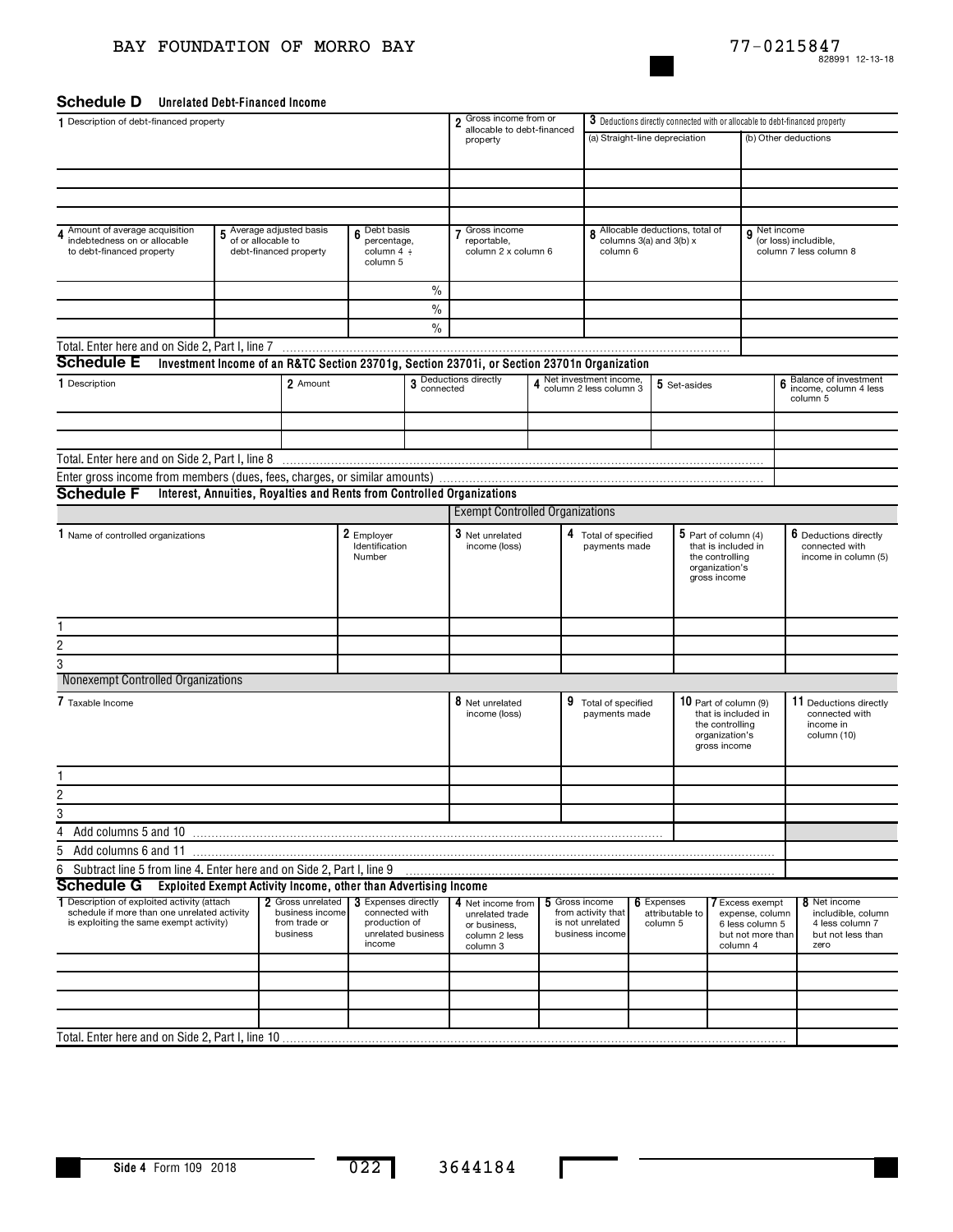## BAY FOUNDATION OF MORRO BAY



## Schedule D Unrelated Debt-Financed Income

| 1 Description of debt-financed property                                                                                                | 2 Gross income from or                                          | 3 Deductions directly connected with or allocable to debt-financed property |                                                                         |                    |                                                                                             |                                       |                                                                             |                                                                                                    |                                                                                                   |                                                                                               |              |                                                                                    |
|----------------------------------------------------------------------------------------------------------------------------------------|-----------------------------------------------------------------|-----------------------------------------------------------------------------|-------------------------------------------------------------------------|--------------------|---------------------------------------------------------------------------------------------|---------------------------------------|-----------------------------------------------------------------------------|----------------------------------------------------------------------------------------------------|---------------------------------------------------------------------------------------------------|-----------------------------------------------------------------------------------------------|--------------|------------------------------------------------------------------------------------|
|                                                                                                                                        |                                                                 |                                                                             |                                                                         |                    | allocable to debt-financed<br>property                                                      |                                       | (a) Straight-line depreciation                                              |                                                                                                    |                                                                                                   | (b) Other deductions                                                                          |              |                                                                                    |
|                                                                                                                                        |                                                                 |                                                                             |                                                                         |                    |                                                                                             |                                       |                                                                             |                                                                                                    |                                                                                                   |                                                                                               |              |                                                                                    |
|                                                                                                                                        |                                                                 |                                                                             |                                                                         |                    |                                                                                             |                                       |                                                                             |                                                                                                    |                                                                                                   |                                                                                               |              |                                                                                    |
|                                                                                                                                        |                                                                 |                                                                             |                                                                         |                    |                                                                                             |                                       |                                                                             |                                                                                                    |                                                                                                   |                                                                                               |              |                                                                                    |
|                                                                                                                                        |                                                                 |                                                                             |                                                                         |                    |                                                                                             |                                       |                                                                             |                                                                                                    |                                                                                                   |                                                                                               |              |                                                                                    |
| Amount of average acquisition                                                                                                          | Average adjusted basis                                          |                                                                             | Debt basis                                                              |                    | Gross income                                                                                |                                       |                                                                             | Allocable deductions, total of                                                                     |                                                                                                   |                                                                                               | 9 Net income |                                                                                    |
| indebtedness on or allocable                                                                                                           | of or allocable to                                              |                                                                             | 6<br>percentage,                                                        |                    | reportable,                                                                                 |                                       | 8                                                                           | columns 3(a) and 3(b) x                                                                            |                                                                                                   |                                                                                               |              | (or loss) includible,                                                              |
| to debt-financed property                                                                                                              | debt-financed property                                          |                                                                             | column $4 \div$<br>column 5                                             |                    | column 2 x column 6                                                                         |                                       | column 6                                                                    |                                                                                                    |                                                                                                   |                                                                                               |              | column 7 less column 8                                                             |
|                                                                                                                                        |                                                                 |                                                                             |                                                                         |                    |                                                                                             |                                       |                                                                             |                                                                                                    |                                                                                                   |                                                                                               |              |                                                                                    |
|                                                                                                                                        |                                                                 |                                                                             |                                                                         | $\frac{0}{0}$      |                                                                                             |                                       |                                                                             |                                                                                                    |                                                                                                   |                                                                                               |              |                                                                                    |
|                                                                                                                                        |                                                                 |                                                                             |                                                                         | $\frac{0}{0}$      |                                                                                             |                                       |                                                                             |                                                                                                    |                                                                                                   |                                                                                               |              |                                                                                    |
|                                                                                                                                        |                                                                 |                                                                             |                                                                         | $\frac{0}{0}$      |                                                                                             |                                       |                                                                             |                                                                                                    |                                                                                                   |                                                                                               |              |                                                                                    |
| Total. Enter here and on Side 2, Part I, line 7                                                                                        |                                                                 |                                                                             |                                                                         |                    |                                                                                             |                                       |                                                                             |                                                                                                    |                                                                                                   |                                                                                               |              |                                                                                    |
| <b>Schedule E</b>                                                                                                                      |                                                                 |                                                                             |                                                                         |                    | Investment Income of an R&TC Section 23701g, Section 23701i, or Section 23701n Organization |                                       |                                                                             |                                                                                                    |                                                                                                   |                                                                                               |              |                                                                                    |
| 1 Description                                                                                                                          |                                                                 | 2 Amount                                                                    |                                                                         |                    | 3 Deductions directly<br>connected                                                          |                                       | 4 Net investment income,<br>4 column 2 less column 3                        |                                                                                                    | 5 Set-asides                                                                                      |                                                                                               |              | Balance of investment<br>income, column 4 less<br>column 5                         |
|                                                                                                                                        |                                                                 |                                                                             |                                                                         |                    |                                                                                             |                                       |                                                                             |                                                                                                    |                                                                                                   |                                                                                               |              |                                                                                    |
|                                                                                                                                        |                                                                 |                                                                             |                                                                         |                    |                                                                                             |                                       |                                                                             |                                                                                                    |                                                                                                   |                                                                                               |              |                                                                                    |
|                                                                                                                                        |                                                                 |                                                                             |                                                                         |                    |                                                                                             |                                       |                                                                             |                                                                                                    |                                                                                                   |                                                                                               |              |                                                                                    |
| Enter gross income from members (dues, fees, charges, or similar amounts)                                                              |                                                                 |                                                                             |                                                                         |                    |                                                                                             |                                       |                                                                             |                                                                                                    |                                                                                                   |                                                                                               |              |                                                                                    |
| <b>Schedule F</b>                                                                                                                      |                                                                 |                                                                             |                                                                         |                    | Interest, Annuities, Royalties and Rents from Controlled Organizations                      |                                       |                                                                             |                                                                                                    |                                                                                                   |                                                                                               |              |                                                                                    |
|                                                                                                                                        |                                                                 |                                                                             |                                                                         |                    | <b>Exempt Controlled Organizations</b>                                                      |                                       |                                                                             |                                                                                                    |                                                                                                   |                                                                                               |              |                                                                                    |
| 1 Name of controlled organizations                                                                                                     |                                                                 |                                                                             | 2 Employer<br>Identification<br>Number                                  |                    | 3 Net unrelated<br>income (loss)                                                            | 4 Total of specified<br>payments made |                                                                             | $5$ Part of column (4)<br>that is included in<br>the controlling<br>organization's<br>gross income |                                                                                                   |                                                                                               |              | 6 Deductions directly<br>connected with<br>income in column (5)                    |
|                                                                                                                                        |                                                                 |                                                                             |                                                                         |                    |                                                                                             |                                       |                                                                             |                                                                                                    |                                                                                                   |                                                                                               |              |                                                                                    |
|                                                                                                                                        |                                                                 |                                                                             |                                                                         |                    |                                                                                             |                                       |                                                                             |                                                                                                    |                                                                                                   |                                                                                               |              |                                                                                    |
| $\overline{c}$                                                                                                                         |                                                                 |                                                                             |                                                                         |                    |                                                                                             |                                       |                                                                             |                                                                                                    |                                                                                                   |                                                                                               |              |                                                                                    |
| 3                                                                                                                                      |                                                                 |                                                                             |                                                                         |                    |                                                                                             |                                       |                                                                             |                                                                                                    |                                                                                                   |                                                                                               |              |                                                                                    |
| Nonexempt Controlled Organizations                                                                                                     |                                                                 |                                                                             |                                                                         |                    |                                                                                             |                                       |                                                                             |                                                                                                    |                                                                                                   |                                                                                               |              |                                                                                    |
| 7 Taxable Income                                                                                                                       |                                                                 |                                                                             |                                                                         |                    | 8 Net unrelated<br>income (loss)                                                            |                                       | 9 Total of specified<br>payments made                                       |                                                                                                    | 10 Part of column (9)<br>that is included in<br>the controlling<br>organization's<br>gross income |                                                                                               |              | 11 Deductions directly<br>connected with<br>income in<br>column (10)               |
|                                                                                                                                        |                                                                 |                                                                             |                                                                         |                    |                                                                                             |                                       |                                                                             |                                                                                                    |                                                                                                   |                                                                                               |              |                                                                                    |
| 2                                                                                                                                      |                                                                 |                                                                             |                                                                         |                    |                                                                                             |                                       |                                                                             |                                                                                                    |                                                                                                   |                                                                                               |              |                                                                                    |
| 3                                                                                                                                      |                                                                 |                                                                             |                                                                         |                    |                                                                                             |                                       |                                                                             |                                                                                                    |                                                                                                   |                                                                                               |              |                                                                                    |
| 4<br>Add columns 5 and 10                                                                                                              |                                                                 |                                                                             |                                                                         |                    |                                                                                             |                                       |                                                                             |                                                                                                    |                                                                                                   |                                                                                               |              |                                                                                    |
| 5<br>Add columns 6 and 11                                                                                                              |                                                                 |                                                                             |                                                                         |                    |                                                                                             |                                       |                                                                             |                                                                                                    |                                                                                                   |                                                                                               |              |                                                                                    |
| Subtract line 5 from line 4. Enter here and on Side 2, Part I, line 9<br>6                                                             |                                                                 |                                                                             |                                                                         |                    |                                                                                             |                                       |                                                                             |                                                                                                    |                                                                                                   |                                                                                               |              |                                                                                    |
| <b>Schedule G</b>                                                                                                                      | Exploited Exempt Activity Income, other than Advertising Income |                                                                             |                                                                         |                    |                                                                                             |                                       |                                                                             |                                                                                                    |                                                                                                   |                                                                                               |              |                                                                                    |
| 1 Description of exploited activity (attach<br>schedule if more than one unrelated activity<br>is exploiting the same exempt activity) |                                                                 | 2 Gross unrelated<br>business income<br>from trade or<br>business           | <b>3</b> Expenses directly<br>connected with<br>production of<br>income | unrelated business | 4 Net income from<br>unrelated trade<br>or business.<br>column 2 less<br>column 3           |                                       | 5 Gross income<br>from activity that<br>is not unrelated<br>business income | 6 Expenses<br>column 5                                                                             | attributable to                                                                                   | <b>7</b> Excess exempt<br>expense, column<br>6 less column 5<br>but not more than<br>column 4 |              | 8 Net income<br>includible, column<br>4 less column 7<br>but not less than<br>zero |
|                                                                                                                                        |                                                                 |                                                                             |                                                                         |                    |                                                                                             |                                       |                                                                             |                                                                                                    |                                                                                                   |                                                                                               |              |                                                                                    |
|                                                                                                                                        |                                                                 |                                                                             |                                                                         |                    |                                                                                             |                                       |                                                                             |                                                                                                    |                                                                                                   |                                                                                               |              |                                                                                    |
|                                                                                                                                        |                                                                 |                                                                             |                                                                         |                    |                                                                                             |                                       |                                                                             |                                                                                                    |                                                                                                   |                                                                                               |              |                                                                                    |
|                                                                                                                                        |                                                                 |                                                                             |                                                                         |                    |                                                                                             |                                       |                                                                             |                                                                                                    |                                                                                                   |                                                                                               |              |                                                                                    |
|                                                                                                                                        |                                                                 |                                                                             |                                                                         |                    |                                                                                             |                                       |                                                                             |                                                                                                    |                                                                                                   |                                                                                               |              |                                                                                    |

L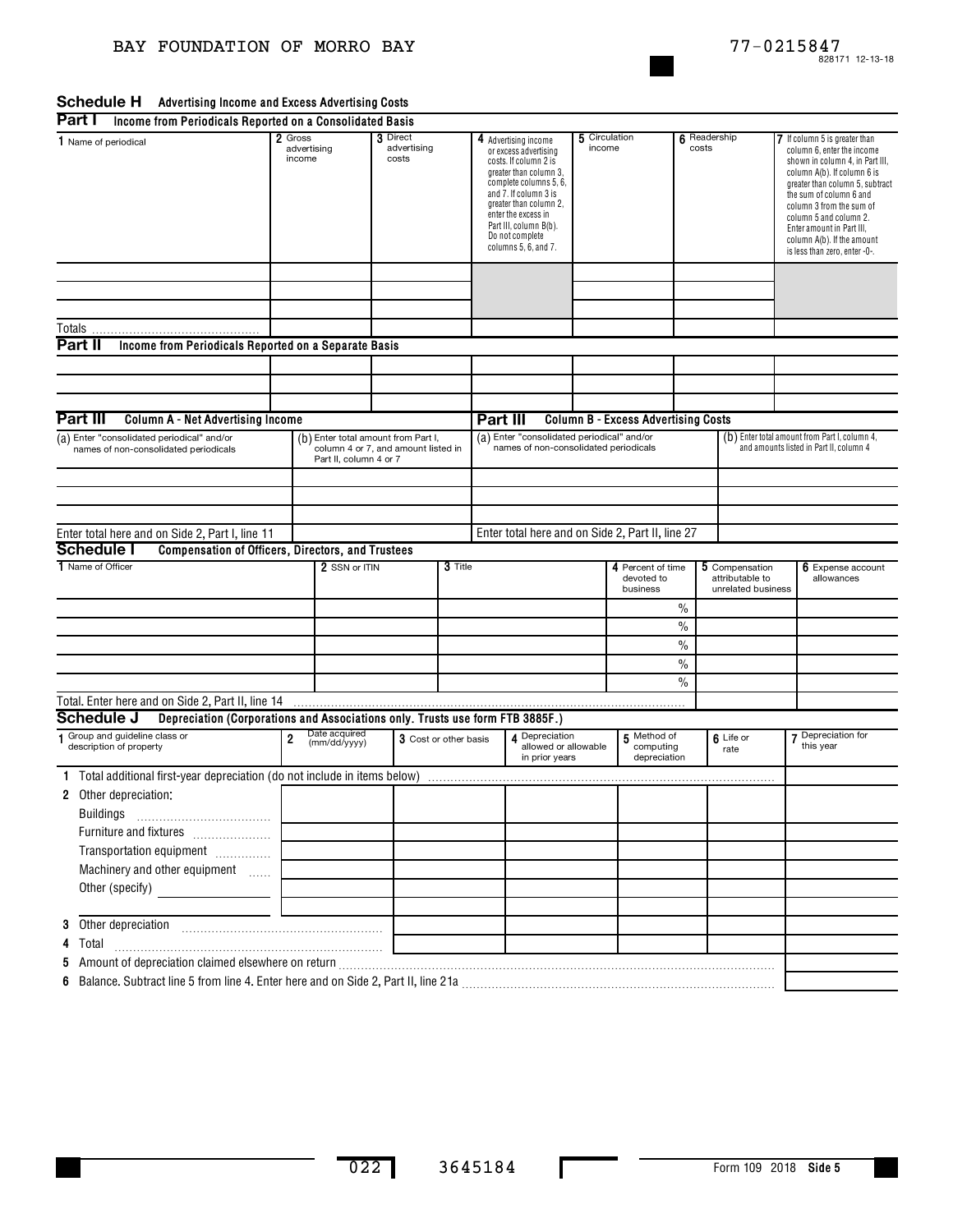### **Advertising Income and Excess Advertising Costs Part I**

| Part I<br>Income from Periodicals Reported on a Consolidated Basis                          |                                    |                                                                                                      |                                  |         |                                                                                                                                                                                                                                                                           |                                                          |                         |                                                  |                                                                                          |                                                         |                                                                                                                                                                                                                                                                                                                                               |                                 |
|---------------------------------------------------------------------------------------------|------------------------------------|------------------------------------------------------------------------------------------------------|----------------------------------|---------|---------------------------------------------------------------------------------------------------------------------------------------------------------------------------------------------------------------------------------------------------------------------------|----------------------------------------------------------|-------------------------|--------------------------------------------------|------------------------------------------------------------------------------------------|---------------------------------------------------------|-----------------------------------------------------------------------------------------------------------------------------------------------------------------------------------------------------------------------------------------------------------------------------------------------------------------------------------------------|---------------------------------|
| 1 Name of periodical                                                                        | 2 Gross<br>advertising<br>income   |                                                                                                      | 3 Direct<br>advertising<br>costs |         | 4 Advertising income<br>or excess advertising<br>costs. If column 2 is<br>greater than column 3,<br>complete columns 5, 6,<br>and 7. If column 3 is<br>greater than column 2,<br>enter the excess in<br>Part III, column B(b).<br>Do not complete<br>columns 5, 6, and 7. |                                                          | 5 Circulation<br>income |                                                  | 6 Readership<br>costs                                                                    |                                                         | 7 If column 5 is greater than<br>column 6, enter the income<br>shown in column 4, in Part III,<br>column A(b). If column 6 is<br>greater than column 5, subtract<br>the sum of column 6 and<br>column 3 from the sum of<br>column 5 and column 2.<br>Enter amount in Part III,<br>column A(b). If the amount<br>is less than zero, enter -0-. |                                 |
|                                                                                             |                                    |                                                                                                      |                                  |         |                                                                                                                                                                                                                                                                           |                                                          |                         |                                                  |                                                                                          |                                                         |                                                                                                                                                                                                                                                                                                                                               |                                 |
| Totals                                                                                      |                                    |                                                                                                      |                                  |         |                                                                                                                                                                                                                                                                           |                                                          |                         |                                                  |                                                                                          |                                                         |                                                                                                                                                                                                                                                                                                                                               |                                 |
| Part II<br>Income from Periodicals Reported on a Separate Basis                             |                                    |                                                                                                      |                                  |         |                                                                                                                                                                                                                                                                           |                                                          |                         |                                                  |                                                                                          |                                                         |                                                                                                                                                                                                                                                                                                                                               |                                 |
|                                                                                             |                                    |                                                                                                      |                                  |         |                                                                                                                                                                                                                                                                           |                                                          |                         |                                                  |                                                                                          |                                                         |                                                                                                                                                                                                                                                                                                                                               |                                 |
|                                                                                             |                                    |                                                                                                      |                                  |         |                                                                                                                                                                                                                                                                           |                                                          |                         |                                                  |                                                                                          |                                                         |                                                                                                                                                                                                                                                                                                                                               |                                 |
|                                                                                             |                                    |                                                                                                      |                                  |         |                                                                                                                                                                                                                                                                           |                                                          |                         |                                                  |                                                                                          |                                                         |                                                                                                                                                                                                                                                                                                                                               |                                 |
| Part III<br><b>Column A - Net Advertising Income</b>                                        |                                    |                                                                                                      |                                  |         | Part III                                                                                                                                                                                                                                                                  |                                                          |                         | <b>Column B - Excess Advertising Costs</b>       |                                                                                          |                                                         |                                                                                                                                                                                                                                                                                                                                               |                                 |
| (a) Enter "consolidated periodical" and/or                                                  |                                    |                                                                                                      |                                  |         |                                                                                                                                                                                                                                                                           |                                                          |                         |                                                  |                                                                                          |                                                         |                                                                                                                                                                                                                                                                                                                                               |                                 |
| names of non-consolidated periodicals                                                       |                                    | (b) Enter total amount from Part I,<br>column 4 or 7, and amount listed in<br>Part II, column 4 or 7 |                                  |         | (a) Enter "consolidated periodical" and/or<br>names of non-consolidated periodicals                                                                                                                                                                                       |                                                          |                         |                                                  | (b) Enter total amount from Part I, column 4,<br>and amounts listed in Part II, column 4 |                                                         |                                                                                                                                                                                                                                                                                                                                               |                                 |
|                                                                                             |                                    |                                                                                                      |                                  |         |                                                                                                                                                                                                                                                                           |                                                          |                         |                                                  |                                                                                          |                                                         |                                                                                                                                                                                                                                                                                                                                               |                                 |
|                                                                                             |                                    |                                                                                                      |                                  |         |                                                                                                                                                                                                                                                                           |                                                          |                         |                                                  |                                                                                          |                                                         |                                                                                                                                                                                                                                                                                                                                               |                                 |
|                                                                                             |                                    |                                                                                                      |                                  |         |                                                                                                                                                                                                                                                                           |                                                          |                         |                                                  |                                                                                          |                                                         |                                                                                                                                                                                                                                                                                                                                               |                                 |
| Enter total here and on Side 2, Part I, line 11                                             |                                    |                                                                                                      |                                  |         |                                                                                                                                                                                                                                                                           |                                                          |                         | Enter total here and on Side 2, Part II, line 27 |                                                                                          |                                                         |                                                                                                                                                                                                                                                                                                                                               |                                 |
| <b>Schedule I</b><br>Compensation of Officers, Directors, and Trustees                      |                                    |                                                                                                      |                                  |         |                                                                                                                                                                                                                                                                           |                                                          |                         |                                                  |                                                                                          |                                                         |                                                                                                                                                                                                                                                                                                                                               |                                 |
| 1 Name of Officer                                                                           |                                    | 2 SSN or ITIN                                                                                        |                                  | 3 Title |                                                                                                                                                                                                                                                                           |                                                          |                         | 4 Percent of time<br>devoted to<br>business      |                                                                                          | 5 Compensation<br>attributable to<br>unrelated business |                                                                                                                                                                                                                                                                                                                                               | 6 Expense account<br>allowances |
|                                                                                             |                                    |                                                                                                      |                                  |         |                                                                                                                                                                                                                                                                           |                                                          |                         |                                                  | $\%$                                                                                     |                                                         |                                                                                                                                                                                                                                                                                                                                               |                                 |
|                                                                                             |                                    |                                                                                                      |                                  |         |                                                                                                                                                                                                                                                                           |                                                          |                         |                                                  | $\%$                                                                                     |                                                         |                                                                                                                                                                                                                                                                                                                                               |                                 |
|                                                                                             |                                    |                                                                                                      |                                  |         |                                                                                                                                                                                                                                                                           |                                                          |                         |                                                  | $\%$                                                                                     |                                                         |                                                                                                                                                                                                                                                                                                                                               |                                 |
|                                                                                             |                                    |                                                                                                      |                                  |         |                                                                                                                                                                                                                                                                           |                                                          |                         |                                                  | $\%$                                                                                     |                                                         |                                                                                                                                                                                                                                                                                                                                               |                                 |
|                                                                                             |                                    |                                                                                                      |                                  |         |                                                                                                                                                                                                                                                                           |                                                          |                         |                                                  | $\%$                                                                                     |                                                         |                                                                                                                                                                                                                                                                                                                                               |                                 |
| Total. Enter here and on Side 2, Part II, line 14                                           |                                    |                                                                                                      |                                  |         |                                                                                                                                                                                                                                                                           |                                                          |                         |                                                  |                                                                                          |                                                         |                                                                                                                                                                                                                                                                                                                                               |                                 |
| Schedule J<br>Depreciation (Corporations and Associations only. Trusts use form FTB 3885F.) |                                    |                                                                                                      |                                  |         |                                                                                                                                                                                                                                                                           |                                                          |                         |                                                  |                                                                                          |                                                         |                                                                                                                                                                                                                                                                                                                                               |                                 |
| Group and guideline class or<br>description of property                                     | Date acquired<br>2<br>(mm/dd/yyyy) |                                                                                                      | 3 Cost or other basis            |         |                                                                                                                                                                                                                                                                           | 4 Depreciation<br>allowed or allowable<br>in prior vears |                         | 5 Method of<br>computing<br>depreciation         |                                                                                          | 6 Life or<br>rate                                       |                                                                                                                                                                                                                                                                                                                                               | 7 Depreciation for<br>this year |
| 1 Total additional first-year depreciation (do not include in items below)                  |                                    |                                                                                                      |                                  |         |                                                                                                                                                                                                                                                                           |                                                          |                         |                                                  |                                                                                          |                                                         |                                                                                                                                                                                                                                                                                                                                               |                                 |
| 2 Other depreciation:<br>Buildings                                                          |                                    |                                                                                                      |                                  |         |                                                                                                                                                                                                                                                                           |                                                          |                         |                                                  |                                                                                          |                                                         |                                                                                                                                                                                                                                                                                                                                               |                                 |
| Furniture and fixtures                                                                      |                                    |                                                                                                      |                                  |         |                                                                                                                                                                                                                                                                           |                                                          |                         |                                                  |                                                                                          |                                                         |                                                                                                                                                                                                                                                                                                                                               |                                 |
| Transportation equipment                                                                    |                                    |                                                                                                      |                                  |         |                                                                                                                                                                                                                                                                           |                                                          |                         |                                                  |                                                                                          |                                                         |                                                                                                                                                                                                                                                                                                                                               |                                 |
| Machinery and other equipment                                                               |                                    |                                                                                                      |                                  |         |                                                                                                                                                                                                                                                                           |                                                          |                         |                                                  |                                                                                          |                                                         |                                                                                                                                                                                                                                                                                                                                               |                                 |
|                                                                                             |                                    |                                                                                                      |                                  |         |                                                                                                                                                                                                                                                                           |                                                          |                         |                                                  |                                                                                          |                                                         |                                                                                                                                                                                                                                                                                                                                               |                                 |
| Other (specify)                                                                             |                                    |                                                                                                      |                                  |         |                                                                                                                                                                                                                                                                           |                                                          |                         |                                                  |                                                                                          |                                                         |                                                                                                                                                                                                                                                                                                                                               |                                 |
|                                                                                             |                                    |                                                                                                      |                                  |         |                                                                                                                                                                                                                                                                           |                                                          |                         |                                                  |                                                                                          |                                                         |                                                                                                                                                                                                                                                                                                                                               |                                 |
|                                                                                             |                                    |                                                                                                      |                                  |         |                                                                                                                                                                                                                                                                           |                                                          |                         |                                                  |                                                                                          |                                                         |                                                                                                                                                                                                                                                                                                                                               |                                 |
| 4<br>Total                                                                                  |                                    |                                                                                                      |                                  |         |                                                                                                                                                                                                                                                                           |                                                          |                         |                                                  |                                                                                          |                                                         |                                                                                                                                                                                                                                                                                                                                               |                                 |
| 5                                                                                           |                                    |                                                                                                      |                                  |         |                                                                                                                                                                                                                                                                           |                                                          |                         |                                                  |                                                                                          |                                                         |                                                                                                                                                                                                                                                                                                                                               |                                 |
|                                                                                             |                                    |                                                                                                      |                                  |         |                                                                                                                                                                                                                                                                           |                                                          |                         |                                                  |                                                                                          |                                                         |                                                                                                                                                                                                                                                                                                                                               |                                 |

п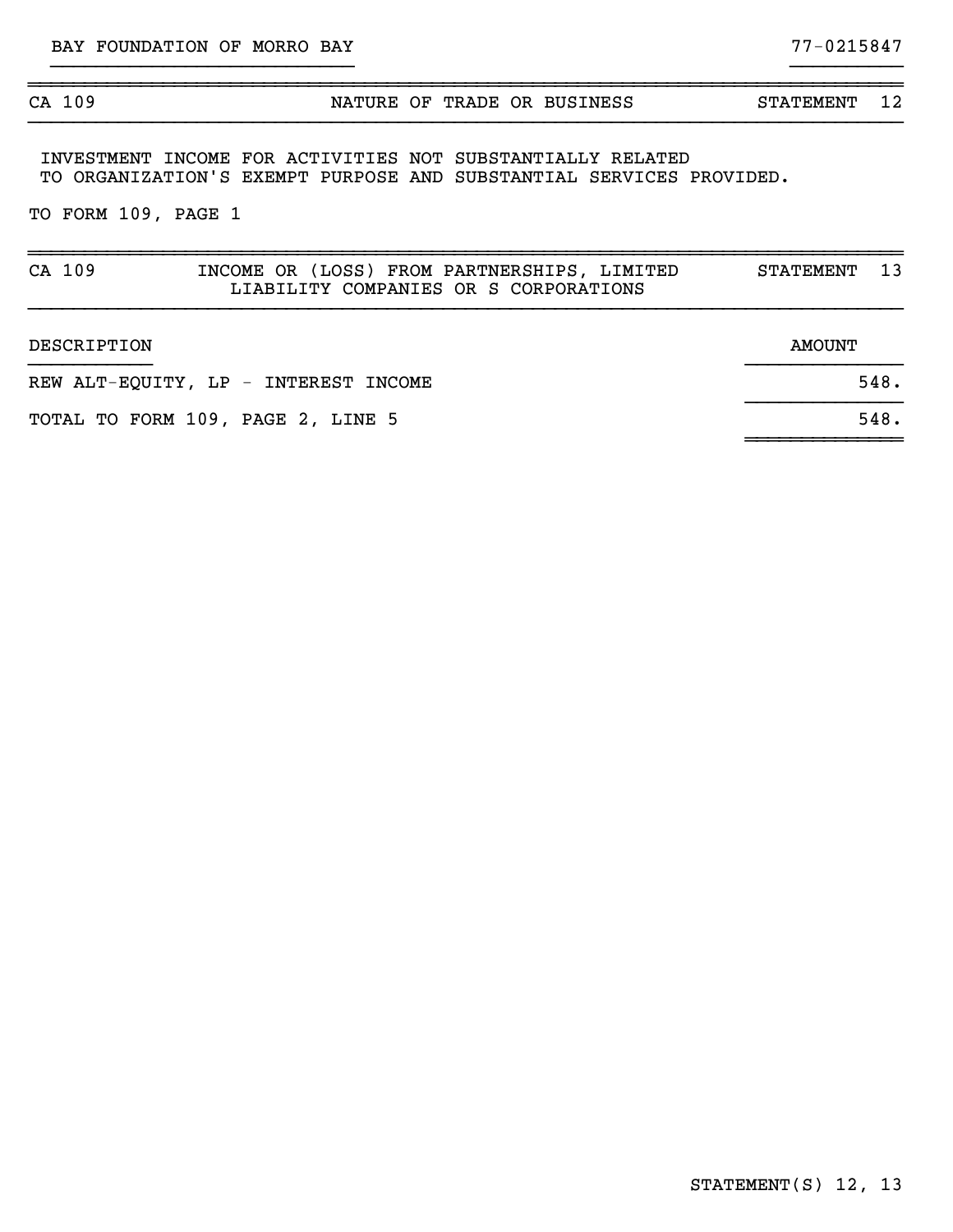## ~~~~~~~~~~~~~~~~~~~~~~~~~~~~~~~~~~~~~~~~~~~~~~~~~~~~~~~~~~~~~~~~~~~~~~~~~~~~~~

## CA 109 **NATURE OF TRADE OR BUSINESS** STATEMENT 12 }}}}}}}}}}}}}}}}}}}}}}}}}}}}}}}}}}}}}}}}}}}}}}}}}}}}}}}}}}}}}}}}}}}}}}}}}}}}}}

}}}}}}}}}}}}}}}}}}}}}}}}}}} }}}}}}}}}}

~~~~~~~~~~~~~~

INVESTMENT INCOME FOR ACTIVITIES NOT SUBSTANTIALLY RELATED TO ORGANIZATION'S EXEMPT PURPOSE AND SUBSTANTIAL SERVICES PROVIDED.

TO FORM 109, PAGE 1

| CA 109                               | INCOME OR (LOSS) FROM PARTNERSHIPS, LIMITED<br>LIABILITY COMPANIES OR S CORPORATIONS | 13<br><b>STATEMENT</b> |
|--------------------------------------|--------------------------------------------------------------------------------------|------------------------|
| DESCRIPTION                          |                                                                                      | AMOUNT                 |
| REW ALT-EQUITY, LP - INTEREST INCOME | 548.                                                                                 |                        |
| TOTAL TO FORM 109, PAGE 2, LINE 5    | 548.                                                                                 |                        |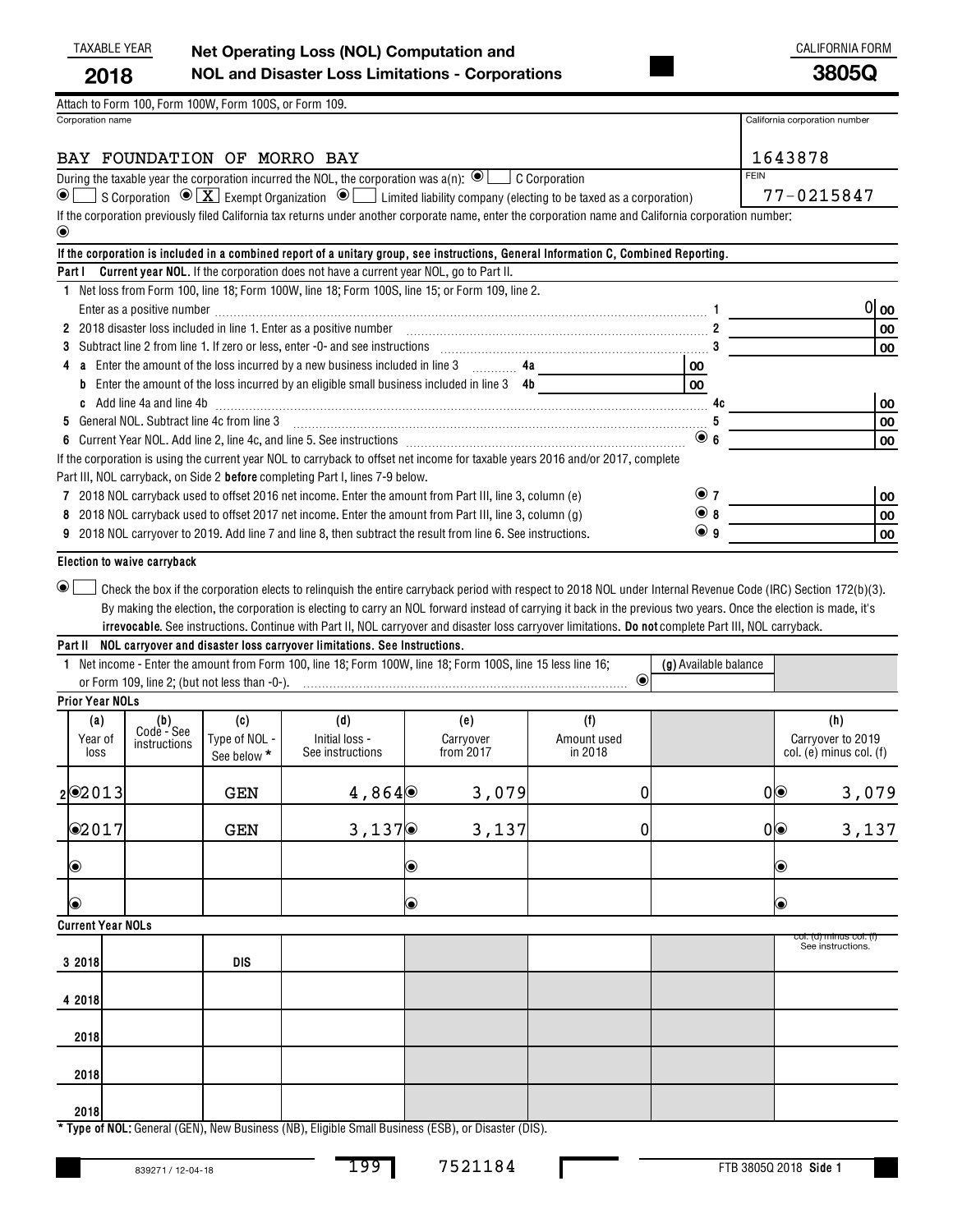## TAXABLE YEAR CALIFORNIA FORM **Net Operating Loss (NOL) Computation and NOL and Disaster Loss Limitations - Corporations 2018 3805Q**

Corporation name California corporation number Attach to Form 100, Form 100W, Form 100S, or Form 109.

## BAY FOUNDATION OF MORRO BAY 1643878

| During the taxable year the corporation incurred the NOL, the corporation was a(n): $\textcircled{\blacksquare}$ C Corporation                                                                       | <b>FEIN</b> |
|------------------------------------------------------------------------------------------------------------------------------------------------------------------------------------------------------|-------------|
| $\circledcirc$ S Corporation $\circledcirc$ $\boxed{\textbf{X}}$ Exempt Organization $\circledcirc$ $\boxed{\phantom{\textbf{X}}}$ Limited liability company (electing to be taxed as a corporation) | 77-0215847  |
| If the corporation previously filed California tax returns under another corporate name, enter the corporation name and California corporation number:                                               |             |

| $\odot$                                                                                                                                                                                                                       |             |       |
|-------------------------------------------------------------------------------------------------------------------------------------------------------------------------------------------------------------------------------|-------------|-------|
| If the corporation is included in a combined report of a unitary group, see instructions, General Information C, Combined Reporting.                                                                                          |             |       |
| <b>Current year NOL.</b> If the corporation does not have a current year NOL, go to Part II.<br>Part I                                                                                                                        |             |       |
| Net loss from Form 100, line 18; Form 100W, line 18; Form 100S, line 15; or Form 109, line 2.                                                                                                                                 |             |       |
|                                                                                                                                                                                                                               |             | 01 oo |
| 2 2018 disaster loss included in line 1. Enter as a positive number [11,11] contains the control of the state of the control of the control of the control of the control of the control of the control of the control of the |             | 00    |
|                                                                                                                                                                                                                               |             | 00    |
| Enter the amount of the loss incurred by a new business included in line 3 $\ldots$ 4a                                                                                                                                        | 00          |       |
| <b>b</b> Enter the amount of the loss incurred by an eligible small business included in line $3$ 4b                                                                                                                          | 00          |       |
| c Add line 4a and line 4b 2000 Committee Add line 4b                                                                                                                                                                          | 4c          | 00    |
| 5 General NOL, Subtract line 4c from line 3                                                                                                                                                                                   | b           | 00    |
|                                                                                                                                                                                                                               | $\bullet$ 6 | 00    |
| If the corporation is using the current year NOL to carryback to offset net income for taxable years 2016 and/or 2017, complete                                                                                               |             |       |
| Part III, NOL carryback, on Side 2 <b>before</b> completing Part I, lines 7-9 below.                                                                                                                                          |             |       |
| 7 2018 NOL carryback used to offset 2016 net income. Enter the amount from Part III, line 3, column (e)                                                                                                                       | $\odot$ 7   | 00    |
| 8 2018 NOL carryback used to offset 2017 net income. Enter the amount from Part III, line 3, column (g)                                                                                                                       | $\odot$ 8   | 00    |
| 9 2018 NOL carryover to 2019. Add line 7 and line 8, then subtract the result from line 6. See instructions.                                                                                                                  | $\odot$ 9   | 00    |
|                                                                                                                                                                                                                               |             |       |

**Election to waive carryback**

**irrevocable**. See instructions. Continue with Part II, NOL carryover and disaster loss carryover limitations. **Do not** complete Part III, NOL carryback.  $\Box$  Check the box if the corporation elects to relinquish the entire carryback period with respect to 2018 NOL under Internal Revenue Code (IRC) Section 172(b)(3). By making the election, the corporation is electing to carry an NOL forward instead of carrying it back in the previous two years. Once the election is made, it's  $\bullet$   $\Box$ 

|                                      |                                                                                       |                                     | Part II NOL carryover and disaster loss carryover limitations. See Instructions. |                                                                                                              |                               |                       |                                                         |
|--------------------------------------|---------------------------------------------------------------------------------------|-------------------------------------|----------------------------------------------------------------------------------|--------------------------------------------------------------------------------------------------------------|-------------------------------|-----------------------|---------------------------------------------------------|
|                                      |                                                                                       |                                     |                                                                                  | 1 Net income - Enter the amount from Form 100, line 18; Form 100W, line 18; Form 100S, line 15 less line 16; |                               | (g) Available balance |                                                         |
|                                      |                                                                                       |                                     |                                                                                  |                                                                                                              | $\bigcirc$                    |                       |                                                         |
| <b>Prior Year NOLs</b>               |                                                                                       |                                     |                                                                                  |                                                                                                              |                               |                       |                                                         |
| (a)<br>Year of<br>loss               | $\begin{array}{c} \text{(b)} \\ \text{Code} - \text{See} \end{array}$<br>instructions | (c)<br>Type of NOL -<br>See below * | (d)<br>Initial loss -<br>See instructions                                        | (e)<br>Carryover<br>from 2017                                                                                | (f)<br>Amount used<br>in 2018 |                       | (h)<br>Carryover to 2019<br>$col.$ (e) minus $col.$ (f) |
| $2$ <b><math>\odot</math></b> $2013$ |                                                                                       | GEN                                 | 4,864 $\odot$                                                                    | 3,079                                                                                                        | $\overline{0}$                |                       | 3,079<br>0                                              |
| @2017                                |                                                                                       | <b>GEN</b>                          | 3,137                                                                            | 3,137                                                                                                        | 0                             |                       | 3,137<br>0                                              |
| $\circledcirc$                       |                                                                                       |                                     |                                                                                  | $\circledbullet$                                                                                             |                               |                       | $\bullet$                                               |
| $\circledcirc$                       |                                                                                       |                                     |                                                                                  | $\circledcirc$                                                                                               |                               |                       | $\bullet$                                               |
| <b>Current Year NOLs</b>             |                                                                                       |                                     |                                                                                  |                                                                                                              |                               |                       |                                                         |
| 3 2018                               |                                                                                       | <b>DIS</b>                          |                                                                                  |                                                                                                              |                               |                       | col. (d) minus col. (f)<br>See instructions.            |
| 4 2018                               |                                                                                       |                                     |                                                                                  |                                                                                                              |                               |                       |                                                         |
| 2018                                 |                                                                                       |                                     |                                                                                  |                                                                                                              |                               |                       |                                                         |
| 2018                                 |                                                                                       |                                     |                                                                                  |                                                                                                              |                               |                       |                                                         |
| 2018                                 |                                                                                       |                                     |                                                                                  |                                                                                                              |                               |                       |                                                         |

**\* Type of NOL:**  General (GEN), New Business (NB), Eligible Small Business (ESB), or Disaster (DIS).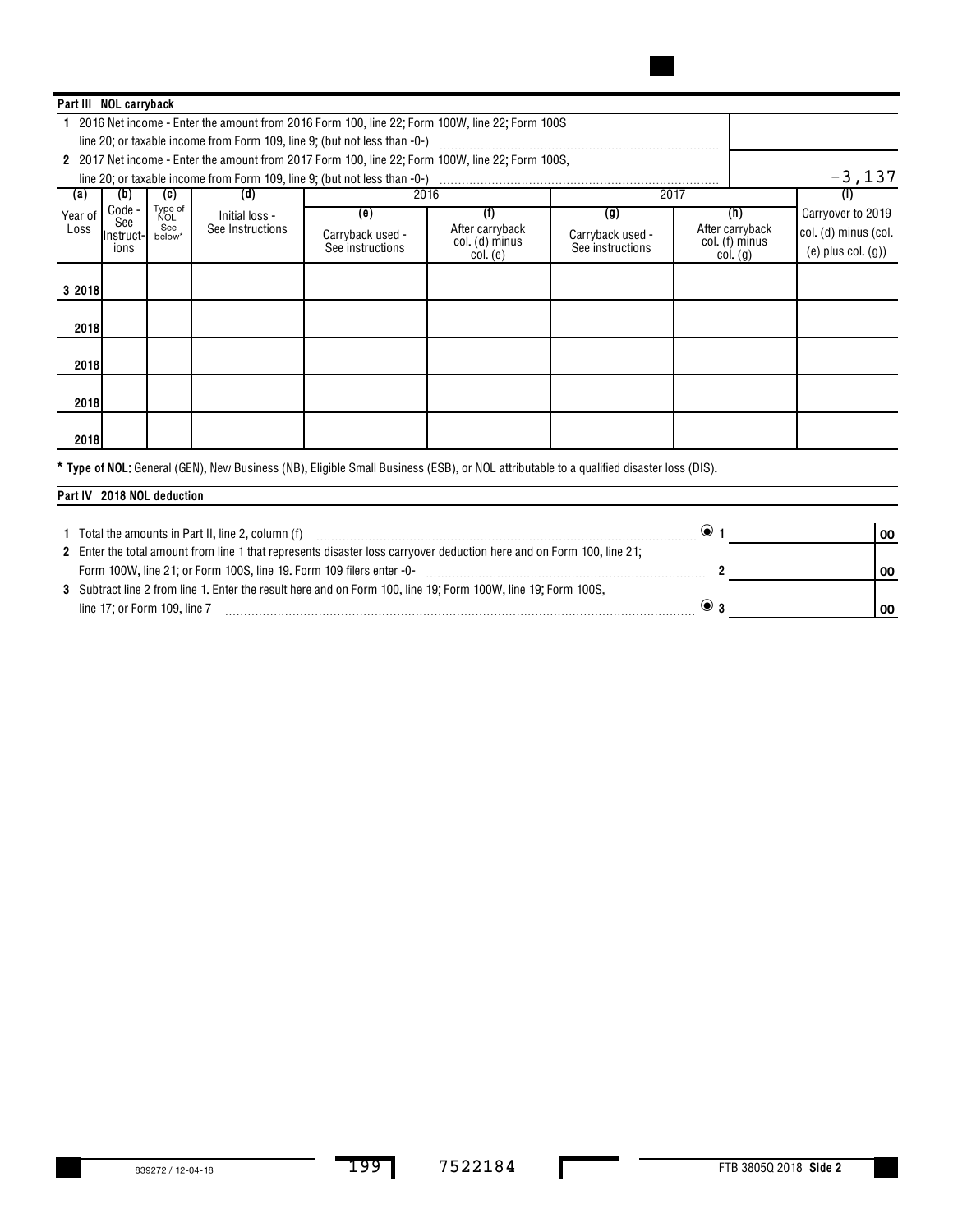| Part III NOL carryback |                   |                 |                  |                                                                                                  |                                |                  |                                |                         |
|------------------------|-------------------|-----------------|------------------|--------------------------------------------------------------------------------------------------|--------------------------------|------------------|--------------------------------|-------------------------|
|                        |                   |                 |                  | 2016 Net income - Enter the amount from 2016 Form 100, line 22; Form 100W, line 22; Form 100S    |                                |                  |                                |                         |
|                        |                   |                 |                  | line 20; or taxable income from Form 109, line 9; (but not less than -0-)                        |                                |                  |                                |                         |
|                        |                   |                 |                  | 2 2017 Net income - Enter the amount from 2017 Form 100, line 22; Form 100W, line 22; Form 100S, |                                |                  |                                |                         |
|                        |                   |                 |                  |                                                                                                  |                                |                  |                                | $-3,137$                |
| (a)                    | (D)               | (c)             | (d)              |                                                                                                  | 2016                           |                  | 2017                           | $\left( 1\right)$       |
| Year of                | Code -            | Type of<br>NOL- | Initial loss -   | (e)                                                                                              | (f)                            | (g)              | (h)                            | Carryover to 2019       |
| Loss                   | See<br>IInstruct- | See<br>below*   | See Instructions | Carryback used -                                                                                 | After carryback                | Carryback used - | After carryback                | col. (d) minus (col.    |
|                        | ions              |                 |                  | See instructions                                                                                 | col. (d) minus<br>$col.$ $(e)$ | See instructions | col. (f) minus<br>$col.$ $(g)$ | $(e)$ plus col. $(g)$ ) |
|                        |                   |                 |                  |                                                                                                  |                                |                  |                                |                         |
| 3 2018                 |                   |                 |                  |                                                                                                  |                                |                  |                                |                         |
|                        |                   |                 |                  |                                                                                                  |                                |                  |                                |                         |
| 2018                   |                   |                 |                  |                                                                                                  |                                |                  |                                |                         |
|                        |                   |                 |                  |                                                                                                  |                                |                  |                                |                         |
| 2018                   |                   |                 |                  |                                                                                                  |                                |                  |                                |                         |
|                        |                   |                 |                  |                                                                                                  |                                |                  |                                |                         |
| 2018                   |                   |                 |                  |                                                                                                  |                                |                  |                                |                         |
|                        |                   |                 |                  |                                                                                                  |                                |                  |                                |                         |
| 2018                   |                   |                 |                  |                                                                                                  |                                |                  |                                |                         |

 **Type of NOL:**  General (GEN), New Business (NB), Eligible Small Business (ESB), or NOL attributable to a qualified disaster loss (DIS). **\***

## **Part IV 2018 NOL deduction**

| Total the amounts in Part II, line 2, column (f)                                                                       | 00 |
|------------------------------------------------------------------------------------------------------------------------|----|
| 21; 21 Enter the total amount from line 1 that represents disaster loss carryover deduction here and on Form 100, line |    |
| Form 100W, line 21; or Form 100S, line 19. Form 109 filers enter -0-                                                   | 00 |
| 3 Subtract line 2 from line 1. Enter the result here and on Form 100, line 19; Form 100W, line 19; Form 100S,          |    |
| line 17; or Form 109, line 7                                                                                           | 00 |

L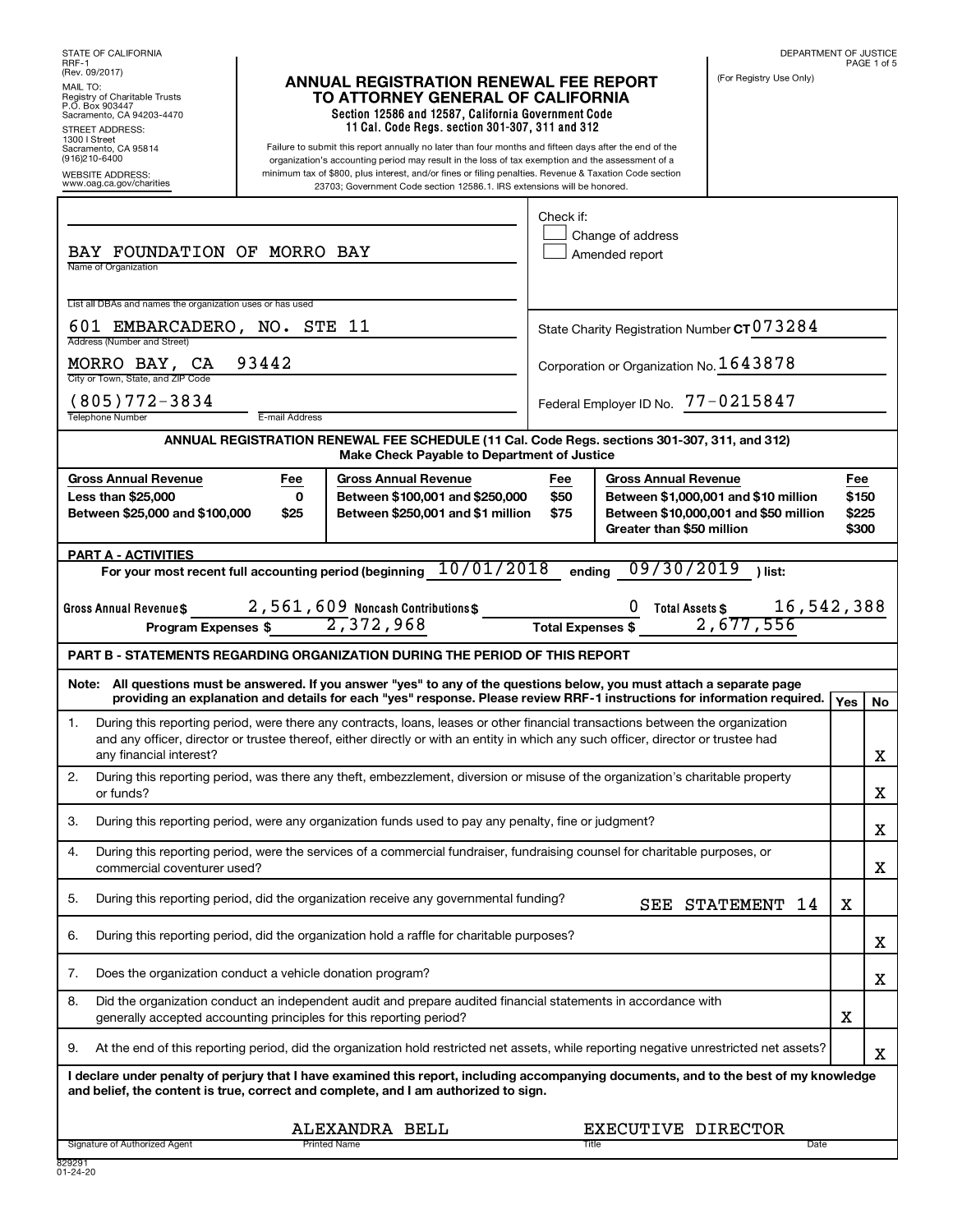STATE OF CALIFORNIA RRF-1 (Rev. 09/2017) DEPARTMENT OF JUSTICE PAGE 1 of 5 (For Registry Use Only) MAIL TO: Registry of Charitable Trusts P.O. Box 903447 Sacramento, CA 94203-4470 STREET ADDRESS: 1300 I Street Sacramento, CA 95814 (916)210-6400 Failure to submit this report annually no later than four months and fifteen days after the end of the organization's accounting period may result in the loss of tax exemption and the assessment of a minimum tax of \$800, plus interest, and/or fines or filing penalties. Revenue & Taxation Code section 23703; Government Code section 12586.1. IRS extensions will be honored. WEBSITE ADDRESS: www.oag.ca.gov/charities Name of Organization List all DBAs and names the organization uses or has used Address (Number and Street) City or Town, State, and ZIP Code Telephone Number **E-mail Address** Signature of Authorized Agent Contract Contract Printed Name Contract Contract Contract Contract Date Date Date **Section 12586 and 12587, California Government Code 11 Cal. Code Regs. section 301-307, 311 and 312**  $\mathbf{A}$   $\mathbf{B}$   $\mathbf{A}$  are  $\mathbf{B}$  are  $\mathbf{B}$   $\mathbf{A}$   $\mathbf{B}$   $\mathbf{A}$   $\mathbf{B}$   $\mathbf{A}$   $\mathbf{B}$   $\mathbf{B}$   $\mathbf{A}$   $\mathbf{B}$   $\mathbf{B}$   $\mathbf{B}$   $\mathbf{B}$   $\mathbf{B}$   $\mathbf{B}$   $\mathbf{B}$   $\mathbf{B}$   $\mathbf{B}$   $\mathbf{B}$   $\mathbf{B}$ State Charity Registration Number CT **ANNUAL REGISTRATION RENEWAL FEE SCHEDULE (11 Cal. Code Regs. sections 301-307, 311, and 312) Make Check Payable to Department of Justice Gross Annual Revenue Fee Gross Annual Revenue Fee Gross Annual Revenue Fee Less than \$25,000 Between \$25,000 and \$100,000 0 \$25 Between \$100,001 and \$250,000 Between \$250,001 and \$1 million \$50 \$75 Between \$1,000,001 and \$10 million Between \$10,000,001 and \$50 million Greater than \$50 million \$150 \$225 \$300 PART A - ACTIVITIES For your most recent full accounting period (beginning ending ) list:** 10/01/2018 09/30/2019 **Program Expenses \$ Total Expenses \$ PART B - STATEMENTS REGARDING ORGANIZATION DURING THE PERIOD OF THIS REPORT Note: All questions must be answered. If you answer "yes" to any of the questions below, you must attach a separate page providing an explanation and details for each "yes" response. Please review RRF-1 instructions for information required. Yes No I declare under penalty of perjury that I have examined this report, including accompanying documents, and to the best of my knowledge and belief, the content is true, correct and complete, and I am authorized to sign.** Check if: Change of address Amended report MORRO BAY,  $CA = 93442$   $\vert$  Corporation or Organization No. 1643878 Federal Employer ID No. (805)772-3834 77-0215847 1. During this reporting period, were there any contracts, loans, leases or other financial transactions between the organization and any officer, director or trustee thereof, either directly or with an entity in which any such officer, director or trustee had any financial interest? 2. During this reporting period, was there any theft, embezzlement, diversion or misuse of the organization's charitable property or funds? 3. During this reporting period, were any organization funds used to pay any penalty, fine or judgment? 4. During this reporting period, were the services of a commercial fundraiser, fundraising counsel for charitable purposes, or commercial coventurer used? 5. During this reporting period, did the organization receive any governmental funding? 6. During this reporting period, did the organization hold a raffle for charitable purposes? 7. Does the organization conduct a vehicle donation program? 8. Did the organization conduct an independent audit and prepare audited financial statements in accordance with generally accepted accounting principles for this reporting period? 9. At the end of this reporting period, did the organization hold restricted net assets, while reporting negative unrestricted net assets? **ANNUAL REGISTRATION RENEWAL FEE REPORT TO ATTORNEY GENERAL OF CALIFORNIA**  $\Box$ SEE STATEMENT 14 BAY FOUNDATION OF MORRO BAY 601 EMBARCADERO, NO. STE 11 2,561,609 Noncash Contributions\$ 0 Total Assets \$ 16,542,388  $\overline{2,}372,968$   $\overline{1}$   $\overline{1}$   $\overline{1}$   $\overline{2}$   $\overline{2,}677,556$ X X X X X X X X X ALEXANDRA BELL EXECUTIVE DIRECTOR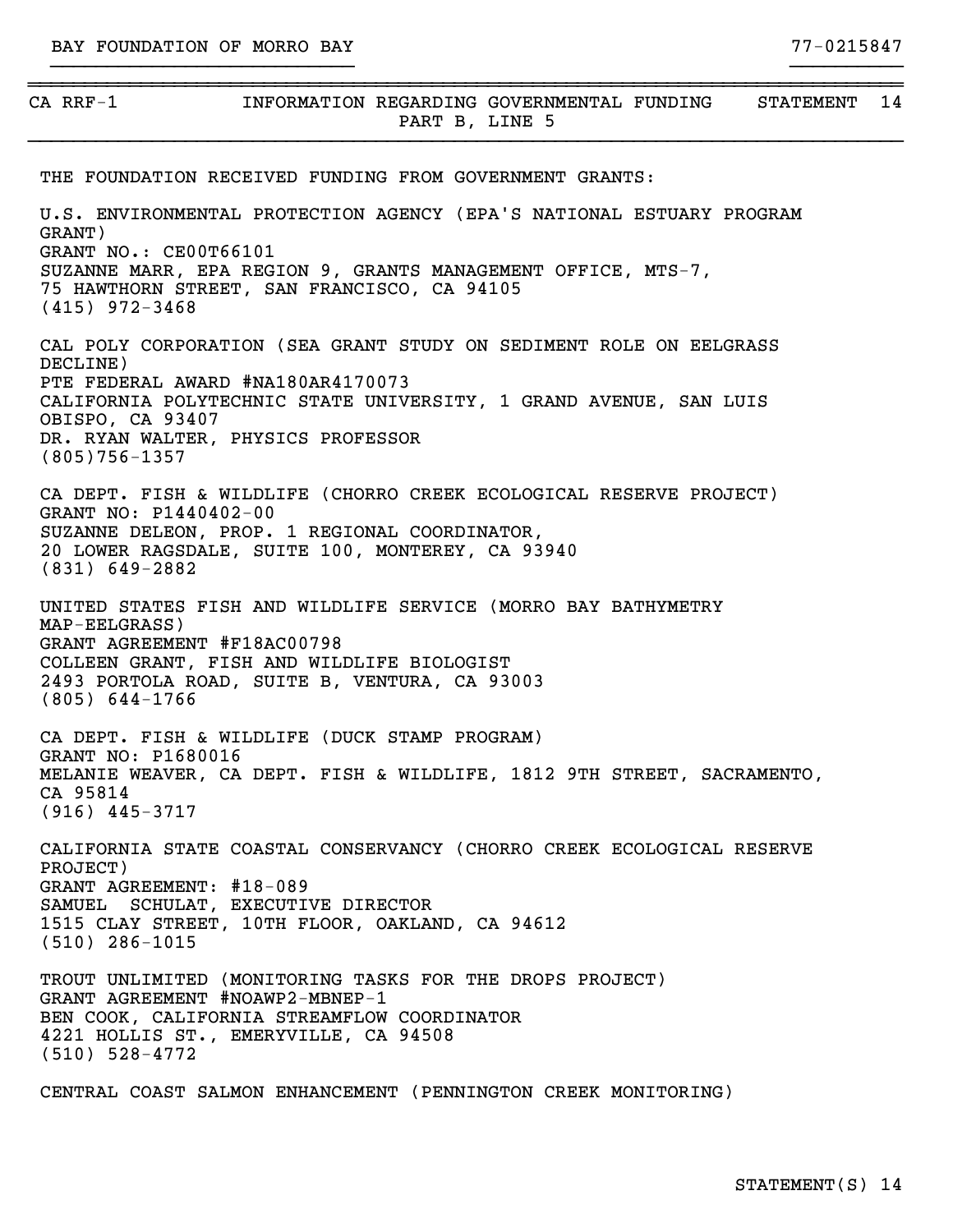(805)756-1357

75 HAWTHORN STREET, SAN FRANCISCO, CA 94105

| $CA$ RRF-1                      | INFORMATION REGARDING GOVERNMENTAL FUNDING<br><b>STATEMENT</b><br>PART B, LINE 5                                                     | 14 |
|---------------------------------|--------------------------------------------------------------------------------------------------------------------------------------|----|
|                                 | THE FOUNDATION RECEIVED FUNDING FROM GOVERNMENT GRANTS:                                                                              |    |
| GRANT)<br>GRANT NO.: CE00T66101 | U.S. ENVIRONMENTAL PROTECTION AGENCY (EPA'S NATIONAL ESTUARY PROGRAM<br>SUZANNE MARR, EPA REGION 9, GRANTS MANAGEMENT OFFICE, MTS-7, |    |

}}}}}}}}}}}}}}}}}}}}}}}}}}} }}}}}}}}}}

(415) 972-3468 CAL POLY CORPORATION (SEA GRANT STUDY ON SEDIMENT ROLE ON EELGRASS DECLINE) PTE FEDERAL AWARD #NA180AR4170073 CALIFORNIA POLYTECHNIC STATE UNIVERSITY, 1 GRAND AVENUE, SAN LUIS OBISPO, CA 93407 DR. RYAN WALTER, PHYSICS PROFESSOR

CA DEPT. FISH & WILDLIFE (CHORRO CREEK ECOLOGICAL RESERVE PROJECT) GRANT NO: P1440402-00 SUZANNE DELEON, PROP. 1 REGIONAL COORDINATOR, 20 LOWER RAGSDALE, SUITE 100, MONTEREY, CA 93940 (831) 649-2882

UNITED STATES FISH AND WILDLIFE SERVICE (MORRO BAY BATHYMETRY MAP-EELGRASS) GRANT AGREEMENT #F18AC00798 COLLEEN GRANT, FISH AND WILDLIFE BIOLOGIST 2493 PORTOLA ROAD, SUITE B, VENTURA, CA 93003 (805) 644-1766

CA DEPT. FISH & WILDLIFE (DUCK STAMP PROGRAM) GRANT NO: P1680016 MELANIE WEAVER, CA DEPT. FISH & WILDLIFE, 1812 9TH STREET, SACRAMENTO, CA 95814 (916) 445-3717

CALIFORNIA STATE COASTAL CONSERVANCY (CHORRO CREEK ECOLOGICAL RESERVE PROJECT) GRANT AGREEMENT: #18-089 SAMUEL SCHULAT, EXECUTIVE DIRECTOR 1515 CLAY STREET, 10TH FLOOR, OAKLAND, CA 94612 (510) 286-1015

TROUT UNLIMITED (MONITORING TASKS FOR THE DROPS PROJECT) GRANT AGREEMENT #NOAWP2-MBNEP-1 BEN COOK, CALIFORNIA STREAMFLOW COORDINATOR 4221 HOLLIS ST., EMERYVILLE, CA 94508 (510) 528-4772

CENTRAL COAST SALMON ENHANCEMENT (PENNINGTON CREEK MONITORING)